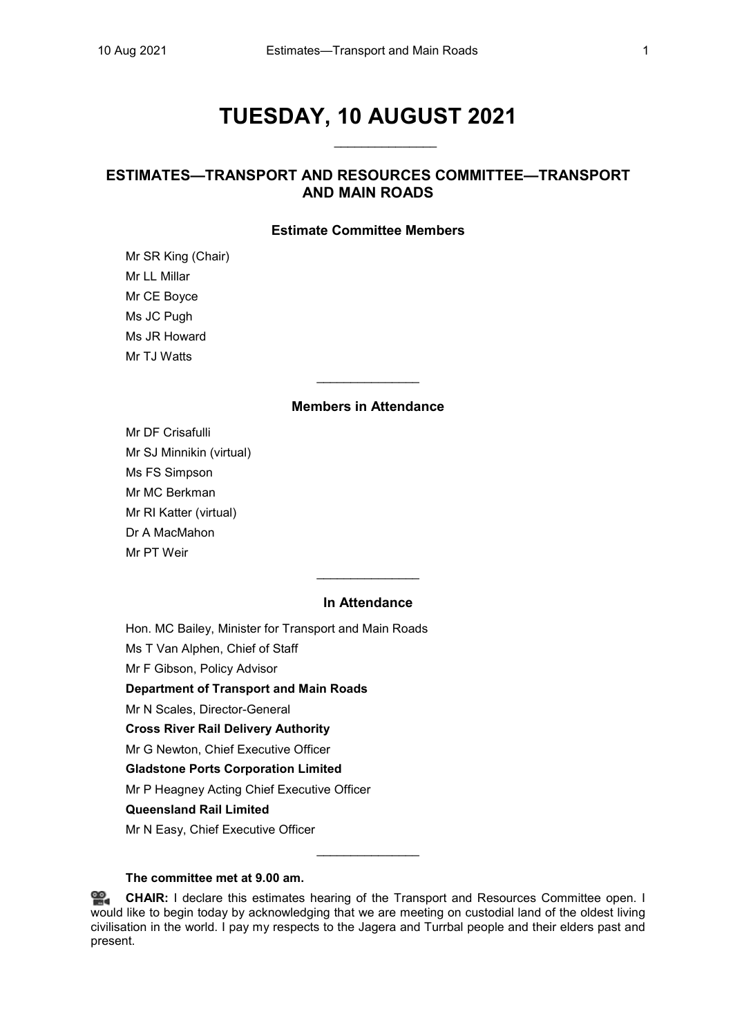# **TUESDAY, 10 AUGUST 2021**

\_\_\_\_\_\_\_\_\_\_\_\_\_\_\_

# **ESTIMATES—TRANSPORT AND RESOURCES COMMITTEE—TRANSPORT AND MAIN ROADS**

# **Estimate Committee Members**

Mr SR King (Chair) Mr LL Millar Mr CE Boyce Ms JC Pugh Ms JR Howard Mr TJ Watts

# **Members in Attendance**

\_\_\_\_\_\_\_\_\_\_\_\_\_\_\_

Mr DF Crisafulli Mr SJ Minnikin (virtual) Ms FS Simpson Mr MC Berkman Mr RI Katter (virtual) Dr A MacMahon Mr PT Weir

# **In Attendance**

\_\_\_\_\_\_\_\_\_\_\_\_\_\_\_

Hon. MC Bailey, Minister for Transport and Main Roads

Ms T Van Alphen, Chief of Staff

Mr F Gibson, Policy Advisor

**Department of Transport and Main Roads** 

Mr N Scales, Director-General

**Cross River Rail Delivery Authority**

Mr G Newton, Chief Executive Officer

# **Gladstone Ports Corporation Limited**

Mr P Heagney Acting Chief Executive Officer

# **Queensland Rail Limited**

Mr N Easy, Chief Executive Officer

#### **The committee met at 9.00 am.**

쓺. **[CHAIR:](http://www.parliament.qld.gov.au/docs/find.aspx?id=0Mba20210810_090009)** I declare this estimates hearing of the Transport and Resources Committee open. I would like to begin today by acknowledging that we are meeting on custodial land of the oldest living civilisation in the world. I pay my respects to the Jagera and Turrbal people and their elders past and present.

\_\_\_\_\_\_\_\_\_\_\_\_\_\_\_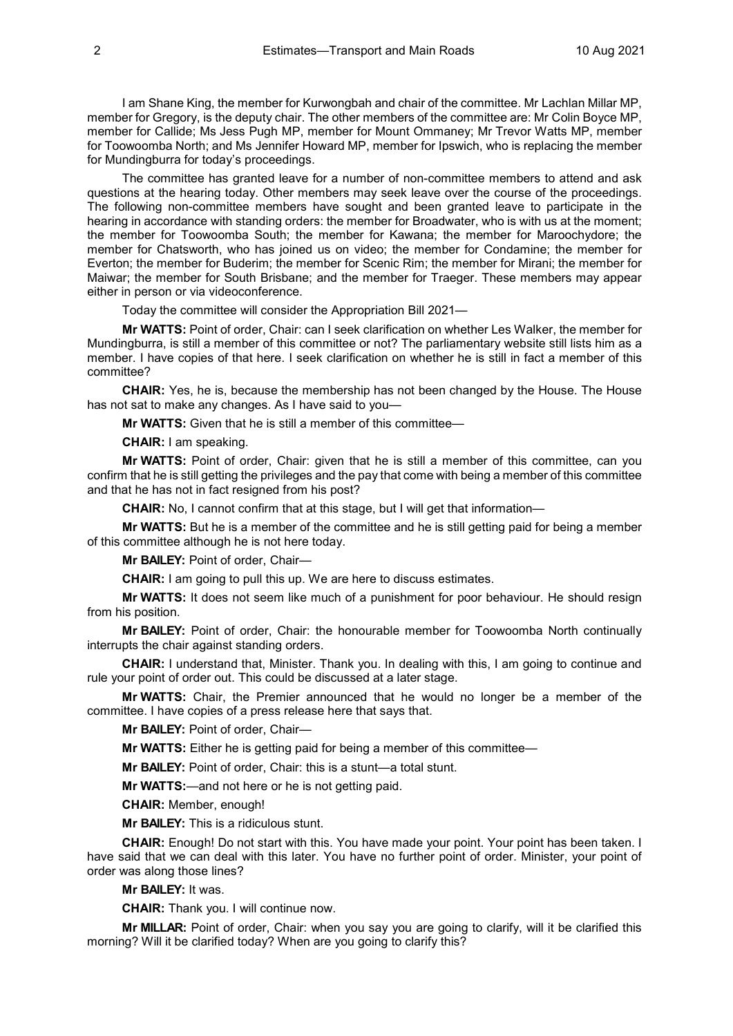I am Shane King, the member for Kurwongbah and chair of the committee. Mr Lachlan Millar MP, member for Gregory, is the deputy chair. The other members of the committee are: Mr Colin Boyce MP, member for Callide; Ms Jess Pugh MP, member for Mount Ommaney; Mr Trevor Watts MP, member for Toowoomba North; and Ms Jennifer Howard MP, member for Ipswich, who is replacing the member for Mundingburra for today's proceedings.

The committee has granted leave for a number of non-committee members to attend and ask questions at the hearing today. Other members may seek leave over the course of the proceedings. The following non-committee members have sought and been granted leave to participate in the hearing in accordance with standing orders: the member for Broadwater, who is with us at the moment; the member for Toowoomba South; the member for Kawana; the member for Maroochydore; the member for Chatsworth, who has joined us on video; the member for Condamine; the member for Everton; the member for Buderim; the member for Scenic Rim; the member for Mirani; the member for Maiwar; the member for South Brisbane; and the member for Traeger. These members may appear either in person or via videoconference.

Today the committee will consider the Appropriation Bill 2021—

**Mr WATTS:** Point of order, Chair: can I seek clarification on whether Les Walker, the member for Mundingburra, is still a member of this committee or not? The parliamentary website still lists him as a member. I have copies of that here. I seek clarification on whether he is still in fact a member of this committee?

**CHAIR:** Yes, he is, because the membership has not been changed by the House. The House has not sat to make any changes. As I have said to you-

**Mr WATTS:** Given that he is still a member of this committee—

**CHAIR:** I am speaking.

**Mr WATTS:** Point of order, Chair: given that he is still a member of this committee, can you confirm that he is still getting the privileges and the pay that come with being a member of this committee and that he has not in fact resigned from his post?

**CHAIR:** No, I cannot confirm that at this stage, but I will get that information—

**Mr WATTS:** But he is a member of the committee and he is still getting paid for being a member of this committee although he is not here today.

**Mr BAILEY:** Point of order, Chair—

**CHAIR:** I am going to pull this up. We are here to discuss estimates.

**Mr WATTS:** It does not seem like much of a punishment for poor behaviour. He should resign from his position.

**Mr BAILEY:** Point of order, Chair: the honourable member for Toowoomba North continually interrupts the chair against standing orders.

**CHAIR:** I understand that, Minister. Thank you. In dealing with this, I am going to continue and rule your point of order out. This could be discussed at a later stage.

**Mr WATTS:** Chair, the Premier announced that he would no longer be a member of the committee. I have copies of a press release here that says that.

**Mr BAILEY:** Point of order, Chair—

**Mr WATTS:** Either he is getting paid for being a member of this committee—

**Mr BAILEY:** Point of order, Chair: this is a stunt—a total stunt.

**Mr WATTS:**—and not here or he is not getting paid.

**CHAIR:** Member, enough!

**Mr BAILEY:** This is a ridiculous stunt.

**CHAIR:** Enough! Do not start with this. You have made your point. Your point has been taken. I have said that we can deal with this later. You have no further point of order. Minister, your point of order was along those lines?

**Mr BAILEY:** It was.

**CHAIR:** Thank you. I will continue now.

**Mr MILLAR:** Point of order, Chair: when you say you are going to clarify, will it be clarified this morning? Will it be clarified today? When are you going to clarify this?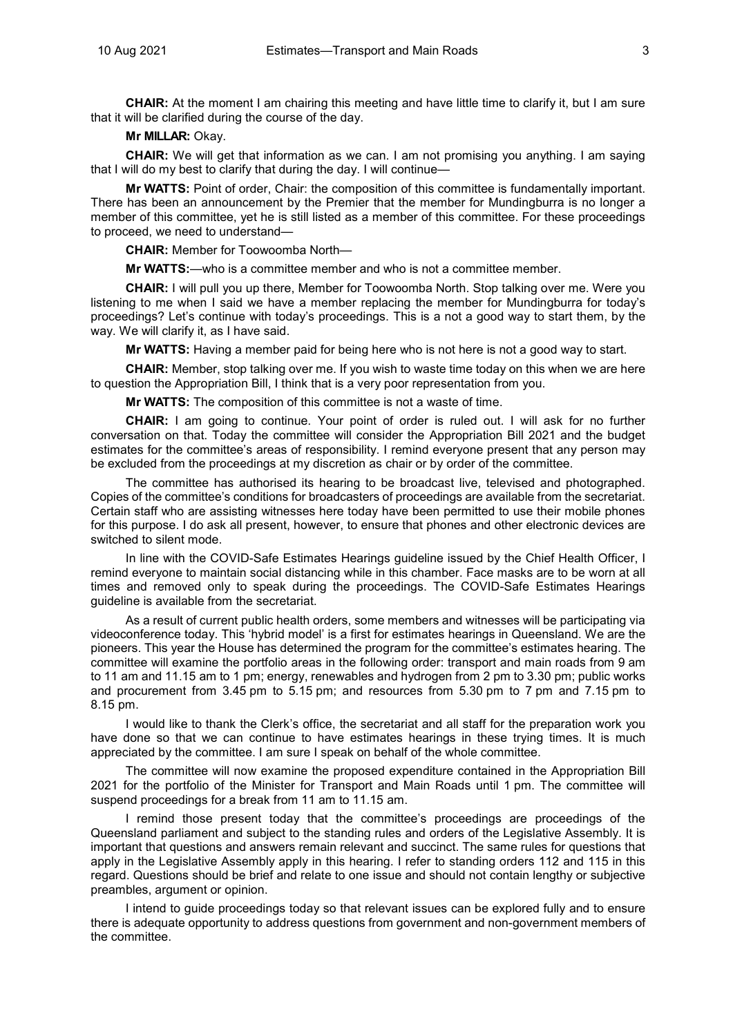**CHAIR:** At the moment I am chairing this meeting and have little time to clarify it, but I am sure that it will be clarified during the course of the day.

**Mr MILLAR:** Okay.

**CHAIR:** We will get that information as we can. I am not promising you anything. I am saying that I will do my best to clarify that during the day. I will continue—

**Mr WATTS:** Point of order, Chair: the composition of this committee is fundamentally important. There has been an announcement by the Premier that the member for Mundingburra is no longer a member of this committee, yet he is still listed as a member of this committee. For these proceedings to proceed, we need to understand—

**CHAIR:** Member for Toowoomba North—

**Mr WATTS:**—who is a committee member and who is not a committee member.

**CHAIR:** I will pull you up there, Member for Toowoomba North. Stop talking over me. Were you listening to me when I said we have a member replacing the member for Mundingburra for today's proceedings? Let's continue with today's proceedings. This is a not a good way to start them, by the way. We will clarify it, as I have said.

**Mr WATTS:** Having a member paid for being here who is not here is not a good way to start.

**CHAIR:** Member, stop talking over me. If you wish to waste time today on this when we are here to question the Appropriation Bill, I think that is a very poor representation from you.

**Mr WATTS:** The composition of this committee is not a waste of time.

**CHAIR:** I am going to continue. Your point of order is ruled out. I will ask for no further conversation on that. Today the committee will consider the Appropriation Bill 2021 and the budget estimates for the committee's areas of responsibility. I remind everyone present that any person may be excluded from the proceedings at my discretion as chair or by order of the committee.

The committee has authorised its hearing to be broadcast live, televised and photographed. Copies of the committee's conditions for broadcasters of proceedings are available from the secretariat. Certain staff who are assisting witnesses here today have been permitted to use their mobile phones for this purpose. I do ask all present, however, to ensure that phones and other electronic devices are switched to silent mode.

In line with the COVID-Safe Estimates Hearings guideline issued by the Chief Health Officer, I remind everyone to maintain social distancing while in this chamber. Face masks are to be worn at all times and removed only to speak during the proceedings. The COVID-Safe Estimates Hearings guideline is available from the secretariat.

As a result of current public health orders, some members and witnesses will be participating via videoconference today. This 'hybrid model' is a first for estimates hearings in Queensland. We are the pioneers. This year the House has determined the program for the committee's estimates hearing. The committee will examine the portfolio areas in the following order: transport and main roads from 9 am to 11 am and 11.15 am to 1 pm; energy, renewables and hydrogen from 2 pm to 3.30 pm; public works and procurement from 3.45 pm to 5.15 pm; and resources from 5.30 pm to 7 pm and 7.15 pm to 8.15 pm.

I would like to thank the Clerk's office, the secretariat and all staff for the preparation work you have done so that we can continue to have estimates hearings in these trying times. It is much appreciated by the committee. I am sure I speak on behalf of the whole committee.

The committee will now examine the proposed expenditure contained in the Appropriation Bill 2021 for the portfolio of the Minister for Transport and Main Roads until 1 pm. The committee will suspend proceedings for a break from 11 am to 11.15 am.

I remind those present today that the committee's proceedings are proceedings of the Queensland parliament and subject to the standing rules and orders of the Legislative Assembly. It is important that questions and answers remain relevant and succinct. The same rules for questions that apply in the Legislative Assembly apply in this hearing. I refer to standing orders 112 and 115 in this regard. Questions should be brief and relate to one issue and should not contain lengthy or subjective preambles, argument or opinion.

I intend to guide proceedings today so that relevant issues can be explored fully and to ensure there is adequate opportunity to address questions from government and non-government members of the committee.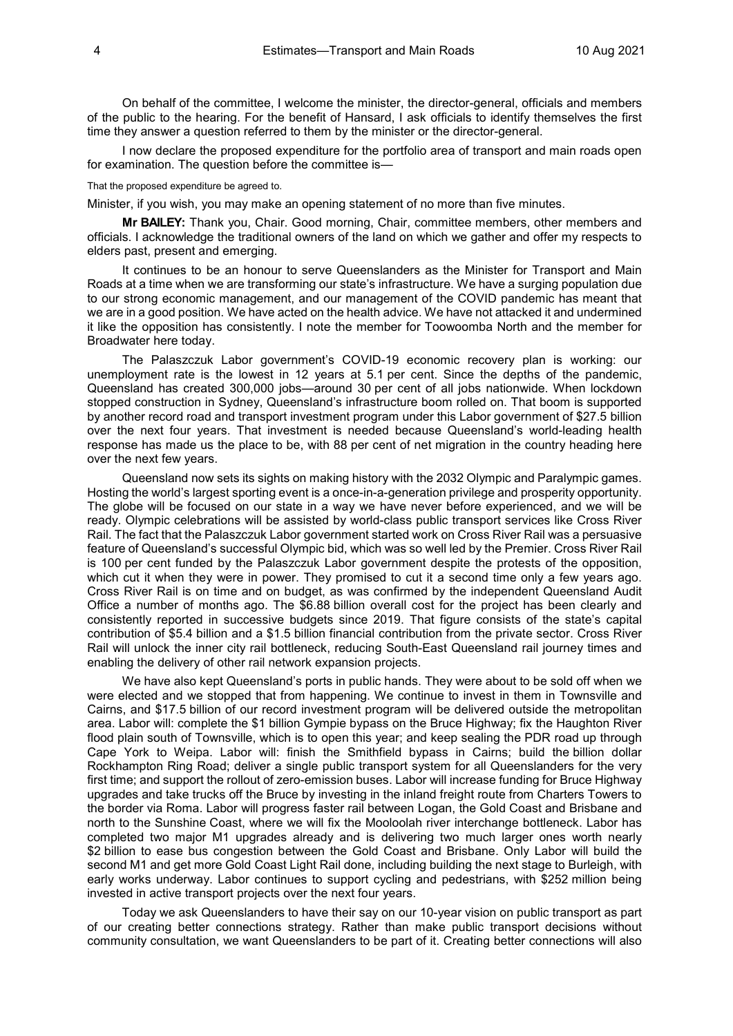On behalf of the committee, I welcome the minister, the director-general, officials and members of the public to the hearing. For the benefit of Hansard, I ask officials to identify themselves the first time they answer a question referred to them by the minister or the director-general.

I now declare the proposed expenditure for the portfolio area of transport and main roads open for examination. The question before the committee is—

That the proposed expenditure be agreed to.

Minister, if you wish, you may make an opening statement of no more than five minutes.

**Mr BAILEY:** Thank you, Chair. Good morning, Chair, committee members, other members and officials. I acknowledge the traditional owners of the land on which we gather and offer my respects to elders past, present and emerging.

It continues to be an honour to serve Queenslanders as the Minister for Transport and Main Roads at a time when we are transforming our state's infrastructure. We have a surging population due to our strong economic management, and our management of the COVID pandemic has meant that we are in a good position. We have acted on the health advice. We have not attacked it and undermined it like the opposition has consistently. I note the member for Toowoomba North and the member for Broadwater here today.

The Palaszczuk Labor government's COVID-19 economic recovery plan is working: our unemployment rate is the lowest in 12 years at 5.1 per cent. Since the depths of the pandemic, Queensland has created 300,000 jobs—around 30 per cent of all jobs nationwide. When lockdown stopped construction in Sydney, Queensland's infrastructure boom rolled on. That boom is supported by another record road and transport investment program under this Labor government of \$27.5 billion over the next four years. That investment is needed because Queensland's world-leading health response has made us the place to be, with 88 per cent of net migration in the country heading here over the next few years.

Queensland now sets its sights on making history with the 2032 Olympic and Paralympic games. Hosting the world's largest sporting event is a once-in-a-generation privilege and prosperity opportunity. The globe will be focused on our state in a way we have never before experienced, and we will be ready. Olympic celebrations will be assisted by world-class public transport services like Cross River Rail. The fact that the Palaszczuk Labor government started work on Cross River Rail was a persuasive feature of Queensland's successful Olympic bid, which was so well led by the Premier. Cross River Rail is 100 per cent funded by the Palaszczuk Labor government despite the protests of the opposition, which cut it when they were in power. They promised to cut it a second time only a few years ago. Cross River Rail is on time and on budget, as was confirmed by the independent Queensland Audit Office a number of months ago. The \$6.88 billion overall cost for the project has been clearly and consistently reported in successive budgets since 2019. That figure consists of the state's capital contribution of \$5.4 billion and a \$1.5 billion financial contribution from the private sector. Cross River Rail will unlock the inner city rail bottleneck, reducing South-East Queensland rail journey times and enabling the delivery of other rail network expansion projects.

We have also kept Queensland's ports in public hands. They were about to be sold off when we were elected and we stopped that from happening. We continue to invest in them in Townsville and Cairns, and \$17.5 billion of our record investment program will be delivered outside the metropolitan area. Labor will: complete the \$1 billion Gympie bypass on the Bruce Highway; fix the Haughton River flood plain south of Townsville, which is to open this year; and keep sealing the PDR road up through Cape York to Weipa. Labor will: finish the Smithfield bypass in Cairns; build the billion dollar Rockhampton Ring Road; deliver a single public transport system for all Queenslanders for the very first time; and support the rollout of zero-emission buses. Labor will increase funding for Bruce Highway upgrades and take trucks off the Bruce by investing in the inland freight route from Charters Towers to the border via Roma. Labor will progress faster rail between Logan, the Gold Coast and Brisbane and north to the Sunshine Coast, where we will fix the Mooloolah river interchange bottleneck. Labor has completed two major M1 upgrades already and is delivering two much larger ones worth nearly \$2 billion to ease bus congestion between the Gold Coast and Brisbane. Only Labor will build the second M1 and get more Gold Coast Light Rail done, including building the next stage to Burleigh, with early works underway. Labor continues to support cycling and pedestrians, with \$252 million being invested in active transport projects over the next four years.

Today we ask Queenslanders to have their say on our 10-year vision on public transport as part of our creating better connections strategy. Rather than make public transport decisions without community consultation, we want Queenslanders to be part of it. Creating better connections will also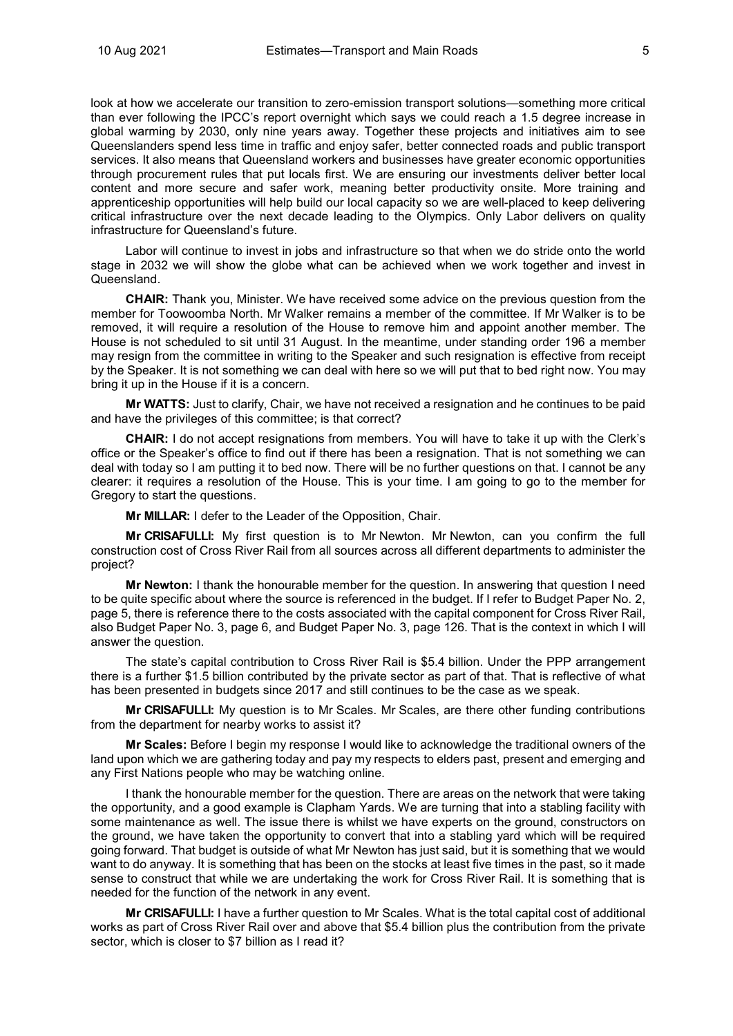look at how we accelerate our transition to zero-emission transport solutions—something more critical than ever following the IPCC's report overnight which says we could reach a 1.5 degree increase in global warming by 2030, only nine years away. Together these projects and initiatives aim to see Queenslanders spend less time in traffic and enjoy safer, better connected roads and public transport services. It also means that Queensland workers and businesses have greater economic opportunities through procurement rules that put locals first. We are ensuring our investments deliver better local content and more secure and safer work, meaning better productivity onsite. More training and apprenticeship opportunities will help build our local capacity so we are well-placed to keep delivering critical infrastructure over the next decade leading to the Olympics. Only Labor delivers on quality infrastructure for Queensland's future.

Labor will continue to invest in jobs and infrastructure so that when we do stride onto the world stage in 2032 we will show the globe what can be achieved when we work together and invest in Queensland.

**CHAIR:** Thank you, Minister. We have received some advice on the previous question from the member for Toowoomba North. Mr Walker remains a member of the committee. If Mr Walker is to be removed, it will require a resolution of the House to remove him and appoint another member. The House is not scheduled to sit until 31 August. In the meantime, under standing order 196 a member may resign from the committee in writing to the Speaker and such resignation is effective from receipt by the Speaker. It is not something we can deal with here so we will put that to bed right now. You may bring it up in the House if it is a concern.

**Mr WATTS:** Just to clarify, Chair, we have not received a resignation and he continues to be paid and have the privileges of this committee; is that correct?

**CHAIR:** I do not accept resignations from members. You will have to take it up with the Clerk's office or the Speaker's office to find out if there has been a resignation. That is not something we can deal with today so I am putting it to bed now. There will be no further questions on that. I cannot be any clearer: it requires a resolution of the House. This is your time. I am going to go to the member for Gregory to start the questions.

**Mr MILLAR:** I defer to the Leader of the Opposition, Chair.

**Mr CRISAFULLI:** My first question is to Mr Newton. Mr Newton, can you confirm the full construction cost of Cross River Rail from all sources across all different departments to administer the project?

**Mr Newton:** I thank the honourable member for the question. In answering that question I need to be quite specific about where the source is referenced in the budget. If I refer to Budget Paper No. 2, page 5, there is reference there to the costs associated with the capital component for Cross River Rail, also Budget Paper No. 3, page 6, and Budget Paper No. 3, page 126. That is the context in which I will answer the question.

The state's capital contribution to Cross River Rail is \$5.4 billion. Under the PPP arrangement there is a further \$1.5 billion contributed by the private sector as part of that. That is reflective of what has been presented in budgets since 2017 and still continues to be the case as we speak.

**Mr CRISAFULLI:** My question is to Mr Scales. Mr Scales, are there other funding contributions from the department for nearby works to assist it?

**Mr Scales:** Before I begin my response I would like to acknowledge the traditional owners of the land upon which we are gathering today and pay my respects to elders past, present and emerging and any First Nations people who may be watching online.

I thank the honourable member for the question. There are areas on the network that were taking the opportunity, and a good example is Clapham Yards. We are turning that into a stabling facility with some maintenance as well. The issue there is whilst we have experts on the ground, constructors on the ground, we have taken the opportunity to convert that into a stabling yard which will be required going forward. That budget is outside of what Mr Newton has just said, but it is something that we would want to do anyway. It is something that has been on the stocks at least five times in the past, so it made sense to construct that while we are undertaking the work for Cross River Rail. It is something that is needed for the function of the network in any event.

**Mr CRISAFULLI:** I have a further question to Mr Scales. What is the total capital cost of additional works as part of Cross River Rail over and above that \$5.4 billion plus the contribution from the private sector, which is closer to \$7 billion as I read it?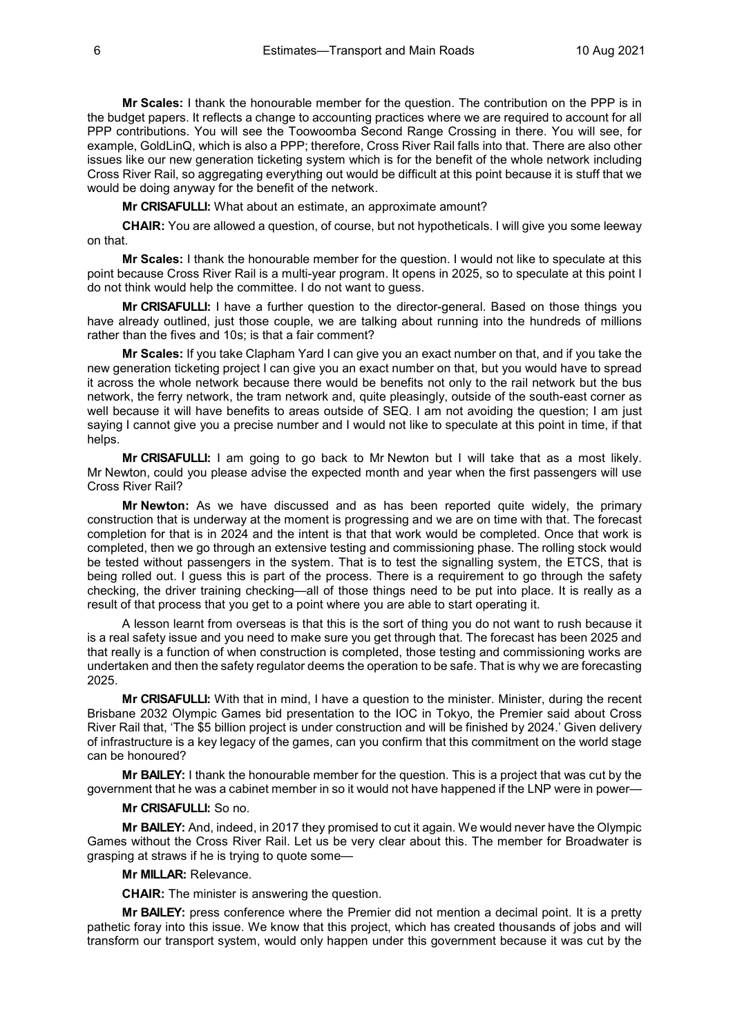**Mr Scales:** I thank the honourable member for the question. The contribution on the PPP is in the budget papers. It reflects a change to accounting practices where we are required to account for all PPP contributions. You will see the Toowoomba Second Range Crossing in there. You will see, for example, GoldLinQ, which is also a PPP; therefore, Cross River Rail falls into that. There are also other issues like our new generation ticketing system which is for the benefit of the whole network including Cross River Rail, so aggregating everything out would be difficult at this point because it is stuff that we would be doing anyway for the benefit of the network.

**Mr CRISAFULLI:** What about an estimate, an approximate amount?

**CHAIR:** You are allowed a question, of course, but not hypotheticals. I will give you some leeway on that.

**Mr Scales:** I thank the honourable member for the question. I would not like to speculate at this point because Cross River Rail is a multi-year program. It opens in 2025, so to speculate at this point I do not think would help the committee. I do not want to guess.

**Mr CRISAFULLI:** I have a further question to the director-general. Based on those things you have already outlined, just those couple, we are talking about running into the hundreds of millions rather than the fives and 10s; is that a fair comment?

**Mr Scales:** If you take Clapham Yard I can give you an exact number on that, and if you take the new generation ticketing project I can give you an exact number on that, but you would have to spread it across the whole network because there would be benefits not only to the rail network but the bus network, the ferry network, the tram network and, quite pleasingly, outside of the south-east corner as well because it will have benefits to areas outside of SEQ. I am not avoiding the question; I am just saying I cannot give you a precise number and I would not like to speculate at this point in time, if that helps.

**Mr CRISAFULLI:** I am going to go back to Mr Newton but I will take that as a most likely. Mr Newton, could you please advise the expected month and year when the first passengers will use Cross River Rail?

**Mr Newton:** As we have discussed and as has been reported quite widely, the primary construction that is underway at the moment is progressing and we are on time with that. The forecast completion for that is in 2024 and the intent is that that work would be completed. Once that work is completed, then we go through an extensive testing and commissioning phase. The rolling stock would be tested without passengers in the system. That is to test the signalling system, the ETCS, that is being rolled out. I guess this is part of the process. There is a requirement to go through the safety checking, the driver training checking—all of those things need to be put into place. It is really as a result of that process that you get to a point where you are able to start operating it.

A lesson learnt from overseas is that this is the sort of thing you do not want to rush because it is a real safety issue and you need to make sure you get through that. The forecast has been 2025 and that really is a function of when construction is completed, those testing and commissioning works are undertaken and then the safety regulator deems the operation to be safe. That is why we are forecasting 2025.

**Mr CRISAFULLI:** With that in mind, I have a question to the minister. Minister, during the recent Brisbane 2032 Olympic Games bid presentation to the IOC in Tokyo, the Premier said about Cross River Rail that, 'The \$5 billion project is under construction and will be finished by 2024.' Given delivery of infrastructure is a key legacy of the games, can you confirm that this commitment on the world stage can be honoured?

**Mr BAILEY:** I thank the honourable member for the question. This is a project that was cut by the government that he was a cabinet member in so it would not have happened if the LNP were in power—

#### **Mr CRISAFULLI:** So no.

**Mr BAILEY:** And, indeed, in 2017 they promised to cut it again. We would never have the Olympic Games without the Cross River Rail. Let us be very clear about this. The member for Broadwater is grasping at straws if he is trying to quote some—

#### **Mr MILLAR:** Relevance.

**CHAIR:** The minister is answering the question.

**Mr BAILEY:** press conference where the Premier did not mention a decimal point. It is a pretty pathetic foray into this issue. We know that this project, which has created thousands of jobs and will transform our transport system, would only happen under this government because it was cut by the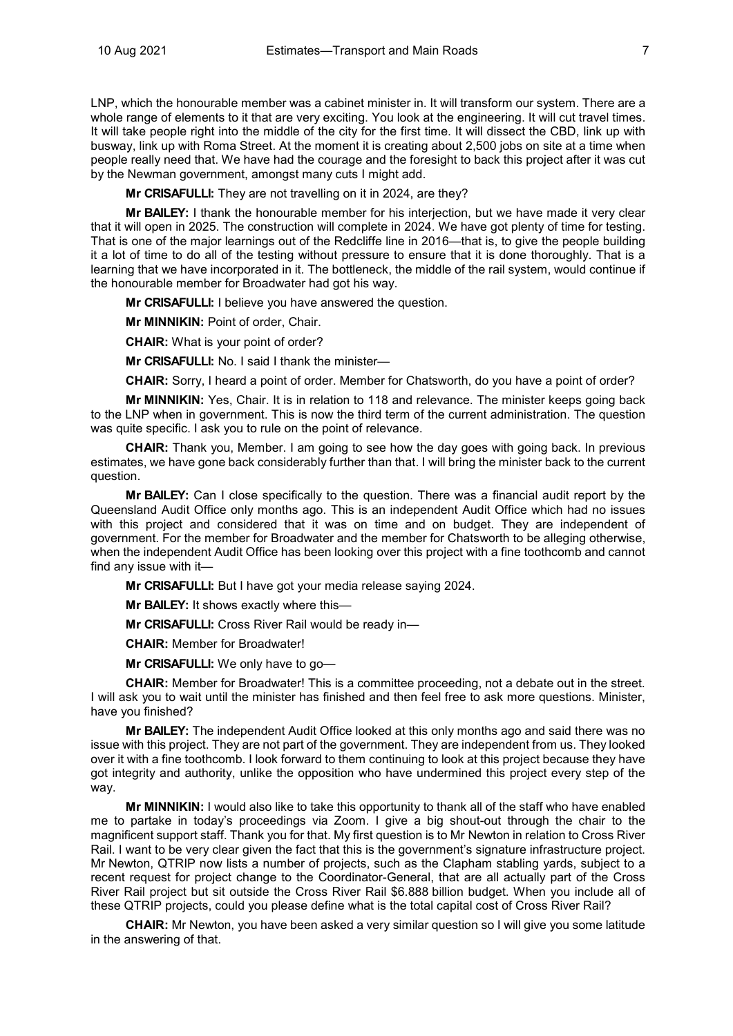LNP, which the honourable member was a cabinet minister in. It will transform our system. There are a whole range of elements to it that are very exciting. You look at the engineering. It will cut travel times. It will take people right into the middle of the city for the first time. It will dissect the CBD, link up with busway, link up with Roma Street. At the moment it is creating about 2,500 jobs on site at a time when people really need that. We have had the courage and the foresight to back this project after it was cut by the Newman government, amongst many cuts I might add.

**Mr CRISAFULLI:** They are not travelling on it in 2024, are they?

**Mr BAILEY:** I thank the honourable member for his interjection, but we have made it very clear that it will open in 2025. The construction will complete in 2024. We have got plenty of time for testing. That is one of the major learnings out of the Redcliffe line in 2016—that is, to give the people building it a lot of time to do all of the testing without pressure to ensure that it is done thoroughly. That is a learning that we have incorporated in it. The bottleneck, the middle of the rail system, would continue if the honourable member for Broadwater had got his way.

**Mr CRISAFULLI:** I believe you have answered the question.

**Mr MINNIKIN:** Point of order, Chair.

**CHAIR:** What is your point of order?

**Mr CRISAFULLI:** No. I said I thank the minister—

**CHAIR:** Sorry, I heard a point of order. Member for Chatsworth, do you have a point of order?

**Mr MINNIKIN:** Yes, Chair. It is in relation to 118 and relevance. The minister keeps going back to the LNP when in government. This is now the third term of the current administration. The question was quite specific. I ask you to rule on the point of relevance.

**CHAIR:** Thank you, Member. I am going to see how the day goes with going back. In previous estimates, we have gone back considerably further than that. I will bring the minister back to the current question.

**Mr BAILEY:** Can I close specifically to the question. There was a financial audit report by the Queensland Audit Office only months ago. This is an independent Audit Office which had no issues with this project and considered that it was on time and on budget. They are independent of government. For the member for Broadwater and the member for Chatsworth to be alleging otherwise, when the independent Audit Office has been looking over this project with a fine toothcomb and cannot find any issue with it—

**Mr CRISAFULLI:** But I have got your media release saying 2024.

**Mr BAILEY:** It shows exactly where this—

**Mr CRISAFULLI:** Cross River Rail would be ready in—

**CHAIR:** Member for Broadwater!

**Mr CRISAFULLI:** We only have to go—

**CHAIR:** Member for Broadwater! This is a committee proceeding, not a debate out in the street. I will ask you to wait until the minister has finished and then feel free to ask more questions. Minister, have you finished?

**Mr BAILEY:** The independent Audit Office looked at this only months ago and said there was no issue with this project. They are not part of the government. They are independent from us. They looked over it with a fine toothcomb. I look forward to them continuing to look at this project because they have got integrity and authority, unlike the opposition who have undermined this project every step of the way.

**Mr MINNIKIN:** I would also like to take this opportunity to thank all of the staff who have enabled me to partake in today's proceedings via Zoom. I give a big shout-out through the chair to the magnificent support staff. Thank you for that. My first question is to Mr Newton in relation to Cross River Rail. I want to be very clear given the fact that this is the government's signature infrastructure project. Mr Newton, QTRIP now lists a number of projects, such as the Clapham stabling yards, subject to a recent request for project change to the Coordinator-General, that are all actually part of the Cross River Rail project but sit outside the Cross River Rail \$6.888 billion budget. When you include all of these QTRIP projects, could you please define what is the total capital cost of Cross River Rail?

**CHAIR:** Mr Newton, you have been asked a very similar question so I will give you some latitude in the answering of that.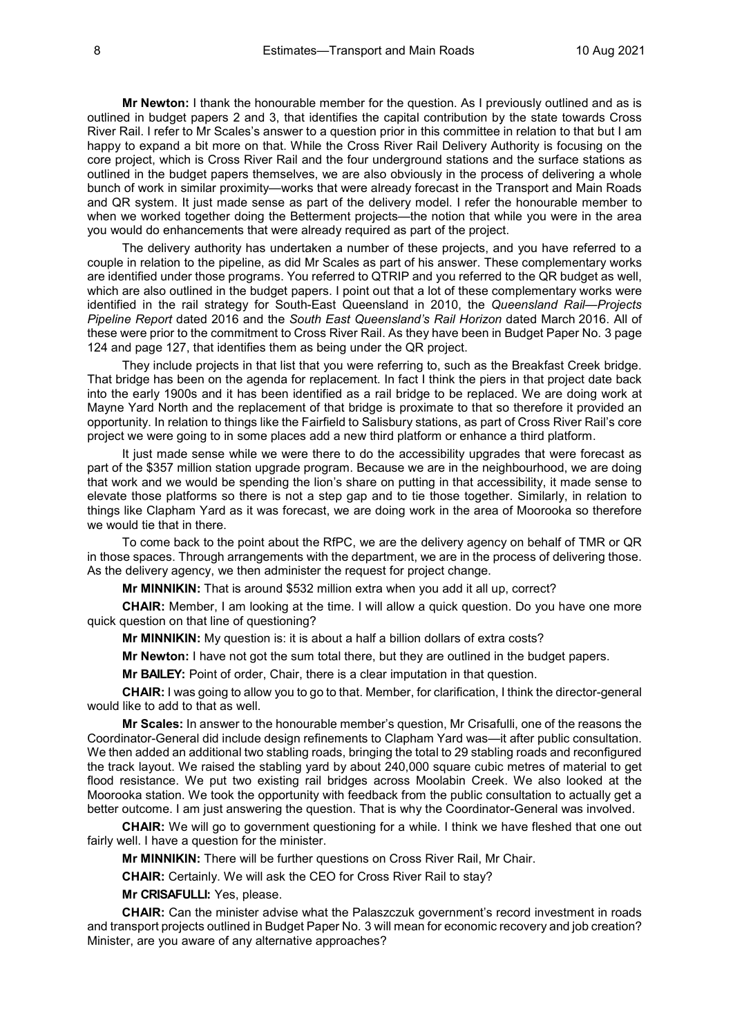**Mr Newton:** I thank the honourable member for the question. As I previously outlined and as is outlined in budget papers 2 and 3, that identifies the capital contribution by the state towards Cross River Rail. I refer to Mr Scales's answer to a question prior in this committee in relation to that but I am happy to expand a bit more on that. While the Cross River Rail Delivery Authority is focusing on the core project, which is Cross River Rail and the four underground stations and the surface stations as outlined in the budget papers themselves, we are also obviously in the process of delivering a whole bunch of work in similar proximity—works that were already forecast in the Transport and Main Roads and QR system. It just made sense as part of the delivery model. I refer the honourable member to when we worked together doing the Betterment projects—the notion that while you were in the area you would do enhancements that were already required as part of the project.

The delivery authority has undertaken a number of these projects, and you have referred to a couple in relation to the pipeline, as did Mr Scales as part of his answer. These complementary works are identified under those programs. You referred to QTRIP and you referred to the QR budget as well, which are also outlined in the budget papers. I point out that a lot of these complementary works were identified in the rail strategy for South-East Queensland in 2010, the *Queensland Rail—Projects Pipeline Report* dated 2016 and the *South East Queensland's Rail Horizon* dated March 2016. All of these were prior to the commitment to Cross River Rail. As they have been in Budget Paper No. 3 page 124 and page 127, that identifies them as being under the QR project.

They include projects in that list that you were referring to, such as the Breakfast Creek bridge. That bridge has been on the agenda for replacement. In fact I think the piers in that project date back into the early 1900s and it has been identified as a rail bridge to be replaced. We are doing work at Mayne Yard North and the replacement of that bridge is proximate to that so therefore it provided an opportunity. In relation to things like the Fairfield to Salisbury stations, as part of Cross River Rail's core project we were going to in some places add a new third platform or enhance a third platform.

It just made sense while we were there to do the accessibility upgrades that were forecast as part of the \$357 million station upgrade program. Because we are in the neighbourhood, we are doing that work and we would be spending the lion's share on putting in that accessibility, it made sense to elevate those platforms so there is not a step gap and to tie those together. Similarly, in relation to things like Clapham Yard as it was forecast, we are doing work in the area of Moorooka so therefore we would tie that in there.

To come back to the point about the RfPC, we are the delivery agency on behalf of TMR or QR in those spaces. Through arrangements with the department, we are in the process of delivering those. As the delivery agency, we then administer the request for project change.

**Mr MINNIKIN:** That is around \$532 million extra when you add it all up, correct?

**CHAIR:** Member, I am looking at the time. I will allow a quick question. Do you have one more quick question on that line of questioning?

**Mr MINNIKIN:** My question is: it is about a half a billion dollars of extra costs?

**Mr Newton:** I have not got the sum total there, but they are outlined in the budget papers.

**Mr BAILEY:** Point of order, Chair, there is a clear imputation in that question.

**CHAIR:** I was going to allow you to go to that. Member, for clarification, I think the director-general would like to add to that as well.

**Mr Scales:** In answer to the honourable member's question, Mr Crisafulli, one of the reasons the Coordinator-General did include design refinements to Clapham Yard was—it after public consultation. We then added an additional two stabling roads, bringing the total to 29 stabling roads and reconfigured the track layout. We raised the stabling yard by about 240,000 square cubic metres of material to get flood resistance. We put two existing rail bridges across Moolabin Creek. We also looked at the Moorooka station. We took the opportunity with feedback from the public consultation to actually get a better outcome. I am just answering the question. That is why the Coordinator-General was involved.

**CHAIR:** We will go to government questioning for a while. I think we have fleshed that one out fairly well. I have a question for the minister.

**Mr MINNIKIN:** There will be further questions on Cross River Rail, Mr Chair.

**CHAIR:** Certainly. We will ask the CEO for Cross River Rail to stay?

**Mr CRISAFULLI:** Yes, please.

**CHAIR:** Can the minister advise what the Palaszczuk government's record investment in roads and transport projects outlined in Budget Paper No. 3 will mean for economic recovery and job creation? Minister, are you aware of any alternative approaches?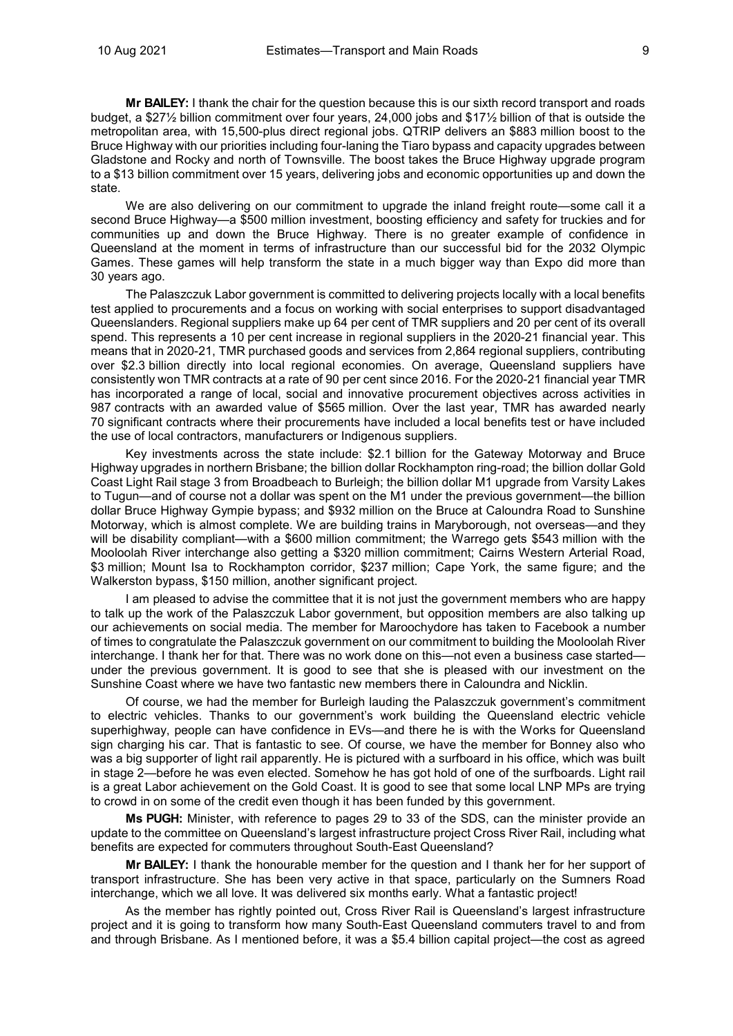**Mr BAILEY:** I thank the chair for the question because this is our sixth record transport and roads budget, a \$27½ billion commitment over four years, 24,000 jobs and \$17½ billion of that is outside the metropolitan area, with 15,500-plus direct regional jobs. QTRIP delivers an \$883 million boost to the Bruce Highway with our priorities including four-laning the Tiaro bypass and capacity upgrades between Gladstone and Rocky and north of Townsville. The boost takes the Bruce Highway upgrade program to a \$13 billion commitment over 15 years, delivering jobs and economic opportunities up and down the state.

We are also delivering on our commitment to upgrade the inland freight route—some call it a second Bruce Highway—a \$500 million investment, boosting efficiency and safety for truckies and for communities up and down the Bruce Highway. There is no greater example of confidence in Queensland at the moment in terms of infrastructure than our successful bid for the 2032 Olympic Games. These games will help transform the state in a much bigger way than Expo did more than 30 years ago.

The Palaszczuk Labor government is committed to delivering projects locally with a local benefits test applied to procurements and a focus on working with social enterprises to support disadvantaged Queenslanders. Regional suppliers make up 64 per cent of TMR suppliers and 20 per cent of its overall spend. This represents a 10 per cent increase in regional suppliers in the 2020-21 financial year. This means that in 2020-21, TMR purchased goods and services from 2,864 regional suppliers, contributing over \$2.3 billion directly into local regional economies. On average, Queensland suppliers have consistently won TMR contracts at a rate of 90 per cent since 2016. For the 2020-21 financial year TMR has incorporated a range of local, social and innovative procurement objectives across activities in 987 contracts with an awarded value of \$565 million. Over the last year, TMR has awarded nearly 70 significant contracts where their procurements have included a local benefits test or have included the use of local contractors, manufacturers or Indigenous suppliers.

Key investments across the state include: \$2.1 billion for the Gateway Motorway and Bruce Highway upgrades in northern Brisbane; the billion dollar Rockhampton ring-road; the billion dollar Gold Coast Light Rail stage 3 from Broadbeach to Burleigh; the billion dollar M1 upgrade from Varsity Lakes to Tugun—and of course not a dollar was spent on the M1 under the previous government—the billion dollar Bruce Highway Gympie bypass; and \$932 million on the Bruce at Caloundra Road to Sunshine Motorway, which is almost complete. We are building trains in Maryborough, not overseas—and they will be disability compliant—with a \$600 million commitment; the Warrego gets \$543 million with the Mooloolah River interchange also getting a \$320 million commitment; Cairns Western Arterial Road, \$3 million; Mount Isa to Rockhampton corridor, \$237 million; Cape York, the same figure; and the Walkerston bypass, \$150 million, another significant project.

I am pleased to advise the committee that it is not just the government members who are happy to talk up the work of the Palaszczuk Labor government, but opposition members are also talking up our achievements on social media. The member for Maroochydore has taken to Facebook a number of times to congratulate the Palaszczuk government on our commitment to building the Mooloolah River interchange. I thank her for that. There was no work done on this—not even a business case started under the previous government. It is good to see that she is pleased with our investment on the Sunshine Coast where we have two fantastic new members there in Caloundra and Nicklin.

Of course, we had the member for Burleigh lauding the Palaszczuk government's commitment to electric vehicles. Thanks to our government's work building the Queensland electric vehicle superhighway, people can have confidence in EVs—and there he is with the Works for Queensland sign charging his car. That is fantastic to see. Of course, we have the member for Bonney also who was a big supporter of light rail apparently. He is pictured with a surfboard in his office, which was built in stage 2—before he was even elected. Somehow he has got hold of one of the surfboards. Light rail is a great Labor achievement on the Gold Coast. It is good to see that some local LNP MPs are trying to crowd in on some of the credit even though it has been funded by this government.

**Ms PUGH:** Minister, with reference to pages 29 to 33 of the SDS, can the minister provide an update to the committee on Queensland's largest infrastructure project Cross River Rail, including what benefits are expected for commuters throughout South-East Queensland?

**Mr BAILEY:** I thank the honourable member for the question and I thank her for her support of transport infrastructure. She has been very active in that space, particularly on the Sumners Road interchange, which we all love. It was delivered six months early. What a fantastic project!

As the member has rightly pointed out, Cross River Rail is Queensland's largest infrastructure project and it is going to transform how many South-East Queensland commuters travel to and from and through Brisbane. As I mentioned before, it was a \$5.4 billion capital project—the cost as agreed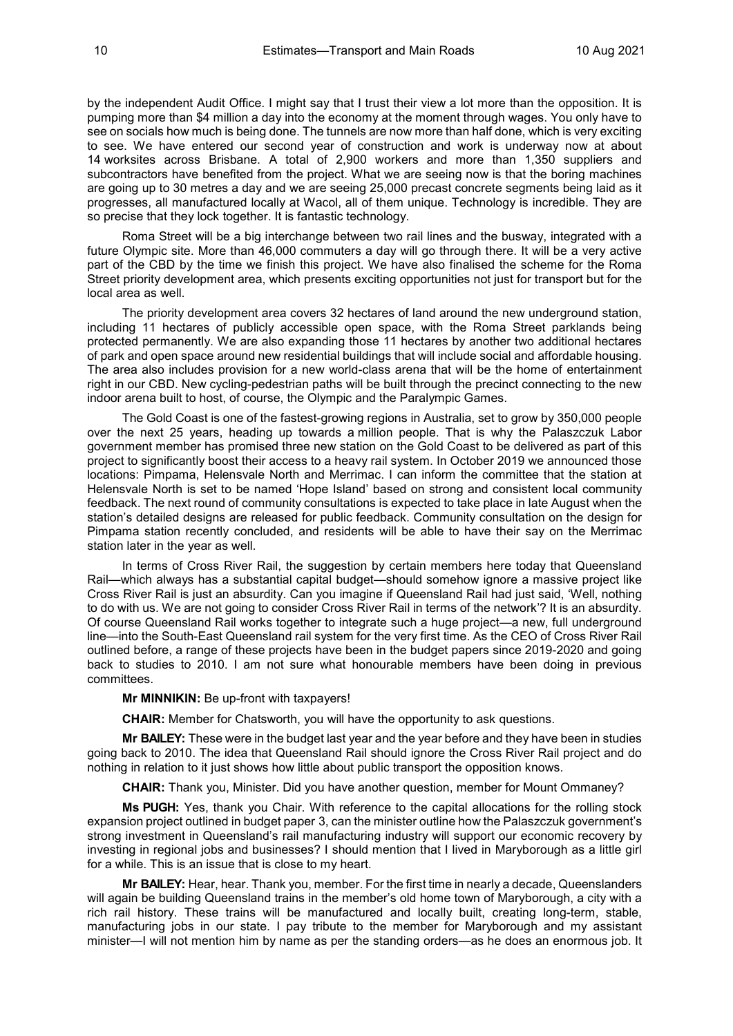by the independent Audit Office. I might say that I trust their view a lot more than the opposition. It is pumping more than \$4 million a day into the economy at the moment through wages. You only have to see on socials how much is being done. The tunnels are now more than half done, which is very exciting to see. We have entered our second year of construction and work is underway now at about 14 worksites across Brisbane. A total of 2,900 workers and more than 1,350 suppliers and subcontractors have benefited from the project. What we are seeing now is that the boring machines are going up to 30 metres a day and we are seeing 25,000 precast concrete segments being laid as it progresses, all manufactured locally at Wacol, all of them unique. Technology is incredible. They are so precise that they lock together. It is fantastic technology.

Roma Street will be a big interchange between two rail lines and the busway, integrated with a future Olympic site. More than 46,000 commuters a day will go through there. It will be a very active part of the CBD by the time we finish this project. We have also finalised the scheme for the Roma Street priority development area, which presents exciting opportunities not just for transport but for the local area as well.

The priority development area covers 32 hectares of land around the new underground station, including 11 hectares of publicly accessible open space, with the Roma Street parklands being protected permanently. We are also expanding those 11 hectares by another two additional hectares of park and open space around new residential buildings that will include social and affordable housing. The area also includes provision for a new world-class arena that will be the home of entertainment right in our CBD. New cycling-pedestrian paths will be built through the precinct connecting to the new indoor arena built to host, of course, the Olympic and the Paralympic Games.

The Gold Coast is one of the fastest-growing regions in Australia, set to grow by 350,000 people over the next 25 years, heading up towards a million people. That is why the Palaszczuk Labor government member has promised three new station on the Gold Coast to be delivered as part of this project to significantly boost their access to a heavy rail system. In October 2019 we announced those locations: Pimpama, Helensvale North and Merrimac. I can inform the committee that the station at Helensvale North is set to be named 'Hope Island' based on strong and consistent local community feedback. The next round of community consultations is expected to take place in late August when the station's detailed designs are released for public feedback. Community consultation on the design for Pimpama station recently concluded, and residents will be able to have their say on the Merrimac station later in the year as well.

In terms of Cross River Rail, the suggestion by certain members here today that Queensland Rail—which always has a substantial capital budget—should somehow ignore a massive project like Cross River Rail is just an absurdity. Can you imagine if Queensland Rail had just said, 'Well, nothing to do with us. We are not going to consider Cross River Rail in terms of the network'? It is an absurdity. Of course Queensland Rail works together to integrate such a huge project—a new, full underground line—into the South-East Queensland rail system for the very first time. As the CEO of Cross River Rail outlined before, a range of these projects have been in the budget papers since 2019-2020 and going back to studies to 2010. I am not sure what honourable members have been doing in previous committees.

#### **Mr MINNIKIN:** Be up-front with taxpayers!

**CHAIR:** Member for Chatsworth, you will have the opportunity to ask questions.

**Mr BAILEY:** These were in the budget last year and the year before and they have been in studies going back to 2010. The idea that Queensland Rail should ignore the Cross River Rail project and do nothing in relation to it just shows how little about public transport the opposition knows.

**CHAIR:** Thank you, Minister. Did you have another question, member for Mount Ommaney?

**Ms PUGH:** Yes, thank you Chair. With reference to the capital allocations for the rolling stock expansion project outlined in budget paper 3, can the minister outline how the Palaszczuk government's strong investment in Queensland's rail manufacturing industry will support our economic recovery by investing in regional jobs and businesses? I should mention that I lived in Maryborough as a little girl for a while. This is an issue that is close to my heart.

**Mr BAILEY:** Hear, hear. Thank you, member. For the first time in nearly a decade, Queenslanders will again be building Queensland trains in the member's old home town of Maryborough, a city with a rich rail history. These trains will be manufactured and locally built, creating long-term, stable, manufacturing jobs in our state. I pay tribute to the member for Maryborough and my assistant minister—I will not mention him by name as per the standing orders—as he does an enormous job. It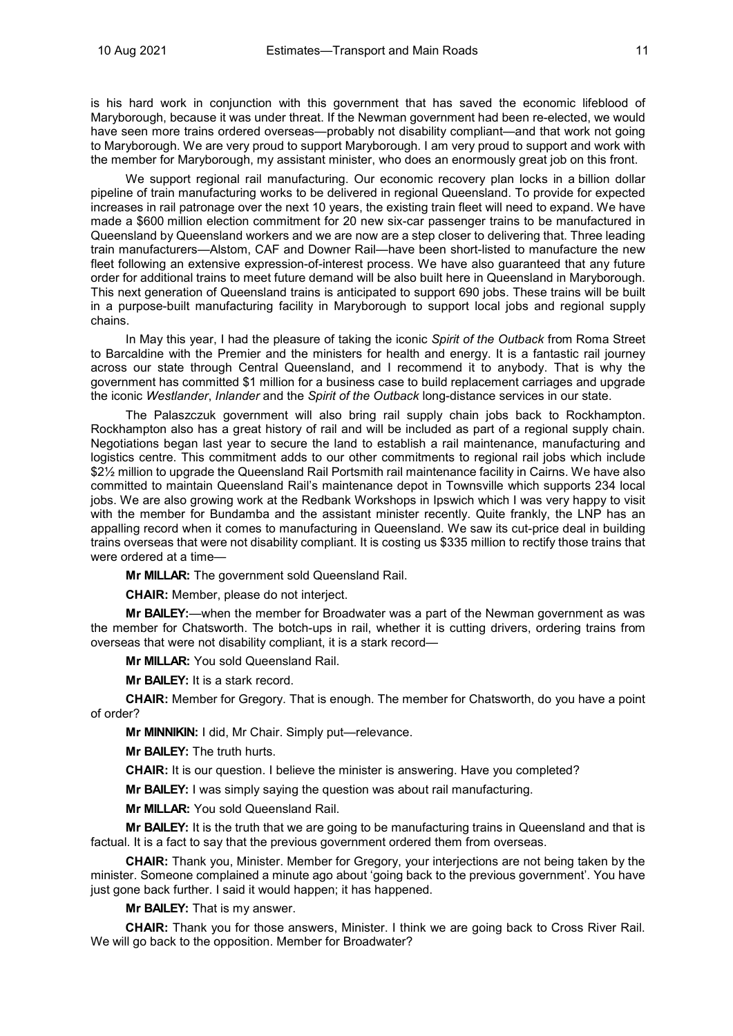is his hard work in conjunction with this government that has saved the economic lifeblood of Maryborough, because it was under threat. If the Newman government had been re-elected, we would have seen more trains ordered overseas—probably not disability compliant—and that work not going to Maryborough. We are very proud to support Maryborough. I am very proud to support and work with the member for Maryborough, my assistant minister, who does an enormously great job on this front.

We support regional rail manufacturing. Our economic recovery plan locks in a billion dollar pipeline of train manufacturing works to be delivered in regional Queensland. To provide for expected increases in rail patronage over the next 10 years, the existing train fleet will need to expand. We have made a \$600 million election commitment for 20 new six-car passenger trains to be manufactured in Queensland by Queensland workers and we are now are a step closer to delivering that. Three leading train manufacturers—Alstom, CAF and Downer Rail—have been short-listed to manufacture the new fleet following an extensive expression-of-interest process. We have also guaranteed that any future order for additional trains to meet future demand will be also built here in Queensland in Maryborough. This next generation of Queensland trains is anticipated to support 690 jobs. These trains will be built in a purpose-built manufacturing facility in Maryborough to support local jobs and regional supply chains.

In May this year, I had the pleasure of taking the iconic *Spirit of the Outback* from Roma Street to Barcaldine with the Premier and the ministers for health and energy. It is a fantastic rail journey across our state through Central Queensland, and I recommend it to anybody. That is why the government has committed \$1 million for a business case to build replacement carriages and upgrade the iconic *Westlander*, *Inlander* and the *Spirit of the Outback* long-distance services in our state.

The Palaszczuk government will also bring rail supply chain jobs back to Rockhampton. Rockhampton also has a great history of rail and will be included as part of a regional supply chain. Negotiations began last year to secure the land to establish a rail maintenance, manufacturing and logistics centre. This commitment adds to our other commitments to regional rail jobs which include \$2½ million to upgrade the Queensland Rail Portsmith rail maintenance facility in Cairns. We have also committed to maintain Queensland Rail's maintenance depot in Townsville which supports 234 local jobs. We are also growing work at the Redbank Workshops in Ipswich which I was very happy to visit with the member for Bundamba and the assistant minister recently. Quite frankly, the LNP has an appalling record when it comes to manufacturing in Queensland. We saw its cut-price deal in building trains overseas that were not disability compliant. It is costing us \$335 million to rectify those trains that were ordered at a time—

**Mr MILLAR:** The government sold Queensland Rail.

**CHAIR:** Member, please do not interject.

**Mr BAILEY:**—when the member for Broadwater was a part of the Newman government as was the member for Chatsworth. The botch-ups in rail, whether it is cutting drivers, ordering trains from overseas that were not disability compliant, it is a stark record—

**Mr MILLAR:** You sold Queensland Rail.

**Mr BAILEY:** It is a stark record.

**CHAIR:** Member for Gregory. That is enough. The member for Chatsworth, do you have a point of order?

**Mr MINNIKIN:** I did, Mr Chair. Simply put—relevance.

**Mr BAILEY:** The truth hurts.

**CHAIR:** It is our question. I believe the minister is answering. Have you completed?

**Mr BAILEY:** I was simply saying the question was about rail manufacturing.

**Mr MILLAR:** You sold Queensland Rail.

**Mr BAILEY:** It is the truth that we are going to be manufacturing trains in Queensland and that is factual. It is a fact to say that the previous government ordered them from overseas.

**CHAIR:** Thank you, Minister. Member for Gregory, your interjections are not being taken by the minister. Someone complained a minute ago about 'going back to the previous government'. You have just gone back further. I said it would happen; it has happened.

**Mr BAILEY:** That is my answer.

**CHAIR:** Thank you for those answers, Minister. I think we are going back to Cross River Rail. We will go back to the opposition. Member for Broadwater?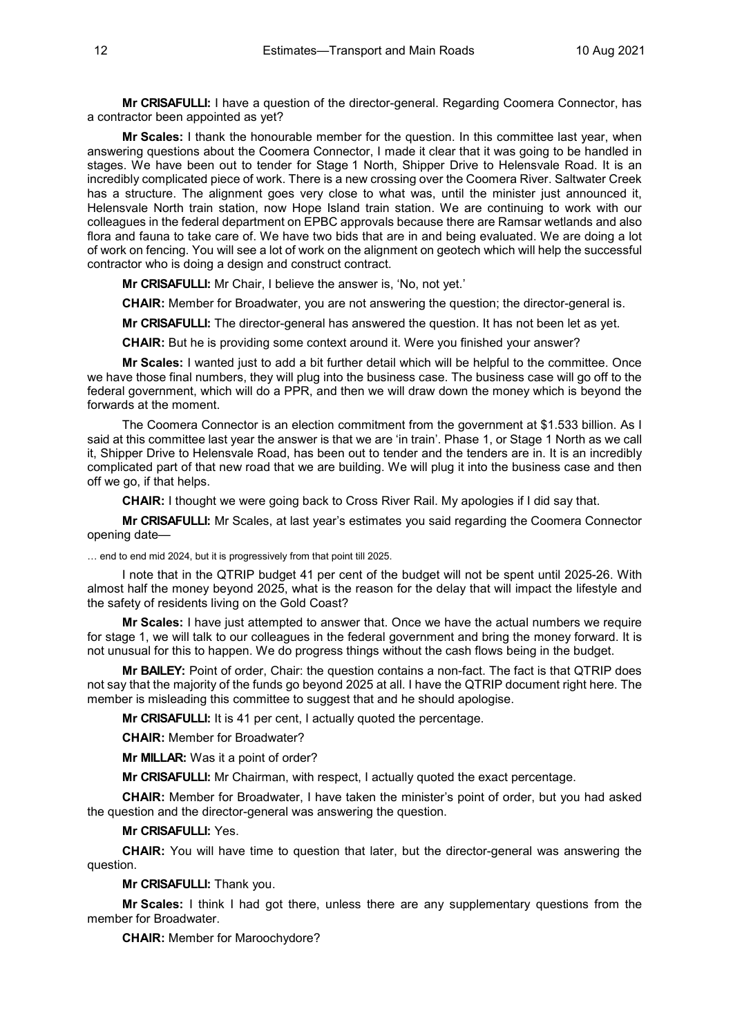**Mr CRISAFULLI:** I have a question of the director-general. Regarding Coomera Connector, has a contractor been appointed as yet?

**Mr Scales:** I thank the honourable member for the question. In this committee last year, when answering questions about the Coomera Connector, I made it clear that it was going to be handled in stages. We have been out to tender for Stage 1 North, Shipper Drive to Helensvale Road. It is an incredibly complicated piece of work. There is a new crossing over the Coomera River. Saltwater Creek has a structure. The alignment goes very close to what was, until the minister just announced it, Helensvale North train station, now Hope Island train station. We are continuing to work with our colleagues in the federal department on EPBC approvals because there are Ramsar wetlands and also flora and fauna to take care of. We have two bids that are in and being evaluated. We are doing a lot of work on fencing. You will see a lot of work on the alignment on geotech which will help the successful contractor who is doing a design and construct contract.

**Mr CRISAFULLI:** Mr Chair, I believe the answer is, 'No, not yet.'

**CHAIR:** Member for Broadwater, you are not answering the question; the director-general is.

**Mr CRISAFULLI:** The director-general has answered the question. It has not been let as yet.

**CHAIR:** But he is providing some context around it. Were you finished your answer?

**Mr Scales:** I wanted just to add a bit further detail which will be helpful to the committee. Once we have those final numbers, they will plug into the business case. The business case will go off to the federal government, which will do a PPR, and then we will draw down the money which is beyond the forwards at the moment.

The Coomera Connector is an election commitment from the government at \$1.533 billion. As I said at this committee last year the answer is that we are 'in train'. Phase 1, or Stage 1 North as we call it, Shipper Drive to Helensvale Road, has been out to tender and the tenders are in. It is an incredibly complicated part of that new road that we are building. We will plug it into the business case and then off we go, if that helps.

**CHAIR:** I thought we were going back to Cross River Rail. My apologies if I did say that.

**Mr CRISAFULLI:** Mr Scales, at last year's estimates you said regarding the Coomera Connector opening date—

… end to end mid 2024, but it is progressively from that point till 2025.

I note that in the QTRIP budget 41 per cent of the budget will not be spent until 2025-26. With almost half the money beyond 2025, what is the reason for the delay that will impact the lifestyle and the safety of residents living on the Gold Coast?

**Mr Scales:** I have just attempted to answer that. Once we have the actual numbers we require for stage 1, we will talk to our colleagues in the federal government and bring the money forward. It is not unusual for this to happen. We do progress things without the cash flows being in the budget.

**Mr BAILEY:** Point of order, Chair: the question contains a non-fact. The fact is that QTRIP does not say that the majority of the funds go beyond 2025 at all. I have the QTRIP document right here. The member is misleading this committee to suggest that and he should apologise.

**Mr CRISAFULLI:** It is 41 per cent, I actually quoted the percentage.

**CHAIR:** Member for Broadwater?

**Mr MILLAR:** Was it a point of order?

**Mr CRISAFULLI:** Mr Chairman, with respect, I actually quoted the exact percentage.

**CHAIR:** Member for Broadwater, I have taken the minister's point of order, but you had asked the question and the director-general was answering the question.

#### **Mr CRISAFULLI:** Yes.

**CHAIR:** You will have time to question that later, but the director-general was answering the question.

**Mr CRISAFULLI:** Thank you.

**Mr Scales:** I think I had got there, unless there are any supplementary questions from the member for Broadwater.

**CHAIR:** Member for Maroochydore?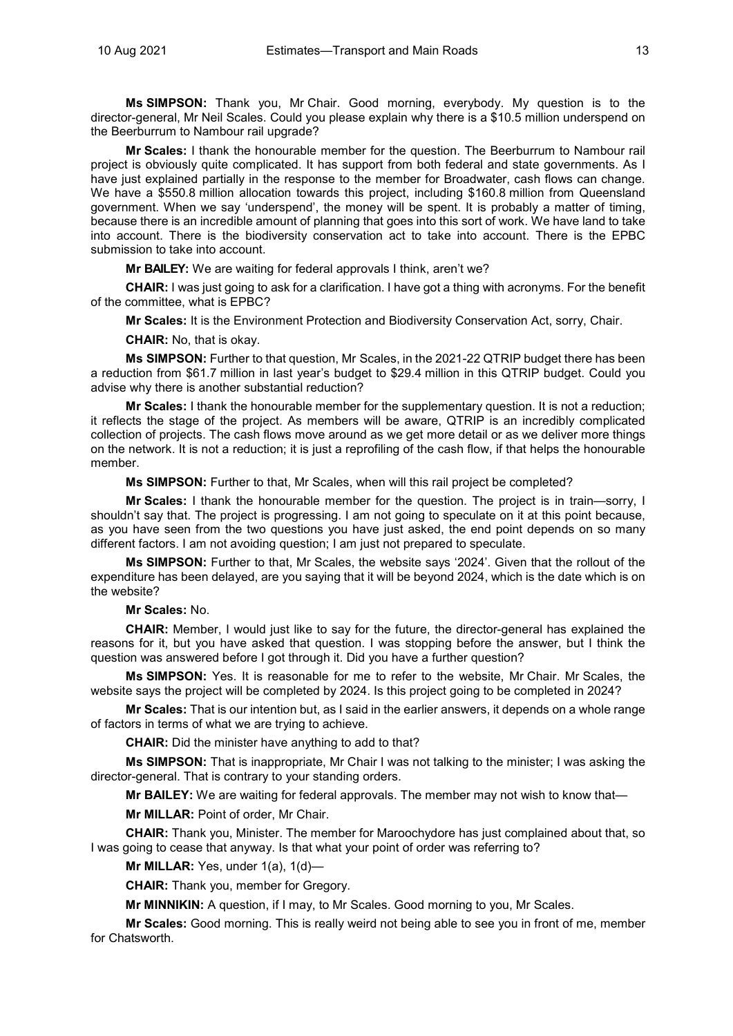**Ms SIMPSON:** Thank you, Mr Chair. Good morning, everybody. My question is to the director-general, Mr Neil Scales. Could you please explain why there is a \$10.5 million underspend on the Beerburrum to Nambour rail upgrade?

**Mr Scales:** I thank the honourable member for the question. The Beerburrum to Nambour rail project is obviously quite complicated. It has support from both federal and state governments. As I have just explained partially in the response to the member for Broadwater, cash flows can change. We have a \$550.8 million allocation towards this project, including \$160.8 million from Queensland government. When we say 'underspend', the money will be spent. It is probably a matter of timing, because there is an incredible amount of planning that goes into this sort of work. We have land to take into account. There is the biodiversity conservation act to take into account. There is the EPBC submission to take into account.

**Mr BAILEY:** We are waiting for federal approvals I think, aren't we?

**CHAIR:** I was just going to ask for a clarification. I have got a thing with acronyms. For the benefit of the committee, what is EPBC?

**Mr Scales:** It is the Environment Protection and Biodiversity Conservation Act, sorry, Chair.

**CHAIR:** No, that is okay.

**Ms SIMPSON:** Further to that question, Mr Scales, in the 2021-22 QTRIP budget there has been a reduction from \$61.7 million in last year's budget to \$29.4 million in this QTRIP budget. Could you advise why there is another substantial reduction?

**Mr Scales:** I thank the honourable member for the supplementary question. It is not a reduction; it reflects the stage of the project. As members will be aware, QTRIP is an incredibly complicated collection of projects. The cash flows move around as we get more detail or as we deliver more things on the network. It is not a reduction; it is just a reprofiling of the cash flow, if that helps the honourable member.

**Ms SIMPSON:** Further to that, Mr Scales, when will this rail project be completed?

**Mr Scales:** I thank the honourable member for the question. The project is in train—sorry, I shouldn't say that. The project is progressing. I am not going to speculate on it at this point because, as you have seen from the two questions you have just asked, the end point depends on so many different factors. I am not avoiding question; I am just not prepared to speculate.

**Ms SIMPSON:** Further to that, Mr Scales, the website says '2024'. Given that the rollout of the expenditure has been delayed, are you saying that it will be beyond 2024, which is the date which is on the website?

**Mr Scales:** No.

**CHAIR:** Member, I would just like to say for the future, the director-general has explained the reasons for it, but you have asked that question. I was stopping before the answer, but I think the question was answered before I got through it. Did you have a further question?

**Ms SIMPSON:** Yes. It is reasonable for me to refer to the website, Mr Chair. Mr Scales, the website says the project will be completed by 2024. Is this project going to be completed in 2024?

**Mr Scales:** That is our intention but, as I said in the earlier answers, it depends on a whole range of factors in terms of what we are trying to achieve.

**CHAIR:** Did the minister have anything to add to that?

**Ms SIMPSON:** That is inappropriate, Mr Chair I was not talking to the minister; I was asking the director-general. That is contrary to your standing orders.

**Mr BAILEY:** We are waiting for federal approvals. The member may not wish to know that—

**Mr MILLAR:** Point of order, Mr Chair.

**CHAIR:** Thank you, Minister. The member for Maroochydore has just complained about that, so I was going to cease that anyway. Is that what your point of order was referring to?

**Mr MILLAR:** Yes, under 1(a), 1(d)—

**CHAIR:** Thank you, member for Gregory.

**Mr MINNIKIN:** A question, if I may, to Mr Scales. Good morning to you, Mr Scales.

**Mr Scales:** Good morning. This is really weird not being able to see you in front of me, member for Chatsworth.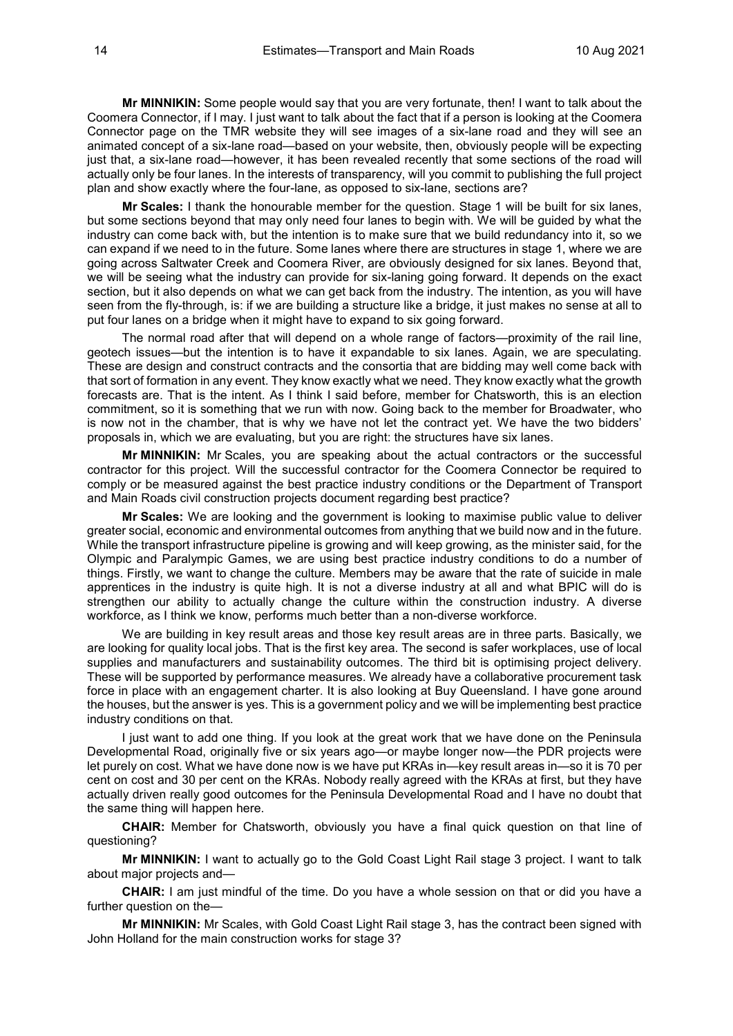**Mr MINNIKIN:** Some people would say that you are very fortunate, then! I want to talk about the Coomera Connector, if I may. I just want to talk about the fact that if a person is looking at the Coomera Connector page on the TMR website they will see images of a six-lane road and they will see an animated concept of a six-lane road—based on your website, then, obviously people will be expecting just that, a six-lane road—however, it has been revealed recently that some sections of the road will actually only be four lanes. In the interests of transparency, will you commit to publishing the full project plan and show exactly where the four-lane, as opposed to six-lane, sections are?

**Mr Scales:** I thank the honourable member for the question. Stage 1 will be built for six lanes, but some sections beyond that may only need four lanes to begin with. We will be guided by what the industry can come back with, but the intention is to make sure that we build redundancy into it, so we can expand if we need to in the future. Some lanes where there are structures in stage 1, where we are going across Saltwater Creek and Coomera River, are obviously designed for six lanes. Beyond that, we will be seeing what the industry can provide for six-laning going forward. It depends on the exact section, but it also depends on what we can get back from the industry. The intention, as you will have seen from the fly-through, is: if we are building a structure like a bridge, it just makes no sense at all to put four lanes on a bridge when it might have to expand to six going forward.

The normal road after that will depend on a whole range of factors—proximity of the rail line, geotech issues—but the intention is to have it expandable to six lanes. Again, we are speculating. These are design and construct contracts and the consortia that are bidding may well come back with that sort of formation in any event. They know exactly what we need. They know exactly what the growth forecasts are. That is the intent. As I think I said before, member for Chatsworth, this is an election commitment, so it is something that we run with now. Going back to the member for Broadwater, who is now not in the chamber, that is why we have not let the contract yet. We have the two bidders' proposals in, which we are evaluating, but you are right: the structures have six lanes.

**Mr MINNIKIN:** Mr Scales, you are speaking about the actual contractors or the successful contractor for this project. Will the successful contractor for the Coomera Connector be required to comply or be measured against the best practice industry conditions or the Department of Transport and Main Roads civil construction projects document regarding best practice?

**Mr Scales:** We are looking and the government is looking to maximise public value to deliver greater social, economic and environmental outcomes from anything that we build now and in the future. While the transport infrastructure pipeline is growing and will keep growing, as the minister said, for the Olympic and Paralympic Games, we are using best practice industry conditions to do a number of things. Firstly, we want to change the culture. Members may be aware that the rate of suicide in male apprentices in the industry is quite high. It is not a diverse industry at all and what BPIC will do is strengthen our ability to actually change the culture within the construction industry. A diverse workforce, as I think we know, performs much better than a non-diverse workforce.

We are building in key result areas and those key result areas are in three parts. Basically, we are looking for quality local jobs. That is the first key area. The second is safer workplaces, use of local supplies and manufacturers and sustainability outcomes. The third bit is optimising project delivery. These will be supported by performance measures. We already have a collaborative procurement task force in place with an engagement charter. It is also looking at Buy Queensland. I have gone around the houses, but the answer is yes. This is a government policy and we will be implementing best practice industry conditions on that.

I just want to add one thing. If you look at the great work that we have done on the Peninsula Developmental Road, originally five or six years ago—or maybe longer now—the PDR projects were let purely on cost. What we have done now is we have put KRAs in—key result areas in—so it is 70 per cent on cost and 30 per cent on the KRAs. Nobody really agreed with the KRAs at first, but they have actually driven really good outcomes for the Peninsula Developmental Road and I have no doubt that the same thing will happen here.

**CHAIR:** Member for Chatsworth, obviously you have a final quick question on that line of questioning?

**Mr MINNIKIN:** I want to actually go to the Gold Coast Light Rail stage 3 project. I want to talk about major projects and—

**CHAIR:** I am just mindful of the time. Do you have a whole session on that or did you have a further question on the—

**Mr MINNIKIN:** Mr Scales, with Gold Coast Light Rail stage 3, has the contract been signed with John Holland for the main construction works for stage 3?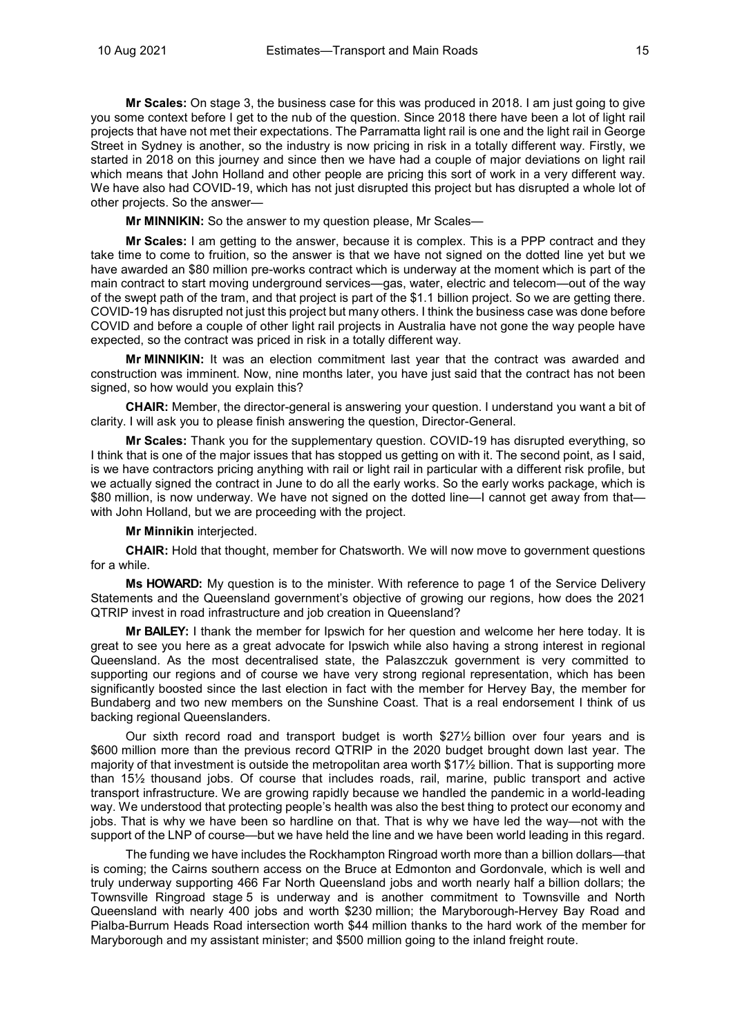**Mr Scales:** On stage 3, the business case for this was produced in 2018. I am just going to give you some context before I get to the nub of the question. Since 2018 there have been a lot of light rail projects that have not met their expectations. The Parramatta light rail is one and the light rail in George Street in Sydney is another, so the industry is now pricing in risk in a totally different way. Firstly, we started in 2018 on this journey and since then we have had a couple of major deviations on light rail which means that John Holland and other people are pricing this sort of work in a very different way. We have also had COVID-19, which has not just disrupted this project but has disrupted a whole lot of other projects. So the answer—

**Mr MINNIKIN:** So the answer to my question please, Mr Scales—

**Mr Scales:** I am getting to the answer, because it is complex. This is a PPP contract and they take time to come to fruition, so the answer is that we have not signed on the dotted line yet but we have awarded an \$80 million pre-works contract which is underway at the moment which is part of the main contract to start moving underground services—gas, water, electric and telecom—out of the way of the swept path of the tram, and that project is part of the \$1.1 billion project. So we are getting there. COVID-19 has disrupted not just this project but many others. I think the business case was done before COVID and before a couple of other light rail projects in Australia have not gone the way people have expected, so the contract was priced in risk in a totally different way.

**Mr MINNIKIN:** It was an election commitment last year that the contract was awarded and construction was imminent. Now, nine months later, you have just said that the contract has not been signed, so how would you explain this?

**CHAIR:** Member, the director-general is answering your question. I understand you want a bit of clarity. I will ask you to please finish answering the question, Director-General.

**Mr Scales:** Thank you for the supplementary question. COVID-19 has disrupted everything, so I think that is one of the major issues that has stopped us getting on with it. The second point, as I said, is we have contractors pricing anything with rail or light rail in particular with a different risk profile, but we actually signed the contract in June to do all the early works. So the early works package, which is \$80 million, is now underway. We have not signed on the dotted line—I cannot get away from that with John Holland, but we are proceeding with the project.

#### **Mr Minnikin** interjected.

**CHAIR:** Hold that thought, member for Chatsworth. We will now move to government questions for a while.

**Ms HOWARD:** My question is to the minister. With reference to page 1 of the Service Delivery Statements and the Queensland government's objective of growing our regions, how does the 2021 QTRIP invest in road infrastructure and job creation in Queensland?

**Mr BAILEY:** I thank the member for Ipswich for her question and welcome her here today. It is great to see you here as a great advocate for Ipswich while also having a strong interest in regional Queensland. As the most decentralised state, the Palaszczuk government is very committed to supporting our regions and of course we have very strong regional representation, which has been significantly boosted since the last election in fact with the member for Hervey Bay, the member for Bundaberg and two new members on the Sunshine Coast. That is a real endorsement I think of us backing regional Queenslanders.

Our sixth record road and transport budget is worth \$27½ billion over four years and is \$600 million more than the previous record QTRIP in the 2020 budget brought down last year. The majority of that investment is outside the metropolitan area worth \$17½ billion. That is supporting more than 15½ thousand jobs. Of course that includes roads, rail, marine, public transport and active transport infrastructure. We are growing rapidly because we handled the pandemic in a world-leading way. We understood that protecting people's health was also the best thing to protect our economy and jobs. That is why we have been so hardline on that. That is why we have led the way—not with the support of the LNP of course—but we have held the line and we have been world leading in this regard.

The funding we have includes the Rockhampton Ringroad worth more than a billion dollars—that is coming; the Cairns southern access on the Bruce at Edmonton and Gordonvale, which is well and truly underway supporting 466 Far North Queensland jobs and worth nearly half a billion dollars; the Townsville Ringroad stage 5 is underway and is another commitment to Townsville and North Queensland with nearly 400 jobs and worth \$230 million; the Maryborough-Hervey Bay Road and Pialba-Burrum Heads Road intersection worth \$44 million thanks to the hard work of the member for Maryborough and my assistant minister; and \$500 million going to the inland freight route.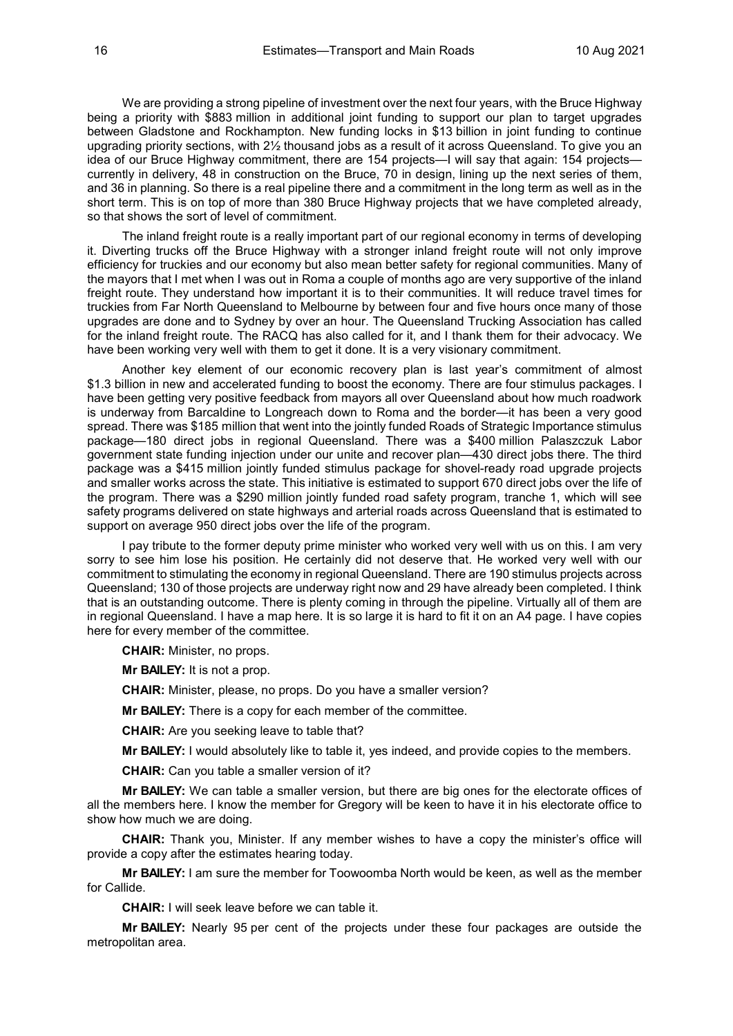We are providing a strong pipeline of investment over the next four years, with the Bruce Highway being a priority with \$883 million in additional joint funding to support our plan to target upgrades between Gladstone and Rockhampton. New funding locks in \$13 billion in joint funding to continue upgrading priority sections, with 2½ thousand jobs as a result of it across Queensland. To give you an idea of our Bruce Highway commitment, there are 154 projects—I will say that again: 154 projects currently in delivery, 48 in construction on the Bruce, 70 in design, lining up the next series of them, and 36 in planning. So there is a real pipeline there and a commitment in the long term as well as in the short term. This is on top of more than 380 Bruce Highway projects that we have completed already, so that shows the sort of level of commitment.

The inland freight route is a really important part of our regional economy in terms of developing it. Diverting trucks off the Bruce Highway with a stronger inland freight route will not only improve efficiency for truckies and our economy but also mean better safety for regional communities. Many of the mayors that I met when I was out in Roma a couple of months ago are very supportive of the inland freight route. They understand how important it is to their communities. It will reduce travel times for truckies from Far North Queensland to Melbourne by between four and five hours once many of those upgrades are done and to Sydney by over an hour. The Queensland Trucking Association has called for the inland freight route. The RACQ has also called for it, and I thank them for their advocacy. We have been working very well with them to get it done. It is a very visionary commitment.

Another key element of our economic recovery plan is last year's commitment of almost \$1.3 billion in new and accelerated funding to boost the economy. There are four stimulus packages. I have been getting very positive feedback from mayors all over Queensland about how much roadwork is underway from Barcaldine to Longreach down to Roma and the border—it has been a very good spread. There was \$185 million that went into the jointly funded Roads of Strategic Importance stimulus package—180 direct jobs in regional Queensland. There was a \$400 million Palaszczuk Labor government state funding injection under our unite and recover plan—430 direct jobs there. The third package was a \$415 million jointly funded stimulus package for shovel-ready road upgrade projects and smaller works across the state. This initiative is estimated to support 670 direct jobs over the life of the program. There was a \$290 million jointly funded road safety program, tranche 1, which will see safety programs delivered on state highways and arterial roads across Queensland that is estimated to support on average 950 direct jobs over the life of the program.

I pay tribute to the former deputy prime minister who worked very well with us on this. I am very sorry to see him lose his position. He certainly did not deserve that. He worked very well with our commitment to stimulating the economy in regional Queensland. There are 190 stimulus projects across Queensland; 130 of those projects are underway right now and 29 have already been completed. I think that is an outstanding outcome. There is plenty coming in through the pipeline. Virtually all of them are in regional Queensland. I have a map here. It is so large it is hard to fit it on an A4 page. I have copies here for every member of the committee.

**CHAIR:** Minister, no props.

**Mr BAILEY:** It is not a prop.

**CHAIR:** Minister, please, no props. Do you have a smaller version?

**Mr BAILEY:** There is a copy for each member of the committee.

**CHAIR:** Are you seeking leave to table that?

**Mr BAILEY:** I would absolutely like to table it, yes indeed, and provide copies to the members.

**CHAIR:** Can you table a smaller version of it?

**Mr BAILEY:** We can table a smaller version, but there are big ones for the electorate offices of all the members here. I know the member for Gregory will be keen to have it in his electorate office to show how much we are doing.

**CHAIR:** Thank you, Minister. If any member wishes to have a copy the minister's office will provide a copy after the estimates hearing today.

**Mr BAILEY:** I am sure the member for Toowoomba North would be keen, as well as the member for Callide.

**CHAIR:** I will seek leave before we can table it.

**Mr BAILEY:** Nearly 95 per cent of the projects under these four packages are outside the metropolitan area.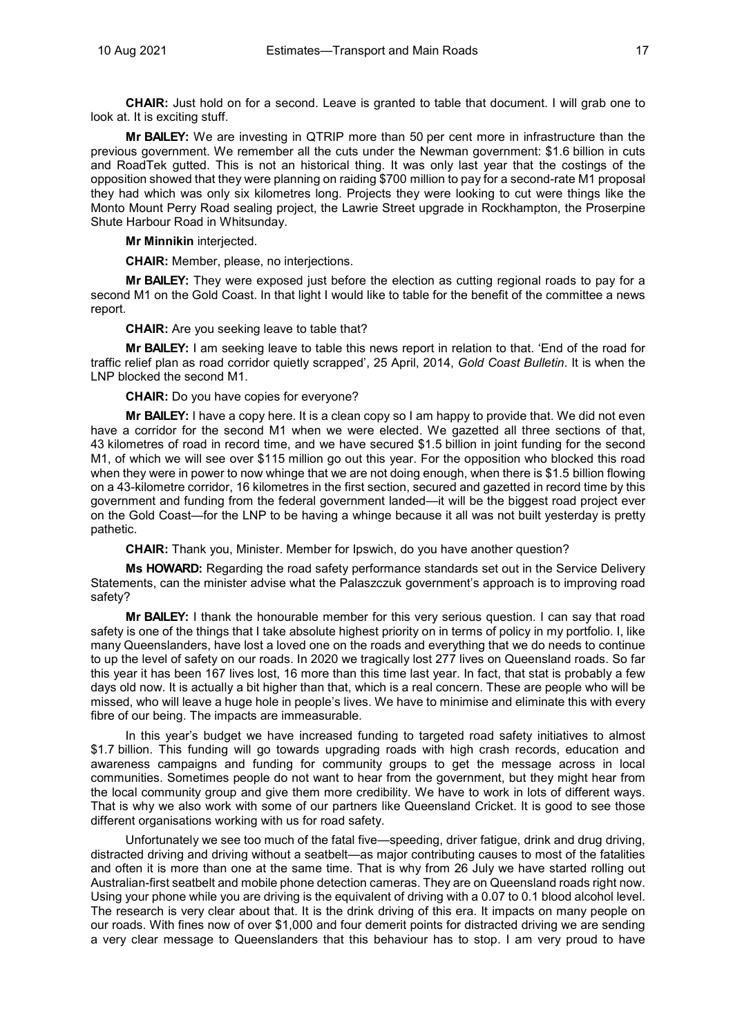**CHAIR:** Just hold on for a second. Leave is granted to table that document. I will grab one to look at. It is exciting stuff.

**Mr BAILEY:** We are investing in QTRIP more than 50 per cent more in infrastructure than the previous government. We remember all the cuts under the Newman government: \$1.6 billion in cuts and RoadTek gutted. This is not an historical thing. It was only last year that the costings of the opposition showed that they were planning on raiding \$700 million to pay for a second-rate M1 proposal they had which was only six kilometres long. Projects they were looking to cut were things like the Monto Mount Perry Road sealing project, the Lawrie Street upgrade in Rockhampton, the Proserpine Shute Harbour Road in Whitsunday.

**Mr Minnikin** interjected.

**CHAIR:** Member, please, no interjections.

**Mr BAILEY:** They were exposed just before the election as cutting regional roads to pay for a second M1 on the Gold Coast. In that light I would like to table for the benefit of the committee a news report.

**CHAIR:** Are you seeking leave to table that?

**Mr BAILEY:** I am seeking leave to table this news report in relation to that. 'End of the road for traffic relief plan as road corridor quietly scrapped', 25 April, 2014, *Gold Coast Bulletin*. It is when the LNP blocked the second M1.

**CHAIR:** Do you have copies for everyone?

**Mr BAILEY:** I have a copy here. It is a clean copy so I am happy to provide that. We did not even have a corridor for the second M1 when we were elected. We gazetted all three sections of that, 43 kilometres of road in record time, and we have secured \$1.5 billion in joint funding for the second M1, of which we will see over \$115 million go out this year. For the opposition who blocked this road when they were in power to now whinge that we are not doing enough, when there is \$1.5 billion flowing on a 43-kilometre corridor, 16 kilometres in the first section, secured and gazetted in record time by this government and funding from the federal government landed—it will be the biggest road project ever on the Gold Coast—for the LNP to be having a whinge because it all was not built yesterday is pretty pathetic.

**CHAIR:** Thank you, Minister. Member for Ipswich, do you have another question?

**Ms HOWARD:** Regarding the road safety performance standards set out in the Service Delivery Statements, can the minister advise what the Palaszczuk government's approach is to improving road safety?

**Mr BAILEY:** I thank the honourable member for this very serious question. I can say that road safety is one of the things that I take absolute highest priority on in terms of policy in my portfolio. I, like many Queenslanders, have lost a loved one on the roads and everything that we do needs to continue to up the level of safety on our roads. In 2020 we tragically lost 277 lives on Queensland roads. So far this year it has been 167 lives lost, 16 more than this time last year. In fact, that stat is probably a few days old now. It is actually a bit higher than that, which is a real concern. These are people who will be missed, who will leave a huge hole in people's lives. We have to minimise and eliminate this with every fibre of our being. The impacts are immeasurable.

In this year's budget we have increased funding to targeted road safety initiatives to almost \$1.7 billion. This funding will go towards upgrading roads with high crash records, education and awareness campaigns and funding for community groups to get the message across in local communities. Sometimes people do not want to hear from the government, but they might hear from the local community group and give them more credibility. We have to work in lots of different ways. That is why we also work with some of our partners like Queensland Cricket. It is good to see those different organisations working with us for road safety.

Unfortunately we see too much of the fatal five—speeding, driver fatigue, drink and drug driving, distracted driving and driving without a seatbelt—as major contributing causes to most of the fatalities and often it is more than one at the same time. That is why from 26 July we have started rolling out Australian-first seatbelt and mobile phone detection cameras. They are on Queensland roads right now. Using your phone while you are driving is the equivalent of driving with a 0.07 to 0.1 blood alcohol level. The research is very clear about that. It is the drink driving of this era. It impacts on many people on our roads. With fines now of over \$1,000 and four demerit points for distracted driving we are sending a very clear message to Queenslanders that this behaviour has to stop. I am very proud to have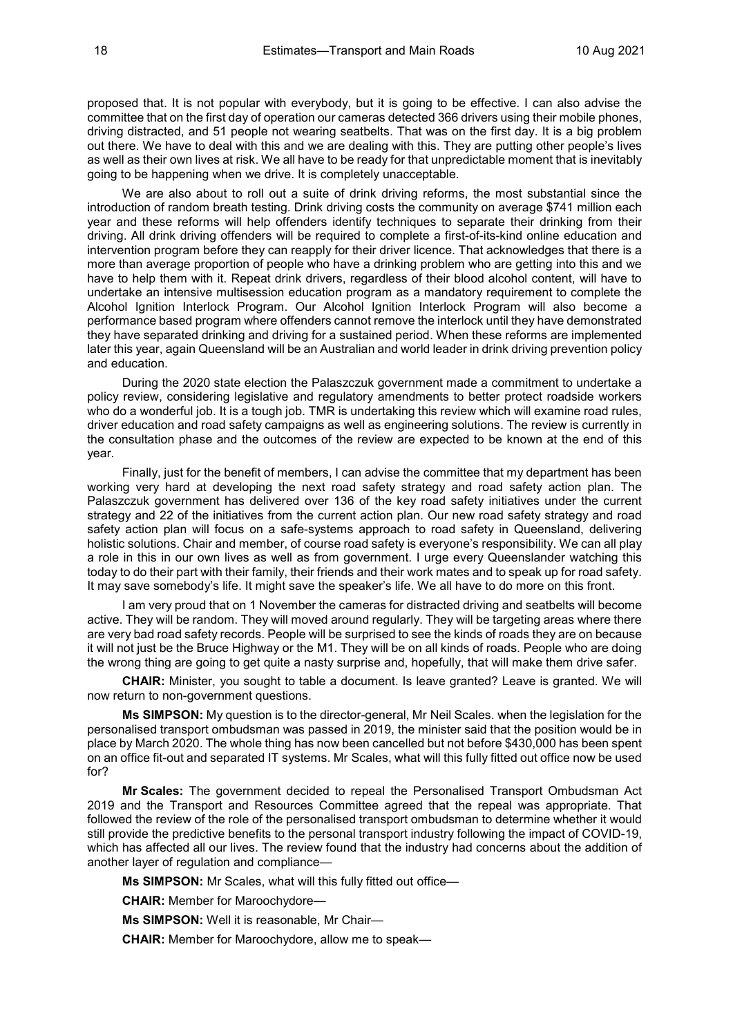proposed that. It is not popular with everybody, but it is going to be effective. I can also advise the committee that on the first day of operation our cameras detected 366 drivers using their mobile phones, driving distracted, and 51 people not wearing seatbelts. That was on the first day. It is a big problem out there. We have to deal with this and we are dealing with this. They are putting other people's lives as well as their own lives at risk. We all have to be ready for that unpredictable moment that is inevitably going to be happening when we drive. It is completely unacceptable.

We are also about to roll out a suite of drink driving reforms, the most substantial since the introduction of random breath testing. Drink driving costs the community on average \$741 million each year and these reforms will help offenders identify techniques to separate their drinking from their driving. All drink driving offenders will be required to complete a first-of-its-kind online education and intervention program before they can reapply for their driver licence. That acknowledges that there is a more than average proportion of people who have a drinking problem who are getting into this and we have to help them with it. Repeat drink drivers, regardless of their blood alcohol content, will have to undertake an intensive multisession education program as a mandatory requirement to complete the Alcohol Ignition Interlock Program. Our Alcohol Ignition Interlock Program will also become a performance based program where offenders cannot remove the interlock until they have demonstrated they have separated drinking and driving for a sustained period. When these reforms are implemented later this year, again Queensland will be an Australian and world leader in drink driving prevention policy and education.

During the 2020 state election the Palaszczuk government made a commitment to undertake a policy review, considering legislative and regulatory amendments to better protect roadside workers who do a wonderful job. It is a tough job. TMR is undertaking this review which will examine road rules, driver education and road safety campaigns as well as engineering solutions. The review is currently in the consultation phase and the outcomes of the review are expected to be known at the end of this year.

Finally, just for the benefit of members, I can advise the committee that my department has been working very hard at developing the next road safety strategy and road safety action plan. The Palaszczuk government has delivered over 136 of the key road safety initiatives under the current strategy and 22 of the initiatives from the current action plan. Our new road safety strategy and road safety action plan will focus on a safe-systems approach to road safety in Queensland, delivering holistic solutions. Chair and member, of course road safety is everyone's responsibility. We can all play a role in this in our own lives as well as from government. I urge every Queenslander watching this today to do their part with their family, their friends and their work mates and to speak up for road safety. It may save somebody's life. It might save the speaker's life. We all have to do more on this front.

I am very proud that on 1 November the cameras for distracted driving and seatbelts will become active. They will be random. They will moved around regularly. They will be targeting areas where there are very bad road safety records. People will be surprised to see the kinds of roads they are on because it will not just be the Bruce Highway or the M1. They will be on all kinds of roads. People who are doing the wrong thing are going to get quite a nasty surprise and, hopefully, that will make them drive safer.

**CHAIR:** Minister, you sought to table a document. Is leave granted? Leave is granted. We will now return to non-government questions.

**Ms SIMPSON:** My question is to the director-general, Mr Neil Scales. when the legislation for the personalised transport ombudsman was passed in 2019, the minister said that the position would be in place by March 2020. The whole thing has now been cancelled but not before \$430,000 has been spent on an office fit-out and separated IT systems. Mr Scales, what will this fully fitted out office now be used for?

**Mr Scales:** The government decided to repeal the Personalised Transport Ombudsman Act 2019 and the Transport and Resources Committee agreed that the repeal was appropriate. That followed the review of the role of the personalised transport ombudsman to determine whether it would still provide the predictive benefits to the personal transport industry following the impact of COVID-19, which has affected all our lives. The review found that the industry had concerns about the addition of another layer of regulation and compliance—

**Ms SIMPSON:** Mr Scales, what will this fully fitted out office—

**CHAIR:** Member for Maroochydore—

**Ms SIMPSON:** Well it is reasonable, Mr Chair—

**CHAIR:** Member for Maroochydore, allow me to speak—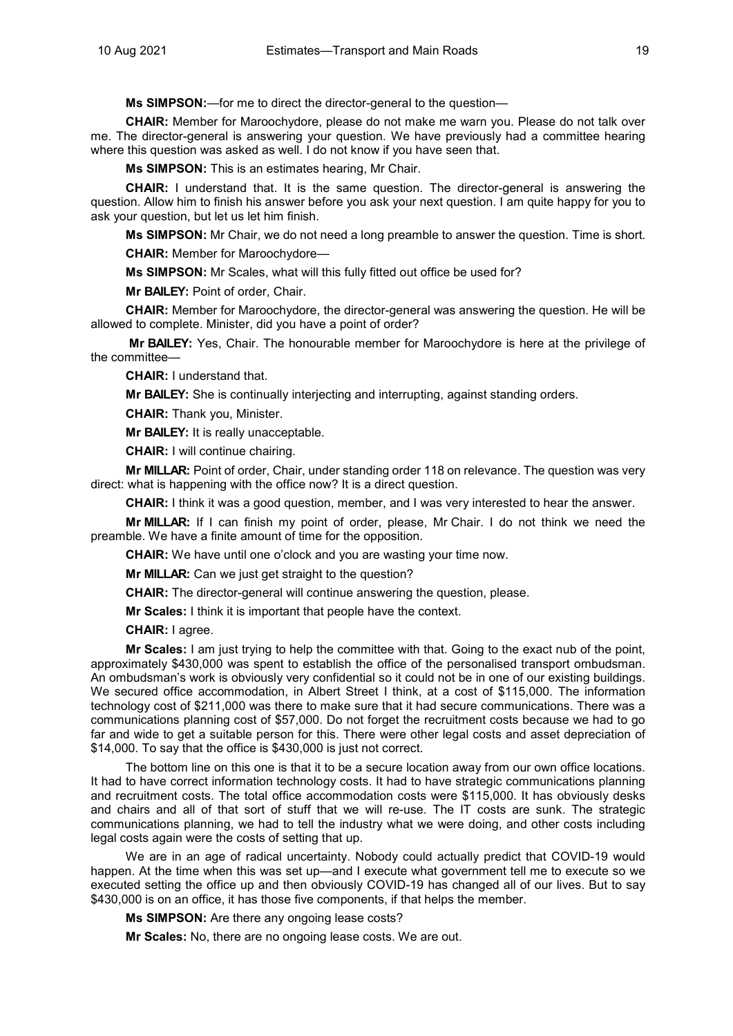**Ms SIMPSON:**—for me to direct the director-general to the question—

**CHAIR:** Member for Maroochydore, please do not make me warn you. Please do not talk over me. The director-general is answering your question. We have previously had a committee hearing where this question was asked as well. I do not know if you have seen that.

**Ms SIMPSON:** This is an estimates hearing, Mr Chair.

**CHAIR:** I understand that. It is the same question. The director-general is answering the question. Allow him to finish his answer before you ask your next question. I am quite happy for you to ask your question, but let us let him finish.

**Ms SIMPSON:** Mr Chair, we do not need a long preamble to answer the question. Time is short.

**CHAIR:** Member for Maroochydore—

**Ms SIMPSON:** Mr Scales, what will this fully fitted out office be used for?

**Mr BAILEY:** Point of order, Chair.

**CHAIR:** Member for Maroochydore, the director-general was answering the question. He will be allowed to complete. Minister, did you have a point of order?

**Mr BAILEY:** Yes, Chair. The honourable member for Maroochydore is here at the privilege of the committee—

**CHAIR:** I understand that.

**Mr BAILEY:** She is continually interjecting and interrupting, against standing orders.

**CHAIR:** Thank you, Minister.

**Mr BAILEY:** It is really unacceptable.

**CHAIR:** I will continue chairing.

**Mr MILLAR:** Point of order, Chair, under standing order 118 on relevance. The question was very direct: what is happening with the office now? It is a direct question.

**CHAIR:** I think it was a good question, member, and I was very interested to hear the answer.

**Mr MILLAR:** If I can finish my point of order, please, Mr Chair. I do not think we need the preamble. We have a finite amount of time for the opposition.

**CHAIR:** We have until one o'clock and you are wasting your time now.

**Mr MILLAR:** Can we just get straight to the question?

**CHAIR:** The director-general will continue answering the question, please.

**Mr Scales:** I think it is important that people have the context.

**CHAIR:** I agree.

**Mr Scales:** I am just trying to help the committee with that. Going to the exact nub of the point, approximately \$430,000 was spent to establish the office of the personalised transport ombudsman. An ombudsman's work is obviously very confidential so it could not be in one of our existing buildings. We secured office accommodation, in Albert Street I think, at a cost of \$115,000. The information technology cost of \$211,000 was there to make sure that it had secure communications. There was a communications planning cost of \$57,000. Do not forget the recruitment costs because we had to go far and wide to get a suitable person for this. There were other legal costs and asset depreciation of \$14,000. To say that the office is \$430,000 is just not correct.

The bottom line on this one is that it to be a secure location away from our own office locations. It had to have correct information technology costs. It had to have strategic communications planning and recruitment costs. The total office accommodation costs were \$115,000. It has obviously desks and chairs and all of that sort of stuff that we will re-use. The IT costs are sunk. The strategic communications planning, we had to tell the industry what we were doing, and other costs including legal costs again were the costs of setting that up.

We are in an age of radical uncertainty. Nobody could actually predict that COVID-19 would happen. At the time when this was set up—and I execute what government tell me to execute so we executed setting the office up and then obviously COVID-19 has changed all of our lives. But to say \$430,000 is on an office, it has those five components, if that helps the member.

**Ms SIMPSON:** Are there any ongoing lease costs?

**Mr Scales:** No, there are no ongoing lease costs. We are out.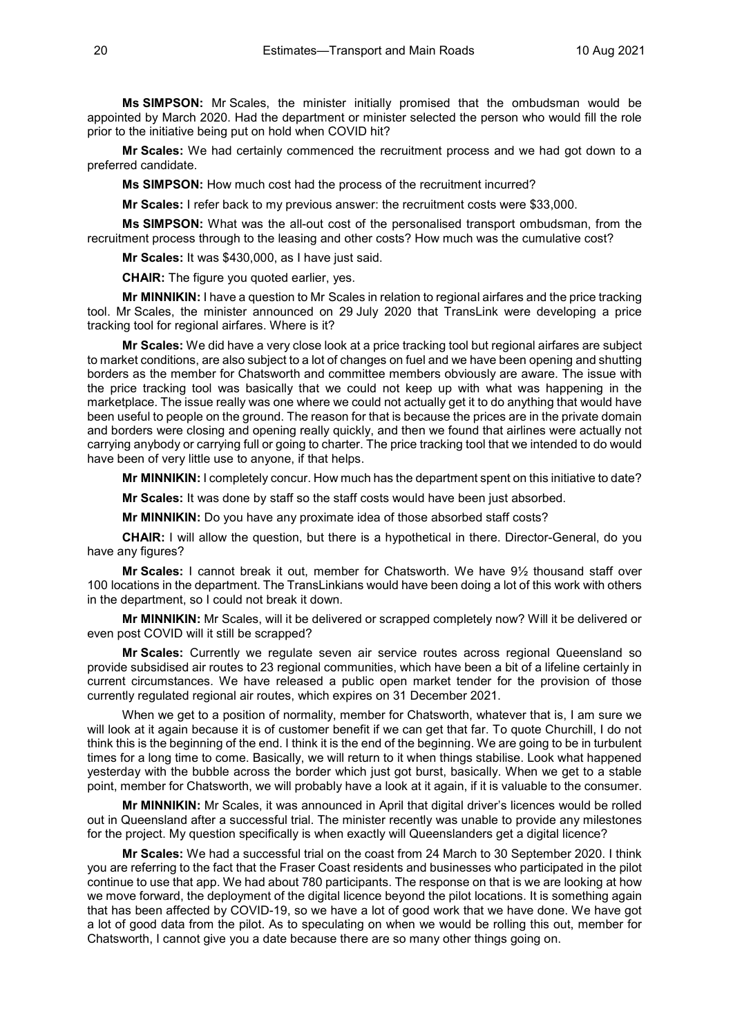**Ms SIMPSON:** Mr Scales, the minister initially promised that the ombudsman would be appointed by March 2020. Had the department or minister selected the person who would fill the role prior to the initiative being put on hold when COVID hit?

**Mr Scales:** We had certainly commenced the recruitment process and we had got down to a preferred candidate.

**Ms SIMPSON:** How much cost had the process of the recruitment incurred?

**Mr Scales:** I refer back to my previous answer: the recruitment costs were \$33,000.

**Ms SIMPSON:** What was the all-out cost of the personalised transport ombudsman, from the recruitment process through to the leasing and other costs? How much was the cumulative cost?

**Mr Scales:** It was \$430,000, as I have just said.

**CHAIR:** The figure you quoted earlier, yes.

**Mr MINNIKIN:** I have a question to Mr Scales in relation to regional airfares and the price tracking tool. Mr Scales, the minister announced on 29 July 2020 that TransLink were developing a price tracking tool for regional airfares. Where is it?

**Mr Scales:** We did have a very close look at a price tracking tool but regional airfares are subject to market conditions, are also subject to a lot of changes on fuel and we have been opening and shutting borders as the member for Chatsworth and committee members obviously are aware. The issue with the price tracking tool was basically that we could not keep up with what was happening in the marketplace. The issue really was one where we could not actually get it to do anything that would have been useful to people on the ground. The reason for that is because the prices are in the private domain and borders were closing and opening really quickly, and then we found that airlines were actually not carrying anybody or carrying full or going to charter. The price tracking tool that we intended to do would have been of very little use to anyone, if that helps.

**Mr MINNIKIN:** I completely concur. How much has the department spent on this initiative to date?

**Mr Scales:** It was done by staff so the staff costs would have been just absorbed.

**Mr MINNIKIN:** Do you have any proximate idea of those absorbed staff costs?

**CHAIR:** I will allow the question, but there is a hypothetical in there. Director-General, do you have any figures?

**Mr Scales:** I cannot break it out, member for Chatsworth. We have 9½ thousand staff over 100 locations in the department. The TransLinkians would have been doing a lot of this work with others in the department, so I could not break it down.

**Mr MINNIKIN:** Mr Scales, will it be delivered or scrapped completely now? Will it be delivered or even post COVID will it still be scrapped?

**Mr Scales:** Currently we regulate seven air service routes across regional Queensland so provide subsidised air routes to 23 regional communities, which have been a bit of a lifeline certainly in current circumstances. We have released a public open market tender for the provision of those currently regulated regional air routes, which expires on 31 December 2021.

When we get to a position of normality, member for Chatsworth, whatever that is, I am sure we will look at it again because it is of customer benefit if we can get that far. To quote Churchill, I do not think this is the beginning of the end. I think it is the end of the beginning. We are going to be in turbulent times for a long time to come. Basically, we will return to it when things stabilise. Look what happened yesterday with the bubble across the border which just got burst, basically. When we get to a stable point, member for Chatsworth, we will probably have a look at it again, if it is valuable to the consumer.

**Mr MINNIKIN:** Mr Scales, it was announced in April that digital driver's licences would be rolled out in Queensland after a successful trial. The minister recently was unable to provide any milestones for the project. My question specifically is when exactly will Queenslanders get a digital licence?

**Mr Scales:** We had a successful trial on the coast from 24 March to 30 September 2020. I think you are referring to the fact that the Fraser Coast residents and businesses who participated in the pilot continue to use that app. We had about 780 participants. The response on that is we are looking at how we move forward, the deployment of the digital licence beyond the pilot locations. It is something again that has been affected by COVID-19, so we have a lot of good work that we have done. We have got a lot of good data from the pilot. As to speculating on when we would be rolling this out, member for Chatsworth, I cannot give you a date because there are so many other things going on.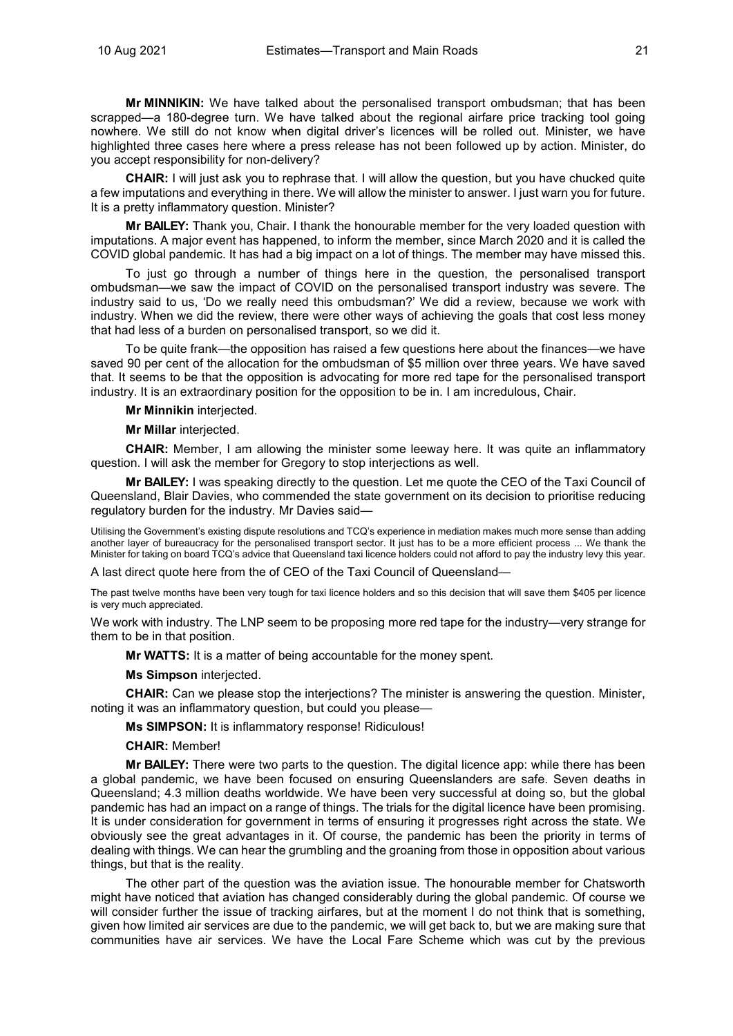**Mr MINNIKIN:** We have talked about the personalised transport ombudsman; that has been scrapped—a 180-degree turn. We have talked about the regional airfare price tracking tool going nowhere. We still do not know when digital driver's licences will be rolled out. Minister, we have highlighted three cases here where a press release has not been followed up by action. Minister, do you accept responsibility for non-delivery?

**CHAIR:** I will just ask you to rephrase that. I will allow the question, but you have chucked quite a few imputations and everything in there. We will allow the minister to answer. I just warn you for future. It is a pretty inflammatory question. Minister?

**Mr BAILEY:** Thank you, Chair. I thank the honourable member for the very loaded question with imputations. A major event has happened, to inform the member, since March 2020 and it is called the COVID global pandemic. It has had a big impact on a lot of things. The member may have missed this.

To just go through a number of things here in the question, the personalised transport ombudsman—we saw the impact of COVID on the personalised transport industry was severe. The industry said to us, 'Do we really need this ombudsman?' We did a review, because we work with industry. When we did the review, there were other ways of achieving the goals that cost less money that had less of a burden on personalised transport, so we did it.

To be quite frank—the opposition has raised a few questions here about the finances—we have saved 90 per cent of the allocation for the ombudsman of \$5 million over three years. We have saved that. It seems to be that the opposition is advocating for more red tape for the personalised transport industry. It is an extraordinary position for the opposition to be in. I am incredulous, Chair.

**Mr Minnikin** interjected.

**Mr Millar** interjected.

**CHAIR:** Member, I am allowing the minister some leeway here. It was quite an inflammatory question. I will ask the member for Gregory to stop interjections as well.

**Mr BAILEY:** I was speaking directly to the question. Let me quote the CEO of the Taxi Council of Queensland, Blair Davies, who commended the state government on its decision to prioritise reducing regulatory burden for the industry. Mr Davies said—

Utilising the Government's existing dispute resolutions and TCQ's experience in mediation makes much more sense than adding another layer of bureaucracy for the personalised transport sector. It just has to be a more efficient process ... We thank the Minister for taking on board TCQ's advice that Queensland taxi licence holders could not afford to pay the industry levy this year.

A last direct quote here from the of CEO of the Taxi Council of Queensland—

The past twelve months have been very tough for taxi licence holders and so this decision that will save them \$405 per licence is very much appreciated.

We work with industry. The LNP seem to be proposing more red tape for the industry—very strange for them to be in that position.

**Mr WATTS:** It is a matter of being accountable for the money spent.

**Ms Simpson** interjected.

**CHAIR:** Can we please stop the interjections? The minister is answering the question. Minister, noting it was an inflammatory question, but could you please—

**Ms SIMPSON:** It is inflammatory response! Ridiculous!

#### **CHAIR:** Member!

**Mr BAILEY:** There were two parts to the question. The digital licence app: while there has been a global pandemic, we have been focused on ensuring Queenslanders are safe. Seven deaths in Queensland; 4.3 million deaths worldwide. We have been very successful at doing so, but the global pandemic has had an impact on a range of things. The trials for the digital licence have been promising. It is under consideration for government in terms of ensuring it progresses right across the state. We obviously see the great advantages in it. Of course, the pandemic has been the priority in terms of dealing with things. We can hear the grumbling and the groaning from those in opposition about various things, but that is the reality.

The other part of the question was the aviation issue. The honourable member for Chatsworth might have noticed that aviation has changed considerably during the global pandemic. Of course we will consider further the issue of tracking airfares, but at the moment I do not think that is something, given how limited air services are due to the pandemic, we will get back to, but we are making sure that communities have air services. We have the Local Fare Scheme which was cut by the previous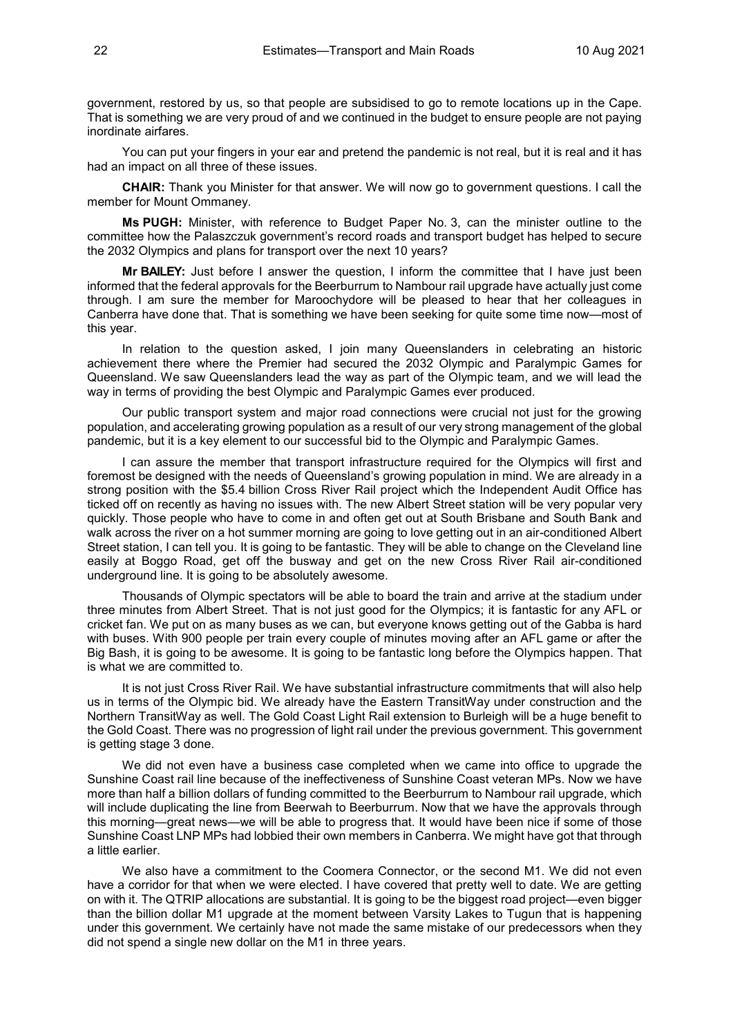government, restored by us, so that people are subsidised to go to remote locations up in the Cape. That is something we are very proud of and we continued in the budget to ensure people are not paying inordinate airfares.

You can put your fingers in your ear and pretend the pandemic is not real, but it is real and it has had an impact on all three of these issues.

**CHAIR:** Thank you Minister for that answer. We will now go to government questions. I call the member for Mount Ommaney.

**Ms PUGH:** Minister, with reference to Budget Paper No. 3, can the minister outline to the committee how the Palaszczuk government's record roads and transport budget has helped to secure the 2032 Olympics and plans for transport over the next 10 years?

**Mr BAILEY:** Just before I answer the question, I inform the committee that I have just been informed that the federal approvals for the Beerburrum to Nambour rail upgrade have actually just come through. I am sure the member for Maroochydore will be pleased to hear that her colleagues in Canberra have done that. That is something we have been seeking for quite some time now—most of this year.

In relation to the question asked, I join many Queenslanders in celebrating an historic achievement there where the Premier had secured the 2032 Olympic and Paralympic Games for Queensland. We saw Queenslanders lead the way as part of the Olympic team, and we will lead the way in terms of providing the best Olympic and Paralympic Games ever produced.

Our public transport system and major road connections were crucial not just for the growing population, and accelerating growing population as a result of our very strong management of the global pandemic, but it is a key element to our successful bid to the Olympic and Paralympic Games.

I can assure the member that transport infrastructure required for the Olympics will first and foremost be designed with the needs of Queensland's growing population in mind. We are already in a strong position with the \$5.4 billion Cross River Rail project which the Independent Audit Office has ticked off on recently as having no issues with. The new Albert Street station will be very popular very quickly. Those people who have to come in and often get out at South Brisbane and South Bank and walk across the river on a hot summer morning are going to love getting out in an air-conditioned Albert Street station, I can tell you. It is going to be fantastic. They will be able to change on the Cleveland line easily at Boggo Road, get off the busway and get on the new Cross River Rail air-conditioned underground line. It is going to be absolutely awesome.

Thousands of Olympic spectators will be able to board the train and arrive at the stadium under three minutes from Albert Street. That is not just good for the Olympics; it is fantastic for any AFL or cricket fan. We put on as many buses as we can, but everyone knows getting out of the Gabba is hard with buses. With 900 people per train every couple of minutes moving after an AFL game or after the Big Bash, it is going to be awesome. It is going to be fantastic long before the Olympics happen. That is what we are committed to.

It is not just Cross River Rail. We have substantial infrastructure commitments that will also help us in terms of the Olympic bid. We already have the Eastern TransitWay under construction and the Northern TransitWay as well. The Gold Coast Light Rail extension to Burleigh will be a huge benefit to the Gold Coast. There was no progression of light rail under the previous government. This government is getting stage 3 done.

We did not even have a business case completed when we came into office to upgrade the Sunshine Coast rail line because of the ineffectiveness of Sunshine Coast veteran MPs. Now we have more than half a billion dollars of funding committed to the Beerburrum to Nambour rail upgrade, which will include duplicating the line from Beerwah to Beerburrum. Now that we have the approvals through this morning—great news—we will be able to progress that. It would have been nice if some of those Sunshine Coast LNP MPs had lobbied their own members in Canberra. We might have got that through a little earlier.

We also have a commitment to the Coomera Connector, or the second M1. We did not even have a corridor for that when we were elected. I have covered that pretty well to date. We are getting on with it. The QTRIP allocations are substantial. It is going to be the biggest road project—even bigger than the billion dollar M1 upgrade at the moment between Varsity Lakes to Tugun that is happening under this government. We certainly have not made the same mistake of our predecessors when they did not spend a single new dollar on the M1 in three years.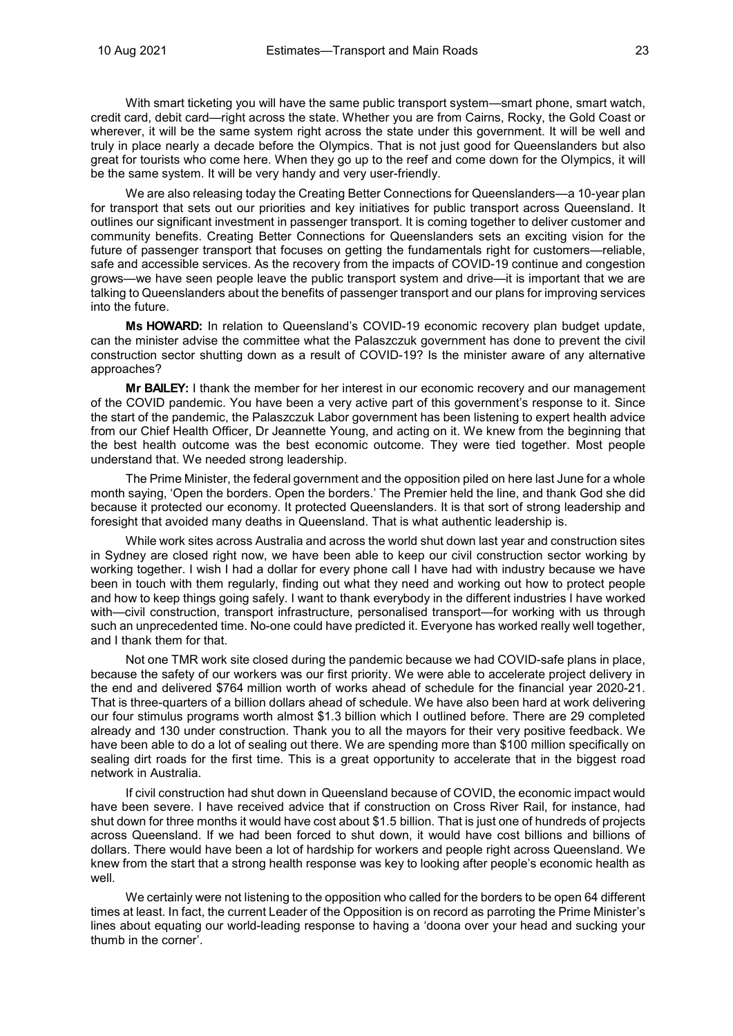With smart ticketing you will have the same public transport system—smart phone, smart watch, credit card, debit card—right across the state. Whether you are from Cairns, Rocky, the Gold Coast or wherever, it will be the same system right across the state under this government. It will be well and truly in place nearly a decade before the Olympics. That is not just good for Queenslanders but also great for tourists who come here. When they go up to the reef and come down for the Olympics, it will be the same system. It will be very handy and very user-friendly.

We are also releasing today the Creating Better Connections for Queenslanders—a 10-year plan for transport that sets out our priorities and key initiatives for public transport across Queensland. It outlines our significant investment in passenger transport. It is coming together to deliver customer and community benefits. Creating Better Connections for Queenslanders sets an exciting vision for the future of passenger transport that focuses on getting the fundamentals right for customers—reliable, safe and accessible services. As the recovery from the impacts of COVID-19 continue and congestion grows—we have seen people leave the public transport system and drive—it is important that we are talking to Queenslanders about the benefits of passenger transport and our plans for improving services into the future.

**Ms HOWARD:** In relation to Queensland's COVID-19 economic recovery plan budget update, can the minister advise the committee what the Palaszczuk government has done to prevent the civil construction sector shutting down as a result of COVID-19? Is the minister aware of any alternative approaches?

**Mr BAILEY:** I thank the member for her interest in our economic recovery and our management of the COVID pandemic. You have been a very active part of this government's response to it. Since the start of the pandemic, the Palaszczuk Labor government has been listening to expert health advice from our Chief Health Officer, Dr Jeannette Young, and acting on it. We knew from the beginning that the best health outcome was the best economic outcome. They were tied together. Most people understand that. We needed strong leadership.

The Prime Minister, the federal government and the opposition piled on here last June for a whole month saying, 'Open the borders. Open the borders.' The Premier held the line, and thank God she did because it protected our economy. It protected Queenslanders. It is that sort of strong leadership and foresight that avoided many deaths in Queensland. That is what authentic leadership is.

While work sites across Australia and across the world shut down last year and construction sites in Sydney are closed right now, we have been able to keep our civil construction sector working by working together. I wish I had a dollar for every phone call I have had with industry because we have been in touch with them regularly, finding out what they need and working out how to protect people and how to keep things going safely. I want to thank everybody in the different industries I have worked with—civil construction, transport infrastructure, personalised transport—for working with us through such an unprecedented time. No-one could have predicted it. Everyone has worked really well together, and I thank them for that.

Not one TMR work site closed during the pandemic because we had COVID-safe plans in place, because the safety of our workers was our first priority. We were able to accelerate project delivery in the end and delivered \$764 million worth of works ahead of schedule for the financial year 2020-21. That is three-quarters of a billion dollars ahead of schedule. We have also been hard at work delivering our four stimulus programs worth almost \$1.3 billion which I outlined before. There are 29 completed already and 130 under construction. Thank you to all the mayors for their very positive feedback. We have been able to do a lot of sealing out there. We are spending more than \$100 million specifically on sealing dirt roads for the first time. This is a great opportunity to accelerate that in the biggest road network in Australia.

If civil construction had shut down in Queensland because of COVID, the economic impact would have been severe. I have received advice that if construction on Cross River Rail, for instance, had shut down for three months it would have cost about \$1.5 billion. That is just one of hundreds of projects across Queensland. If we had been forced to shut down, it would have cost billions and billions of dollars. There would have been a lot of hardship for workers and people right across Queensland. We knew from the start that a strong health response was key to looking after people's economic health as well.

We certainly were not listening to the opposition who called for the borders to be open 64 different times at least. In fact, the current Leader of the Opposition is on record as parroting the Prime Minister's lines about equating our world-leading response to having a 'doona over your head and sucking your thumb in the corner'.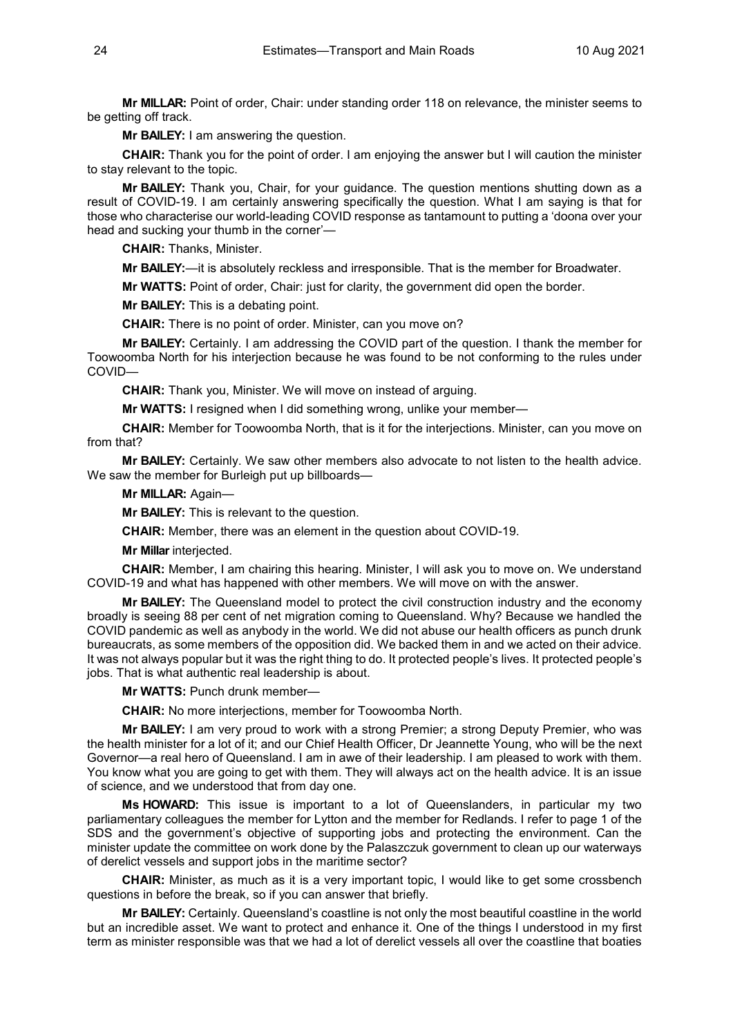**Mr MILLAR:** Point of order, Chair: under standing order 118 on relevance, the minister seems to be getting off track.

**Mr BAILEY:** I am answering the question.

**CHAIR:** Thank you for the point of order. I am enjoying the answer but I will caution the minister to stay relevant to the topic.

**Mr BAILEY:** Thank you, Chair, for your guidance. The question mentions shutting down as a result of COVID-19. I am certainly answering specifically the question. What I am saying is that for those who characterise our world-leading COVID response as tantamount to putting a 'doona over your head and sucking your thumb in the corner'—

**CHAIR:** Thanks, Minister.

**Mr BAILEY:**—it is absolutely reckless and irresponsible. That is the member for Broadwater.

**Mr WATTS:** Point of order, Chair: just for clarity, the government did open the border.

**Mr BAILEY:** This is a debating point.

**CHAIR:** There is no point of order. Minister, can you move on?

**Mr BAILEY:** Certainly. I am addressing the COVID part of the question. I thank the member for Toowoomba North for his interjection because he was found to be not conforming to the rules under COVID—

**CHAIR:** Thank you, Minister. We will move on instead of arguing.

**Mr WATTS:** I resigned when I did something wrong, unlike your member—

**CHAIR:** Member for Toowoomba North, that is it for the interjections. Minister, can you move on from that?

**Mr BAILEY:** Certainly. We saw other members also advocate to not listen to the health advice. We saw the member for Burleigh put up billboards-

**Mr MILLAR:** Again—

**Mr BAILEY:** This is relevant to the question.

**CHAIR:** Member, there was an element in the question about COVID-19.

**Mr Millar** interjected.

**CHAIR:** Member, I am chairing this hearing. Minister, I will ask you to move on. We understand COVID-19 and what has happened with other members. We will move on with the answer.

**Mr BAILEY:** The Queensland model to protect the civil construction industry and the economy broadly is seeing 88 per cent of net migration coming to Queensland. Why? Because we handled the COVID pandemic as well as anybody in the world. We did not abuse our health officers as punch drunk bureaucrats, as some members of the opposition did. We backed them in and we acted on their advice. It was not always popular but it was the right thing to do. It protected people's lives. It protected people's jobs. That is what authentic real leadership is about.

**Mr WATTS:** Punch drunk member—

**CHAIR:** No more interjections, member for Toowoomba North.

**Mr BAILEY:** I am very proud to work with a strong Premier; a strong Deputy Premier, who was the health minister for a lot of it; and our Chief Health Officer, Dr Jeannette Young, who will be the next Governor—a real hero of Queensland. I am in awe of their leadership. I am pleased to work with them. You know what you are going to get with them. They will always act on the health advice. It is an issue of science, and we understood that from day one.

**Ms HOWARD:** This issue is important to a lot of Queenslanders, in particular my two parliamentary colleagues the member for Lytton and the member for Redlands. I refer to page 1 of the SDS and the government's objective of supporting jobs and protecting the environment. Can the minister update the committee on work done by the Palaszczuk government to clean up our waterways of derelict vessels and support jobs in the maritime sector?

**CHAIR:** Minister, as much as it is a very important topic, I would like to get some crossbench questions in before the break, so if you can answer that briefly.

**Mr BAILEY:** Certainly. Queensland's coastline is not only the most beautiful coastline in the world but an incredible asset. We want to protect and enhance it. One of the things I understood in my first term as minister responsible was that we had a lot of derelict vessels all over the coastline that boaties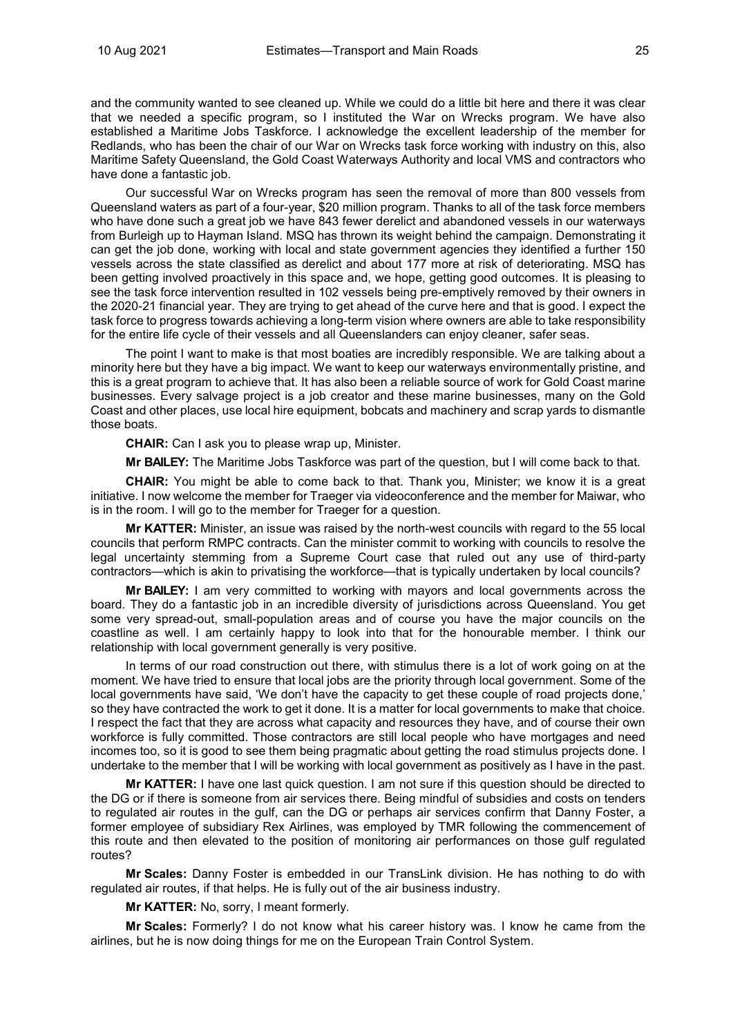and the community wanted to see cleaned up. While we could do a little bit here and there it was clear that we needed a specific program, so I instituted the War on Wrecks program. We have also established a Maritime Jobs Taskforce. I acknowledge the excellent leadership of the member for Redlands, who has been the chair of our War on Wrecks task force working with industry on this, also Maritime Safety Queensland, the Gold Coast Waterways Authority and local VMS and contractors who have done a fantastic job.

Our successful War on Wrecks program has seen the removal of more than 800 vessels from Queensland waters as part of a four-year, \$20 million program. Thanks to all of the task force members who have done such a great job we have 843 fewer derelict and abandoned vessels in our waterways from Burleigh up to Hayman Island. MSQ has thrown its weight behind the campaign. Demonstrating it can get the job done, working with local and state government agencies they identified a further 150 vessels across the state classified as derelict and about 177 more at risk of deteriorating. MSQ has been getting involved proactively in this space and, we hope, getting good outcomes. It is pleasing to see the task force intervention resulted in 102 vessels being pre-emptively removed by their owners in the 2020-21 financial year. They are trying to get ahead of the curve here and that is good. I expect the task force to progress towards achieving a long-term vision where owners are able to take responsibility for the entire life cycle of their vessels and all Queenslanders can enjoy cleaner, safer seas.

The point I want to make is that most boaties are incredibly responsible. We are talking about a minority here but they have a big impact. We want to keep our waterways environmentally pristine, and this is a great program to achieve that. It has also been a reliable source of work for Gold Coast marine businesses. Every salvage project is a job creator and these marine businesses, many on the Gold Coast and other places, use local hire equipment, bobcats and machinery and scrap yards to dismantle those boats.

**CHAIR:** Can I ask you to please wrap up, Minister.

**Mr BAILEY:** The Maritime Jobs Taskforce was part of the question, but I will come back to that.

**CHAIR:** You might be able to come back to that. Thank you, Minister; we know it is a great initiative. I now welcome the member for Traeger via videoconference and the member for Maiwar, who is in the room. I will go to the member for Traeger for a question.

**Mr KATTER:** Minister, an issue was raised by the north-west councils with regard to the 55 local councils that perform RMPC contracts. Can the minister commit to working with councils to resolve the legal uncertainty stemming from a Supreme Court case that ruled out any use of third-party contractors—which is akin to privatising the workforce—that is typically undertaken by local councils?

**Mr BAILEY:** I am very committed to working with mayors and local governments across the board. They do a fantastic job in an incredible diversity of jurisdictions across Queensland. You get some very spread-out, small-population areas and of course you have the major councils on the coastline as well. I am certainly happy to look into that for the honourable member. I think our relationship with local government generally is very positive.

In terms of our road construction out there, with stimulus there is a lot of work going on at the moment. We have tried to ensure that local jobs are the priority through local government. Some of the local governments have said, 'We don't have the capacity to get these couple of road projects done,' so they have contracted the work to get it done. It is a matter for local governments to make that choice. I respect the fact that they are across what capacity and resources they have, and of course their own workforce is fully committed. Those contractors are still local people who have mortgages and need incomes too, so it is good to see them being pragmatic about getting the road stimulus projects done. I undertake to the member that I will be working with local government as positively as I have in the past.

**Mr KATTER:** I have one last quick question. I am not sure if this question should be directed to the DG or if there is someone from air services there. Being mindful of subsidies and costs on tenders to regulated air routes in the gulf, can the DG or perhaps air services confirm that Danny Foster, a former employee of subsidiary Rex Airlines, was employed by TMR following the commencement of this route and then elevated to the position of monitoring air performances on those gulf regulated routes?

**Mr Scales:** Danny Foster is embedded in our TransLink division. He has nothing to do with regulated air routes, if that helps. He is fully out of the air business industry.

**Mr KATTER:** No, sorry, I meant formerly.

**Mr Scales:** Formerly? I do not know what his career history was. I know he came from the airlines, but he is now doing things for me on the European Train Control System.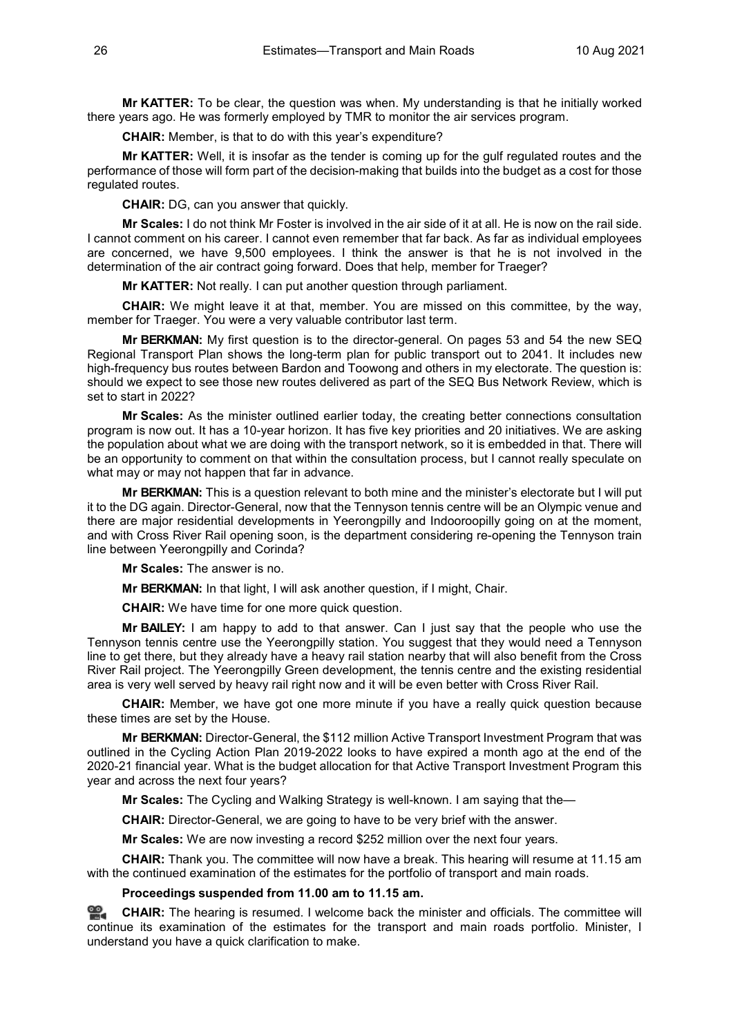**Mr KATTER:** To be clear, the question was when. My understanding is that he initially worked there years ago. He was formerly employed by TMR to monitor the air services program.

**CHAIR:** Member, is that to do with this year's expenditure?

**Mr KATTER:** Well, it is insofar as the tender is coming up for the gulf regulated routes and the performance of those will form part of the decision-making that builds into the budget as a cost for those regulated routes.

**CHAIR:** DG, can you answer that quickly.

**Mr Scales:** I do not think Mr Foster is involved in the air side of it at all. He is now on the rail side. I cannot comment on his career. I cannot even remember that far back. As far as individual employees are concerned, we have 9,500 employees. I think the answer is that he is not involved in the determination of the air contract going forward. Does that help, member for Traeger?

**Mr KATTER:** Not really. I can put another question through parliament.

**CHAIR:** We might leave it at that, member. You are missed on this committee, by the way, member for Traeger. You were a very valuable contributor last term.

**Mr BERKMAN:** My first question is to the director-general. On pages 53 and 54 the new SEQ Regional Transport Plan shows the long-term plan for public transport out to 2041. It includes new high-frequency bus routes between Bardon and Toowong and others in my electorate. The question is: should we expect to see those new routes delivered as part of the SEQ Bus Network Review, which is set to start in 2022?

**Mr Scales:** As the minister outlined earlier today, the creating better connections consultation program is now out. It has a 10-year horizon. It has five key priorities and 20 initiatives. We are asking the population about what we are doing with the transport network, so it is embedded in that. There will be an opportunity to comment on that within the consultation process, but I cannot really speculate on what may or may not happen that far in advance.

**Mr BERKMAN:** This is a question relevant to both mine and the minister's electorate but I will put it to the DG again. Director-General, now that the Tennyson tennis centre will be an Olympic venue and there are major residential developments in Yeerongpilly and Indooroopilly going on at the moment, and with Cross River Rail opening soon, is the department considering re-opening the Tennyson train line between Yeerongpilly and Corinda?

**Mr Scales:** The answer is no.

**Mr BERKMAN:** In that light, I will ask another question, if I might, Chair.

**CHAIR:** We have time for one more quick question.

**Mr BAILEY:** I am happy to add to that answer. Can I just say that the people who use the Tennyson tennis centre use the Yeerongpilly station. You suggest that they would need a Tennyson line to get there, but they already have a heavy rail station nearby that will also benefit from the Cross River Rail project. The Yeerongpilly Green development, the tennis centre and the existing residential area is very well served by heavy rail right now and it will be even better with Cross River Rail.

**CHAIR:** Member, we have got one more minute if you have a really quick question because these times are set by the House.

**Mr BERKMAN:** Director-General, the \$112 million Active Transport Investment Program that was outlined in the Cycling Action Plan 2019-2022 looks to have expired a month ago at the end of the 2020-21 financial year. What is the budget allocation for that Active Transport Investment Program this year and across the next four years?

**Mr Scales:** The Cycling and Walking Strategy is well-known. I am saying that the—

**CHAIR:** Director-General, we are going to have to be very brief with the answer.

**Mr Scales:** We are now investing a record \$252 million over the next four years.

**CHAIR:** Thank you. The committee will now have a break. This hearing will resume at 11.15 am with the continued examination of the estimates for the portfolio of transport and main roads.

**Proceedings suspended from 11.00 am to 11.15 am.**

**[CHAIR:](http://www.parliament.qld.gov.au/docs/find.aspx?id=0Mba20210810_111532)** The hearing is resumed. I welcome back the minister and officials. The committee will continue its examination of the estimates for the transport and main roads portfolio. Minister, I understand you have a quick clarification to make.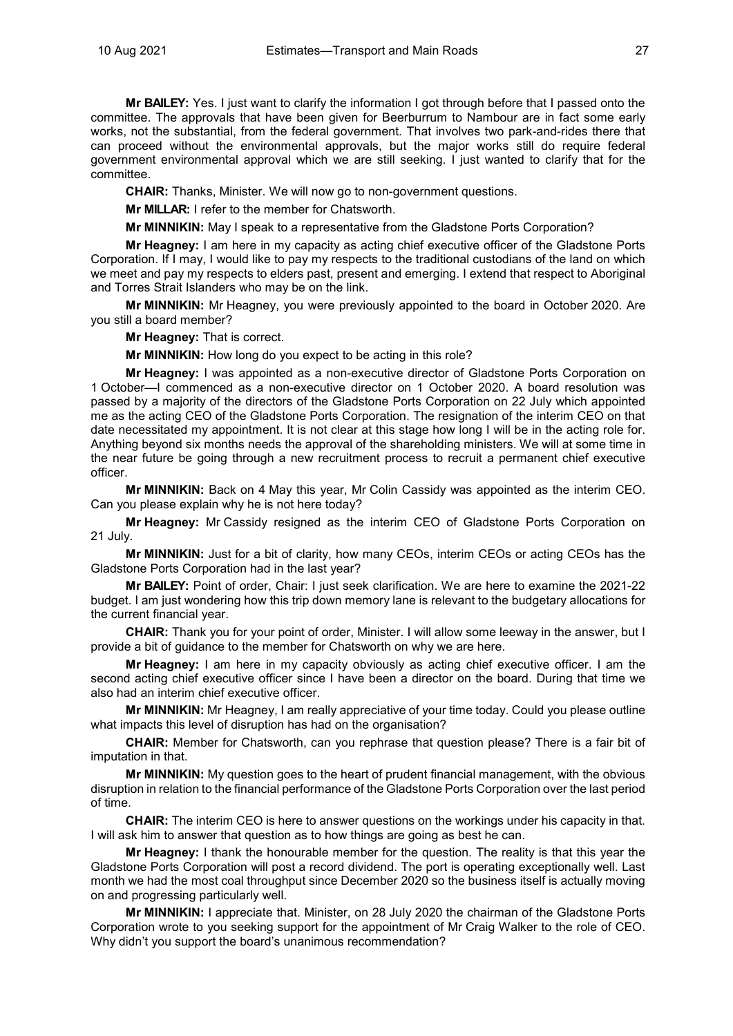**Mr BAILEY:** Yes. I just want to clarify the information I got through before that I passed onto the committee. The approvals that have been given for Beerburrum to Nambour are in fact some early works, not the substantial, from the federal government. That involves two park-and-rides there that can proceed without the environmental approvals, but the major works still do require federal government environmental approval which we are still seeking. I just wanted to clarify that for the committee.

**CHAIR:** Thanks, Minister. We will now go to non-government questions.

**Mr MILLAR:** I refer to the member for Chatsworth.

**Mr MINNIKIN:** May I speak to a representative from the Gladstone Ports Corporation?

**Mr Heagney:** I am here in my capacity as acting chief executive officer of the Gladstone Ports Corporation. If I may, I would like to pay my respects to the traditional custodians of the land on which we meet and pay my respects to elders past, present and emerging. I extend that respect to Aboriginal and Torres Strait Islanders who may be on the link.

**Mr MINNIKIN:** Mr Heagney, you were previously appointed to the board in October 2020. Are you still a board member?

**Mr Heagney:** That is correct.

**Mr MINNIKIN:** How long do you expect to be acting in this role?

**Mr Heagney:** I was appointed as a non-executive director of Gladstone Ports Corporation on 1 October—I commenced as a non-executive director on 1 October 2020. A board resolution was passed by a majority of the directors of the Gladstone Ports Corporation on 22 July which appointed me as the acting CEO of the Gladstone Ports Corporation. The resignation of the interim CEO on that date necessitated my appointment. It is not clear at this stage how long I will be in the acting role for. Anything beyond six months needs the approval of the shareholding ministers. We will at some time in the near future be going through a new recruitment process to recruit a permanent chief executive officer.

**Mr MINNIKIN:** Back on 4 May this year, Mr Colin Cassidy was appointed as the interim CEO. Can you please explain why he is not here today?

**Mr Heagney:** Mr Cassidy resigned as the interim CEO of Gladstone Ports Corporation on 21 July.

**Mr MINNIKIN:** Just for a bit of clarity, how many CEOs, interim CEOs or acting CEOs has the Gladstone Ports Corporation had in the last year?

**Mr BAILEY:** Point of order, Chair: I just seek clarification. We are here to examine the 2021-22 budget. I am just wondering how this trip down memory lane is relevant to the budgetary allocations for the current financial year.

**CHAIR:** Thank you for your point of order, Minister. I will allow some leeway in the answer, but I provide a bit of guidance to the member for Chatsworth on why we are here.

**Mr Heagney:** I am here in my capacity obviously as acting chief executive officer. I am the second acting chief executive officer since I have been a director on the board. During that time we also had an interim chief executive officer.

**Mr MINNIKIN:** Mr Heagney, I am really appreciative of your time today. Could you please outline what impacts this level of disruption has had on the organisation?

**CHAIR:** Member for Chatsworth, can you rephrase that question please? There is a fair bit of imputation in that.

**Mr MINNIKIN:** My question goes to the heart of prudent financial management, with the obvious disruption in relation to the financial performance of the Gladstone Ports Corporation over the last period of time.

**CHAIR:** The interim CEO is here to answer questions on the workings under his capacity in that. I will ask him to answer that question as to how things are going as best he can.

**Mr Heagney:** I thank the honourable member for the question. The reality is that this year the Gladstone Ports Corporation will post a record dividend. The port is operating exceptionally well. Last month we had the most coal throughput since December 2020 so the business itself is actually moving on and progressing particularly well.

**Mr MINNIKIN:** I appreciate that. Minister, on 28 July 2020 the chairman of the Gladstone Ports Corporation wrote to you seeking support for the appointment of Mr Craig Walker to the role of CEO. Why didn't you support the board's unanimous recommendation?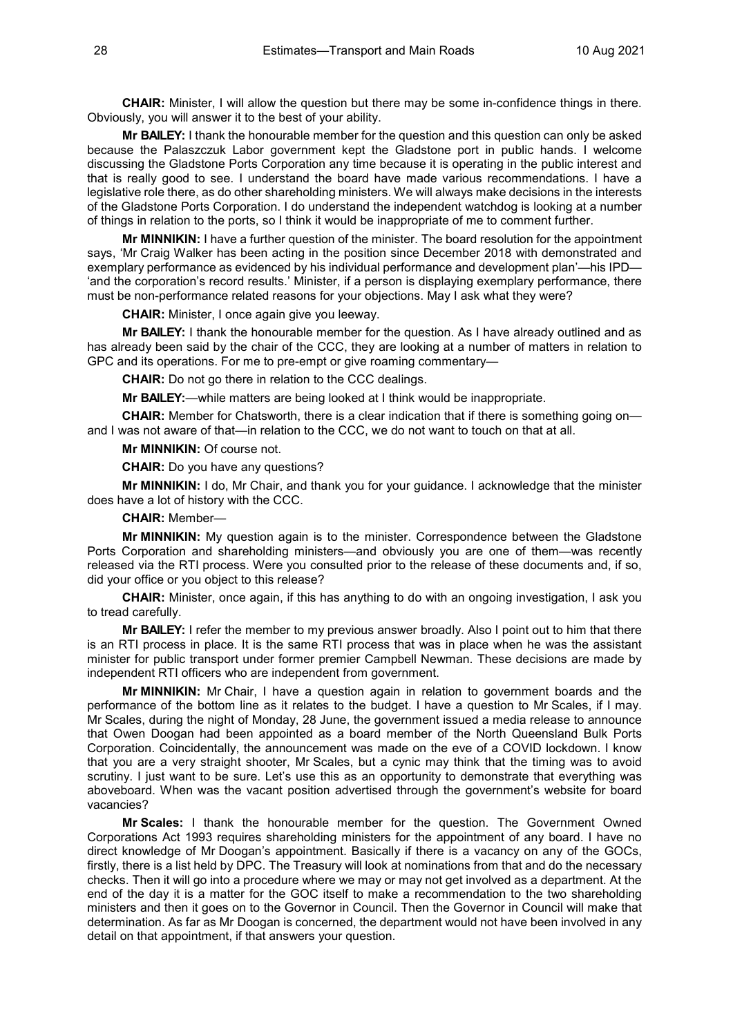**CHAIR:** Minister, I will allow the question but there may be some in-confidence things in there. Obviously, you will answer it to the best of your ability.

**Mr BAILEY:** I thank the honourable member for the question and this question can only be asked because the Palaszczuk Labor government kept the Gladstone port in public hands. I welcome discussing the Gladstone Ports Corporation any time because it is operating in the public interest and that is really good to see. I understand the board have made various recommendations. I have a legislative role there, as do other shareholding ministers. We will always make decisions in the interests of the Gladstone Ports Corporation. I do understand the independent watchdog is looking at a number of things in relation to the ports, so I think it would be inappropriate of me to comment further.

**Mr MINNIKIN:** I have a further question of the minister. The board resolution for the appointment says, 'Mr Craig Walker has been acting in the position since December 2018 with demonstrated and exemplary performance as evidenced by his individual performance and development plan'—his IPD— 'and the corporation's record results.' Minister, if a person is displaying exemplary performance, there must be non-performance related reasons for your objections. May I ask what they were?

**CHAIR:** Minister, I once again give you leeway.

**Mr BAILEY:** I thank the honourable member for the question. As I have already outlined and as has already been said by the chair of the CCC, they are looking at a number of matters in relation to GPC and its operations. For me to pre-empt or give roaming commentary—

**CHAIR:** Do not go there in relation to the CCC dealings.

**Mr BAILEY:**—while matters are being looked at I think would be inappropriate.

**CHAIR:** Member for Chatsworth, there is a clear indication that if there is something going on and I was not aware of that—in relation to the CCC, we do not want to touch on that at all.

**Mr MINNIKIN:** Of course not.

**CHAIR:** Do you have any questions?

**Mr MINNIKIN:** I do, Mr Chair, and thank you for your guidance. I acknowledge that the minister does have a lot of history with the CCC.

#### **CHAIR:** Member—

**Mr MINNIKIN:** My question again is to the minister. Correspondence between the Gladstone Ports Corporation and shareholding ministers—and obviously you are one of them—was recently released via the RTI process. Were you consulted prior to the release of these documents and, if so, did your office or you object to this release?

**CHAIR:** Minister, once again, if this has anything to do with an ongoing investigation, I ask you to tread carefully.

**Mr BAILEY:** I refer the member to my previous answer broadly. Also I point out to him that there is an RTI process in place. It is the same RTI process that was in place when he was the assistant minister for public transport under former premier Campbell Newman. These decisions are made by independent RTI officers who are independent from government.

**Mr MINNIKIN:** Mr Chair, I have a question again in relation to government boards and the performance of the bottom line as it relates to the budget. I have a question to Mr Scales, if I may. Mr Scales, during the night of Monday, 28 June, the government issued a media release to announce that Owen Doogan had been appointed as a board member of the North Queensland Bulk Ports Corporation. Coincidentally, the announcement was made on the eve of a COVID lockdown. I know that you are a very straight shooter, Mr Scales, but a cynic may think that the timing was to avoid scrutiny. I just want to be sure. Let's use this as an opportunity to demonstrate that everything was aboveboard. When was the vacant position advertised through the government's website for board vacancies?

**Mr Scales:** I thank the honourable member for the question. The Government Owned Corporations Act 1993 requires shareholding ministers for the appointment of any board. I have no direct knowledge of Mr Doogan's appointment. Basically if there is a vacancy on any of the GOCs, firstly, there is a list held by DPC. The Treasury will look at nominations from that and do the necessary checks. Then it will go into a procedure where we may or may not get involved as a department. At the end of the day it is a matter for the GOC itself to make a recommendation to the two shareholding ministers and then it goes on to the Governor in Council. Then the Governor in Council will make that determination. As far as Mr Doogan is concerned, the department would not have been involved in any detail on that appointment, if that answers your question.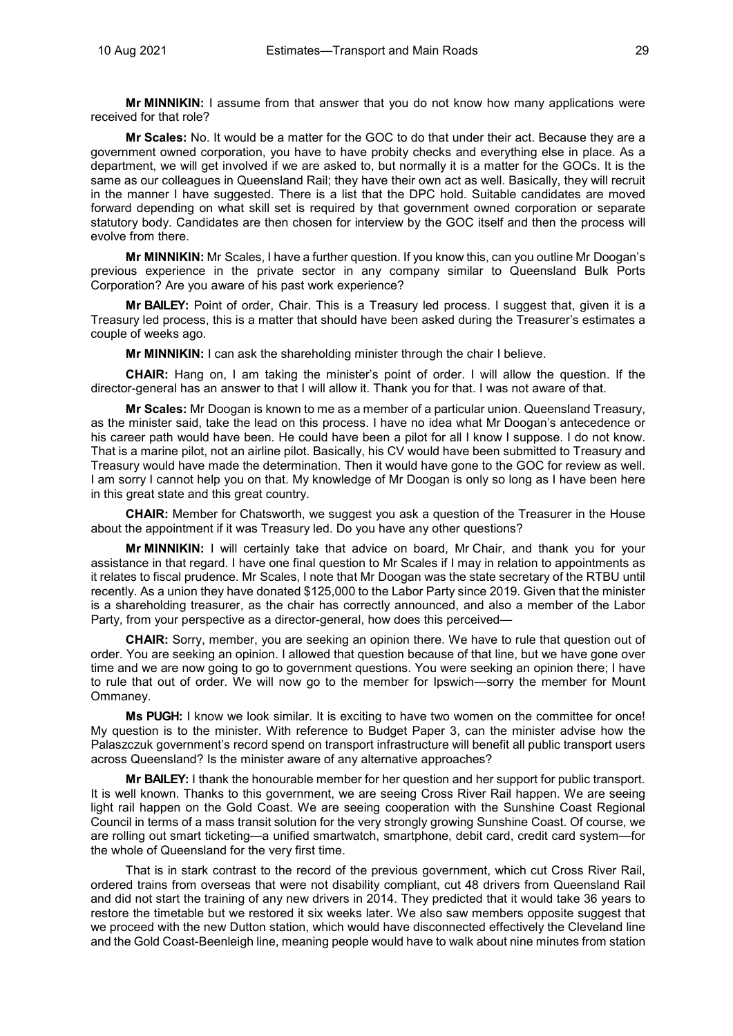**Mr MINNIKIN:** I assume from that answer that you do not know how many applications were received for that role?

**Mr Scales:** No. It would be a matter for the GOC to do that under their act. Because they are a government owned corporation, you have to have probity checks and everything else in place. As a department, we will get involved if we are asked to, but normally it is a matter for the GOCs. It is the same as our colleagues in Queensland Rail; they have their own act as well. Basically, they will recruit in the manner I have suggested. There is a list that the DPC hold. Suitable candidates are moved forward depending on what skill set is required by that government owned corporation or separate statutory body. Candidates are then chosen for interview by the GOC itself and then the process will evolve from there.

**Mr MINNIKIN:** Mr Scales, I have a further question. If you know this, can you outline Mr Doogan's previous experience in the private sector in any company similar to Queensland Bulk Ports Corporation? Are you aware of his past work experience?

**Mr BAILEY:** Point of order, Chair. This is a Treasury led process. I suggest that, given it is a Treasury led process, this is a matter that should have been asked during the Treasurer's estimates a couple of weeks ago.

**Mr MINNIKIN:** I can ask the shareholding minister through the chair I believe.

**CHAIR:** Hang on, I am taking the minister's point of order. I will allow the question. If the director-general has an answer to that I will allow it. Thank you for that. I was not aware of that.

**Mr Scales:** Mr Doogan is known to me as a member of a particular union. Queensland Treasury, as the minister said, take the lead on this process. I have no idea what Mr Doogan's antecedence or his career path would have been. He could have been a pilot for all I know I suppose. I do not know. That is a marine pilot, not an airline pilot. Basically, his CV would have been submitted to Treasury and Treasury would have made the determination. Then it would have gone to the GOC for review as well. I am sorry I cannot help you on that. My knowledge of Mr Doogan is only so long as I have been here in this great state and this great country.

**CHAIR:** Member for Chatsworth, we suggest you ask a question of the Treasurer in the House about the appointment if it was Treasury led. Do you have any other questions?

**Mr MINNIKIN:** I will certainly take that advice on board, Mr Chair, and thank you for your assistance in that regard. I have one final question to Mr Scales if I may in relation to appointments as it relates to fiscal prudence. Mr Scales, I note that Mr Doogan was the state secretary of the RTBU until recently. As a union they have donated \$125,000 to the Labor Party since 2019. Given that the minister is a shareholding treasurer, as the chair has correctly announced, and also a member of the Labor Party, from your perspective as a director-general, how does this perceived—

**CHAIR:** Sorry, member, you are seeking an opinion there. We have to rule that question out of order. You are seeking an opinion. I allowed that question because of that line, but we have gone over time and we are now going to go to government questions. You were seeking an opinion there; I have to rule that out of order. We will now go to the member for Ipswich—sorry the member for Mount Ommaney.

**Ms PUGH:** I know we look similar. It is exciting to have two women on the committee for once! My question is to the minister. With reference to Budget Paper 3, can the minister advise how the Palaszczuk government's record spend on transport infrastructure will benefit all public transport users across Queensland? Is the minister aware of any alternative approaches?

**Mr BAILEY:** I thank the honourable member for her question and her support for public transport. It is well known. Thanks to this government, we are seeing Cross River Rail happen. We are seeing light rail happen on the Gold Coast. We are seeing cooperation with the Sunshine Coast Regional Council in terms of a mass transit solution for the very strongly growing Sunshine Coast. Of course, we are rolling out smart ticketing—a unified smartwatch, smartphone, debit card, credit card system—for the whole of Queensland for the very first time.

That is in stark contrast to the record of the previous government, which cut Cross River Rail, ordered trains from overseas that were not disability compliant, cut 48 drivers from Queensland Rail and did not start the training of any new drivers in 2014. They predicted that it would take 36 years to restore the timetable but we restored it six weeks later. We also saw members opposite suggest that we proceed with the new Dutton station, which would have disconnected effectively the Cleveland line and the Gold Coast-Beenleigh line, meaning people would have to walk about nine minutes from station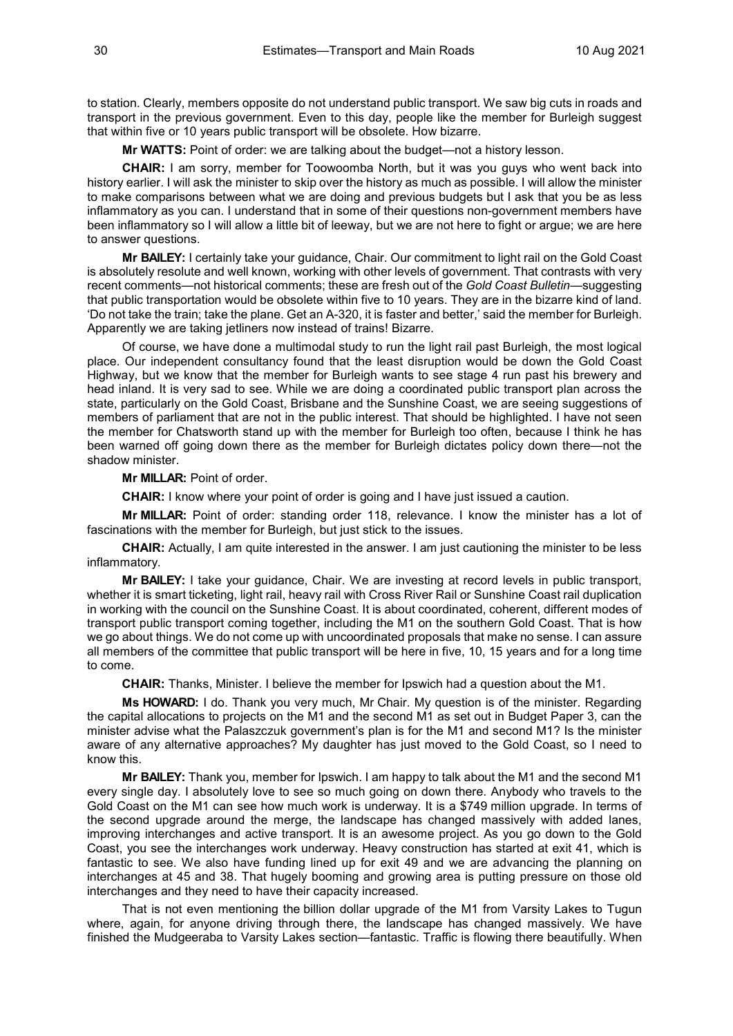to station. Clearly, members opposite do not understand public transport. We saw big cuts in roads and transport in the previous government. Even to this day, people like the member for Burleigh suggest that within five or 10 years public transport will be obsolete. How bizarre.

**Mr WATTS:** Point of order: we are talking about the budget—not a history lesson.

**CHAIR:** I am sorry, member for Toowoomba North, but it was you guys who went back into history earlier. I will ask the minister to skip over the history as much as possible. I will allow the minister to make comparisons between what we are doing and previous budgets but I ask that you be as less inflammatory as you can. I understand that in some of their questions non-government members have been inflammatory so I will allow a little bit of leeway, but we are not here to fight or argue; we are here to answer questions.

**Mr BAILEY:** I certainly take your guidance, Chair. Our commitment to light rail on the Gold Coast is absolutely resolute and well known, working with other levels of government. That contrasts with very recent comments—not historical comments; these are fresh out of the *Gold Coast Bulletin*—suggesting that public transportation would be obsolete within five to 10 years. They are in the bizarre kind of land. 'Do not take the train; take the plane. Get an A-320, it is faster and better,' said the member for Burleigh. Apparently we are taking jetliners now instead of trains! Bizarre.

Of course, we have done a multimodal study to run the light rail past Burleigh, the most logical place. Our independent consultancy found that the least disruption would be down the Gold Coast Highway, but we know that the member for Burleigh wants to see stage 4 run past his brewery and head inland. It is very sad to see. While we are doing a coordinated public transport plan across the state, particularly on the Gold Coast, Brisbane and the Sunshine Coast, we are seeing suggestions of members of parliament that are not in the public interest. That should be highlighted. I have not seen the member for Chatsworth stand up with the member for Burleigh too often, because I think he has been warned off going down there as the member for Burleigh dictates policy down there—not the shadow minister.

**Mr MILLAR:** Point of order.

**CHAIR:** I know where your point of order is going and I have just issued a caution.

**Mr MILLAR:** Point of order: standing order 118, relevance. I know the minister has a lot of fascinations with the member for Burleigh, but just stick to the issues.

**CHAIR:** Actually, I am quite interested in the answer. I am just cautioning the minister to be less inflammatory.

**Mr BAILEY:** I take your guidance, Chair. We are investing at record levels in public transport, whether it is smart ticketing, light rail, heavy rail with Cross River Rail or Sunshine Coast rail duplication in working with the council on the Sunshine Coast. It is about coordinated, coherent, different modes of transport public transport coming together, including the M1 on the southern Gold Coast. That is how we go about things. We do not come up with uncoordinated proposals that make no sense. I can assure all members of the committee that public transport will be here in five, 10, 15 years and for a long time to come.

**CHAIR:** Thanks, Minister. I believe the member for Ipswich had a question about the M1.

**Ms HOWARD:** I do. Thank you very much, Mr Chair. My question is of the minister. Regarding the capital allocations to projects on the M1 and the second M1 as set out in Budget Paper 3, can the minister advise what the Palaszczuk government's plan is for the M1 and second M1? Is the minister aware of any alternative approaches? My daughter has just moved to the Gold Coast, so I need to know this.

**Mr BAILEY:** Thank you, member for Ipswich. I am happy to talk about the M1 and the second M1 every single day. I absolutely love to see so much going on down there. Anybody who travels to the Gold Coast on the M1 can see how much work is underway. It is a \$749 million upgrade. In terms of the second upgrade around the merge, the landscape has changed massively with added lanes, improving interchanges and active transport. It is an awesome project. As you go down to the Gold Coast, you see the interchanges work underway. Heavy construction has started at exit 41, which is fantastic to see. We also have funding lined up for exit 49 and we are advancing the planning on interchanges at 45 and 38. That hugely booming and growing area is putting pressure on those old interchanges and they need to have their capacity increased.

That is not even mentioning the billion dollar upgrade of the M1 from Varsity Lakes to Tugun where, again, for anyone driving through there, the landscape has changed massively. We have finished the Mudgeeraba to Varsity Lakes section—fantastic. Traffic is flowing there beautifully. When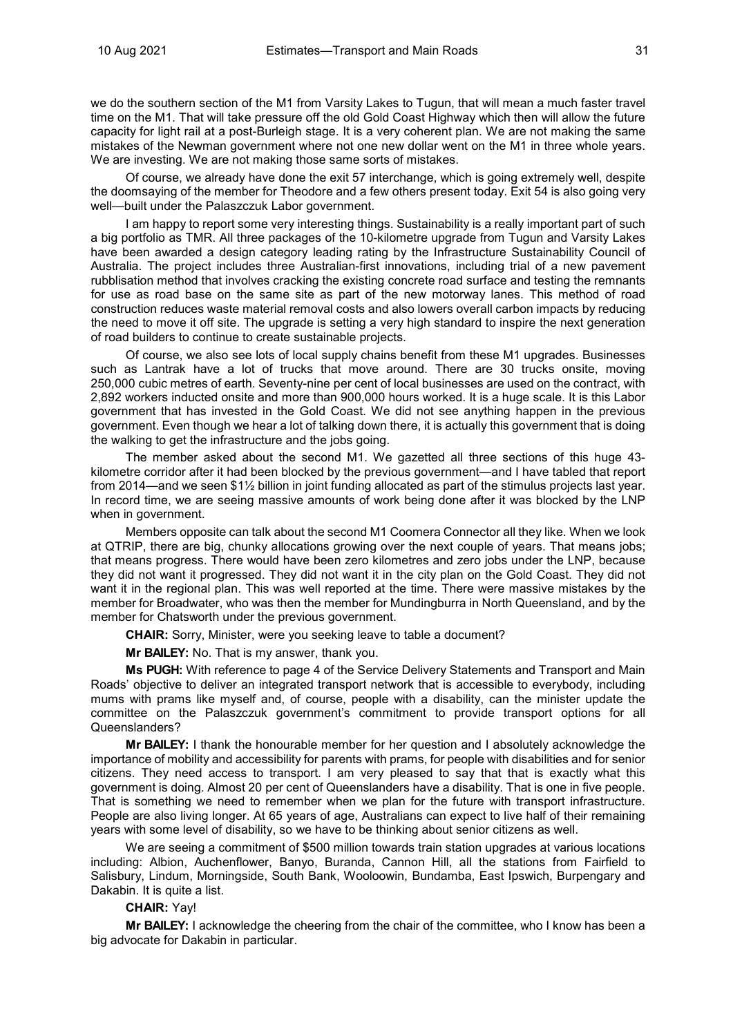we do the southern section of the M1 from Varsity Lakes to Tugun, that will mean a much faster travel time on the M1. That will take pressure off the old Gold Coast Highway which then will allow the future capacity for light rail at a post-Burleigh stage. It is a very coherent plan. We are not making the same mistakes of the Newman government where not one new dollar went on the M1 in three whole years. We are investing. We are not making those same sorts of mistakes.

Of course, we already have done the exit 57 interchange, which is going extremely well, despite the doomsaying of the member for Theodore and a few others present today. Exit 54 is also going very well—built under the Palaszczuk Labor government.

I am happy to report some very interesting things. Sustainability is a really important part of such a big portfolio as TMR. All three packages of the 10-kilometre upgrade from Tugun and Varsity Lakes have been awarded a design category leading rating by the Infrastructure Sustainability Council of Australia. The project includes three Australian-first innovations, including trial of a new pavement rubblisation method that involves cracking the existing concrete road surface and testing the remnants for use as road base on the same site as part of the new motorway lanes. This method of road construction reduces waste material removal costs and also lowers overall carbon impacts by reducing the need to move it off site. The upgrade is setting a very high standard to inspire the next generation of road builders to continue to create sustainable projects.

Of course, we also see lots of local supply chains benefit from these M1 upgrades. Businesses such as Lantrak have a lot of trucks that move around. There are 30 trucks onsite, moving 250,000 cubic metres of earth. Seventy-nine per cent of local businesses are used on the contract, with 2,892 workers inducted onsite and more than 900,000 hours worked. It is a huge scale. It is this Labor government that has invested in the Gold Coast. We did not see anything happen in the previous government. Even though we hear a lot of talking down there, it is actually this government that is doing the walking to get the infrastructure and the jobs going.

The member asked about the second M1. We gazetted all three sections of this huge 43 kilometre corridor after it had been blocked by the previous government—and I have tabled that report from 2014—and we seen \$1½ billion in joint funding allocated as part of the stimulus projects last year. In record time, we are seeing massive amounts of work being done after it was blocked by the LNP when in government.

Members opposite can talk about the second M1 Coomera Connector all they like. When we look at QTRIP, there are big, chunky allocations growing over the next couple of years. That means jobs; that means progress. There would have been zero kilometres and zero jobs under the LNP, because they did not want it progressed. They did not want it in the city plan on the Gold Coast. They did not want it in the regional plan. This was well reported at the time. There were massive mistakes by the member for Broadwater, who was then the member for Mundingburra in North Queensland, and by the member for Chatsworth under the previous government.

**CHAIR:** Sorry, Minister, were you seeking leave to table a document?

**Mr BAILEY:** No. That is my answer, thank you.

**Ms PUGH:** With reference to page 4 of the Service Delivery Statements and Transport and Main Roads' objective to deliver an integrated transport network that is accessible to everybody, including mums with prams like myself and, of course, people with a disability, can the minister update the committee on the Palaszczuk government's commitment to provide transport options for all Queenslanders?

**Mr BAILEY:** I thank the honourable member for her question and I absolutely acknowledge the importance of mobility and accessibility for parents with prams, for people with disabilities and for senior citizens. They need access to transport. I am very pleased to say that that is exactly what this government is doing. Almost 20 per cent of Queenslanders have a disability. That is one in five people. That is something we need to remember when we plan for the future with transport infrastructure. People are also living longer. At 65 years of age, Australians can expect to live half of their remaining years with some level of disability, so we have to be thinking about senior citizens as well.

We are seeing a commitment of \$500 million towards train station upgrades at various locations including: Albion, Auchenflower, Banyo, Buranda, Cannon Hill, all the stations from Fairfield to Salisbury, Lindum, Morningside, South Bank, Wooloowin, Bundamba, East Ipswich, Burpengary and Dakabin. It is quite a list.

# **CHAIR:** Yay!

**Mr BAILEY:** I acknowledge the cheering from the chair of the committee, who I know has been a big advocate for Dakabin in particular.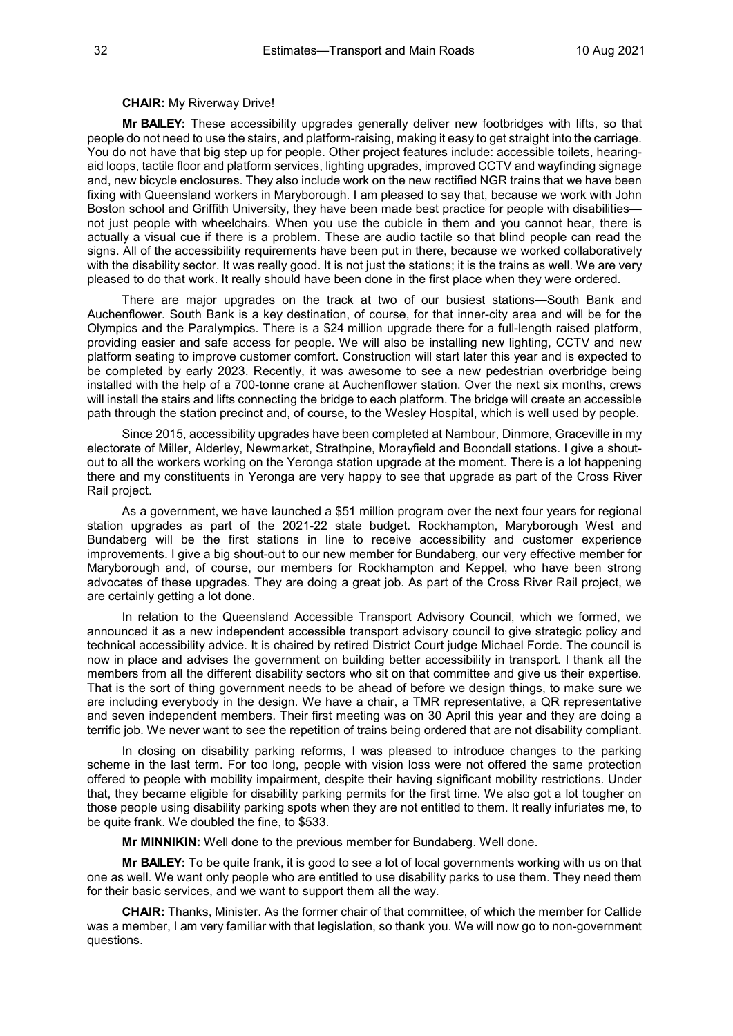#### **CHAIR:** My Riverway Drive!

**Mr BAILEY:** These accessibility upgrades generally deliver new footbridges with lifts, so that people do not need to use the stairs, and platform-raising, making it easy to get straight into the carriage. You do not have that big step up for people. Other project features include: accessible toilets, hearingaid loops, tactile floor and platform services, lighting upgrades, improved CCTV and wayfinding signage and, new bicycle enclosures. They also include work on the new rectified NGR trains that we have been fixing with Queensland workers in Maryborough. I am pleased to say that, because we work with John Boston school and Griffith University, they have been made best practice for people with disabilities not just people with wheelchairs. When you use the cubicle in them and you cannot hear, there is actually a visual cue if there is a problem. These are audio tactile so that blind people can read the signs. All of the accessibility requirements have been put in there, because we worked collaboratively with the disability sector. It was really good. It is not just the stations; it is the trains as well. We are very pleased to do that work. It really should have been done in the first place when they were ordered.

There are major upgrades on the track at two of our busiest stations—South Bank and Auchenflower. South Bank is a key destination, of course, for that inner-city area and will be for the Olympics and the Paralympics. There is a \$24 million upgrade there for a full-length raised platform, providing easier and safe access for people. We will also be installing new lighting, CCTV and new platform seating to improve customer comfort. Construction will start later this year and is expected to be completed by early 2023. Recently, it was awesome to see a new pedestrian overbridge being installed with the help of a 700-tonne crane at Auchenflower station. Over the next six months, crews will install the stairs and lifts connecting the bridge to each platform. The bridge will create an accessible path through the station precinct and, of course, to the Wesley Hospital, which is well used by people.

Since 2015, accessibility upgrades have been completed at Nambour, Dinmore, Graceville in my electorate of Miller, Alderley, Newmarket, Strathpine, Morayfield and Boondall stations. I give a shoutout to all the workers working on the Yeronga station upgrade at the moment. There is a lot happening there and my constituents in Yeronga are very happy to see that upgrade as part of the Cross River Rail project.

As a government, we have launched a \$51 million program over the next four years for regional station upgrades as part of the 2021-22 state budget. Rockhampton, Maryborough West and Bundaberg will be the first stations in line to receive accessibility and customer experience improvements. I give a big shout-out to our new member for Bundaberg, our very effective member for Maryborough and, of course, our members for Rockhampton and Keppel, who have been strong advocates of these upgrades. They are doing a great job. As part of the Cross River Rail project, we are certainly getting a lot done.

In relation to the Queensland Accessible Transport Advisory Council, which we formed, we announced it as a new independent accessible transport advisory council to give strategic policy and technical accessibility advice. It is chaired by retired District Court judge Michael Forde. The council is now in place and advises the government on building better accessibility in transport. I thank all the members from all the different disability sectors who sit on that committee and give us their expertise. That is the sort of thing government needs to be ahead of before we design things, to make sure we are including everybody in the design. We have a chair, a TMR representative, a QR representative and seven independent members. Their first meeting was on 30 April this year and they are doing a terrific job. We never want to see the repetition of trains being ordered that are not disability compliant.

In closing on disability parking reforms, I was pleased to introduce changes to the parking scheme in the last term. For too long, people with vision loss were not offered the same protection offered to people with mobility impairment, despite their having significant mobility restrictions. Under that, they became eligible for disability parking permits for the first time. We also got a lot tougher on those people using disability parking spots when they are not entitled to them. It really infuriates me, to be quite frank. We doubled the fine, to \$533.

**Mr MINNIKIN:** Well done to the previous member for Bundaberg. Well done.

**Mr BAILEY:** To be quite frank, it is good to see a lot of local governments working with us on that one as well. We want only people who are entitled to use disability parks to use them. They need them for their basic services, and we want to support them all the way.

**CHAIR:** Thanks, Minister. As the former chair of that committee, of which the member for Callide was a member, I am very familiar with that legislation, so thank you. We will now go to non-government questions.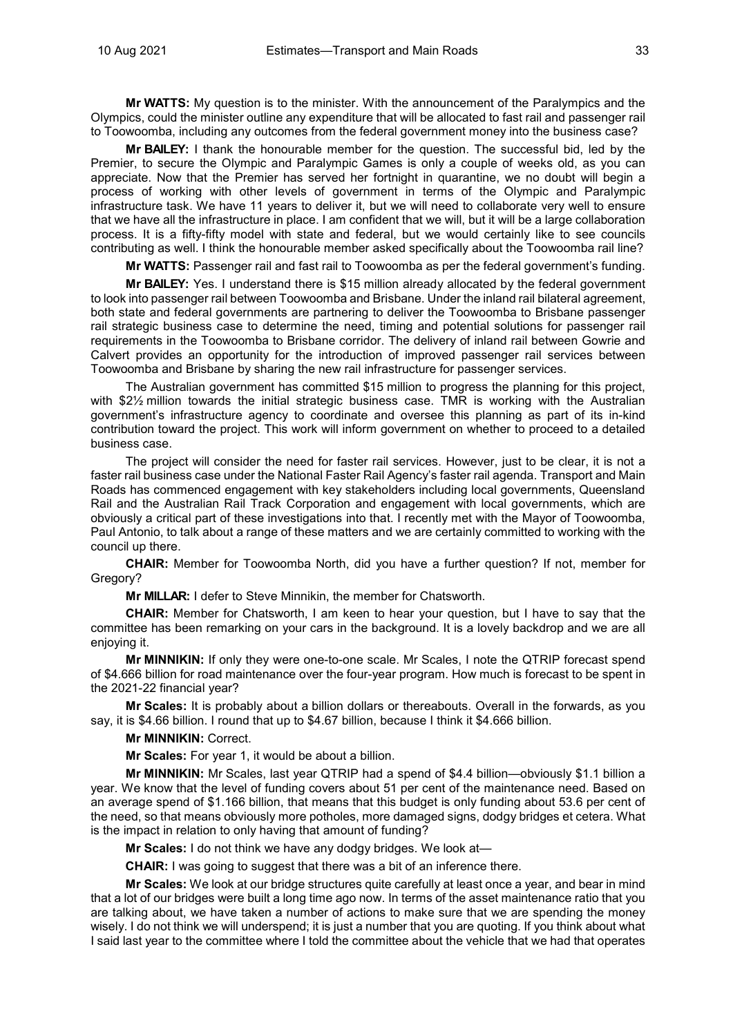**Mr WATTS:** My question is to the minister. With the announcement of the Paralympics and the Olympics, could the minister outline any expenditure that will be allocated to fast rail and passenger rail to Toowoomba, including any outcomes from the federal government money into the business case?

**Mr BAILEY:** I thank the honourable member for the question. The successful bid, led by the Premier, to secure the Olympic and Paralympic Games is only a couple of weeks old, as you can appreciate. Now that the Premier has served her fortnight in quarantine, we no doubt will begin a process of working with other levels of government in terms of the Olympic and Paralympic infrastructure task. We have 11 years to deliver it, but we will need to collaborate very well to ensure that we have all the infrastructure in place. I am confident that we will, but it will be a large collaboration process. It is a fifty-fifty model with state and federal, but we would certainly like to see councils contributing as well. I think the honourable member asked specifically about the Toowoomba rail line?

**Mr WATTS:** Passenger rail and fast rail to Toowoomba as per the federal government's funding.

**Mr BAILEY:** Yes. I understand there is \$15 million already allocated by the federal government to look into passenger rail between Toowoomba and Brisbane. Under the inland rail bilateral agreement, both state and federal governments are partnering to deliver the Toowoomba to Brisbane passenger rail strategic business case to determine the need, timing and potential solutions for passenger rail requirements in the Toowoomba to Brisbane corridor. The delivery of inland rail between Gowrie and Calvert provides an opportunity for the introduction of improved passenger rail services between Toowoomba and Brisbane by sharing the new rail infrastructure for passenger services.

The Australian government has committed \$15 million to progress the planning for this project, with \$2½ million towards the initial strategic business case. TMR is working with the Australian government's infrastructure agency to coordinate and oversee this planning as part of its in-kind contribution toward the project. This work will inform government on whether to proceed to a detailed business case.

The project will consider the need for faster rail services. However, just to be clear, it is not a faster rail business case under the National Faster Rail Agency's faster rail agenda. Transport and Main Roads has commenced engagement with key stakeholders including local governments, Queensland Rail and the Australian Rail Track Corporation and engagement with local governments, which are obviously a critical part of these investigations into that. I recently met with the Mayor of Toowoomba, Paul Antonio, to talk about a range of these matters and we are certainly committed to working with the council up there.

**CHAIR:** Member for Toowoomba North, did you have a further question? If not, member for Gregory?

**Mr MILLAR:** I defer to Steve Minnikin, the member for Chatsworth.

**CHAIR:** Member for Chatsworth, I am keen to hear your question, but I have to say that the committee has been remarking on your cars in the background. It is a lovely backdrop and we are all enjoying it.

**Mr MINNIKIN:** If only they were one-to-one scale. Mr Scales, I note the QTRIP forecast spend of \$4.666 billion for road maintenance over the four-year program. How much is forecast to be spent in the 2021-22 financial year?

**Mr Scales:** It is probably about a billion dollars or thereabouts. Overall in the forwards, as you say, it is \$4.66 billion. I round that up to \$4.67 billion, because I think it \$4.666 billion.

**Mr MINNIKIN:** Correct.

**Mr Scales:** For year 1, it would be about a billion.

**Mr MINNIKIN:** Mr Scales, last year QTRIP had a spend of \$4.4 billion—obviously \$1.1 billion a year. We know that the level of funding covers about 51 per cent of the maintenance need. Based on an average spend of \$1.166 billion, that means that this budget is only funding about 53.6 per cent of the need, so that means obviously more potholes, more damaged signs, dodgy bridges et cetera. What is the impact in relation to only having that amount of funding?

**Mr Scales:** I do not think we have any dodgy bridges. We look at—

**CHAIR:** I was going to suggest that there was a bit of an inference there.

**Mr Scales:** We look at our bridge structures quite carefully at least once a year, and bear in mind that a lot of our bridges were built a long time ago now. In terms of the asset maintenance ratio that you are talking about, we have taken a number of actions to make sure that we are spending the money wisely. I do not think we will underspend; it is just a number that you are quoting. If you think about what I said last year to the committee where I told the committee about the vehicle that we had that operates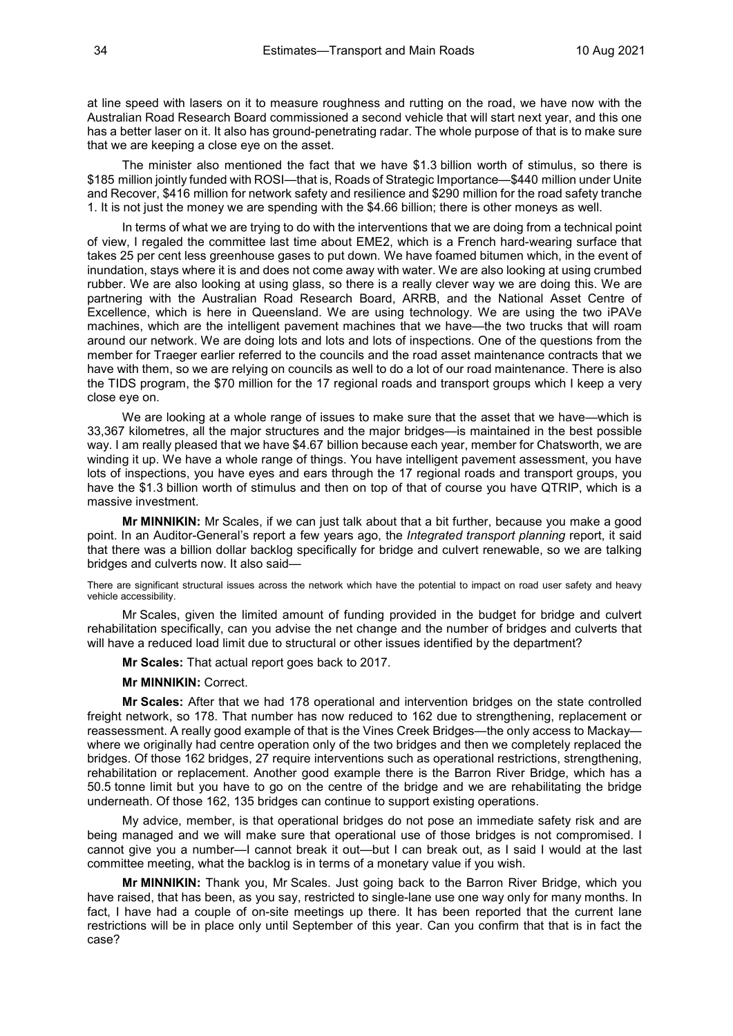at line speed with lasers on it to measure roughness and rutting on the road, we have now with the Australian Road Research Board commissioned a second vehicle that will start next year, and this one has a better laser on it. It also has ground-penetrating radar. The whole purpose of that is to make sure that we are keeping a close eye on the asset.

The minister also mentioned the fact that we have \$1.3 billion worth of stimulus, so there is \$185 million jointly funded with ROSI—that is, Roads of Strategic Importance—\$440 million under Unite and Recover, \$416 million for network safety and resilience and \$290 million for the road safety tranche 1. It is not just the money we are spending with the \$4.66 billion; there is other moneys as well.

In terms of what we are trying to do with the interventions that we are doing from a technical point of view, I regaled the committee last time about EME2, which is a French hard-wearing surface that takes 25 per cent less greenhouse gases to put down. We have foamed bitumen which, in the event of inundation, stays where it is and does not come away with water. We are also looking at using crumbed rubber. We are also looking at using glass, so there is a really clever way we are doing this. We are partnering with the Australian Road Research Board, ARRB, and the National Asset Centre of Excellence, which is here in Queensland. We are using technology. We are using the two iPAVe machines, which are the intelligent pavement machines that we have—the two trucks that will roam around our network. We are doing lots and lots and lots of inspections. One of the questions from the member for Traeger earlier referred to the councils and the road asset maintenance contracts that we have with them, so we are relying on councils as well to do a lot of our road maintenance. There is also the TIDS program, the \$70 million for the 17 regional roads and transport groups which I keep a very close eye on.

We are looking at a whole range of issues to make sure that the asset that we have—which is 33,367 kilometres, all the major structures and the major bridges—is maintained in the best possible way. I am really pleased that we have \$4.67 billion because each year, member for Chatsworth, we are winding it up. We have a whole range of things. You have intelligent pavement assessment, you have lots of inspections, you have eyes and ears through the 17 regional roads and transport groups, you have the \$1.3 billion worth of stimulus and then on top of that of course you have QTRIP, which is a massive investment.

**Mr MINNIKIN:** Mr Scales, if we can just talk about that a bit further, because you make a good point. In an Auditor-General's report a few years ago, the *Integrated transport planning* report, it said that there was a billion dollar backlog specifically for bridge and culvert renewable, so we are talking bridges and culverts now. It also said—

There are significant structural issues across the network which have the potential to impact on road user safety and heavy vehicle accessibility.

Mr Scales, given the limited amount of funding provided in the budget for bridge and culvert rehabilitation specifically, can you advise the net change and the number of bridges and culverts that will have a reduced load limit due to structural or other issues identified by the department?

**Mr Scales:** That actual report goes back to 2017.

#### **Mr MINNIKIN:** Correct.

**Mr Scales:** After that we had 178 operational and intervention bridges on the state controlled freight network, so 178. That number has now reduced to 162 due to strengthening, replacement or reassessment. A really good example of that is the Vines Creek Bridges—the only access to Mackay where we originally had centre operation only of the two bridges and then we completely replaced the bridges. Of those 162 bridges, 27 require interventions such as operational restrictions, strengthening, rehabilitation or replacement. Another good example there is the Barron River Bridge, which has a 50.5 tonne limit but you have to go on the centre of the bridge and we are rehabilitating the bridge underneath. Of those 162, 135 bridges can continue to support existing operations.

My advice, member, is that operational bridges do not pose an immediate safety risk and are being managed and we will make sure that operational use of those bridges is not compromised. I cannot give you a number—I cannot break it out—but I can break out, as I said I would at the last committee meeting, what the backlog is in terms of a monetary value if you wish.

**Mr MINNIKIN:** Thank you, Mr Scales. Just going back to the Barron River Bridge, which you have raised, that has been, as you say, restricted to single-lane use one way only for many months. In fact. I have had a couple of on-site meetings up there. It has been reported that the current lane restrictions will be in place only until September of this year. Can you confirm that that is in fact the case?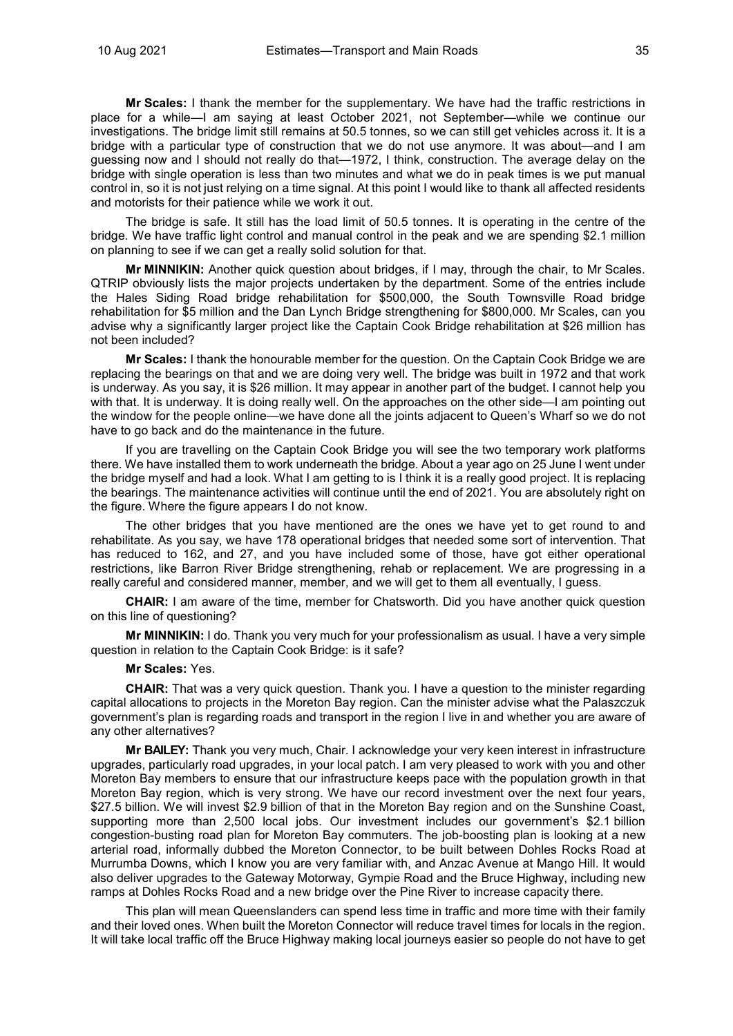**Mr Scales:** I thank the member for the supplementary. We have had the traffic restrictions in place for a while—I am saying at least October 2021, not September—while we continue our investigations. The bridge limit still remains at 50.5 tonnes, so we can still get vehicles across it. It is a bridge with a particular type of construction that we do not use anymore. It was about—and I am guessing now and I should not really do that—1972, I think, construction. The average delay on the bridge with single operation is less than two minutes and what we do in peak times is we put manual control in, so it is not just relying on a time signal. At this point I would like to thank all affected residents and motorists for their patience while we work it out.

The bridge is safe. It still has the load limit of 50.5 tonnes. It is operating in the centre of the bridge. We have traffic light control and manual control in the peak and we are spending \$2.1 million on planning to see if we can get a really solid solution for that.

**Mr MINNIKIN:** Another quick question about bridges, if I may, through the chair, to Mr Scales. QTRIP obviously lists the major projects undertaken by the department. Some of the entries include the Hales Siding Road bridge rehabilitation for \$500,000, the South Townsville Road bridge rehabilitation for \$5 million and the Dan Lynch Bridge strengthening for \$800,000. Mr Scales, can you advise why a significantly larger project like the Captain Cook Bridge rehabilitation at \$26 million has not been included?

**Mr Scales:** I thank the honourable member for the question. On the Captain Cook Bridge we are replacing the bearings on that and we are doing very well. The bridge was built in 1972 and that work is underway. As you say, it is \$26 million. It may appear in another part of the budget. I cannot help you with that. It is underway. It is doing really well. On the approaches on the other side—I am pointing out the window for the people online—we have done all the joints adjacent to Queen's Wharf so we do not have to go back and do the maintenance in the future.

If you are travelling on the Captain Cook Bridge you will see the two temporary work platforms there. We have installed them to work underneath the bridge. About a year ago on 25 June I went under the bridge myself and had a look. What I am getting to is I think it is a really good project. It is replacing the bearings. The maintenance activities will continue until the end of 2021. You are absolutely right on the figure. Where the figure appears I do not know.

The other bridges that you have mentioned are the ones we have yet to get round to and rehabilitate. As you say, we have 178 operational bridges that needed some sort of intervention. That has reduced to 162, and 27, and you have included some of those, have got either operational restrictions, like Barron River Bridge strengthening, rehab or replacement. We are progressing in a really careful and considered manner, member, and we will get to them all eventually, I guess.

**CHAIR:** I am aware of the time, member for Chatsworth. Did you have another quick question on this line of questioning?

**Mr MINNIKIN:** I do. Thank you very much for your professionalism as usual. I have a very simple question in relation to the Captain Cook Bridge: is it safe?

# **Mr Scales:** Yes.

**CHAIR:** That was a very quick question. Thank you. I have a question to the minister regarding capital allocations to projects in the Moreton Bay region. Can the minister advise what the Palaszczuk government's plan is regarding roads and transport in the region I live in and whether you are aware of any other alternatives?

**Mr BAILEY:** Thank you very much, Chair. I acknowledge your very keen interest in infrastructure upgrades, particularly road upgrades, in your local patch. I am very pleased to work with you and other Moreton Bay members to ensure that our infrastructure keeps pace with the population growth in that Moreton Bay region, which is very strong. We have our record investment over the next four years, \$27.5 billion. We will invest \$2.9 billion of that in the Moreton Bay region and on the Sunshine Coast, supporting more than 2,500 local jobs. Our investment includes our government's \$2.1 billion congestion-busting road plan for Moreton Bay commuters. The job-boosting plan is looking at a new arterial road, informally dubbed the Moreton Connector, to be built between Dohles Rocks Road at Murrumba Downs, which I know you are very familiar with, and Anzac Avenue at Mango Hill. It would also deliver upgrades to the Gateway Motorway, Gympie Road and the Bruce Highway, including new ramps at Dohles Rocks Road and a new bridge over the Pine River to increase capacity there.

This plan will mean Queenslanders can spend less time in traffic and more time with their family and their loved ones. When built the Moreton Connector will reduce travel times for locals in the region. It will take local traffic off the Bruce Highway making local journeys easier so people do not have to get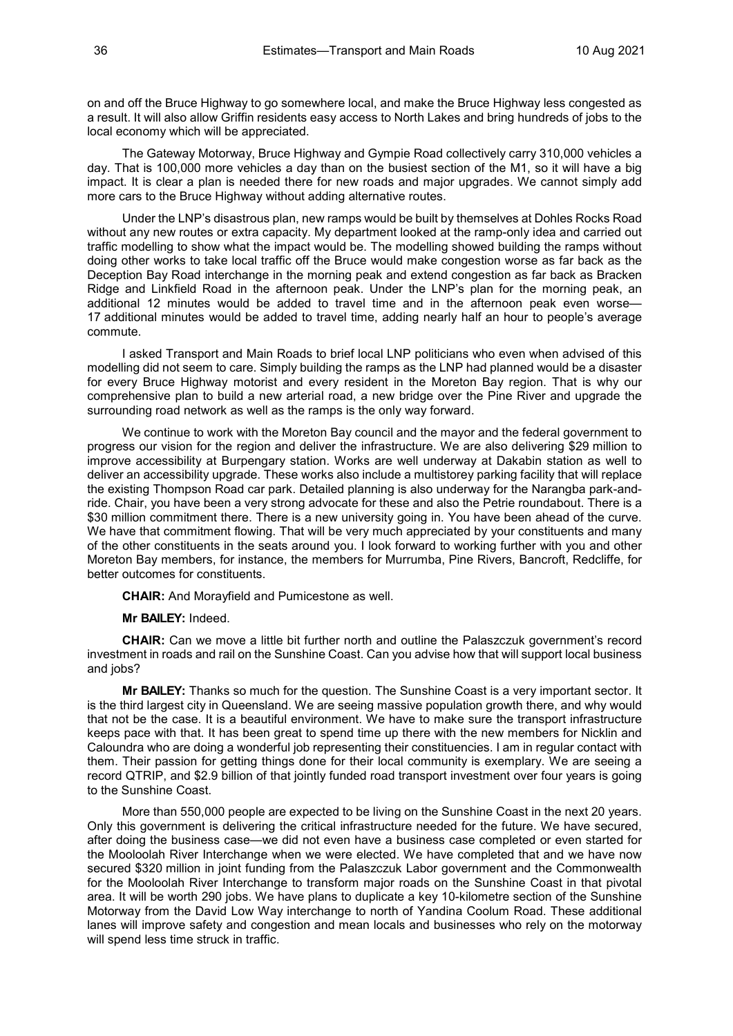on and off the Bruce Highway to go somewhere local, and make the Bruce Highway less congested as a result. It will also allow Griffin residents easy access to North Lakes and bring hundreds of jobs to the local economy which will be appreciated.

The Gateway Motorway, Bruce Highway and Gympie Road collectively carry 310,000 vehicles a day. That is 100,000 more vehicles a day than on the busiest section of the M1, so it will have a big impact. It is clear a plan is needed there for new roads and major upgrades. We cannot simply add more cars to the Bruce Highway without adding alternative routes.

Under the LNP's disastrous plan, new ramps would be built by themselves at Dohles Rocks Road without any new routes or extra capacity. My department looked at the ramp-only idea and carried out traffic modelling to show what the impact would be. The modelling showed building the ramps without doing other works to take local traffic off the Bruce would make congestion worse as far back as the Deception Bay Road interchange in the morning peak and extend congestion as far back as Bracken Ridge and Linkfield Road in the afternoon peak. Under the LNP's plan for the morning peak, an additional 12 minutes would be added to travel time and in the afternoon peak even worse— 17 additional minutes would be added to travel time, adding nearly half an hour to people's average commute.

I asked Transport and Main Roads to brief local LNP politicians who even when advised of this modelling did not seem to care. Simply building the ramps as the LNP had planned would be a disaster for every Bruce Highway motorist and every resident in the Moreton Bay region. That is why our comprehensive plan to build a new arterial road, a new bridge over the Pine River and upgrade the surrounding road network as well as the ramps is the only way forward.

We continue to work with the Moreton Bay council and the mayor and the federal government to progress our vision for the region and deliver the infrastructure. We are also delivering \$29 million to improve accessibility at Burpengary station. Works are well underway at Dakabin station as well to deliver an accessibility upgrade. These works also include a multistorey parking facility that will replace the existing Thompson Road car park. Detailed planning is also underway for the Narangba park-andride. Chair, you have been a very strong advocate for these and also the Petrie roundabout. There is a \$30 million commitment there. There is a new university going in. You have been ahead of the curve. We have that commitment flowing. That will be very much appreciated by your constituents and many of the other constituents in the seats around you. I look forward to working further with you and other Moreton Bay members, for instance, the members for Murrumba, Pine Rivers, Bancroft, Redcliffe, for better outcomes for constituents.

**CHAIR:** And Morayfield and Pumicestone as well.

**Mr BAILEY:** Indeed.

**CHAIR:** Can we move a little bit further north and outline the Palaszczuk government's record investment in roads and rail on the Sunshine Coast. Can you advise how that will support local business and jobs?

**Mr BAILEY:** Thanks so much for the question. The Sunshine Coast is a very important sector. It is the third largest city in Queensland. We are seeing massive population growth there, and why would that not be the case. It is a beautiful environment. We have to make sure the transport infrastructure keeps pace with that. It has been great to spend time up there with the new members for Nicklin and Caloundra who are doing a wonderful job representing their constituencies. I am in regular contact with them. Their passion for getting things done for their local community is exemplary. We are seeing a record QTRIP, and \$2.9 billion of that jointly funded road transport investment over four years is going to the Sunshine Coast.

More than 550,000 people are expected to be living on the Sunshine Coast in the next 20 years. Only this government is delivering the critical infrastructure needed for the future. We have secured, after doing the business case—we did not even have a business case completed or even started for the Mooloolah River Interchange when we were elected. We have completed that and we have now secured \$320 million in joint funding from the Palaszczuk Labor government and the Commonwealth for the Mooloolah River Interchange to transform major roads on the Sunshine Coast in that pivotal area. It will be worth 290 jobs. We have plans to duplicate a key 10-kilometre section of the Sunshine Motorway from the David Low Way interchange to north of Yandina Coolum Road. These additional lanes will improve safety and congestion and mean locals and businesses who rely on the motorway will spend less time struck in traffic.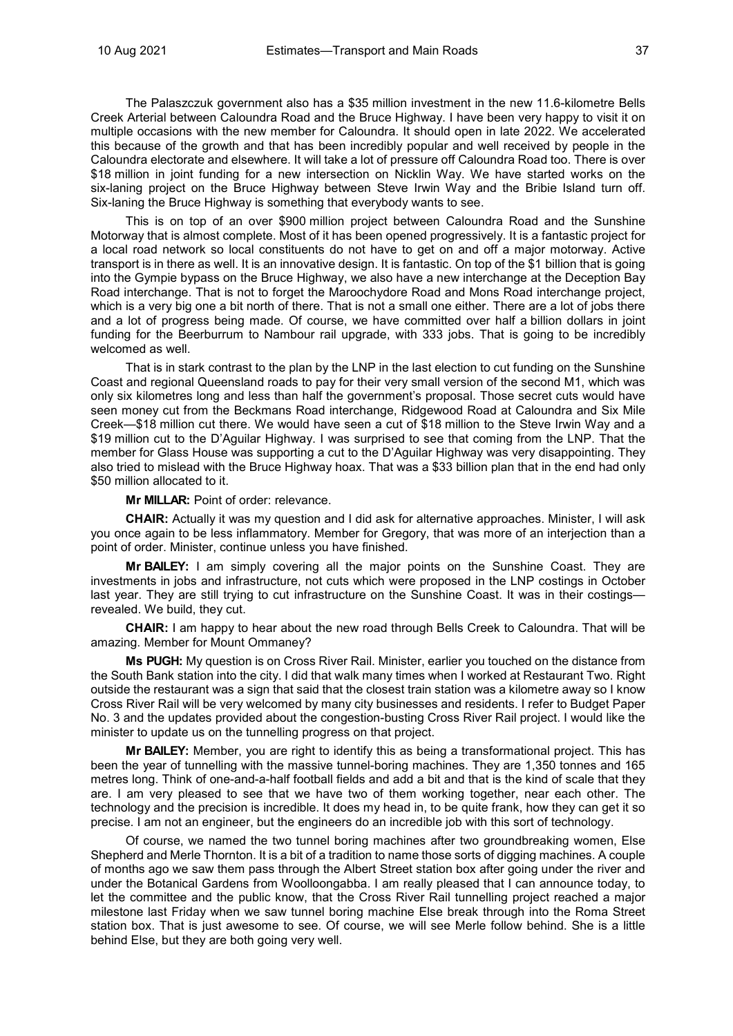The Palaszczuk government also has a \$35 million investment in the new 11.6-kilometre Bells Creek Arterial between Caloundra Road and the Bruce Highway. I have been very happy to visit it on multiple occasions with the new member for Caloundra. It should open in late 2022. We accelerated this because of the growth and that has been incredibly popular and well received by people in the Caloundra electorate and elsewhere. It will take a lot of pressure off Caloundra Road too. There is over \$18 million in joint funding for a new intersection on Nicklin Way. We have started works on the six-laning project on the Bruce Highway between Steve Irwin Way and the Bribie Island turn off. Six-laning the Bruce Highway is something that everybody wants to see.

This is on top of an over \$900 million project between Caloundra Road and the Sunshine Motorway that is almost complete. Most of it has been opened progressively. It is a fantastic project for a local road network so local constituents do not have to get on and off a major motorway. Active transport is in there as well. It is an innovative design. It is fantastic. On top of the \$1 billion that is going into the Gympie bypass on the Bruce Highway, we also have a new interchange at the Deception Bay Road interchange. That is not to forget the Maroochydore Road and Mons Road interchange project, which is a very big one a bit north of there. That is not a small one either. There are a lot of jobs there and a lot of progress being made. Of course, we have committed over half a billion dollars in joint funding for the Beerburrum to Nambour rail upgrade, with 333 jobs. That is going to be incredibly welcomed as well.

That is in stark contrast to the plan by the LNP in the last election to cut funding on the Sunshine Coast and regional Queensland roads to pay for their very small version of the second M1, which was only six kilometres long and less than half the government's proposal. Those secret cuts would have seen money cut from the Beckmans Road interchange, Ridgewood Road at Caloundra and Six Mile Creek—\$18 million cut there. We would have seen a cut of \$18 million to the Steve Irwin Way and a \$19 million cut to the D'Aguilar Highway. I was surprised to see that coming from the LNP. That the member for Glass House was supporting a cut to the D'Aguilar Highway was very disappointing. They also tried to mislead with the Bruce Highway hoax. That was a \$33 billion plan that in the end had only \$50 million allocated to it.

**Mr MILLAR:** Point of order: relevance.

**CHAIR:** Actually it was my question and I did ask for alternative approaches. Minister, I will ask you once again to be less inflammatory. Member for Gregory, that was more of an interjection than a point of order. Minister, continue unless you have finished.

**Mr BAILEY:** I am simply covering all the major points on the Sunshine Coast. They are investments in jobs and infrastructure, not cuts which were proposed in the LNP costings in October last year. They are still trying to cut infrastructure on the Sunshine Coast. It was in their costings revealed. We build, they cut.

**CHAIR:** I am happy to hear about the new road through Bells Creek to Caloundra. That will be amazing. Member for Mount Ommaney?

**Ms PUGH:** My question is on Cross River Rail. Minister, earlier you touched on the distance from the South Bank station into the city. I did that walk many times when I worked at Restaurant Two. Right outside the restaurant was a sign that said that the closest train station was a kilometre away so I know Cross River Rail will be very welcomed by many city businesses and residents. I refer to Budget Paper No. 3 and the updates provided about the congestion-busting Cross River Rail project. I would like the minister to update us on the tunnelling progress on that project.

**Mr BAILEY:** Member, you are right to identify this as being a transformational project. This has been the year of tunnelling with the massive tunnel-boring machines. They are 1,350 tonnes and 165 metres long. Think of one-and-a-half football fields and add a bit and that is the kind of scale that they are. I am very pleased to see that we have two of them working together, near each other. The technology and the precision is incredible. It does my head in, to be quite frank, how they can get it so precise. I am not an engineer, but the engineers do an incredible job with this sort of technology.

Of course, we named the two tunnel boring machines after two groundbreaking women, Else Shepherd and Merle Thornton. It is a bit of a tradition to name those sorts of digging machines. A couple of months ago we saw them pass through the Albert Street station box after going under the river and under the Botanical Gardens from Woolloongabba. I am really pleased that I can announce today, to let the committee and the public know, that the Cross River Rail tunnelling project reached a major milestone last Friday when we saw tunnel boring machine Else break through into the Roma Street station box. That is just awesome to see. Of course, we will see Merle follow behind. She is a little behind Else, but they are both going very well.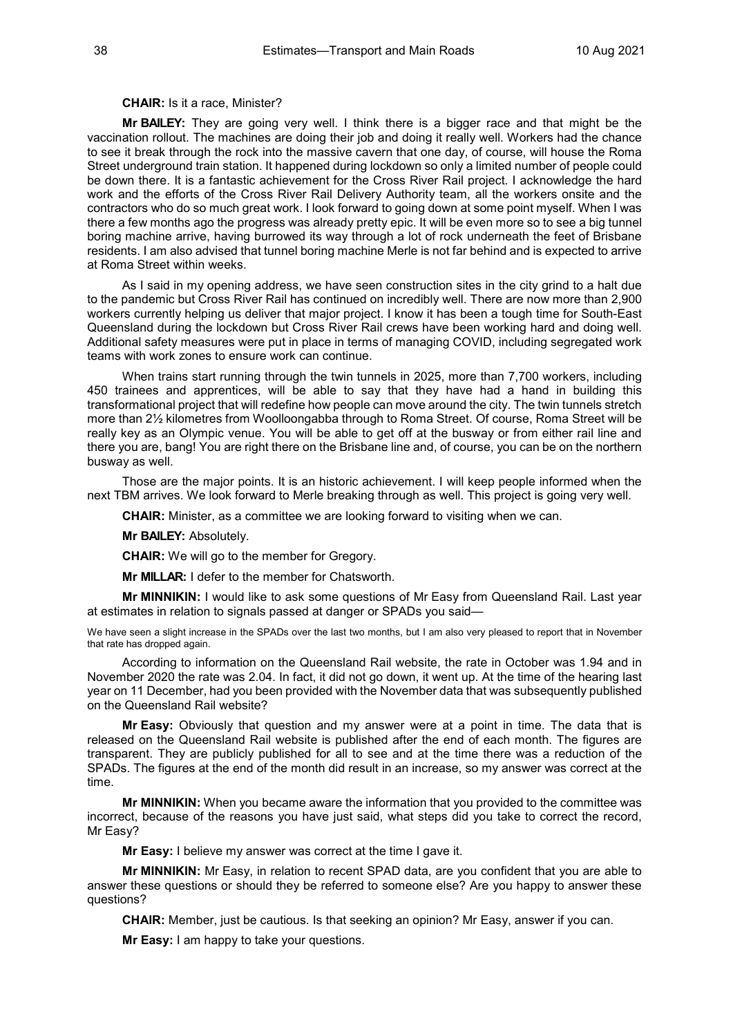### **CHAIR:** Is it a race, Minister?

**Mr BAILEY:** They are going very well. I think there is a bigger race and that might be the vaccination rollout. The machines are doing their job and doing it really well. Workers had the chance to see it break through the rock into the massive cavern that one day, of course, will house the Roma Street underground train station. It happened during lockdown so only a limited number of people could be down there. It is a fantastic achievement for the Cross River Rail project. I acknowledge the hard work and the efforts of the Cross River Rail Delivery Authority team, all the workers onsite and the contractors who do so much great work. I look forward to going down at some point myself. When I was there a few months ago the progress was already pretty epic. It will be even more so to see a big tunnel boring machine arrive, having burrowed its way through a lot of rock underneath the feet of Brisbane residents. I am also advised that tunnel boring machine Merle is not far behind and is expected to arrive at Roma Street within weeks.

As I said in my opening address, we have seen construction sites in the city grind to a halt due to the pandemic but Cross River Rail has continued on incredibly well. There are now more than 2,900 workers currently helping us deliver that major project. I know it has been a tough time for South-East Queensland during the lockdown but Cross River Rail crews have been working hard and doing well. Additional safety measures were put in place in terms of managing COVID, including segregated work teams with work zones to ensure work can continue.

When trains start running through the twin tunnels in 2025, more than 7,700 workers, including 450 trainees and apprentices, will be able to say that they have had a hand in building this transformational project that will redefine how people can move around the city. The twin tunnels stretch more than 2½ kilometres from Woolloongabba through to Roma Street. Of course, Roma Street will be really key as an Olympic venue. You will be able to get off at the busway or from either rail line and there you are, bang! You are right there on the Brisbane line and, of course, you can be on the northern busway as well.

Those are the major points. It is an historic achievement. I will keep people informed when the next TBM arrives. We look forward to Merle breaking through as well. This project is going very well.

**CHAIR:** Minister, as a committee we are looking forward to visiting when we can.

**Mr BAILEY:** Absolutely.

**CHAIR:** We will go to the member for Gregory.

**Mr MILLAR:** I defer to the member for Chatsworth.

**Mr MINNIKIN:** I would like to ask some questions of Mr Easy from Queensland Rail. Last year at estimates in relation to signals passed at danger or SPADs you said—

We have seen a slight increase in the SPADs over the last two months, but I am also very pleased to report that in November that rate has dropped again.

According to information on the Queensland Rail website, the rate in October was 1.94 and in November 2020 the rate was 2.04. In fact, it did not go down, it went up. At the time of the hearing last year on 11 December, had you been provided with the November data that was subsequently published on the Queensland Rail website?

**Mr Easy:** Obviously that question and my answer were at a point in time. The data that is released on the Queensland Rail website is published after the end of each month. The figures are transparent. They are publicly published for all to see and at the time there was a reduction of the SPADs. The figures at the end of the month did result in an increase, so my answer was correct at the time.

**Mr MINNIKIN:** When you became aware the information that you provided to the committee was incorrect, because of the reasons you have just said, what steps did you take to correct the record, Mr Easy?

**Mr Easy:** I believe my answer was correct at the time I gave it.

**Mr MINNIKIN:** Mr Easy, in relation to recent SPAD data, are you confident that you are able to answer these questions or should they be referred to someone else? Are you happy to answer these questions?

**CHAIR:** Member, just be cautious. Is that seeking an opinion? Mr Easy, answer if you can.

**Mr Easy:** I am happy to take your questions.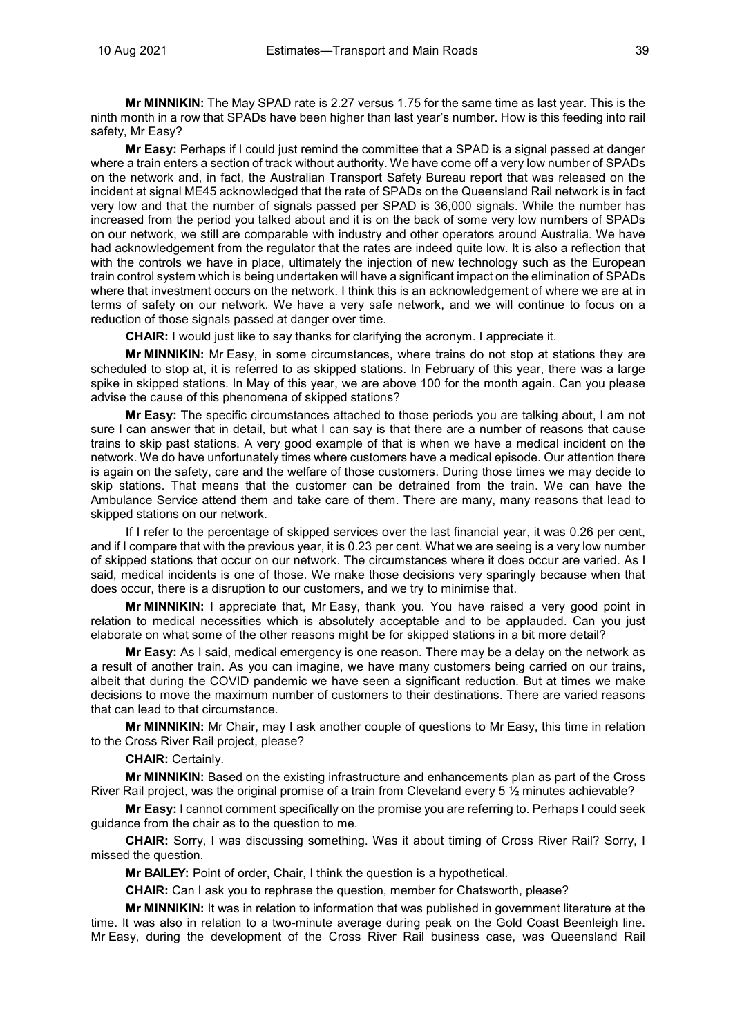**Mr MINNIKIN:** The May SPAD rate is 2.27 versus 1.75 for the same time as last year. This is the ninth month in a row that SPADs have been higher than last year's number. How is this feeding into rail safety, Mr Easy?

**Mr Easy:** Perhaps if I could just remind the committee that a SPAD is a signal passed at danger where a train enters a section of track without authority. We have come off a very low number of SPADs on the network and, in fact, the Australian Transport Safety Bureau report that was released on the incident at signal ME45 acknowledged that the rate of SPADs on the Queensland Rail network is in fact very low and that the number of signals passed per SPAD is 36,000 signals. While the number has increased from the period you talked about and it is on the back of some very low numbers of SPADs on our network, we still are comparable with industry and other operators around Australia. We have had acknowledgement from the regulator that the rates are indeed quite low. It is also a reflection that with the controls we have in place, ultimately the injection of new technology such as the European train control system which is being undertaken will have a significant impact on the elimination of SPADs where that investment occurs on the network. I think this is an acknowledgement of where we are at in terms of safety on our network. We have a very safe network, and we will continue to focus on a reduction of those signals passed at danger over time.

**CHAIR:** I would just like to say thanks for clarifying the acronym. I appreciate it.

**Mr MINNIKIN:** Mr Easy, in some circumstances, where trains do not stop at stations they are scheduled to stop at, it is referred to as skipped stations. In February of this year, there was a large spike in skipped stations. In May of this year, we are above 100 for the month again. Can you please advise the cause of this phenomena of skipped stations?

**Mr Easy:** The specific circumstances attached to those periods you are talking about, I am not sure I can answer that in detail, but what I can say is that there are a number of reasons that cause trains to skip past stations. A very good example of that is when we have a medical incident on the network. We do have unfortunately times where customers have a medical episode. Our attention there is again on the safety, care and the welfare of those customers. During those times we may decide to skip stations. That means that the customer can be detrained from the train. We can have the Ambulance Service attend them and take care of them. There are many, many reasons that lead to skipped stations on our network.

If I refer to the percentage of skipped services over the last financial year, it was 0.26 per cent, and if I compare that with the previous year, it is 0.23 per cent. What we are seeing is a very low number of skipped stations that occur on our network. The circumstances where it does occur are varied. As I said, medical incidents is one of those. We make those decisions very sparingly because when that does occur, there is a disruption to our customers, and we try to minimise that.

**Mr MINNIKIN:** I appreciate that, Mr Easy, thank you. You have raised a very good point in relation to medical necessities which is absolutely acceptable and to be applauded. Can you just elaborate on what some of the other reasons might be for skipped stations in a bit more detail?

**Mr Easy:** As I said, medical emergency is one reason. There may be a delay on the network as a result of another train. As you can imagine, we have many customers being carried on our trains, albeit that during the COVID pandemic we have seen a significant reduction. But at times we make decisions to move the maximum number of customers to their destinations. There are varied reasons that can lead to that circumstance.

**Mr MINNIKIN:** Mr Chair, may I ask another couple of questions to Mr Easy, this time in relation to the Cross River Rail project, please?

**CHAIR:** Certainly.

**Mr MINNIKIN:** Based on the existing infrastructure and enhancements plan as part of the Cross River Rail project, was the original promise of a train from Cleveland every 5  $\frac{1}{2}$  minutes achievable?

**Mr Easy:** I cannot comment specifically on the promise you are referring to. Perhaps I could seek guidance from the chair as to the question to me.

**CHAIR:** Sorry, I was discussing something. Was it about timing of Cross River Rail? Sorry, I missed the question.

**Mr BAILEY:** Point of order, Chair, I think the question is a hypothetical.

**CHAIR:** Can I ask you to rephrase the question, member for Chatsworth, please?

**Mr MINNIKIN:** It was in relation to information that was published in government literature at the time. It was also in relation to a two-minute average during peak on the Gold Coast Beenleigh line. Mr Easy, during the development of the Cross River Rail business case, was Queensland Rail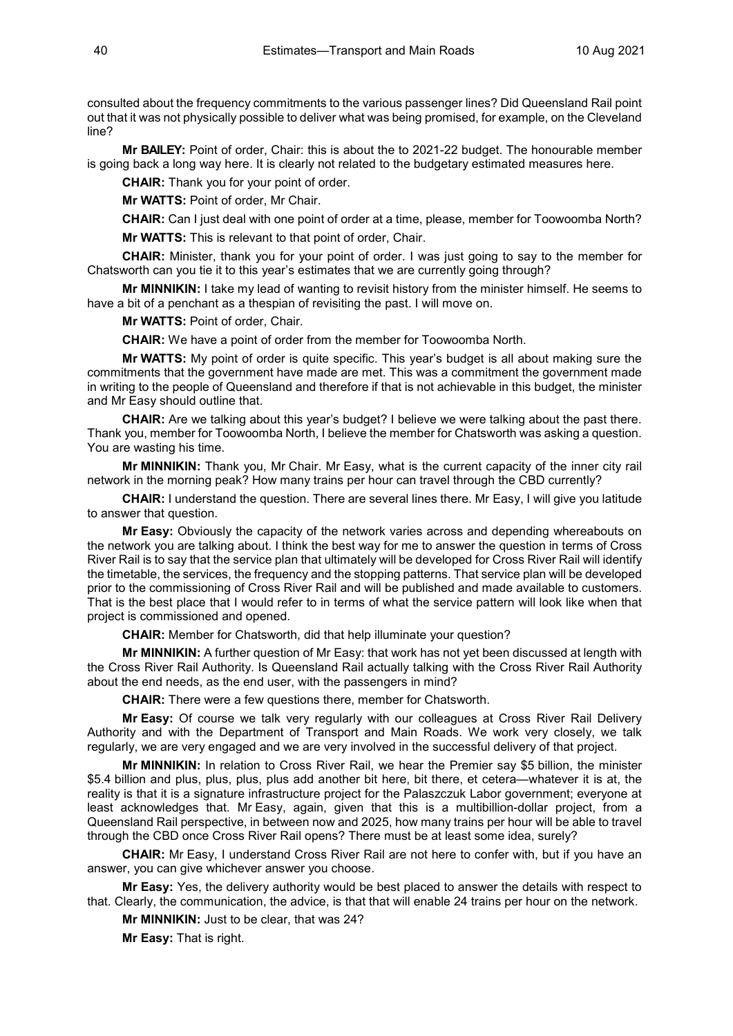consulted about the frequency commitments to the various passenger lines? Did Queensland Rail point out that it was not physically possible to deliver what was being promised, for example, on the Cleveland line?

**Mr BAILEY:** Point of order, Chair: this is about the to 2021-22 budget. The honourable member is going back a long way here. It is clearly not related to the budgetary estimated measures here.

**CHAIR:** Thank you for your point of order.

**Mr WATTS:** Point of order, Mr Chair.

**CHAIR:** Can I just deal with one point of order at a time, please, member for Toowoomba North? **Mr WATTS:** This is relevant to that point of order, Chair.

**CHAIR:** Minister, thank you for your point of order. I was just going to say to the member for Chatsworth can you tie it to this year's estimates that we are currently going through?

**Mr MINNIKIN:** I take my lead of wanting to revisit history from the minister himself. He seems to have a bit of a penchant as a thespian of revisiting the past. I will move on.

**Mr WATTS:** Point of order, Chair.

**CHAIR:** We have a point of order from the member for Toowoomba North.

**Mr WATTS:** My point of order is quite specific. This year's budget is all about making sure the commitments that the government have made are met. This was a commitment the government made in writing to the people of Queensland and therefore if that is not achievable in this budget, the minister and Mr Easy should outline that.

**CHAIR:** Are we talking about this year's budget? I believe we were talking about the past there. Thank you, member for Toowoomba North, I believe the member for Chatsworth was asking a question. You are wasting his time.

**Mr MINNIKIN:** Thank you, Mr Chair. Mr Easy, what is the current capacity of the inner city rail network in the morning peak? How many trains per hour can travel through the CBD currently?

**CHAIR:** I understand the question. There are several lines there. Mr Easy, I will give you latitude to answer that question.

**Mr Easy:** Obviously the capacity of the network varies across and depending whereabouts on the network you are talking about. I think the best way for me to answer the question in terms of Cross River Rail is to say that the service plan that ultimately will be developed for Cross River Rail will identify the timetable, the services, the frequency and the stopping patterns. That service plan will be developed prior to the commissioning of Cross River Rail and will be published and made available to customers. That is the best place that I would refer to in terms of what the service pattern will look like when that project is commissioned and opened.

**CHAIR:** Member for Chatsworth, did that help illuminate your question?

**Mr MINNIKIN:** A further question of Mr Easy: that work has not yet been discussed at length with the Cross River Rail Authority. Is Queensland Rail actually talking with the Cross River Rail Authority about the end needs, as the end user, with the passengers in mind?

**CHAIR:** There were a few questions there, member for Chatsworth.

**Mr Easy:** Of course we talk very regularly with our colleagues at Cross River Rail Delivery Authority and with the Department of Transport and Main Roads. We work very closely, we talk regularly, we are very engaged and we are very involved in the successful delivery of that project.

**Mr MINNIKIN:** In relation to Cross River Rail, we hear the Premier say \$5 billion, the minister \$5.4 billion and plus, plus, plus, plus add another bit here, bit there, et cetera—whatever it is at, the reality is that it is a signature infrastructure project for the Palaszczuk Labor government; everyone at least acknowledges that. Mr Easy, again, given that this is a multibillion-dollar project, from a Queensland Rail perspective, in between now and 2025, how many trains per hour will be able to travel through the CBD once Cross River Rail opens? There must be at least some idea, surely?

**CHAIR:** Mr Easy, I understand Cross River Rail are not here to confer with, but if you have an answer, you can give whichever answer you choose.

**Mr Easy:** Yes, the delivery authority would be best placed to answer the details with respect to that. Clearly, the communication, the advice, is that that will enable 24 trains per hour on the network.

**Mr MINNIKIN:** Just to be clear, that was 24?

**Mr Easy:** That is right.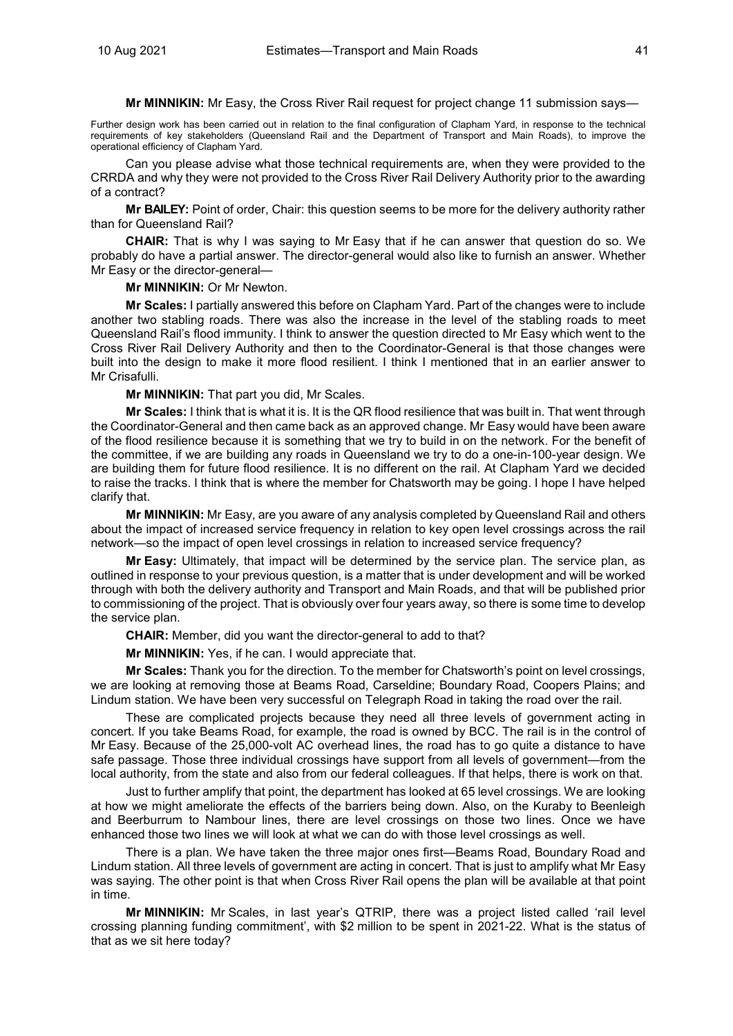**Mr MINNIKIN:** Mr Easy, the Cross River Rail request for project change 11 submission says—

Further design work has been carried out in relation to the final configuration of Clapham Yard, in response to the technical requirements of key stakeholders (Queensland Rail and the Department of Transport and Main Roads), to improve the operational efficiency of Clapham Yard.

Can you please advise what those technical requirements are, when they were provided to the CRRDA and why they were not provided to the Cross River Rail Delivery Authority prior to the awarding of a contract?

**Mr BAILEY:** Point of order, Chair: this question seems to be more for the delivery authority rather than for Queensland Rail?

**CHAIR:** That is why I was saying to Mr Easy that if he can answer that question do so. We probably do have a partial answer. The director-general would also like to furnish an answer. Whether Mr Easy or the director-general—

**Mr MINNIKIN:** Or Mr Newton.

**Mr Scales:** I partially answered this before on Clapham Yard. Part of the changes were to include another two stabling roads. There was also the increase in the level of the stabling roads to meet Queensland Rail's flood immunity. I think to answer the question directed to Mr Easy which went to the Cross River Rail Delivery Authority and then to the Coordinator-General is that those changes were built into the design to make it more flood resilient. I think I mentioned that in an earlier answer to Mr Crisafulli.

**Mr MINNIKIN:** That part you did, Mr Scales.

**Mr Scales:** I think that is what it is. It is the QR flood resilience that was built in. That went through the Coordinator-General and then came back as an approved change. Mr Easy would have been aware of the flood resilience because it is something that we try to build in on the network. For the benefit of the committee, if we are building any roads in Queensland we try to do a one-in-100-year design. We are building them for future flood resilience. It is no different on the rail. At Clapham Yard we decided to raise the tracks. I think that is where the member for Chatsworth may be going. I hope I have helped clarify that.

**Mr MINNIKIN:** Mr Easy, are you aware of any analysis completed by Queensland Rail and others about the impact of increased service frequency in relation to key open level crossings across the rail network—so the impact of open level crossings in relation to increased service frequency?

**Mr Easy:** Ultimately, that impact will be determined by the service plan. The service plan, as outlined in response to your previous question, is a matter that is under development and will be worked through with both the delivery authority and Transport and Main Roads, and that will be published prior to commissioning of the project. That is obviously over four years away, so there is some time to develop the service plan.

**CHAIR:** Member, did you want the director-general to add to that?

**Mr MINNIKIN:** Yes, if he can. I would appreciate that.

**Mr Scales:** Thank you for the direction. To the member for Chatsworth's point on level crossings, we are looking at removing those at Beams Road, Carseldine; Boundary Road, Coopers Plains; and Lindum station. We have been very successful on Telegraph Road in taking the road over the rail.

These are complicated projects because they need all three levels of government acting in concert. If you take Beams Road, for example, the road is owned by BCC. The rail is in the control of Mr Easy. Because of the 25,000-volt AC overhead lines, the road has to go quite a distance to have safe passage. Those three individual crossings have support from all levels of government—from the local authority, from the state and also from our federal colleagues. If that helps, there is work on that.

Just to further amplify that point, the department has looked at 65 level crossings. We are looking at how we might ameliorate the effects of the barriers being down. Also, on the Kuraby to Beenleigh and Beerburrum to Nambour lines, there are level crossings on those two lines. Once we have enhanced those two lines we will look at what we can do with those level crossings as well.

There is a plan. We have taken the three major ones first—Beams Road, Boundary Road and Lindum station. All three levels of government are acting in concert. That is just to amplify what Mr Easy was saying. The other point is that when Cross River Rail opens the plan will be available at that point in time.

**Mr MINNIKIN:** Mr Scales, in last year's QTRIP, there was a project listed called 'rail level crossing planning funding commitment', with \$2 million to be spent in 2021-22. What is the status of that as we sit here today?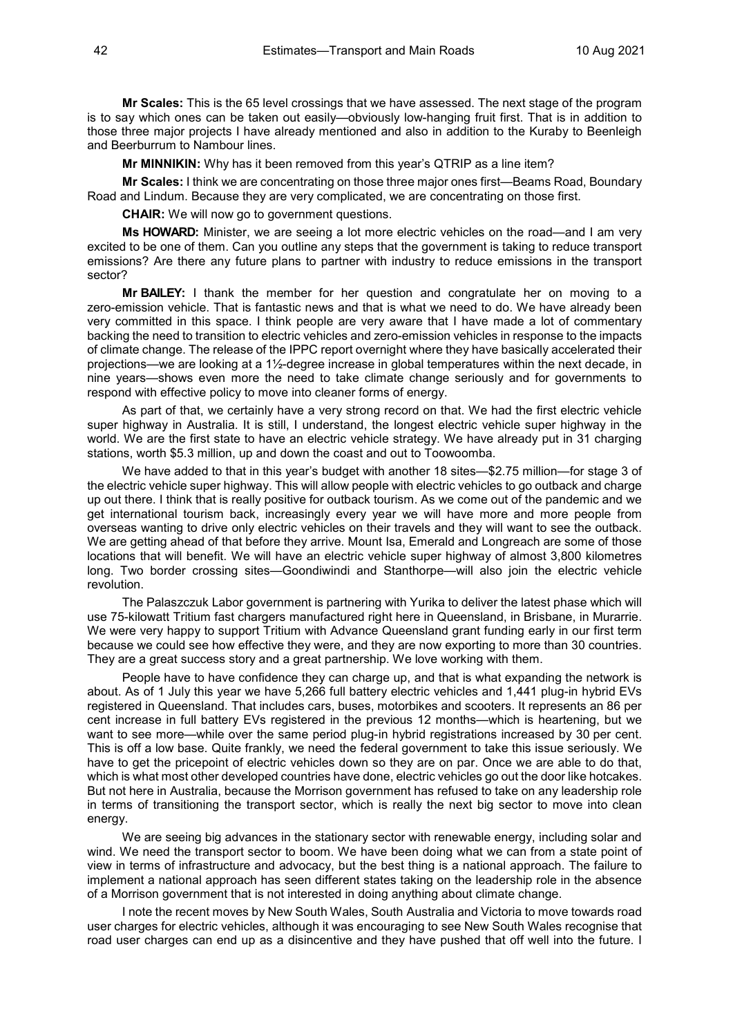**Mr Scales:** This is the 65 level crossings that we have assessed. The next stage of the program is to say which ones can be taken out easily—obviously low-hanging fruit first. That is in addition to those three major projects I have already mentioned and also in addition to the Kuraby to Beenleigh and Beerburrum to Nambour lines.

**Mr MINNIKIN:** Why has it been removed from this year's QTRIP as a line item?

**Mr Scales:** I think we are concentrating on those three major ones first—Beams Road, Boundary Road and Lindum. Because they are very complicated, we are concentrating on those first.

**CHAIR:** We will now go to government questions.

**Ms HOWARD:** Minister, we are seeing a lot more electric vehicles on the road—and I am very excited to be one of them. Can you outline any steps that the government is taking to reduce transport emissions? Are there any future plans to partner with industry to reduce emissions in the transport sector?

**Mr BAILEY:** I thank the member for her question and congratulate her on moving to a zero-emission vehicle. That is fantastic news and that is what we need to do. We have already been very committed in this space. I think people are very aware that I have made a lot of commentary backing the need to transition to electric vehicles and zero-emission vehicles in response to the impacts of climate change. The release of the IPPC report overnight where they have basically accelerated their projections—we are looking at a 1½-degree increase in global temperatures within the next decade, in nine years—shows even more the need to take climate change seriously and for governments to respond with effective policy to move into cleaner forms of energy.

As part of that, we certainly have a very strong record on that. We had the first electric vehicle super highway in Australia. It is still, I understand, the longest electric vehicle super highway in the world. We are the first state to have an electric vehicle strategy. We have already put in 31 charging stations, worth \$5.3 million, up and down the coast and out to Toowoomba.

We have added to that in this year's budget with another 18 sites—\$2.75 million—for stage 3 of the electric vehicle super highway. This will allow people with electric vehicles to go outback and charge up out there. I think that is really positive for outback tourism. As we come out of the pandemic and we get international tourism back, increasingly every year we will have more and more people from overseas wanting to drive only electric vehicles on their travels and they will want to see the outback. We are getting ahead of that before they arrive. Mount Isa, Emerald and Longreach are some of those locations that will benefit. We will have an electric vehicle super highway of almost 3,800 kilometres long. Two border crossing sites—Goondiwindi and Stanthorpe—will also join the electric vehicle revolution.

The Palaszczuk Labor government is partnering with Yurika to deliver the latest phase which will use 75-kilowatt Tritium fast chargers manufactured right here in Queensland, in Brisbane, in Murarrie. We were very happy to support Tritium with Advance Queensland grant funding early in our first term because we could see how effective they were, and they are now exporting to more than 30 countries. They are a great success story and a great partnership. We love working with them.

People have to have confidence they can charge up, and that is what expanding the network is about. As of 1 July this year we have 5,266 full battery electric vehicles and 1,441 plug-in hybrid EVs registered in Queensland. That includes cars, buses, motorbikes and scooters. It represents an 86 per cent increase in full battery EVs registered in the previous 12 months—which is heartening, but we want to see more—while over the same period plug-in hybrid registrations increased by 30 per cent. This is off a low base. Quite frankly, we need the federal government to take this issue seriously. We have to get the pricepoint of electric vehicles down so they are on par. Once we are able to do that, which is what most other developed countries have done, electric vehicles go out the door like hotcakes. But not here in Australia, because the Morrison government has refused to take on any leadership role in terms of transitioning the transport sector, which is really the next big sector to move into clean energy.

We are seeing big advances in the stationary sector with renewable energy, including solar and wind. We need the transport sector to boom. We have been doing what we can from a state point of view in terms of infrastructure and advocacy, but the best thing is a national approach. The failure to implement a national approach has seen different states taking on the leadership role in the absence of a Morrison government that is not interested in doing anything about climate change.

I note the recent moves by New South Wales, South Australia and Victoria to move towards road user charges for electric vehicles, although it was encouraging to see New South Wales recognise that road user charges can end up as a disincentive and they have pushed that off well into the future. I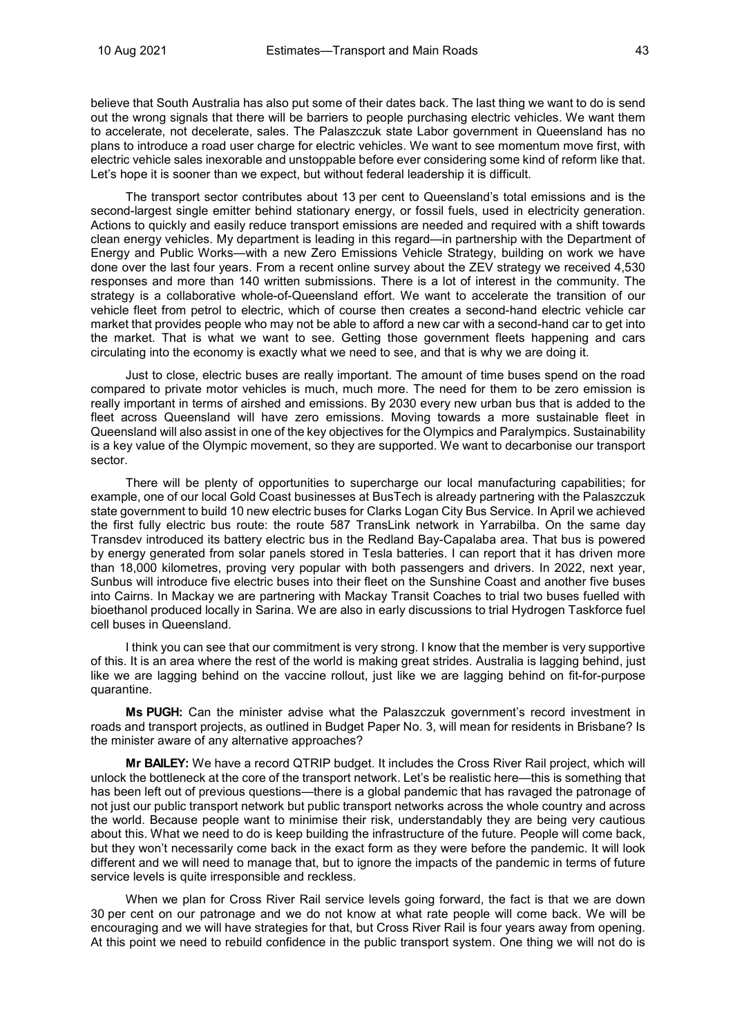believe that South Australia has also put some of their dates back. The last thing we want to do is send out the wrong signals that there will be barriers to people purchasing electric vehicles. We want them to accelerate, not decelerate, sales. The Palaszczuk state Labor government in Queensland has no plans to introduce a road user charge for electric vehicles. We want to see momentum move first, with electric vehicle sales inexorable and unstoppable before ever considering some kind of reform like that. Let's hope it is sooner than we expect, but without federal leadership it is difficult.

The transport sector contributes about 13 per cent to Queensland's total emissions and is the second-largest single emitter behind stationary energy, or fossil fuels, used in electricity generation. Actions to quickly and easily reduce transport emissions are needed and required with a shift towards clean energy vehicles. My department is leading in this regard—in partnership with the Department of Energy and Public Works—with a new Zero Emissions Vehicle Strategy, building on work we have done over the last four years. From a recent online survey about the ZEV strategy we received 4,530 responses and more than 140 written submissions. There is a lot of interest in the community. The strategy is a collaborative whole-of-Queensland effort. We want to accelerate the transition of our vehicle fleet from petrol to electric, which of course then creates a second-hand electric vehicle car market that provides people who may not be able to afford a new car with a second-hand car to get into the market. That is what we want to see. Getting those government fleets happening and cars circulating into the economy is exactly what we need to see, and that is why we are doing it.

Just to close, electric buses are really important. The amount of time buses spend on the road compared to private motor vehicles is much, much more. The need for them to be zero emission is really important in terms of airshed and emissions. By 2030 every new urban bus that is added to the fleet across Queensland will have zero emissions. Moving towards a more sustainable fleet in Queensland will also assist in one of the key objectives for the Olympics and Paralympics. Sustainability is a key value of the Olympic movement, so they are supported. We want to decarbonise our transport sector.

There will be plenty of opportunities to supercharge our local manufacturing capabilities; for example, one of our local Gold Coast businesses at BusTech is already partnering with the Palaszczuk state government to build 10 new electric buses for Clarks Logan City Bus Service. In April we achieved the first fully electric bus route: the route 587 TransLink network in Yarrabilba. On the same day Transdev introduced its battery electric bus in the Redland Bay-Capalaba area. That bus is powered by energy generated from solar panels stored in Tesla batteries. I can report that it has driven more than 18,000 kilometres, proving very popular with both passengers and drivers. In 2022, next year, Sunbus will introduce five electric buses into their fleet on the Sunshine Coast and another five buses into Cairns. In Mackay we are partnering with Mackay Transit Coaches to trial two buses fuelled with bioethanol produced locally in Sarina. We are also in early discussions to trial Hydrogen Taskforce fuel cell buses in Queensland.

I think you can see that our commitment is very strong. I know that the member is very supportive of this. It is an area where the rest of the world is making great strides. Australia is lagging behind, just like we are lagging behind on the vaccine rollout, just like we are lagging behind on fit-for-purpose quarantine.

**Ms PUGH:** Can the minister advise what the Palaszczuk government's record investment in roads and transport projects, as outlined in Budget Paper No. 3, will mean for residents in Brisbane? Is the minister aware of any alternative approaches?

**Mr BAILEY:** We have a record QTRIP budget. It includes the Cross River Rail project, which will unlock the bottleneck at the core of the transport network. Let's be realistic here—this is something that has been left out of previous questions—there is a global pandemic that has ravaged the patronage of not just our public transport network but public transport networks across the whole country and across the world. Because people want to minimise their risk, understandably they are being very cautious about this. What we need to do is keep building the infrastructure of the future. People will come back, but they won't necessarily come back in the exact form as they were before the pandemic. It will look different and we will need to manage that, but to ignore the impacts of the pandemic in terms of future service levels is quite irresponsible and reckless.

When we plan for Cross River Rail service levels going forward, the fact is that we are down 30 per cent on our patronage and we do not know at what rate people will come back. We will be encouraging and we will have strategies for that, but Cross River Rail is four years away from opening. At this point we need to rebuild confidence in the public transport system. One thing we will not do is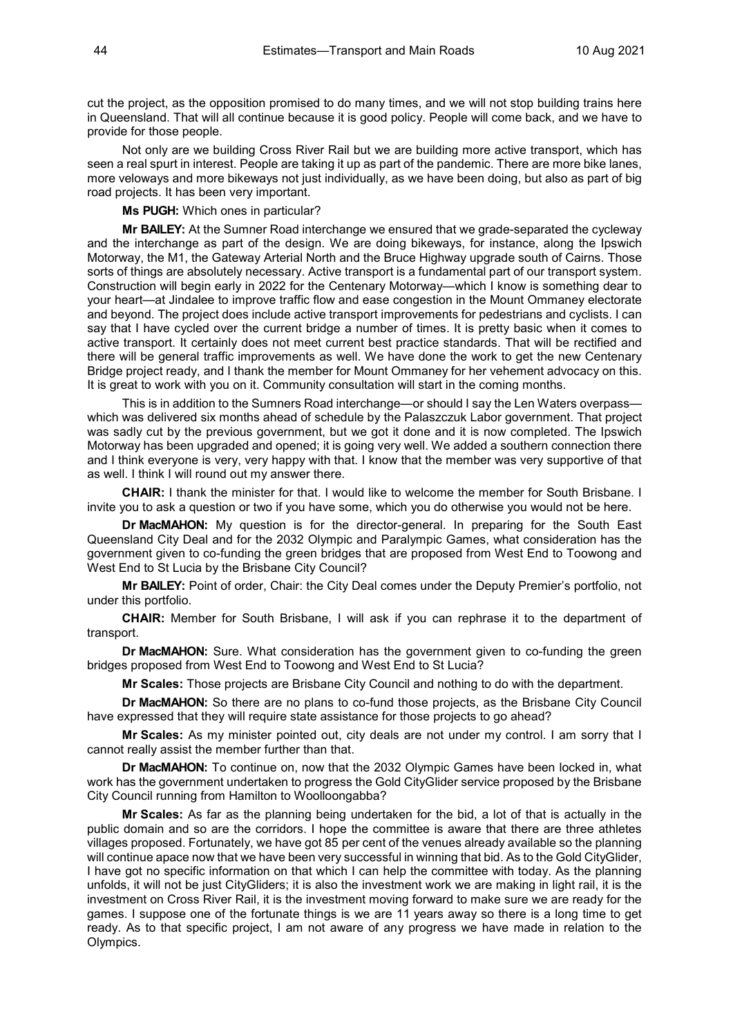cut the project, as the opposition promised to do many times, and we will not stop building trains here in Queensland. That will all continue because it is good policy. People will come back, and we have to provide for those people.

Not only are we building Cross River Rail but we are building more active transport, which has seen a real spurt in interest. People are taking it up as part of the pandemic. There are more bike lanes, more veloways and more bikeways not just individually, as we have been doing, but also as part of big road projects. It has been very important.

**Ms PUGH:** Which ones in particular?

**Mr BAILEY:** At the Sumner Road interchange we ensured that we grade-separated the cycleway and the interchange as part of the design. We are doing bikeways, for instance, along the Ipswich Motorway, the M1, the Gateway Arterial North and the Bruce Highway upgrade south of Cairns. Those sorts of things are absolutely necessary. Active transport is a fundamental part of our transport system. Construction will begin early in 2022 for the Centenary Motorway—which I know is something dear to your heart—at Jindalee to improve traffic flow and ease congestion in the Mount Ommaney electorate and beyond. The project does include active transport improvements for pedestrians and cyclists. I can say that I have cycled over the current bridge a number of times. It is pretty basic when it comes to active transport. It certainly does not meet current best practice standards. That will be rectified and there will be general traffic improvements as well. We have done the work to get the new Centenary Bridge project ready, and I thank the member for Mount Ommaney for her vehement advocacy on this. It is great to work with you on it. Community consultation will start in the coming months.

This is in addition to the Sumners Road interchange—or should I say the Len Waters overpasswhich was delivered six months ahead of schedule by the Palaszczuk Labor government. That project was sadly cut by the previous government, but we got it done and it is now completed. The Ipswich Motorway has been upgraded and opened; it is going very well. We added a southern connection there and I think everyone is very, very happy with that. I know that the member was very supportive of that as well. I think I will round out my answer there.

**CHAIR:** I thank the minister for that. I would like to welcome the member for South Brisbane. I invite you to ask a question or two if you have some, which you do otherwise you would not be here.

**Dr MacMAHON:** My question is for the director-general. In preparing for the South East Queensland City Deal and for the 2032 Olympic and Paralympic Games, what consideration has the government given to co-funding the green bridges that are proposed from West End to Toowong and West End to St Lucia by the Brisbane City Council?

**Mr BAILEY:** Point of order, Chair: the City Deal comes under the Deputy Premier's portfolio, not under this portfolio.

**CHAIR:** Member for South Brisbane, I will ask if you can rephrase it to the department of transport.

**Dr MacMAHON:** Sure. What consideration has the government given to co-funding the green bridges proposed from West End to Toowong and West End to St Lucia?

**Mr Scales:** Those projects are Brisbane City Council and nothing to do with the department.

**Dr MacMAHON:** So there are no plans to co-fund those projects, as the Brisbane City Council have expressed that they will require state assistance for those projects to go ahead?

**Mr Scales:** As my minister pointed out, city deals are not under my control. I am sorry that I cannot really assist the member further than that.

**Dr MacMAHON:** To continue on, now that the 2032 Olympic Games have been locked in, what work has the government undertaken to progress the Gold CityGlider service proposed by the Brisbane City Council running from Hamilton to Woolloongabba?

**Mr Scales:** As far as the planning being undertaken for the bid, a lot of that is actually in the public domain and so are the corridors. I hope the committee is aware that there are three athletes villages proposed. Fortunately, we have got 85 per cent of the venues already available so the planning will continue apace now that we have been very successful in winning that bid. As to the Gold CityGlider, I have got no specific information on that which I can help the committee with today. As the planning unfolds, it will not be just CityGliders; it is also the investment work we are making in light rail, it is the investment on Cross River Rail, it is the investment moving forward to make sure we are ready for the games. I suppose one of the fortunate things is we are 11 years away so there is a long time to get ready. As to that specific project, I am not aware of any progress we have made in relation to the Olympics.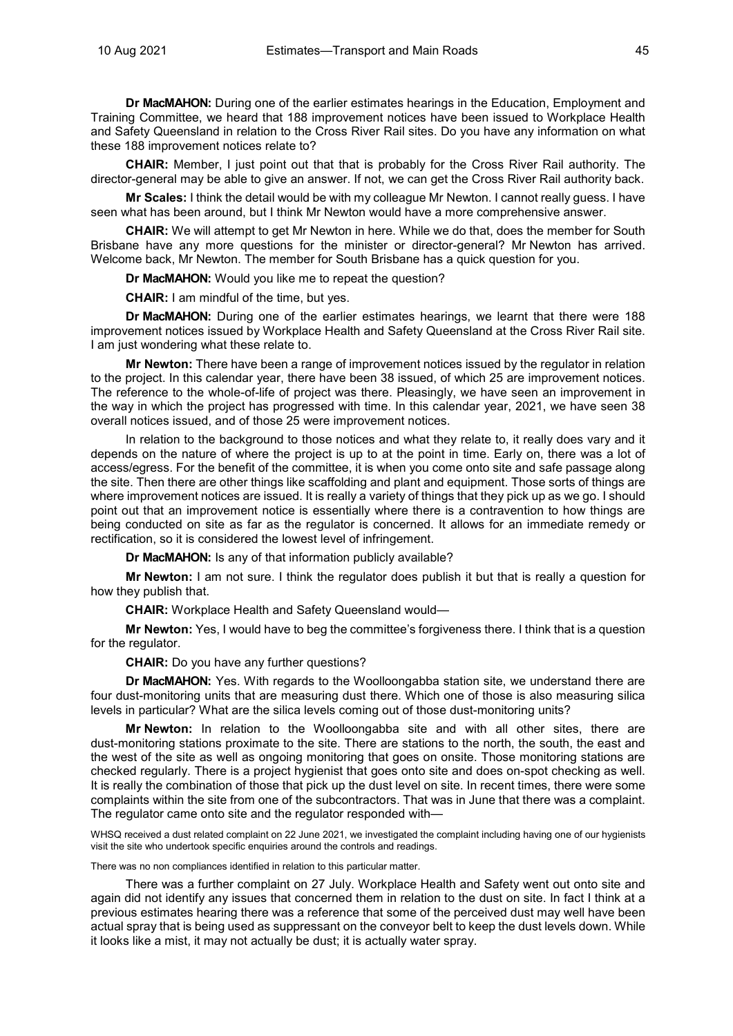**Dr MacMAHON:** During one of the earlier estimates hearings in the Education, Employment and Training Committee, we heard that 188 improvement notices have been issued to Workplace Health and Safety Queensland in relation to the Cross River Rail sites. Do you have any information on what these 188 improvement notices relate to?

**CHAIR:** Member, I just point out that that is probably for the Cross River Rail authority. The director-general may be able to give an answer. If not, we can get the Cross River Rail authority back.

**Mr Scales:** I think the detail would be with my colleague Mr Newton. I cannot really guess. I have seen what has been around, but I think Mr Newton would have a more comprehensive answer.

**CHAIR:** We will attempt to get Mr Newton in here. While we do that, does the member for South Brisbane have any more questions for the minister or director-general? Mr Newton has arrived. Welcome back, Mr Newton. The member for South Brisbane has a quick question for you.

**Dr MacMAHON:** Would you like me to repeat the question?

**CHAIR:** I am mindful of the time, but yes.

**Dr MacMAHON:** During one of the earlier estimates hearings, we learnt that there were 188 improvement notices issued by Workplace Health and Safety Queensland at the Cross River Rail site. I am just wondering what these relate to.

**Mr Newton:** There have been a range of improvement notices issued by the regulator in relation to the project. In this calendar year, there have been 38 issued, of which 25 are improvement notices. The reference to the whole-of-life of project was there. Pleasingly, we have seen an improvement in the way in which the project has progressed with time. In this calendar year, 2021, we have seen 38 overall notices issued, and of those 25 were improvement notices.

In relation to the background to those notices and what they relate to, it really does vary and it depends on the nature of where the project is up to at the point in time. Early on, there was a lot of access/egress. For the benefit of the committee, it is when you come onto site and safe passage along the site. Then there are other things like scaffolding and plant and equipment. Those sorts of things are where improvement notices are issued. It is really a variety of things that they pick up as we go. I should point out that an improvement notice is essentially where there is a contravention to how things are being conducted on site as far as the regulator is concerned. It allows for an immediate remedy or rectification, so it is considered the lowest level of infringement.

**Dr MacMAHON:** Is any of that information publicly available?

**Mr Newton:** I am not sure. I think the regulator does publish it but that is really a question for how they publish that.

**CHAIR:** Workplace Health and Safety Queensland would—

**Mr Newton:** Yes, I would have to beg the committee's forgiveness there. I think that is a question for the regulator.

**CHAIR:** Do you have any further questions?

**Dr MacMAHON:** Yes. With regards to the Woolloongabba station site, we understand there are four dust-monitoring units that are measuring dust there. Which one of those is also measuring silica levels in particular? What are the silica levels coming out of those dust-monitoring units?

**Mr Newton:** In relation to the Woolloongabba site and with all other sites, there are dust-monitoring stations proximate to the site. There are stations to the north, the south, the east and the west of the site as well as ongoing monitoring that goes on onsite. Those monitoring stations are checked regularly. There is a project hygienist that goes onto site and does on-spot checking as well. It is really the combination of those that pick up the dust level on site. In recent times, there were some complaints within the site from one of the subcontractors. That was in June that there was a complaint. The regulator came onto site and the regulator responded with—

WHSQ received a dust related complaint on 22 June 2021, we investigated the complaint including having one of our hygienists visit the site who undertook specific enquiries around the controls and readings.

There was no non compliances identified in relation to this particular matter.

There was a further complaint on 27 July. Workplace Health and Safety went out onto site and again did not identify any issues that concerned them in relation to the dust on site. In fact I think at a previous estimates hearing there was a reference that some of the perceived dust may well have been actual spray that is being used as suppressant on the conveyor belt to keep the dust levels down. While it looks like a mist, it may not actually be dust; it is actually water spray.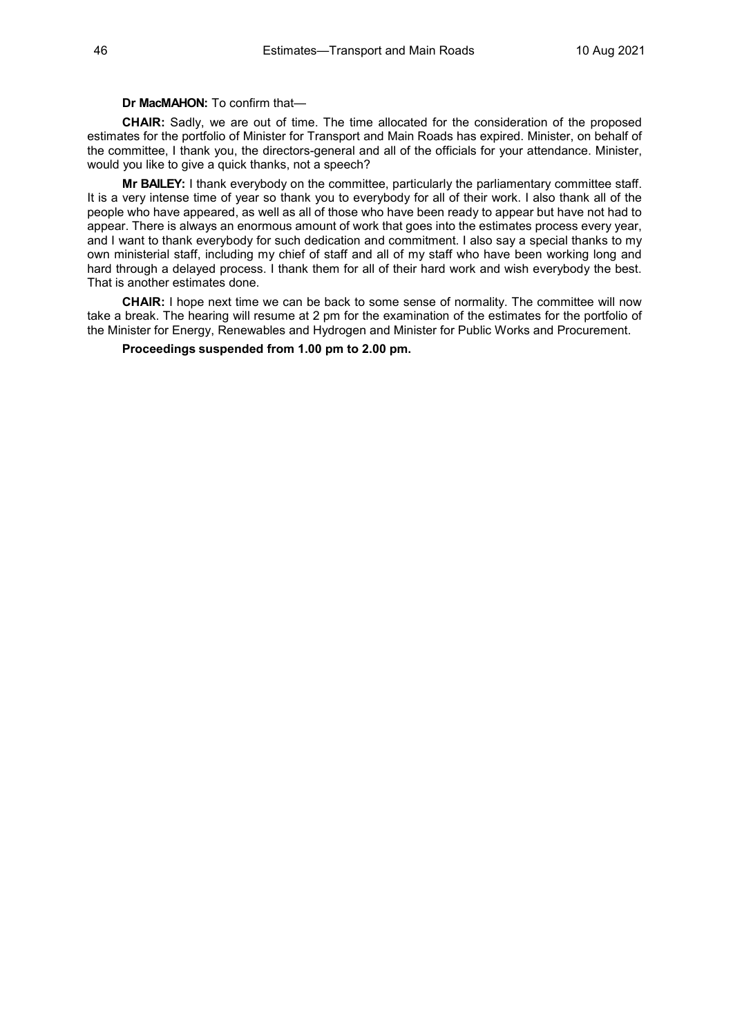# **Dr MacMAHON:** To confirm that—

**CHAIR:** Sadly, we are out of time. The time allocated for the consideration of the proposed estimates for the portfolio of Minister for Transport and Main Roads has expired. Minister, on behalf of the committee, I thank you, the directors-general and all of the officials for your attendance. Minister, would you like to give a quick thanks, not a speech?

**Mr BAILEY:** I thank everybody on the committee, particularly the parliamentary committee staff. It is a very intense time of year so thank you to everybody for all of their work. I also thank all of the people who have appeared, as well as all of those who have been ready to appear but have not had to appear. There is always an enormous amount of work that goes into the estimates process every year, and I want to thank everybody for such dedication and commitment. I also say a special thanks to my own ministerial staff, including my chief of staff and all of my staff who have been working long and hard through a delayed process. I thank them for all of their hard work and wish everybody the best. That is another estimates done.

**CHAIR:** I hope next time we can be back to some sense of normality. The committee will now take a break. The hearing will resume at 2 pm for the examination of the estimates for the portfolio of the Minister for Energy, Renewables and Hydrogen and Minister for Public Works and Procurement.

**Proceedings suspended from 1.00 pm to 2.00 pm.**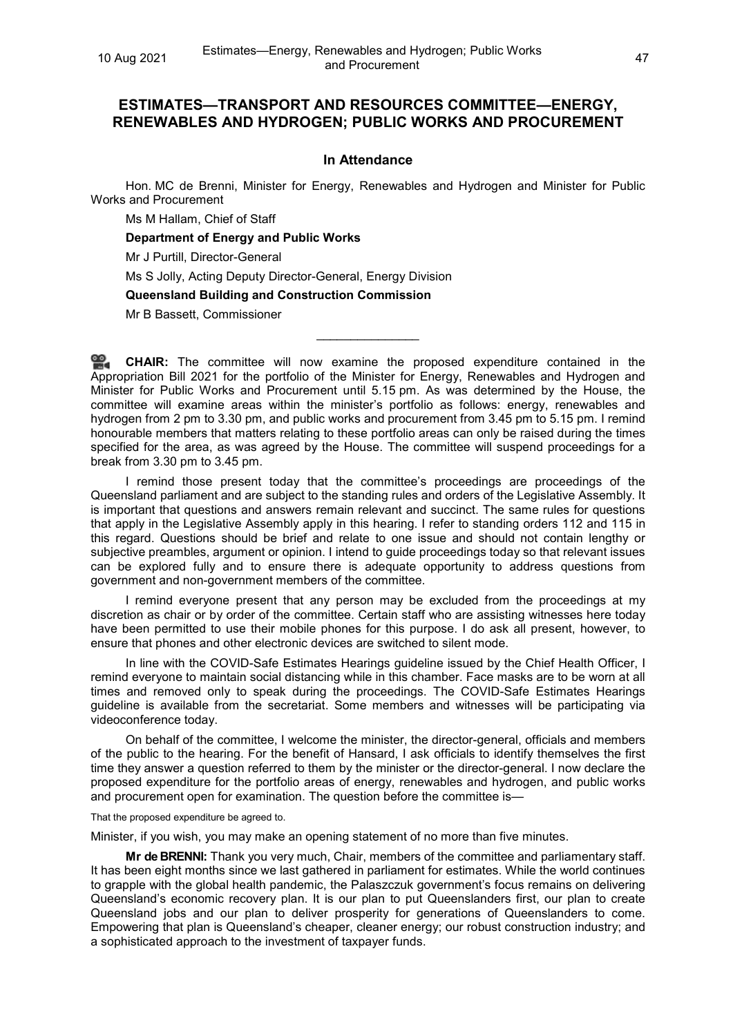# **ESTIMATES—TRANSPORT AND RESOURCES COMMITTEE—ENERGY, RENEWABLES AND HYDROGEN; PUBLIC WORKS AND PROCUREMENT**

# **In Attendance**

Hon. MC de Brenni, Minister for Energy, Renewables and Hydrogen and Minister for Public Works and Procurement

Ms M Hallam, Chief of Staff

**Department of Energy and Public Works**

Mr J Purtill, Director-General

Ms S Jolly, Acting Deputy Director-General, Energy Division

**Queensland Building and Construction Commission**

Mr B Bassett, Commissioner

**[CHAIR:](http://www.parliament.qld.gov.au/docs/find.aspx?id=0Mba20210810_140041)** The committee will now examine the proposed expenditure contained in the Appropriation Bill 2021 for the portfolio of the Minister for Energy, Renewables and Hydrogen and Minister for Public Works and Procurement until 5.15 pm. As was determined by the House, the committee will examine areas within the minister's portfolio as follows: energy, renewables and hydrogen from 2 pm to 3.30 pm, and public works and procurement from 3.45 pm to 5.15 pm. I remind honourable members that matters relating to these portfolio areas can only be raised during the times specified for the area, as was agreed by the House. The committee will suspend proceedings for a break from 3.30 pm to 3.45 pm.

\_\_\_\_\_\_\_\_\_\_\_\_\_\_\_

I remind those present today that the committee's proceedings are proceedings of the Queensland parliament and are subject to the standing rules and orders of the Legislative Assembly. It is important that questions and answers remain relevant and succinct. The same rules for questions that apply in the Legislative Assembly apply in this hearing. I refer to standing orders 112 and 115 in this regard. Questions should be brief and relate to one issue and should not contain lengthy or subjective preambles, argument or opinion. I intend to guide proceedings today so that relevant issues can be explored fully and to ensure there is adequate opportunity to address questions from government and non-government members of the committee.

I remind everyone present that any person may be excluded from the proceedings at my discretion as chair or by order of the committee. Certain staff who are assisting witnesses here today have been permitted to use their mobile phones for this purpose. I do ask all present, however, to ensure that phones and other electronic devices are switched to silent mode.

In line with the COVID-Safe Estimates Hearings guideline issued by the Chief Health Officer, I remind everyone to maintain social distancing while in this chamber. Face masks are to be worn at all times and removed only to speak during the proceedings. The COVID-Safe Estimates Hearings guideline is available from the secretariat. Some members and witnesses will be participating via videoconference today.

On behalf of the committee, I welcome the minister, the director-general, officials and members of the public to the hearing. For the benefit of Hansard, I ask officials to identify themselves the first time they answer a question referred to them by the minister or the director-general. I now declare the proposed expenditure for the portfolio areas of energy, renewables and hydrogen, and public works and procurement open for examination. The question before the committee is—

That the proposed expenditure be agreed to.

Minister, if you wish, you may make an opening statement of no more than five minutes.

**Mr de BRENNI:** Thank you very much, Chair, members of the committee and parliamentary staff. It has been eight months since we last gathered in parliament for estimates. While the world continues to grapple with the global health pandemic, the Palaszczuk government's focus remains on delivering Queensland's economic recovery plan. It is our plan to put Queenslanders first, our plan to create Queensland jobs and our plan to deliver prosperity for generations of Queenslanders to come. Empowering that plan is Queensland's cheaper, cleaner energy; our robust construction industry; and a sophisticated approach to the investment of taxpayer funds.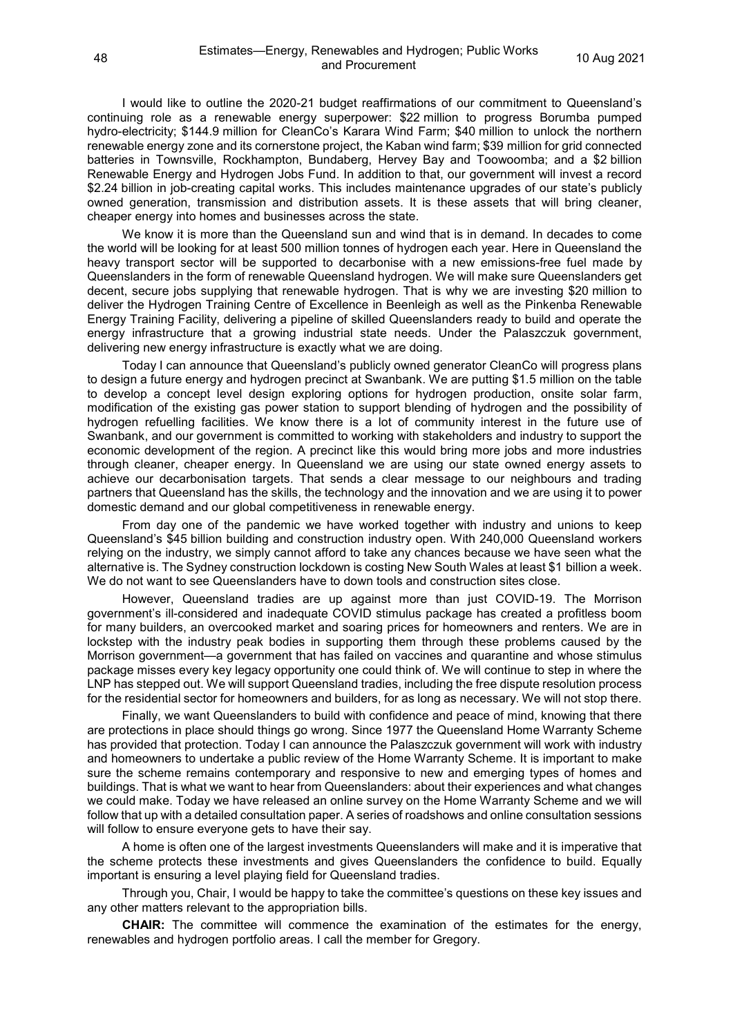I would like to outline the 2020-21 budget reaffirmations of our commitment to Queensland's continuing role as a renewable energy superpower: \$22 million to progress Borumba pumped hydro-electricity; \$144.9 million for CleanCo's Karara Wind Farm; \$40 million to unlock the northern renewable energy zone and its cornerstone project, the Kaban wind farm; \$39 million for grid connected batteries in Townsville, Rockhampton, Bundaberg, Hervey Bay and Toowoomba; and a \$2 billion Renewable Energy and Hydrogen Jobs Fund. In addition to that, our government will invest a record \$2.24 billion in job-creating capital works. This includes maintenance upgrades of our state's publicly owned generation, transmission and distribution assets. It is these assets that will bring cleaner, cheaper energy into homes and businesses across the state.

We know it is more than the Queensland sun and wind that is in demand. In decades to come the world will be looking for at least 500 million tonnes of hydrogen each year. Here in Queensland the heavy transport sector will be supported to decarbonise with a new emissions-free fuel made by Queenslanders in the form of renewable Queensland hydrogen. We will make sure Queenslanders get decent, secure jobs supplying that renewable hydrogen. That is why we are investing \$20 million to deliver the Hydrogen Training Centre of Excellence in Beenleigh as well as the Pinkenba Renewable Energy Training Facility, delivering a pipeline of skilled Queenslanders ready to build and operate the energy infrastructure that a growing industrial state needs. Under the Palaszczuk government, delivering new energy infrastructure is exactly what we are doing.

Today I can announce that Queensland's publicly owned generator CleanCo will progress plans to design a future energy and hydrogen precinct at Swanbank. We are putting \$1.5 million on the table to develop a concept level design exploring options for hydrogen production, onsite solar farm, modification of the existing gas power station to support blending of hydrogen and the possibility of hydrogen refuelling facilities. We know there is a lot of community interest in the future use of Swanbank, and our government is committed to working with stakeholders and industry to support the economic development of the region. A precinct like this would bring more jobs and more industries through cleaner, cheaper energy. In Queensland we are using our state owned energy assets to achieve our decarbonisation targets. That sends a clear message to our neighbours and trading partners that Queensland has the skills, the technology and the innovation and we are using it to power domestic demand and our global competitiveness in renewable energy.

From day one of the pandemic we have worked together with industry and unions to keep Queensland's \$45 billion building and construction industry open. With 240,000 Queensland workers relying on the industry, we simply cannot afford to take any chances because we have seen what the alternative is. The Sydney construction lockdown is costing New South Wales at least \$1 billion a week. We do not want to see Queenslanders have to down tools and construction sites close.

However, Queensland tradies are up against more than just COVID-19. The Morrison government's ill-considered and inadequate COVID stimulus package has created a profitless boom for many builders, an overcooked market and soaring prices for homeowners and renters. We are in lockstep with the industry peak bodies in supporting them through these problems caused by the Morrison government—a government that has failed on vaccines and quarantine and whose stimulus package misses every key legacy opportunity one could think of. We will continue to step in where the LNP has stepped out. We will support Queensland tradies, including the free dispute resolution process for the residential sector for homeowners and builders, for as long as necessary. We will not stop there.

Finally, we want Queenslanders to build with confidence and peace of mind, knowing that there are protections in place should things go wrong. Since 1977 the Queensland Home Warranty Scheme has provided that protection. Today I can announce the Palaszczuk government will work with industry and homeowners to undertake a public review of the Home Warranty Scheme. It is important to make sure the scheme remains contemporary and responsive to new and emerging types of homes and buildings. That is what we want to hear from Queenslanders: about their experiences and what changes we could make. Today we have released an online survey on the Home Warranty Scheme and we will follow that up with a detailed consultation paper. A series of roadshows and online consultation sessions will follow to ensure everyone gets to have their say.

A home is often one of the largest investments Queenslanders will make and it is imperative that the scheme protects these investments and gives Queenslanders the confidence to build. Equally important is ensuring a level playing field for Queensland tradies.

Through you, Chair, I would be happy to take the committee's questions on these key issues and any other matters relevant to the appropriation bills.

**CHAIR:** The committee will commence the examination of the estimates for the energy, renewables and hydrogen portfolio areas. I call the member for Gregory.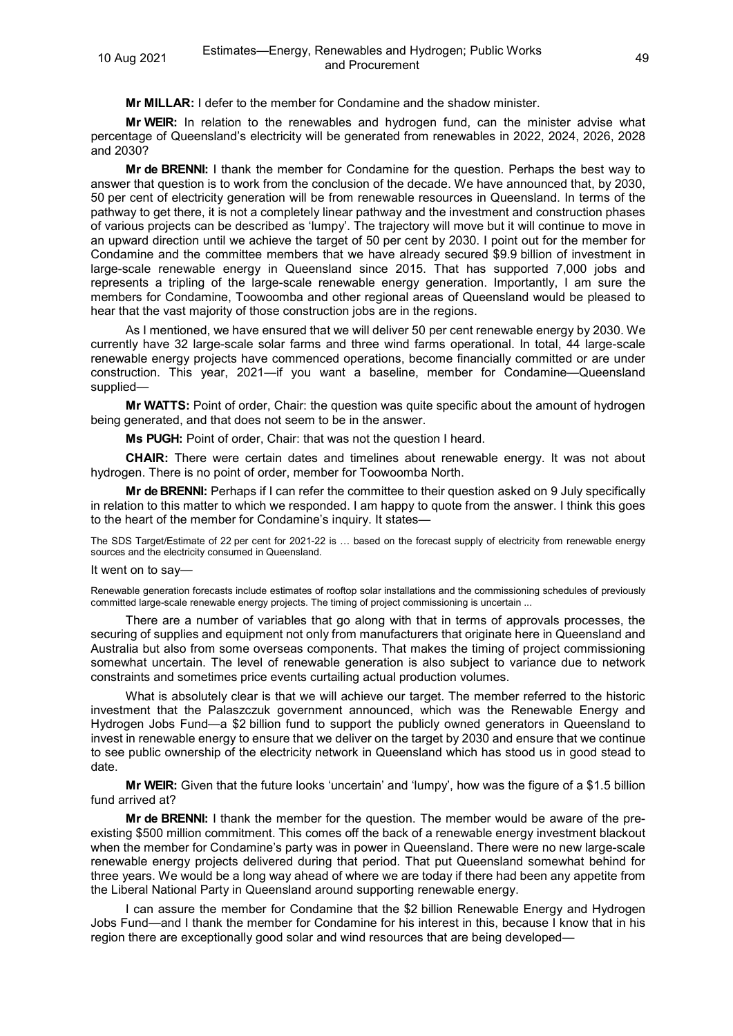**Mr MILLAR:** I defer to the member for Condamine and the shadow minister.

**Mr WEIR:** In relation to the renewables and hydrogen fund, can the minister advise what percentage of Queensland's electricity will be generated from renewables in 2022, 2024, 2026, 2028 and 2030?

**Mr de BRENNI:** I thank the member for Condamine for the question. Perhaps the best way to answer that question is to work from the conclusion of the decade. We have announced that, by 2030, 50 per cent of electricity generation will be from renewable resources in Queensland. In terms of the pathway to get there, it is not a completely linear pathway and the investment and construction phases of various projects can be described as 'lumpy'. The trajectory will move but it will continue to move in an upward direction until we achieve the target of 50 per cent by 2030. I point out for the member for Condamine and the committee members that we have already secured \$9.9 billion of investment in large-scale renewable energy in Queensland since 2015. That has supported 7,000 jobs and represents a tripling of the large-scale renewable energy generation. Importantly, I am sure the members for Condamine, Toowoomba and other regional areas of Queensland would be pleased to hear that the vast majority of those construction jobs are in the regions.

As I mentioned, we have ensured that we will deliver 50 per cent renewable energy by 2030. We currently have 32 large-scale solar farms and three wind farms operational. In total, 44 large-scale renewable energy projects have commenced operations, become financially committed or are under construction. This year, 2021—if you want a baseline, member for Condamine—Queensland supplied—

**Mr WATTS:** Point of order, Chair: the question was quite specific about the amount of hydrogen being generated, and that does not seem to be in the answer.

**Ms PUGH:** Point of order, Chair: that was not the question I heard.

**CHAIR:** There were certain dates and timelines about renewable energy. It was not about hydrogen. There is no point of order, member for Toowoomba North.

**Mr de BRENNI:** Perhaps if I can refer the committee to their question asked on 9 July specifically in relation to this matter to which we responded. I am happy to quote from the answer. I think this goes to the heart of the member for Condamine's inquiry. It states—

The SDS Target/Estimate of 22 per cent for 2021-22 is … based on the forecast supply of electricity from renewable energy sources and the electricity consumed in Queensland.

#### It went on to say—

Renewable generation forecasts include estimates of rooftop solar installations and the commissioning schedules of previously committed large-scale renewable energy projects. The timing of project commissioning is uncertain ...

There are a number of variables that go along with that in terms of approvals processes, the securing of supplies and equipment not only from manufacturers that originate here in Queensland and Australia but also from some overseas components. That makes the timing of project commissioning somewhat uncertain. The level of renewable generation is also subject to variance due to network constraints and sometimes price events curtailing actual production volumes.

What is absolutely clear is that we will achieve our target. The member referred to the historic investment that the Palaszczuk government announced, which was the Renewable Energy and Hydrogen Jobs Fund—a \$2 billion fund to support the publicly owned generators in Queensland to invest in renewable energy to ensure that we deliver on the target by 2030 and ensure that we continue to see public ownership of the electricity network in Queensland which has stood us in good stead to date.

**Mr WEIR:** Given that the future looks 'uncertain' and 'lumpy', how was the figure of a \$1.5 billion fund arrived at?

**Mr de BRENNI:** I thank the member for the question. The member would be aware of the preexisting \$500 million commitment. This comes off the back of a renewable energy investment blackout when the member for Condamine's party was in power in Queensland. There were no new large-scale renewable energy projects delivered during that period. That put Queensland somewhat behind for three years. We would be a long way ahead of where we are today if there had been any appetite from the Liberal National Party in Queensland around supporting renewable energy.

I can assure the member for Condamine that the \$2 billion Renewable Energy and Hydrogen Jobs Fund—and I thank the member for Condamine for his interest in this, because I know that in his region there are exceptionally good solar and wind resources that are being developed—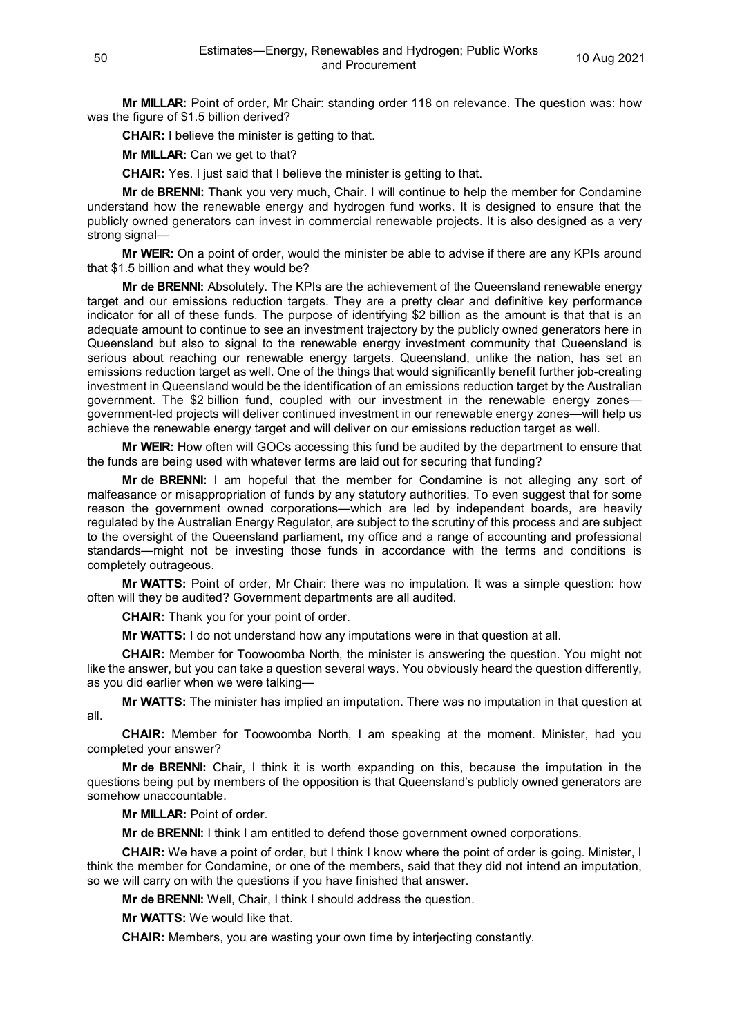**Mr MILLAR:** Point of order, Mr Chair: standing order 118 on relevance. The question was: how was the figure of \$1.5 billion derived?

**CHAIR:** I believe the minister is getting to that.

**Mr MILLAR:** Can we get to that?

**CHAIR:** Yes. I just said that I believe the minister is getting to that.

**Mr de BRENNI:** Thank you very much, Chair. I will continue to help the member for Condamine understand how the renewable energy and hydrogen fund works. It is designed to ensure that the publicly owned generators can invest in commercial renewable projects. It is also designed as a very strong signal—

**Mr WEIR:** On a point of order, would the minister be able to advise if there are any KPIs around that \$1.5 billion and what they would be?

**Mr de BRENNI:** Absolutely. The KPIs are the achievement of the Queensland renewable energy target and our emissions reduction targets. They are a pretty clear and definitive key performance indicator for all of these funds. The purpose of identifying \$2 billion as the amount is that that is an adequate amount to continue to see an investment trajectory by the publicly owned generators here in Queensland but also to signal to the renewable energy investment community that Queensland is serious about reaching our renewable energy targets. Queensland, unlike the nation, has set an emissions reduction target as well. One of the things that would significantly benefit further job-creating investment in Queensland would be the identification of an emissions reduction target by the Australian government. The \$2 billion fund, coupled with our investment in the renewable energy zones government-led projects will deliver continued investment in our renewable energy zones—will help us achieve the renewable energy target and will deliver on our emissions reduction target as well.

**Mr WEIR:** How often will GOCs accessing this fund be audited by the department to ensure that the funds are being used with whatever terms are laid out for securing that funding?

**Mr de BRENNI:** I am hopeful that the member for Condamine is not alleging any sort of malfeasance or misappropriation of funds by any statutory authorities. To even suggest that for some reason the government owned corporations—which are led by independent boards, are heavily regulated by the Australian Energy Regulator, are subject to the scrutiny of this process and are subject to the oversight of the Queensland parliament, my office and a range of accounting and professional standards—might not be investing those funds in accordance with the terms and conditions is completely outrageous.

**Mr WATTS:** Point of order, Mr Chair: there was no imputation. It was a simple question: how often will they be audited? Government departments are all audited.

**CHAIR:** Thank you for your point of order.

**Mr WATTS:** I do not understand how any imputations were in that question at all.

**CHAIR:** Member for Toowoomba North, the minister is answering the question. You might not like the answer, but you can take a question several ways. You obviously heard the question differently, as you did earlier when we were talking—

**Mr WATTS:** The minister has implied an imputation. There was no imputation in that question at all.

**CHAIR:** Member for Toowoomba North, I am speaking at the moment. Minister, had you completed your answer?

**Mr de BRENNI:** Chair, I think it is worth expanding on this, because the imputation in the questions being put by members of the opposition is that Queensland's publicly owned generators are somehow unaccountable.

**Mr MILLAR:** Point of order.

**Mr de BRENNI:** I think I am entitled to defend those government owned corporations.

**CHAIR:** We have a point of order, but I think I know where the point of order is going. Minister, I think the member for Condamine, or one of the members, said that they did not intend an imputation, so we will carry on with the questions if you have finished that answer.

**Mr de BRENNI:** Well, Chair, I think I should address the question.

**Mr WATTS:** We would like that.

**CHAIR:** Members, you are wasting your own time by interjecting constantly.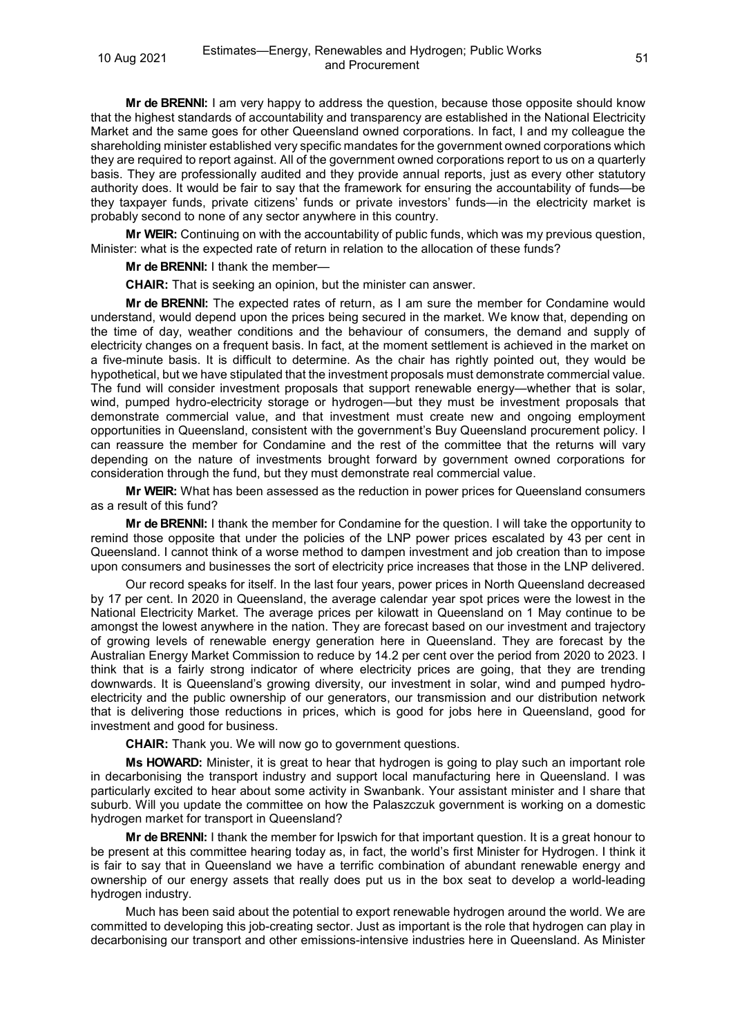**Mr de BRENNI:** I am very happy to address the question, because those opposite should know that the highest standards of accountability and transparency are established in the National Electricity Market and the same goes for other Queensland owned corporations. In fact, I and my colleague the shareholding minister established very specific mandates for the government owned corporations which they are required to report against. All of the government owned corporations report to us on a quarterly basis. They are professionally audited and they provide annual reports, just as every other statutory authority does. It would be fair to say that the framework for ensuring the accountability of funds—be they taxpayer funds, private citizens' funds or private investors' funds—in the electricity market is probably second to none of any sector anywhere in this country.

**Mr WEIR:** Continuing on with the accountability of public funds, which was my previous question, Minister: what is the expected rate of return in relation to the allocation of these funds?

**Mr de BRENNI:** I thank the member—

**CHAIR:** That is seeking an opinion, but the minister can answer.

**Mr de BRENNI:** The expected rates of return, as I am sure the member for Condamine would understand, would depend upon the prices being secured in the market. We know that, depending on the time of day, weather conditions and the behaviour of consumers, the demand and supply of electricity changes on a frequent basis. In fact, at the moment settlement is achieved in the market on a five-minute basis. It is difficult to determine. As the chair has rightly pointed out, they would be hypothetical, but we have stipulated that the investment proposals must demonstrate commercial value. The fund will consider investment proposals that support renewable energy—whether that is solar, wind, pumped hydro-electricity storage or hydrogen—but they must be investment proposals that demonstrate commercial value, and that investment must create new and ongoing employment opportunities in Queensland, consistent with the government's Buy Queensland procurement policy. I can reassure the member for Condamine and the rest of the committee that the returns will vary depending on the nature of investments brought forward by government owned corporations for consideration through the fund, but they must demonstrate real commercial value.

**Mr WEIR:** What has been assessed as the reduction in power prices for Queensland consumers as a result of this fund?

**Mr de BRENNI:** I thank the member for Condamine for the question. I will take the opportunity to remind those opposite that under the policies of the LNP power prices escalated by 43 per cent in Queensland. I cannot think of a worse method to dampen investment and job creation than to impose upon consumers and businesses the sort of electricity price increases that those in the LNP delivered.

Our record speaks for itself. In the last four years, power prices in North Queensland decreased by 17 per cent. In 2020 in Queensland, the average calendar year spot prices were the lowest in the National Electricity Market. The average prices per kilowatt in Queensland on 1 May continue to be amongst the lowest anywhere in the nation. They are forecast based on our investment and trajectory of growing levels of renewable energy generation here in Queensland. They are forecast by the Australian Energy Market Commission to reduce by 14.2 per cent over the period from 2020 to 2023. I think that is a fairly strong indicator of where electricity prices are going, that they are trending downwards. It is Queensland's growing diversity, our investment in solar, wind and pumped hydroelectricity and the public ownership of our generators, our transmission and our distribution network that is delivering those reductions in prices, which is good for jobs here in Queensland, good for investment and good for business.

**CHAIR:** Thank you. We will now go to government questions.

**Ms HOWARD:** Minister, it is great to hear that hydrogen is going to play such an important role in decarbonising the transport industry and support local manufacturing here in Queensland. I was particularly excited to hear about some activity in Swanbank. Your assistant minister and I share that suburb. Will you update the committee on how the Palaszczuk government is working on a domestic hydrogen market for transport in Queensland?

**Mr de BRENNI:** I thank the member for Ipswich for that important question. It is a great honour to be present at this committee hearing today as, in fact, the world's first Minister for Hydrogen. I think it is fair to say that in Queensland we have a terrific combination of abundant renewable energy and ownership of our energy assets that really does put us in the box seat to develop a world-leading hydrogen industry.

Much has been said about the potential to export renewable hydrogen around the world. We are committed to developing this job-creating sector. Just as important is the role that hydrogen can play in decarbonising our transport and other emissions-intensive industries here in Queensland. As Minister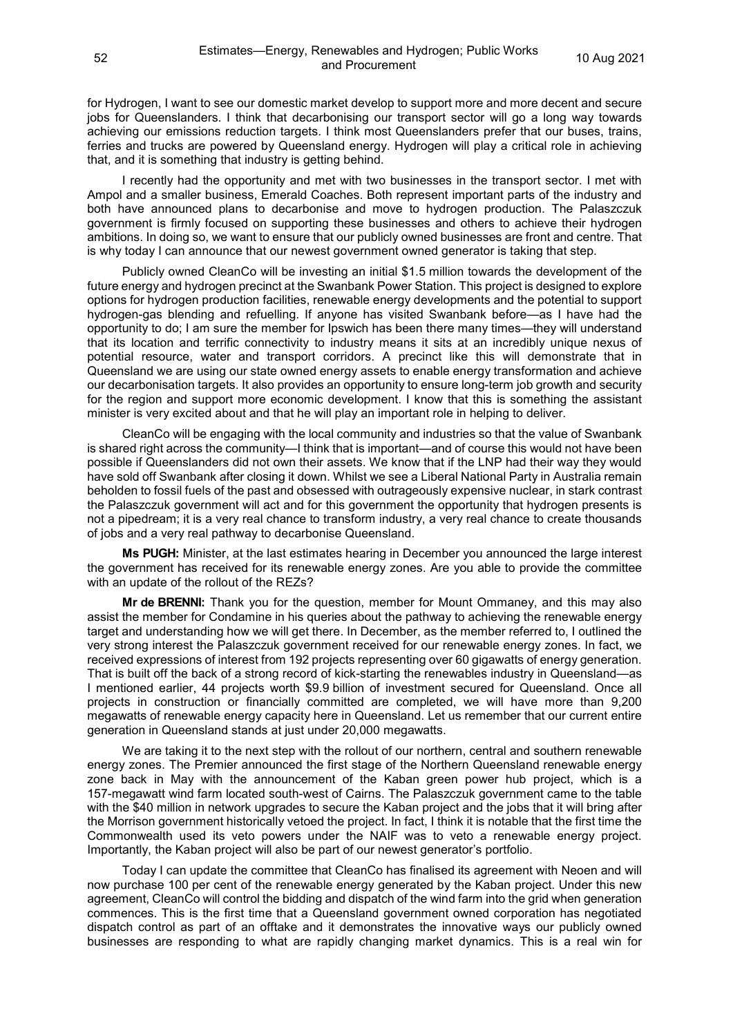for Hydrogen, I want to see our domestic market develop to support more and more decent and secure jobs for Queenslanders. I think that decarbonising our transport sector will go a long way towards achieving our emissions reduction targets. I think most Queenslanders prefer that our buses, trains, ferries and trucks are powered by Queensland energy. Hydrogen will play a critical role in achieving that, and it is something that industry is getting behind.

I recently had the opportunity and met with two businesses in the transport sector. I met with Ampol and a smaller business, Emerald Coaches. Both represent important parts of the industry and both have announced plans to decarbonise and move to hydrogen production. The Palaszczuk government is firmly focused on supporting these businesses and others to achieve their hydrogen ambitions. In doing so, we want to ensure that our publicly owned businesses are front and centre. That is why today I can announce that our newest government owned generator is taking that step.

Publicly owned CleanCo will be investing an initial \$1.5 million towards the development of the future energy and hydrogen precinct at the Swanbank Power Station. This project is designed to explore options for hydrogen production facilities, renewable energy developments and the potential to support hydrogen-gas blending and refuelling. If anyone has visited Swanbank before—as I have had the opportunity to do; I am sure the member for Ipswich has been there many times—they will understand that its location and terrific connectivity to industry means it sits at an incredibly unique nexus of potential resource, water and transport corridors. A precinct like this will demonstrate that in Queensland we are using our state owned energy assets to enable energy transformation and achieve our decarbonisation targets. It also provides an opportunity to ensure long-term job growth and security for the region and support more economic development. I know that this is something the assistant minister is very excited about and that he will play an important role in helping to deliver.

CleanCo will be engaging with the local community and industries so that the value of Swanbank is shared right across the community—I think that is important—and of course this would not have been possible if Queenslanders did not own their assets. We know that if the LNP had their way they would have sold off Swanbank after closing it down. Whilst we see a Liberal National Party in Australia remain beholden to fossil fuels of the past and obsessed with outrageously expensive nuclear, in stark contrast the Palaszczuk government will act and for this government the opportunity that hydrogen presents is not a pipedream; it is a very real chance to transform industry, a very real chance to create thousands of jobs and a very real pathway to decarbonise Queensland.

**Ms PUGH:** Minister, at the last estimates hearing in December you announced the large interest the government has received for its renewable energy zones. Are you able to provide the committee with an update of the rollout of the REZs?

**Mr de BRENNI:** Thank you for the question, member for Mount Ommaney, and this may also assist the member for Condamine in his queries about the pathway to achieving the renewable energy target and understanding how we will get there. In December, as the member referred to, I outlined the very strong interest the Palaszczuk government received for our renewable energy zones. In fact, we received expressions of interest from 192 projects representing over 60 gigawatts of energy generation. That is built off the back of a strong record of kick-starting the renewables industry in Queensland—as I mentioned earlier, 44 projects worth \$9.9 billion of investment secured for Queensland. Once all projects in construction or financially committed are completed, we will have more than 9,200 megawatts of renewable energy capacity here in Queensland. Let us remember that our current entire generation in Queensland stands at just under 20,000 megawatts.

We are taking it to the next step with the rollout of our northern, central and southern renewable energy zones. The Premier announced the first stage of the Northern Queensland renewable energy zone back in May with the announcement of the Kaban green power hub project, which is a 157-megawatt wind farm located south-west of Cairns. The Palaszczuk government came to the table with the \$40 million in network upgrades to secure the Kaban project and the jobs that it will bring after the Morrison government historically vetoed the project. In fact, I think it is notable that the first time the Commonwealth used its veto powers under the NAIF was to veto a renewable energy project. Importantly, the Kaban project will also be part of our newest generator's portfolio.

Today I can update the committee that CleanCo has finalised its agreement with Neoen and will now purchase 100 per cent of the renewable energy generated by the Kaban project. Under this new agreement, CleanCo will control the bidding and dispatch of the wind farm into the grid when generation commences. This is the first time that a Queensland government owned corporation has negotiated dispatch control as part of an offtake and it demonstrates the innovative ways our publicly owned businesses are responding to what are rapidly changing market dynamics. This is a real win for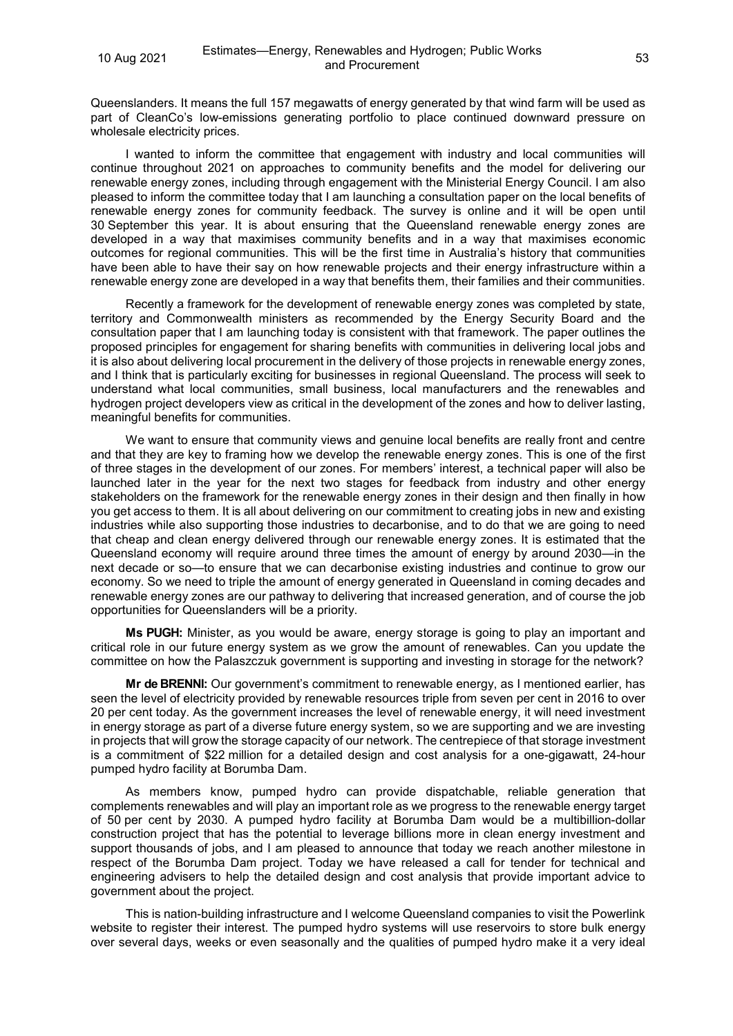Queenslanders. It means the full 157 megawatts of energy generated by that wind farm will be used as part of CleanCo's low-emissions generating portfolio to place continued downward pressure on wholesale electricity prices.

I wanted to inform the committee that engagement with industry and local communities will continue throughout 2021 on approaches to community benefits and the model for delivering our renewable energy zones, including through engagement with the Ministerial Energy Council. I am also pleased to inform the committee today that I am launching a consultation paper on the local benefits of renewable energy zones for community feedback. The survey is online and it will be open until 30 September this year. It is about ensuring that the Queensland renewable energy zones are developed in a way that maximises community benefits and in a way that maximises economic outcomes for regional communities. This will be the first time in Australia's history that communities have been able to have their say on how renewable projects and their energy infrastructure within a renewable energy zone are developed in a way that benefits them, their families and their communities.

Recently a framework for the development of renewable energy zones was completed by state, territory and Commonwealth ministers as recommended by the Energy Security Board and the consultation paper that I am launching today is consistent with that framework. The paper outlines the proposed principles for engagement for sharing benefits with communities in delivering local jobs and it is also about delivering local procurement in the delivery of those projects in renewable energy zones, and I think that is particularly exciting for businesses in regional Queensland. The process will seek to understand what local communities, small business, local manufacturers and the renewables and hydrogen project developers view as critical in the development of the zones and how to deliver lasting, meaningful benefits for communities.

We want to ensure that community views and genuine local benefits are really front and centre and that they are key to framing how we develop the renewable energy zones. This is one of the first of three stages in the development of our zones. For members' interest, a technical paper will also be launched later in the year for the next two stages for feedback from industry and other energy stakeholders on the framework for the renewable energy zones in their design and then finally in how you get access to them. It is all about delivering on our commitment to creating jobs in new and existing industries while also supporting those industries to decarbonise, and to do that we are going to need that cheap and clean energy delivered through our renewable energy zones. It is estimated that the Queensland economy will require around three times the amount of energy by around 2030—in the next decade or so—to ensure that we can decarbonise existing industries and continue to grow our economy. So we need to triple the amount of energy generated in Queensland in coming decades and renewable energy zones are our pathway to delivering that increased generation, and of course the job opportunities for Queenslanders will be a priority.

**Ms PUGH:** Minister, as you would be aware, energy storage is going to play an important and critical role in our future energy system as we grow the amount of renewables. Can you update the committee on how the Palaszczuk government is supporting and investing in storage for the network?

**Mr de BRENNI:** Our government's commitment to renewable energy, as I mentioned earlier, has seen the level of electricity provided by renewable resources triple from seven per cent in 2016 to over 20 per cent today. As the government increases the level of renewable energy, it will need investment in energy storage as part of a diverse future energy system, so we are supporting and we are investing in projects that will grow the storage capacity of our network. The centrepiece of that storage investment is a commitment of \$22 million for a detailed design and cost analysis for a one-gigawatt, 24-hour pumped hydro facility at Borumba Dam.

As members know, pumped hydro can provide dispatchable, reliable generation that complements renewables and will play an important role as we progress to the renewable energy target of 50 per cent by 2030. A pumped hydro facility at Borumba Dam would be a multibillion-dollar construction project that has the potential to leverage billions more in clean energy investment and support thousands of jobs, and I am pleased to announce that today we reach another milestone in respect of the Borumba Dam project. Today we have released a call for tender for technical and engineering advisers to help the detailed design and cost analysis that provide important advice to government about the project.

This is nation-building infrastructure and I welcome Queensland companies to visit the Powerlink website to register their interest. The pumped hydro systems will use reservoirs to store bulk energy over several days, weeks or even seasonally and the qualities of pumped hydro make it a very ideal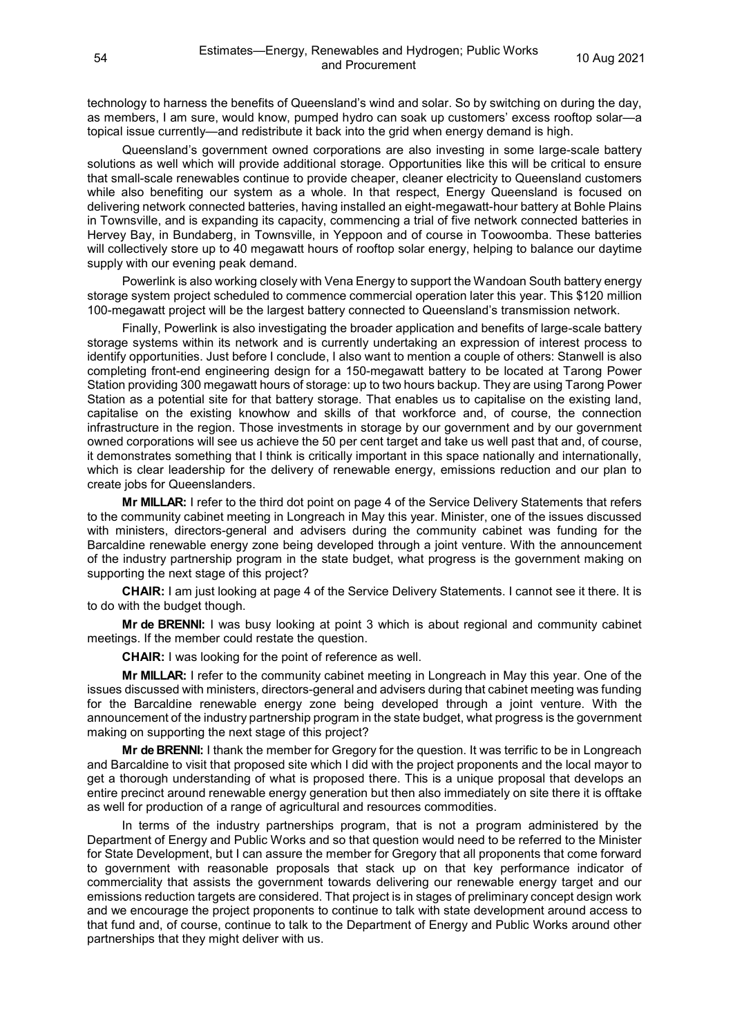technology to harness the benefits of Queensland's wind and solar. So by switching on during the day, as members, I am sure, would know, pumped hydro can soak up customers' excess rooftop solar—a topical issue currently—and redistribute it back into the grid when energy demand is high.

Queensland's government owned corporations are also investing in some large-scale battery solutions as well which will provide additional storage. Opportunities like this will be critical to ensure that small-scale renewables continue to provide cheaper, cleaner electricity to Queensland customers while also benefiting our system as a whole. In that respect, Energy Queensland is focused on delivering network connected batteries, having installed an eight-megawatt-hour battery at Bohle Plains in Townsville, and is expanding its capacity, commencing a trial of five network connected batteries in Hervey Bay, in Bundaberg, in Townsville, in Yeppoon and of course in Toowoomba. These batteries will collectively store up to 40 megawatt hours of rooftop solar energy, helping to balance our daytime supply with our evening peak demand.

Powerlink is also working closely with Vena Energy to support the Wandoan South battery energy storage system project scheduled to commence commercial operation later this year. This \$120 million 100-megawatt project will be the largest battery connected to Queensland's transmission network.

Finally, Powerlink is also investigating the broader application and benefits of large-scale battery storage systems within its network and is currently undertaking an expression of interest process to identify opportunities. Just before I conclude, I also want to mention a couple of others: Stanwell is also completing front-end engineering design for a 150-megawatt battery to be located at Tarong Power Station providing 300 megawatt hours of storage: up to two hours backup. They are using Tarong Power Station as a potential site for that battery storage. That enables us to capitalise on the existing land, capitalise on the existing knowhow and skills of that workforce and, of course, the connection infrastructure in the region. Those investments in storage by our government and by our government owned corporations will see us achieve the 50 per cent target and take us well past that and, of course, it demonstrates something that I think is critically important in this space nationally and internationally, which is clear leadership for the delivery of renewable energy, emissions reduction and our plan to create jobs for Queenslanders.

**Mr MILLAR:** I refer to the third dot point on page 4 of the Service Delivery Statements that refers to the community cabinet meeting in Longreach in May this year. Minister, one of the issues discussed with ministers, directors-general and advisers during the community cabinet was funding for the Barcaldine renewable energy zone being developed through a joint venture. With the announcement of the industry partnership program in the state budget, what progress is the government making on supporting the next stage of this project?

**CHAIR:** I am just looking at page 4 of the Service Delivery Statements. I cannot see it there. It is to do with the budget though.

**Mr de BRENNI:** I was busy looking at point 3 which is about regional and community cabinet meetings. If the member could restate the question.

**CHAIR:** I was looking for the point of reference as well.

**Mr MILLAR:** I refer to the community cabinet meeting in Longreach in May this year. One of the issues discussed with ministers, directors-general and advisers during that cabinet meeting was funding for the Barcaldine renewable energy zone being developed through a joint venture. With the announcement of the industry partnership program in the state budget, what progress is the government making on supporting the next stage of this project?

**Mr de BRENNI:** I thank the member for Gregory for the question. It was terrific to be in Longreach and Barcaldine to visit that proposed site which I did with the project proponents and the local mayor to get a thorough understanding of what is proposed there. This is a unique proposal that develops an entire precinct around renewable energy generation but then also immediately on site there it is offtake as well for production of a range of agricultural and resources commodities.

In terms of the industry partnerships program, that is not a program administered by the Department of Energy and Public Works and so that question would need to be referred to the Minister for State Development, but I can assure the member for Gregory that all proponents that come forward to government with reasonable proposals that stack up on that key performance indicator of commerciality that assists the government towards delivering our renewable energy target and our emissions reduction targets are considered. That project is in stages of preliminary concept design work and we encourage the project proponents to continue to talk with state development around access to that fund and, of course, continue to talk to the Department of Energy and Public Works around other partnerships that they might deliver with us.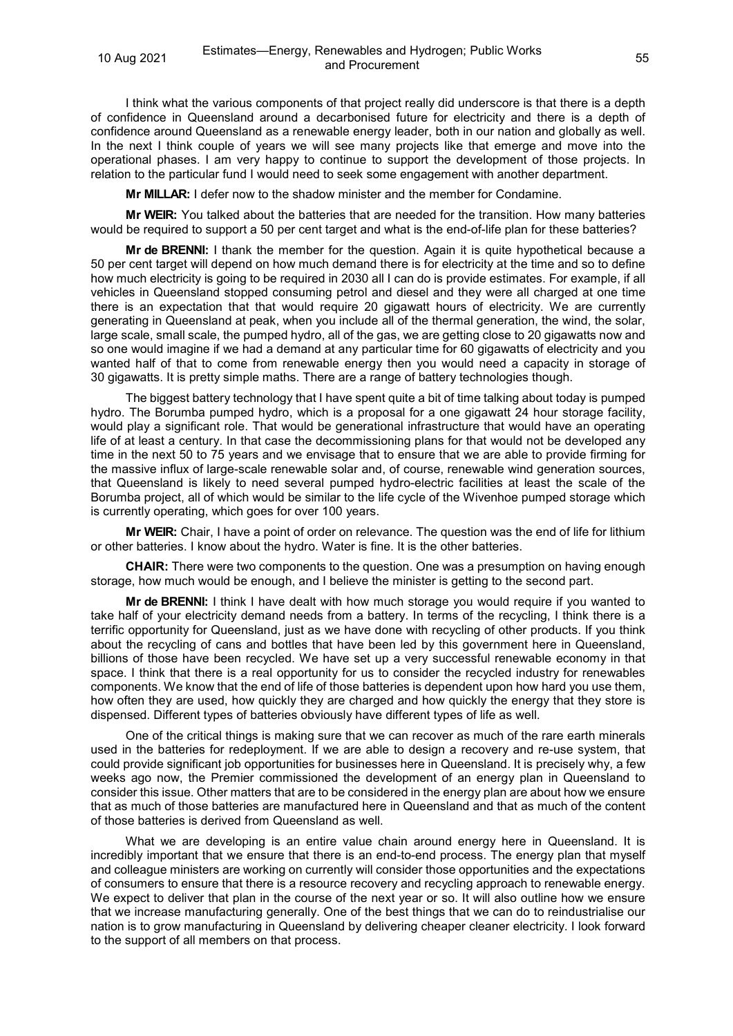I think what the various components of that project really did underscore is that there is a depth of confidence in Queensland around a decarbonised future for electricity and there is a depth of confidence around Queensland as a renewable energy leader, both in our nation and globally as well. In the next I think couple of years we will see many projects like that emerge and move into the operational phases. I am very happy to continue to support the development of those projects. In relation to the particular fund I would need to seek some engagement with another department.

**Mr MILLAR:** I defer now to the shadow minister and the member for Condamine.

**Mr WEIR:** You talked about the batteries that are needed for the transition. How many batteries would be required to support a 50 per cent target and what is the end-of-life plan for these batteries?

**Mr de BRENNI:** I thank the member for the question. Again it is quite hypothetical because a 50 per cent target will depend on how much demand there is for electricity at the time and so to define how much electricity is going to be required in 2030 all I can do is provide estimates. For example, if all vehicles in Queensland stopped consuming petrol and diesel and they were all charged at one time there is an expectation that that would require 20 gigawatt hours of electricity. We are currently generating in Queensland at peak, when you include all of the thermal generation, the wind, the solar, large scale, small scale, the pumped hydro, all of the gas, we are getting close to 20 gigawatts now and so one would imagine if we had a demand at any particular time for 60 gigawatts of electricity and you wanted half of that to come from renewable energy then you would need a capacity in storage of 30 gigawatts. It is pretty simple maths. There are a range of battery technologies though.

The biggest battery technology that I have spent quite a bit of time talking about today is pumped hydro. The Borumba pumped hydro, which is a proposal for a one gigawatt 24 hour storage facility, would play a significant role. That would be generational infrastructure that would have an operating life of at least a century. In that case the decommissioning plans for that would not be developed any time in the next 50 to 75 years and we envisage that to ensure that we are able to provide firming for the massive influx of large-scale renewable solar and, of course, renewable wind generation sources, that Queensland is likely to need several pumped hydro-electric facilities at least the scale of the Borumba project, all of which would be similar to the life cycle of the Wivenhoe pumped storage which is currently operating, which goes for over 100 years.

**Mr WEIR:** Chair, I have a point of order on relevance. The question was the end of life for lithium or other batteries. I know about the hydro. Water is fine. It is the other batteries.

**CHAIR:** There were two components to the question. One was a presumption on having enough storage, how much would be enough, and I believe the minister is getting to the second part.

**Mr de BRENNI:** I think I have dealt with how much storage you would require if you wanted to take half of your electricity demand needs from a battery. In terms of the recycling, I think there is a terrific opportunity for Queensland, just as we have done with recycling of other products. If you think about the recycling of cans and bottles that have been led by this government here in Queensland, billions of those have been recycled. We have set up a very successful renewable economy in that space. I think that there is a real opportunity for us to consider the recycled industry for renewables components. We know that the end of life of those batteries is dependent upon how hard you use them, how often they are used, how quickly they are charged and how quickly the energy that they store is dispensed. Different types of batteries obviously have different types of life as well.

One of the critical things is making sure that we can recover as much of the rare earth minerals used in the batteries for redeployment. If we are able to design a recovery and re-use system, that could provide significant job opportunities for businesses here in Queensland. It is precisely why, a few weeks ago now, the Premier commissioned the development of an energy plan in Queensland to consider this issue. Other matters that are to be considered in the energy plan are about how we ensure that as much of those batteries are manufactured here in Queensland and that as much of the content of those batteries is derived from Queensland as well.

What we are developing is an entire value chain around energy here in Queensland. It is incredibly important that we ensure that there is an end-to-end process. The energy plan that myself and colleague ministers are working on currently will consider those opportunities and the expectations of consumers to ensure that there is a resource recovery and recycling approach to renewable energy. We expect to deliver that plan in the course of the next year or so. It will also outline how we ensure that we increase manufacturing generally. One of the best things that we can do to reindustrialise our nation is to grow manufacturing in Queensland by delivering cheaper cleaner electricity. I look forward to the support of all members on that process.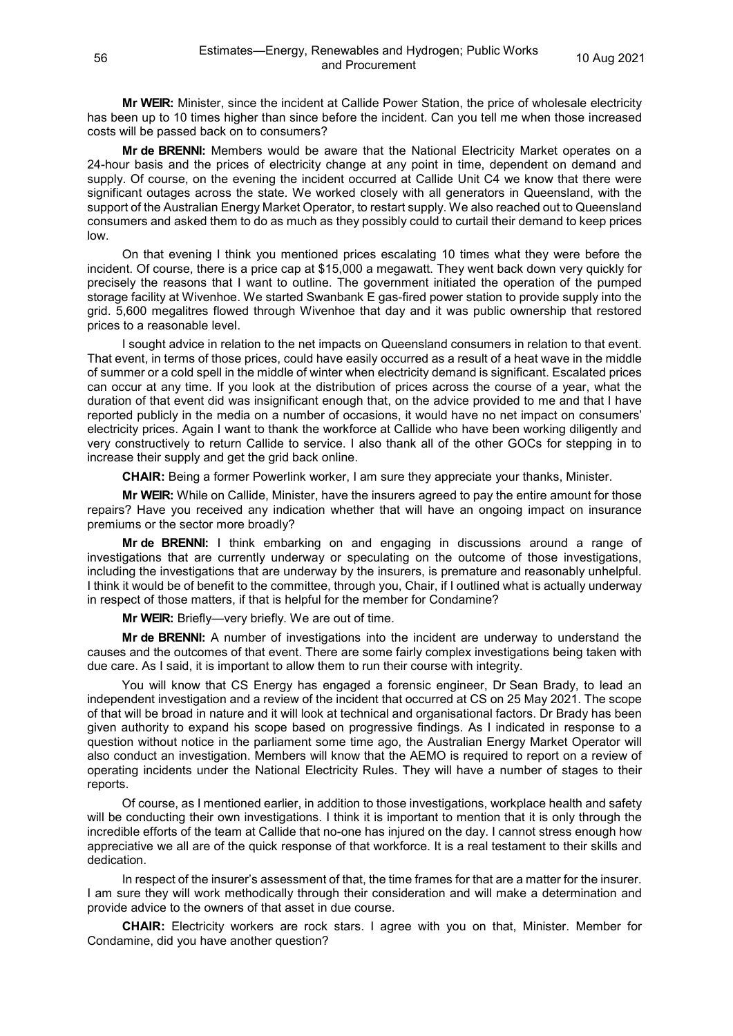**Mr WEIR:** Minister, since the incident at Callide Power Station, the price of wholesale electricity has been up to 10 times higher than since before the incident. Can you tell me when those increased costs will be passed back on to consumers?

**Mr de BRENNI:** Members would be aware that the National Electricity Market operates on a 24-hour basis and the prices of electricity change at any point in time, dependent on demand and supply. Of course, on the evening the incident occurred at Callide Unit C4 we know that there were significant outages across the state. We worked closely with all generators in Queensland, with the support of the Australian Energy Market Operator, to restart supply. We also reached out to Queensland consumers and asked them to do as much as they possibly could to curtail their demand to keep prices low.

On that evening I think you mentioned prices escalating 10 times what they were before the incident. Of course, there is a price cap at \$15,000 a megawatt. They went back down very quickly for precisely the reasons that I want to outline. The government initiated the operation of the pumped storage facility at Wivenhoe. We started Swanbank E gas-fired power station to provide supply into the grid. 5,600 megalitres flowed through Wivenhoe that day and it was public ownership that restored prices to a reasonable level.

I sought advice in relation to the net impacts on Queensland consumers in relation to that event. That event, in terms of those prices, could have easily occurred as a result of a heat wave in the middle of summer or a cold spell in the middle of winter when electricity demand is significant. Escalated prices can occur at any time. If you look at the distribution of prices across the course of a year, what the duration of that event did was insignificant enough that, on the advice provided to me and that I have reported publicly in the media on a number of occasions, it would have no net impact on consumers' electricity prices. Again I want to thank the workforce at Callide who have been working diligently and very constructively to return Callide to service. I also thank all of the other GOCs for stepping in to increase their supply and get the grid back online.

**CHAIR:** Being a former Powerlink worker, I am sure they appreciate your thanks, Minister.

**Mr WEIR:** While on Callide, Minister, have the insurers agreed to pay the entire amount for those repairs? Have you received any indication whether that will have an ongoing impact on insurance premiums or the sector more broadly?

**Mr de BRENNI:** I think embarking on and engaging in discussions around a range of investigations that are currently underway or speculating on the outcome of those investigations, including the investigations that are underway by the insurers, is premature and reasonably unhelpful. I think it would be of benefit to the committee, through you, Chair, if I outlined what is actually underway in respect of those matters, if that is helpful for the member for Condamine?

**Mr WEIR:** Briefly—very briefly. We are out of time.

**Mr de BRENNI:** A number of investigations into the incident are underway to understand the causes and the outcomes of that event. There are some fairly complex investigations being taken with due care. As I said, it is important to allow them to run their course with integrity.

You will know that CS Energy has engaged a forensic engineer, Dr Sean Brady, to lead an independent investigation and a review of the incident that occurred at CS on 25 May 2021. The scope of that will be broad in nature and it will look at technical and organisational factors. Dr Brady has been given authority to expand his scope based on progressive findings. As I indicated in response to a question without notice in the parliament some time ago, the Australian Energy Market Operator will also conduct an investigation. Members will know that the AEMO is required to report on a review of operating incidents under the National Electricity Rules. They will have a number of stages to their reports.

Of course, as I mentioned earlier, in addition to those investigations, workplace health and safety will be conducting their own investigations. I think it is important to mention that it is only through the incredible efforts of the team at Callide that no-one has injured on the day. I cannot stress enough how appreciative we all are of the quick response of that workforce. It is a real testament to their skills and dedication.

In respect of the insurer's assessment of that, the time frames for that are a matter for the insurer. I am sure they will work methodically through their consideration and will make a determination and provide advice to the owners of that asset in due course.

**CHAIR:** Electricity workers are rock stars. I agree with you on that, Minister. Member for Condamine, did you have another question?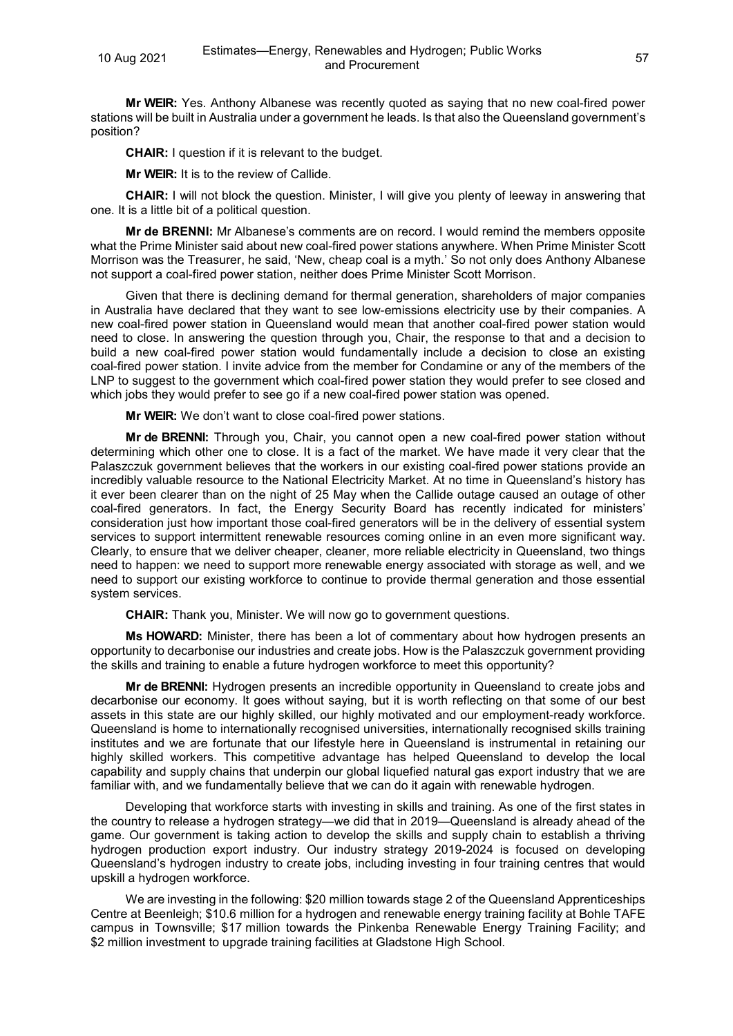**Mr WEIR:** Yes. Anthony Albanese was recently quoted as saying that no new coal-fired power stations will be built in Australia under a government he leads. Is that also the Queensland government's position?

**CHAIR:** I question if it is relevant to the budget.

**Mr WEIR:** It is to the review of Callide.

**CHAIR:** I will not block the question. Minister, I will give you plenty of leeway in answering that one. It is a little bit of a political question.

**Mr de BRENNI:** Mr Albanese's comments are on record. I would remind the members opposite what the Prime Minister said about new coal-fired power stations anywhere. When Prime Minister Scott Morrison was the Treasurer, he said, 'New, cheap coal is a myth.' So not only does Anthony Albanese not support a coal-fired power station, neither does Prime Minister Scott Morrison.

Given that there is declining demand for thermal generation, shareholders of major companies in Australia have declared that they want to see low-emissions electricity use by their companies. A new coal-fired power station in Queensland would mean that another coal-fired power station would need to close. In answering the question through you, Chair, the response to that and a decision to build a new coal-fired power station would fundamentally include a decision to close an existing coal-fired power station. I invite advice from the member for Condamine or any of the members of the LNP to suggest to the government which coal-fired power station they would prefer to see closed and which jobs they would prefer to see go if a new coal-fired power station was opened.

**Mr WEIR:** We don't want to close coal-fired power stations.

**Mr de BRENNI:** Through you, Chair, you cannot open a new coal-fired power station without determining which other one to close. It is a fact of the market. We have made it very clear that the Palaszczuk government believes that the workers in our existing coal-fired power stations provide an incredibly valuable resource to the National Electricity Market. At no time in Queensland's history has it ever been clearer than on the night of 25 May when the Callide outage caused an outage of other coal-fired generators. In fact, the Energy Security Board has recently indicated for ministers' consideration just how important those coal-fired generators will be in the delivery of essential system services to support intermittent renewable resources coming online in an even more significant way. Clearly, to ensure that we deliver cheaper, cleaner, more reliable electricity in Queensland, two things need to happen: we need to support more renewable energy associated with storage as well, and we need to support our existing workforce to continue to provide thermal generation and those essential system services.

**CHAIR:** Thank you, Minister. We will now go to government questions.

**Ms HOWARD:** Minister, there has been a lot of commentary about how hydrogen presents an opportunity to decarbonise our industries and create jobs. How is the Palaszczuk government providing the skills and training to enable a future hydrogen workforce to meet this opportunity?

**Mr de BRENNI:** Hydrogen presents an incredible opportunity in Queensland to create jobs and decarbonise our economy. It goes without saying, but it is worth reflecting on that some of our best assets in this state are our highly skilled, our highly motivated and our employment-ready workforce. Queensland is home to internationally recognised universities, internationally recognised skills training institutes and we are fortunate that our lifestyle here in Queensland is instrumental in retaining our highly skilled workers. This competitive advantage has helped Queensland to develop the local capability and supply chains that underpin our global liquefied natural gas export industry that we are familiar with, and we fundamentally believe that we can do it again with renewable hydrogen.

Developing that workforce starts with investing in skills and training. As one of the first states in the country to release a hydrogen strategy—we did that in 2019—Queensland is already ahead of the game. Our government is taking action to develop the skills and supply chain to establish a thriving hydrogen production export industry. Our industry strategy 2019-2024 is focused on developing Queensland's hydrogen industry to create jobs, including investing in four training centres that would upskill a hydrogen workforce.

We are investing in the following: \$20 million towards stage 2 of the Queensland Apprenticeships Centre at Beenleigh; \$10.6 million for a hydrogen and renewable energy training facility at Bohle TAFE campus in Townsville; \$17 million towards the Pinkenba Renewable Energy Training Facility; and \$2 million investment to upgrade training facilities at Gladstone High School.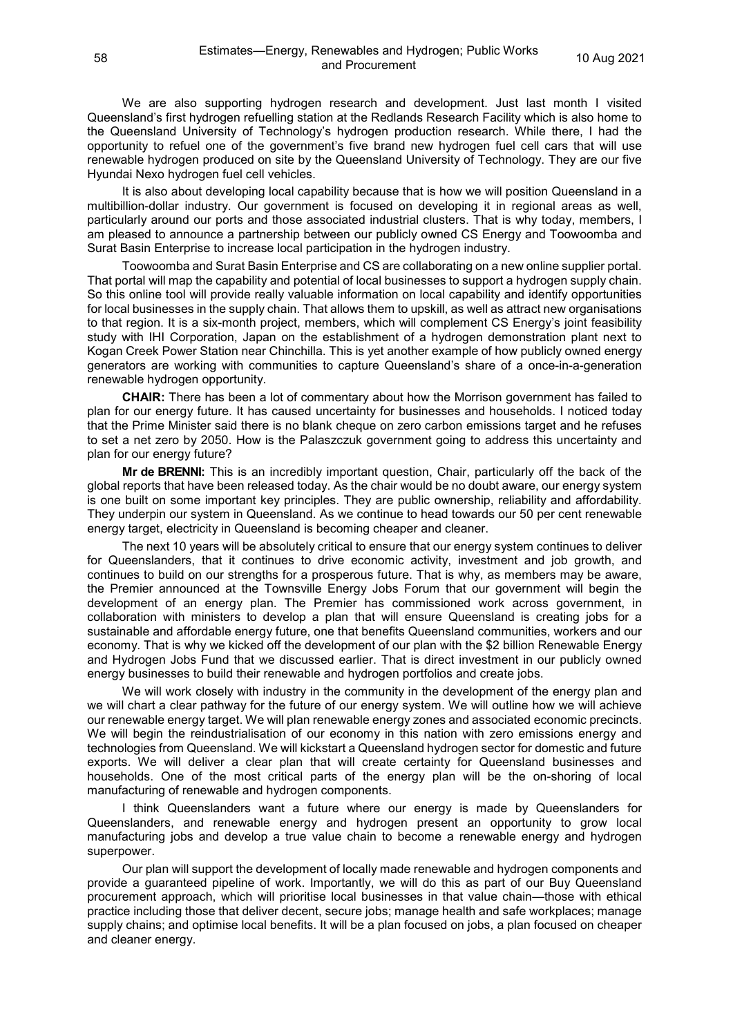We are also supporting hydrogen research and development. Just last month I visited Queensland's first hydrogen refuelling station at the Redlands Research Facility which is also home to the Queensland University of Technology's hydrogen production research. While there, I had the opportunity to refuel one of the government's five brand new hydrogen fuel cell cars that will use renewable hydrogen produced on site by the Queensland University of Technology. They are our five Hyundai Nexo hydrogen fuel cell vehicles.

It is also about developing local capability because that is how we will position Queensland in a multibillion-dollar industry. Our government is focused on developing it in regional areas as well, particularly around our ports and those associated industrial clusters. That is why today, members, I am pleased to announce a partnership between our publicly owned CS Energy and Toowoomba and Surat Basin Enterprise to increase local participation in the hydrogen industry.

Toowoomba and Surat Basin Enterprise and CS are collaborating on a new online supplier portal. That portal will map the capability and potential of local businesses to support a hydrogen supply chain. So this online tool will provide really valuable information on local capability and identify opportunities for local businesses in the supply chain. That allows them to upskill, as well as attract new organisations to that region. It is a six-month project, members, which will complement CS Energy's joint feasibility study with IHI Corporation, Japan on the establishment of a hydrogen demonstration plant next to Kogan Creek Power Station near Chinchilla. This is yet another example of how publicly owned energy generators are working with communities to capture Queensland's share of a once-in-a-generation renewable hydrogen opportunity.

**CHAIR:** There has been a lot of commentary about how the Morrison government has failed to plan for our energy future. It has caused uncertainty for businesses and households. I noticed today that the Prime Minister said there is no blank cheque on zero carbon emissions target and he refuses to set a net zero by 2050. How is the Palaszczuk government going to address this uncertainty and plan for our energy future?

**Mr de BRENNI:** This is an incredibly important question, Chair, particularly off the back of the global reports that have been released today. As the chair would be no doubt aware, our energy system is one built on some important key principles. They are public ownership, reliability and affordability. They underpin our system in Queensland. As we continue to head towards our 50 per cent renewable energy target, electricity in Queensland is becoming cheaper and cleaner.

The next 10 years will be absolutely critical to ensure that our energy system continues to deliver for Queenslanders, that it continues to drive economic activity, investment and job growth, and continues to build on our strengths for a prosperous future. That is why, as members may be aware, the Premier announced at the Townsville Energy Jobs Forum that our government will begin the development of an energy plan. The Premier has commissioned work across government, in collaboration with ministers to develop a plan that will ensure Queensland is creating jobs for a sustainable and affordable energy future, one that benefits Queensland communities, workers and our economy. That is why we kicked off the development of our plan with the \$2 billion Renewable Energy and Hydrogen Jobs Fund that we discussed earlier. That is direct investment in our publicly owned energy businesses to build their renewable and hydrogen portfolios and create jobs.

We will work closely with industry in the community in the development of the energy plan and we will chart a clear pathway for the future of our energy system. We will outline how we will achieve our renewable energy target. We will plan renewable energy zones and associated economic precincts. We will begin the reindustrialisation of our economy in this nation with zero emissions energy and technologies from Queensland. We will kickstart a Queensland hydrogen sector for domestic and future exports. We will deliver a clear plan that will create certainty for Queensland businesses and households. One of the most critical parts of the energy plan will be the on-shoring of local manufacturing of renewable and hydrogen components.

I think Queenslanders want a future where our energy is made by Queenslanders for Queenslanders, and renewable energy and hydrogen present an opportunity to grow local manufacturing jobs and develop a true value chain to become a renewable energy and hydrogen superpower.

Our plan will support the development of locally made renewable and hydrogen components and provide a guaranteed pipeline of work. Importantly, we will do this as part of our Buy Queensland procurement approach, which will prioritise local businesses in that value chain—those with ethical practice including those that deliver decent, secure jobs; manage health and safe workplaces; manage supply chains; and optimise local benefits. It will be a plan focused on jobs, a plan focused on cheaper and cleaner energy.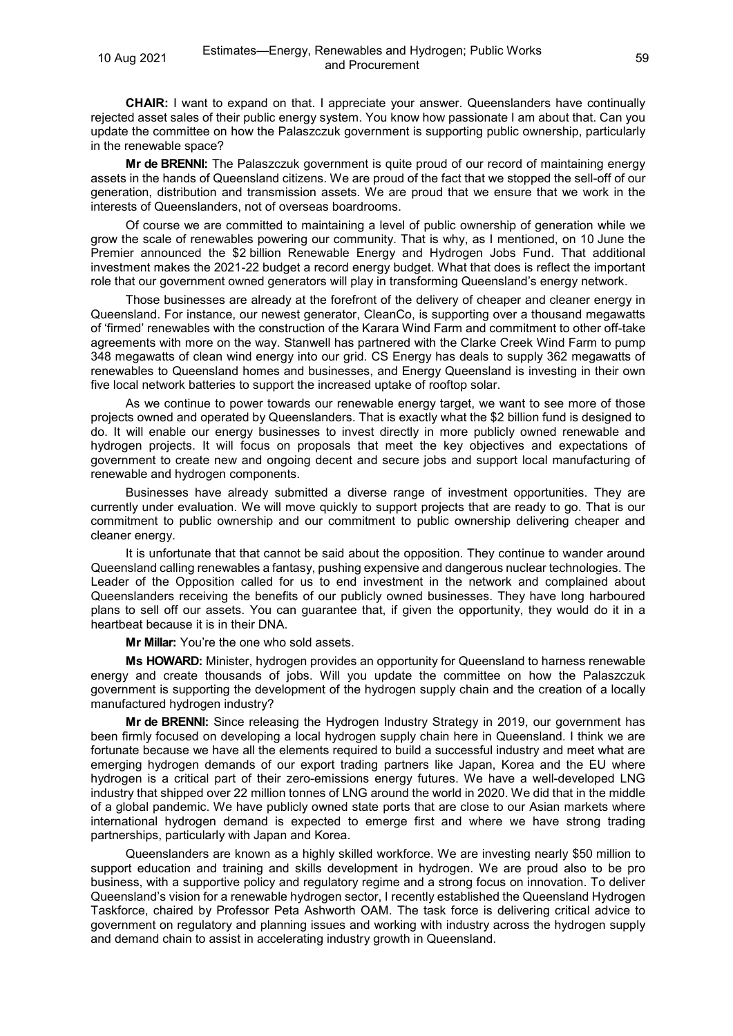**CHAIR:** I want to expand on that. I appreciate your answer. Queenslanders have continually rejected asset sales of their public energy system. You know how passionate I am about that. Can you update the committee on how the Palaszczuk government is supporting public ownership, particularly in the renewable space?

**Mr de BRENNI:** The Palaszczuk government is quite proud of our record of maintaining energy assets in the hands of Queensland citizens. We are proud of the fact that we stopped the sell-off of our generation, distribution and transmission assets. We are proud that we ensure that we work in the interests of Queenslanders, not of overseas boardrooms.

Of course we are committed to maintaining a level of public ownership of generation while we grow the scale of renewables powering our community. That is why, as I mentioned, on 10 June the Premier announced the \$2 billion Renewable Energy and Hydrogen Jobs Fund. That additional investment makes the 2021-22 budget a record energy budget. What that does is reflect the important role that our government owned generators will play in transforming Queensland's energy network.

Those businesses are already at the forefront of the delivery of cheaper and cleaner energy in Queensland. For instance, our newest generator, CleanCo, is supporting over a thousand megawatts of 'firmed' renewables with the construction of the Karara Wind Farm and commitment to other off-take agreements with more on the way. Stanwell has partnered with the Clarke Creek Wind Farm to pump 348 megawatts of clean wind energy into our grid. CS Energy has deals to supply 362 megawatts of renewables to Queensland homes and businesses, and Energy Queensland is investing in their own five local network batteries to support the increased uptake of rooftop solar.

As we continue to power towards our renewable energy target, we want to see more of those projects owned and operated by Queenslanders. That is exactly what the \$2 billion fund is designed to do. It will enable our energy businesses to invest directly in more publicly owned renewable and hydrogen projects. It will focus on proposals that meet the key objectives and expectations of government to create new and ongoing decent and secure jobs and support local manufacturing of renewable and hydrogen components.

Businesses have already submitted a diverse range of investment opportunities. They are currently under evaluation. We will move quickly to support projects that are ready to go. That is our commitment to public ownership and our commitment to public ownership delivering cheaper and cleaner energy.

It is unfortunate that that cannot be said about the opposition. They continue to wander around Queensland calling renewables a fantasy, pushing expensive and dangerous nuclear technologies. The Leader of the Opposition called for us to end investment in the network and complained about Queenslanders receiving the benefits of our publicly owned businesses. They have long harboured plans to sell off our assets. You can guarantee that, if given the opportunity, they would do it in a heartbeat because it is in their DNA.

**Mr Millar:** You're the one who sold assets.

**Ms HOWARD:** Minister, hydrogen provides an opportunity for Queensland to harness renewable energy and create thousands of jobs. Will you update the committee on how the Palaszczuk government is supporting the development of the hydrogen supply chain and the creation of a locally manufactured hydrogen industry?

**Mr de BRENNI:** Since releasing the Hydrogen Industry Strategy in 2019, our government has been firmly focused on developing a local hydrogen supply chain here in Queensland. I think we are fortunate because we have all the elements required to build a successful industry and meet what are emerging hydrogen demands of our export trading partners like Japan, Korea and the EU where hydrogen is a critical part of their zero-emissions energy futures. We have a well-developed LNG industry that shipped over 22 million tonnes of LNG around the world in 2020. We did that in the middle of a global pandemic. We have publicly owned state ports that are close to our Asian markets where international hydrogen demand is expected to emerge first and where we have strong trading partnerships, particularly with Japan and Korea.

Queenslanders are known as a highly skilled workforce. We are investing nearly \$50 million to support education and training and skills development in hydrogen. We are proud also to be pro business, with a supportive policy and regulatory regime and a strong focus on innovation. To deliver Queensland's vision for a renewable hydrogen sector, I recently established the Queensland Hydrogen Taskforce, chaired by Professor Peta Ashworth OAM. The task force is delivering critical advice to government on regulatory and planning issues and working with industry across the hydrogen supply and demand chain to assist in accelerating industry growth in Queensland.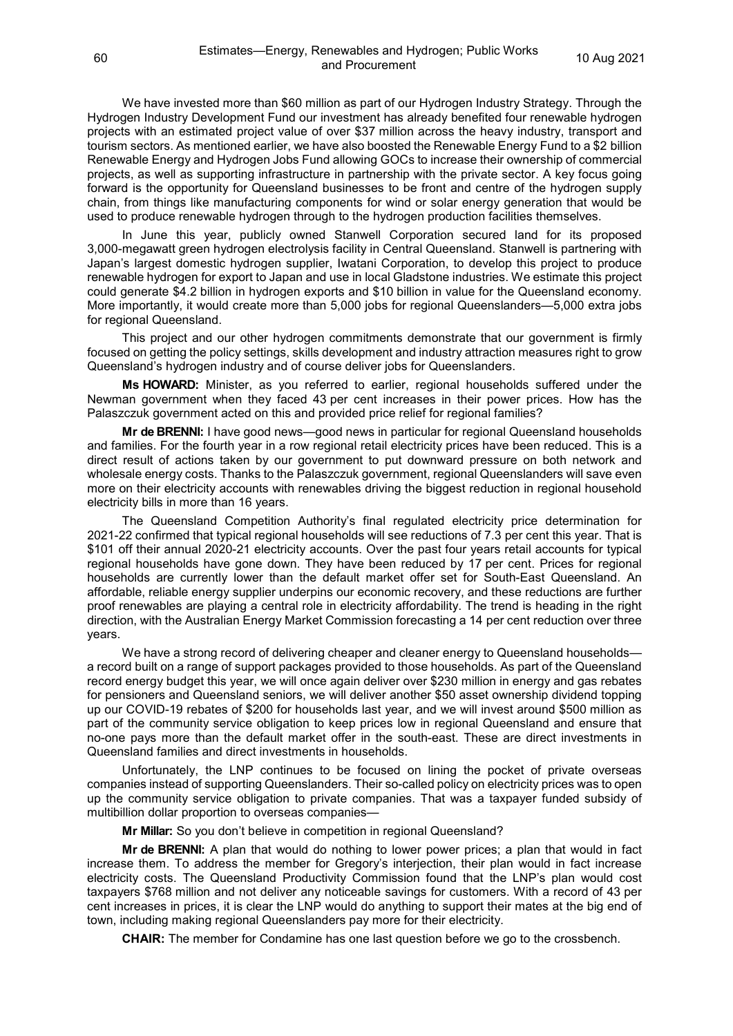We have invested more than \$60 million as part of our Hydrogen Industry Strategy. Through the Hydrogen Industry Development Fund our investment has already benefited four renewable hydrogen projects with an estimated project value of over \$37 million across the heavy industry, transport and tourism sectors. As mentioned earlier, we have also boosted the Renewable Energy Fund to a \$2 billion Renewable Energy and Hydrogen Jobs Fund allowing GOCs to increase their ownership of commercial projects, as well as supporting infrastructure in partnership with the private sector. A key focus going forward is the opportunity for Queensland businesses to be front and centre of the hydrogen supply chain, from things like manufacturing components for wind or solar energy generation that would be used to produce renewable hydrogen through to the hydrogen production facilities themselves.

In June this year, publicly owned Stanwell Corporation secured land for its proposed 3,000-megawatt green hydrogen electrolysis facility in Central Queensland. Stanwell is partnering with Japan's largest domestic hydrogen supplier, Iwatani Corporation, to develop this project to produce renewable hydrogen for export to Japan and use in local Gladstone industries. We estimate this project could generate \$4.2 billion in hydrogen exports and \$10 billion in value for the Queensland economy. More importantly, it would create more than 5,000 jobs for regional Queenslanders—5,000 extra jobs for regional Queensland.

This project and our other hydrogen commitments demonstrate that our government is firmly focused on getting the policy settings, skills development and industry attraction measures right to grow Queensland's hydrogen industry and of course deliver jobs for Queenslanders.

**Ms HOWARD:** Minister, as you referred to earlier, regional households suffered under the Newman government when they faced 43 per cent increases in their power prices. How has the Palaszczuk government acted on this and provided price relief for regional families?

**Mr de BRENNI:** I have good news—good news in particular for regional Queensland households and families. For the fourth year in a row regional retail electricity prices have been reduced. This is a direct result of actions taken by our government to put downward pressure on both network and wholesale energy costs. Thanks to the Palaszczuk government, regional Queenslanders will save even more on their electricity accounts with renewables driving the biggest reduction in regional household electricity bills in more than 16 years.

The Queensland Competition Authority's final regulated electricity price determination for 2021-22 confirmed that typical regional households will see reductions of 7.3 per cent this year. That is \$101 off their annual 2020-21 electricity accounts. Over the past four years retail accounts for typical regional households have gone down. They have been reduced by 17 per cent. Prices for regional households are currently lower than the default market offer set for South-East Queensland. An affordable, reliable energy supplier underpins our economic recovery, and these reductions are further proof renewables are playing a central role in electricity affordability. The trend is heading in the right direction, with the Australian Energy Market Commission forecasting a 14 per cent reduction over three years.

We have a strong record of delivering cheaper and cleaner energy to Queensland households a record built on a range of support packages provided to those households. As part of the Queensland record energy budget this year, we will once again deliver over \$230 million in energy and gas rebates for pensioners and Queensland seniors, we will deliver another \$50 asset ownership dividend topping up our COVID-19 rebates of \$200 for households last year, and we will invest around \$500 million as part of the community service obligation to keep prices low in regional Queensland and ensure that no-one pays more than the default market offer in the south-east. These are direct investments in Queensland families and direct investments in households.

Unfortunately, the LNP continues to be focused on lining the pocket of private overseas companies instead of supporting Queenslanders. Their so-called policy on electricity prices was to open up the community service obligation to private companies. That was a taxpayer funded subsidy of multibillion dollar proportion to overseas companies—

**Mr Millar:** So you don't believe in competition in regional Queensland?

**Mr de BRENNI:** A plan that would do nothing to lower power prices; a plan that would in fact increase them. To address the member for Gregory's interjection, their plan would in fact increase electricity costs. The Queensland Productivity Commission found that the LNP's plan would cost taxpayers \$768 million and not deliver any noticeable savings for customers. With a record of 43 per cent increases in prices, it is clear the LNP would do anything to support their mates at the big end of town, including making regional Queenslanders pay more for their electricity.

**CHAIR:** The member for Condamine has one last question before we go to the crossbench.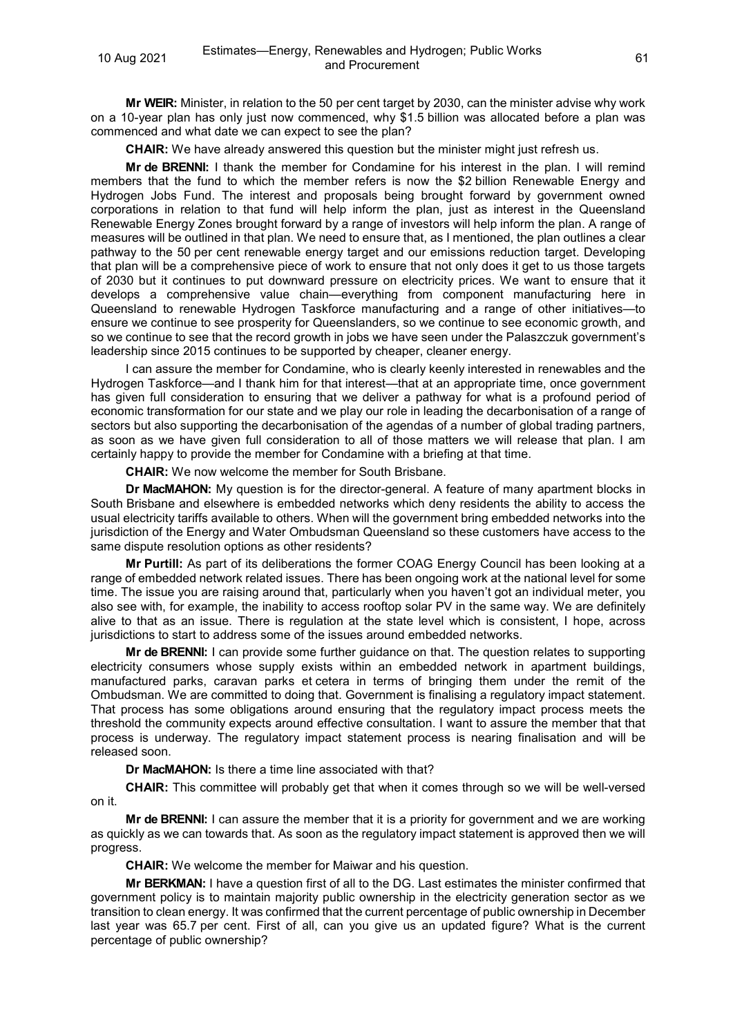**Mr WEIR:** Minister, in relation to the 50 per cent target by 2030, can the minister advise why work on a 10-year plan has only just now commenced, why \$1.5 billion was allocated before a plan was commenced and what date we can expect to see the plan?

**CHAIR:** We have already answered this question but the minister might just refresh us.

**Mr de BRENNI:** I thank the member for Condamine for his interest in the plan. I will remind members that the fund to which the member refers is now the \$2 billion Renewable Energy and Hydrogen Jobs Fund. The interest and proposals being brought forward by government owned corporations in relation to that fund will help inform the plan, just as interest in the Queensland Renewable Energy Zones brought forward by a range of investors will help inform the plan. A range of measures will be outlined in that plan. We need to ensure that, as I mentioned, the plan outlines a clear pathway to the 50 per cent renewable energy target and our emissions reduction target. Developing that plan will be a comprehensive piece of work to ensure that not only does it get to us those targets of 2030 but it continues to put downward pressure on electricity prices. We want to ensure that it develops a comprehensive value chain—everything from component manufacturing here in Queensland to renewable Hydrogen Taskforce manufacturing and a range of other initiatives—to ensure we continue to see prosperity for Queenslanders, so we continue to see economic growth, and so we continue to see that the record growth in jobs we have seen under the Palaszczuk government's leadership since 2015 continues to be supported by cheaper, cleaner energy.

I can assure the member for Condamine, who is clearly keenly interested in renewables and the Hydrogen Taskforce—and I thank him for that interest—that at an appropriate time, once government has given full consideration to ensuring that we deliver a pathway for what is a profound period of economic transformation for our state and we play our role in leading the decarbonisation of a range of sectors but also supporting the decarbonisation of the agendas of a number of global trading partners, as soon as we have given full consideration to all of those matters we will release that plan. I am certainly happy to provide the member for Condamine with a briefing at that time.

**CHAIR:** We now welcome the member for South Brisbane.

**Dr MacMAHON:** My question is for the director-general. A feature of many apartment blocks in South Brisbane and elsewhere is embedded networks which deny residents the ability to access the usual electricity tariffs available to others. When will the government bring embedded networks into the jurisdiction of the Energy and Water Ombudsman Queensland so these customers have access to the same dispute resolution options as other residents?

**Mr Purtill:** As part of its deliberations the former COAG Energy Council has been looking at a range of embedded network related issues. There has been ongoing work at the national level for some time. The issue you are raising around that, particularly when you haven't got an individual meter, you also see with, for example, the inability to access rooftop solar PV in the same way. We are definitely alive to that as an issue. There is regulation at the state level which is consistent, I hope, across jurisdictions to start to address some of the issues around embedded networks.

**Mr de BRENNI:** I can provide some further guidance on that. The question relates to supporting electricity consumers whose supply exists within an embedded network in apartment buildings, manufactured parks, caravan parks et cetera in terms of bringing them under the remit of the Ombudsman. We are committed to doing that. Government is finalising a regulatory impact statement. That process has some obligations around ensuring that the regulatory impact process meets the threshold the community expects around effective consultation. I want to assure the member that that process is underway. The regulatory impact statement process is nearing finalisation and will be released soon.

**Dr MacMAHON:** Is there a time line associated with that?

**CHAIR:** This committee will probably get that when it comes through so we will be well-versed on it.

**Mr de BRENNI:** I can assure the member that it is a priority for government and we are working as quickly as we can towards that. As soon as the regulatory impact statement is approved then we will progress.

**CHAIR:** We welcome the member for Maiwar and his question.

**Mr BERKMAN:** I have a question first of all to the DG. Last estimates the minister confirmed that government policy is to maintain majority public ownership in the electricity generation sector as we transition to clean energy. It was confirmed that the current percentage of public ownership in December last year was 65.7 per cent. First of all, can you give us an updated figure? What is the current percentage of public ownership?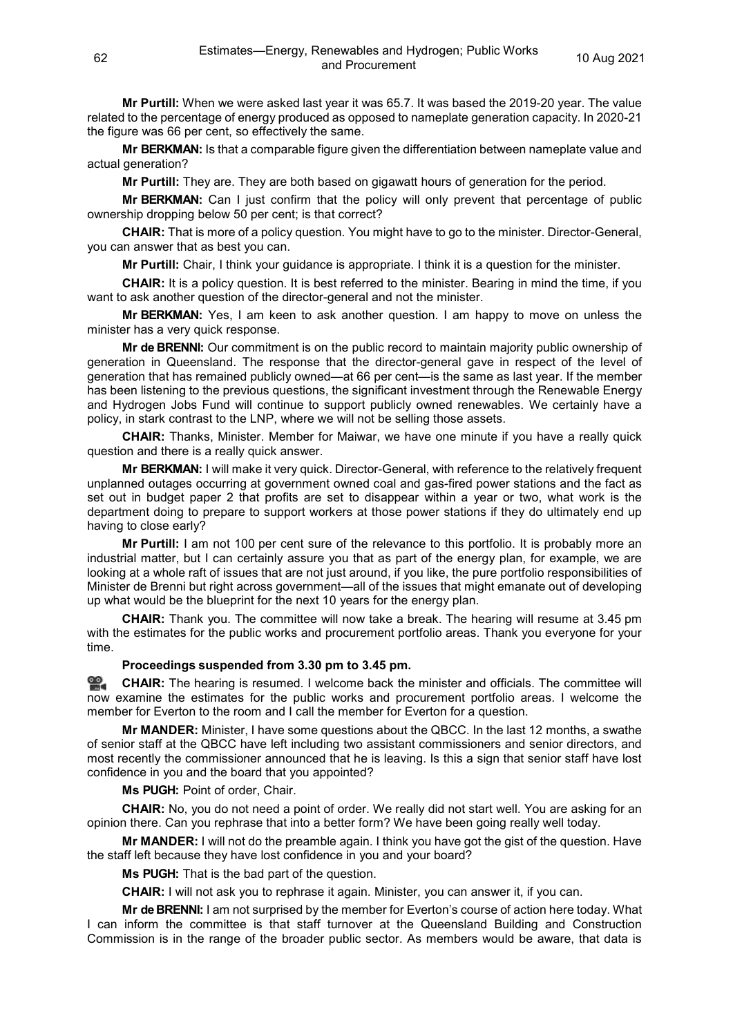**Mr Purtill:** When we were asked last year it was 65.7. It was based the 2019-20 year. The value related to the percentage of energy produced as opposed to nameplate generation capacity. In 2020-21 the figure was 66 per cent, so effectively the same.

**Mr BERKMAN:** Is that a comparable figure given the differentiation between nameplate value and actual generation?

**Mr Purtill:** They are. They are both based on gigawatt hours of generation for the period.

**Mr BERKMAN:** Can I just confirm that the policy will only prevent that percentage of public ownership dropping below 50 per cent; is that correct?

**CHAIR:** That is more of a policy question. You might have to go to the minister. Director-General, you can answer that as best you can.

**Mr Purtill:** Chair, I think your guidance is appropriate. I think it is a question for the minister.

**CHAIR:** It is a policy question. It is best referred to the minister. Bearing in mind the time, if you want to ask another question of the director-general and not the minister.

**Mr BERKMAN:** Yes, I am keen to ask another question. I am happy to move on unless the minister has a very quick response.

**Mr de BRENNI:** Our commitment is on the public record to maintain majority public ownership of generation in Queensland. The response that the director-general gave in respect of the level of generation that has remained publicly owned—at 66 per cent—is the same as last year. If the member has been listening to the previous questions, the significant investment through the Renewable Energy and Hydrogen Jobs Fund will continue to support publicly owned renewables. We certainly have a policy, in stark contrast to the LNP, where we will not be selling those assets.

**CHAIR:** Thanks, Minister. Member for Maiwar, we have one minute if you have a really quick question and there is a really quick answer.

**Mr BERKMAN:** I will make it very quick. Director-General, with reference to the relatively frequent unplanned outages occurring at government owned coal and gas-fired power stations and the fact as set out in budget paper 2 that profits are set to disappear within a year or two, what work is the department doing to prepare to support workers at those power stations if they do ultimately end up having to close early?

**Mr Purtill:** I am not 100 per cent sure of the relevance to this portfolio. It is probably more an industrial matter, but I can certainly assure you that as part of the energy plan, for example, we are looking at a whole raft of issues that are not just around, if you like, the pure portfolio responsibilities of Minister de Brenni but right across government—all of the issues that might emanate out of developing up what would be the blueprint for the next 10 years for the energy plan.

**CHAIR:** Thank you. The committee will now take a break. The hearing will resume at 3.45 pm with the estimates for the public works and procurement portfolio areas. Thank you everyone for your time.

## **Proceedings suspended from 3.30 pm to 3.45 pm.**

**92. [CHAIR:](http://www.parliament.qld.gov.au/docs/find.aspx?id=0Mba20210810_154521)** The hearing is resumed. I welcome back the minister and officials. The committee will now examine the estimates for the public works and procurement portfolio areas. I welcome the member for Everton to the room and I call the member for Everton for a question.

**Mr MANDER:** Minister, I have some questions about the QBCC. In the last 12 months, a swathe of senior staff at the QBCC have left including two assistant commissioners and senior directors, and most recently the commissioner announced that he is leaving. Is this a sign that senior staff have lost confidence in you and the board that you appointed?

**Ms PUGH:** Point of order, Chair.

**CHAIR:** No, you do not need a point of order. We really did not start well. You are asking for an opinion there. Can you rephrase that into a better form? We have been going really well today.

**Mr MANDER:** I will not do the preamble again. I think you have got the gist of the question. Have the staff left because they have lost confidence in you and your board?

**Ms PUGH:** That is the bad part of the question.

**CHAIR:** I will not ask you to rephrase it again. Minister, you can answer it, if you can.

**Mr de BRENNI:** I am not surprised by the member for Everton's course of action here today. What I can inform the committee is that staff turnover at the Queensland Building and Construction Commission is in the range of the broader public sector. As members would be aware, that data is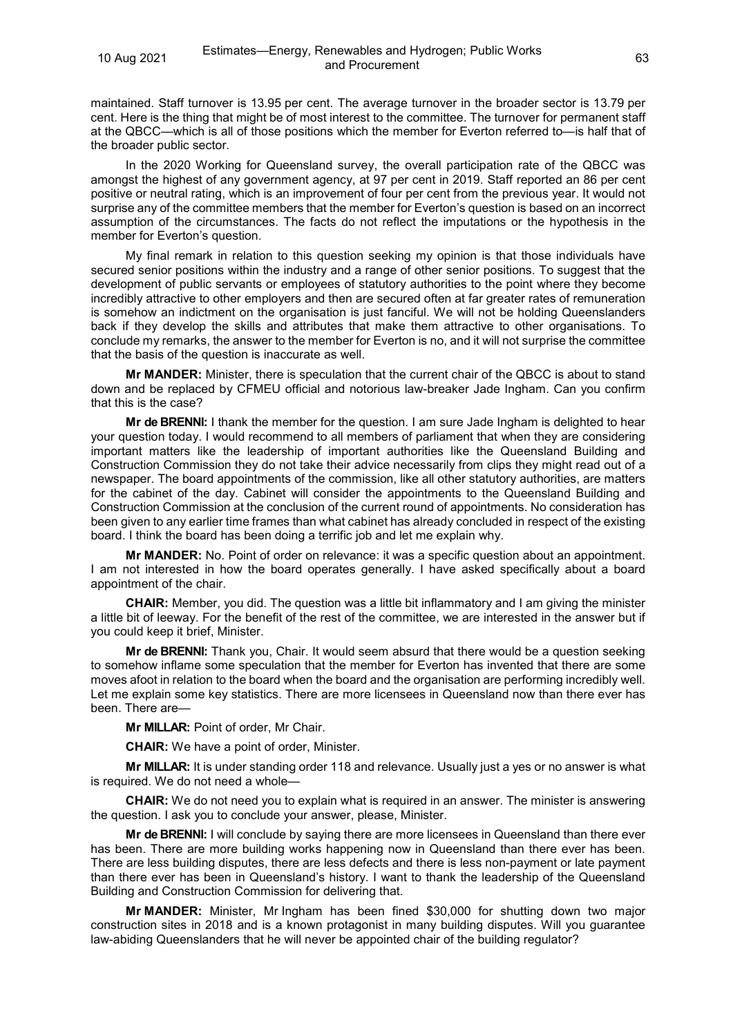maintained. Staff turnover is 13.95 per cent. The average turnover in the broader sector is 13.79 per cent. Here is the thing that might be of most interest to the committee. The turnover for permanent staff at the QBCC—which is all of those positions which the member for Everton referred to—is half that of the broader public sector.

In the 2020 Working for Queensland survey, the overall participation rate of the QBCC was amongst the highest of any government agency, at 97 per cent in 2019. Staff reported an 86 per cent positive or neutral rating, which is an improvement of four per cent from the previous year. It would not surprise any of the committee members that the member for Everton's question is based on an incorrect assumption of the circumstances. The facts do not reflect the imputations or the hypothesis in the member for Everton's question.

My final remark in relation to this question seeking my opinion is that those individuals have secured senior positions within the industry and a range of other senior positions. To suggest that the development of public servants or employees of statutory authorities to the point where they become incredibly attractive to other employers and then are secured often at far greater rates of remuneration is somehow an indictment on the organisation is just fanciful. We will not be holding Queenslanders back if they develop the skills and attributes that make them attractive to other organisations. To conclude my remarks, the answer to the member for Everton is no, and it will not surprise the committee that the basis of the question is inaccurate as well.

**Mr MANDER:** Minister, there is speculation that the current chair of the QBCC is about to stand down and be replaced by CFMEU official and notorious law-breaker Jade Ingham. Can you confirm that this is the case?

**Mr de BRENNI:** I thank the member for the question. I am sure Jade Ingham is delighted to hear your question today. I would recommend to all members of parliament that when they are considering important matters like the leadership of important authorities like the Queensland Building and Construction Commission they do not take their advice necessarily from clips they might read out of a newspaper. The board appointments of the commission, like all other statutory authorities, are matters for the cabinet of the day. Cabinet will consider the appointments to the Queensland Building and Construction Commission at the conclusion of the current round of appointments. No consideration has been given to any earlier time frames than what cabinet has already concluded in respect of the existing board. I think the board has been doing a terrific job and let me explain why.

**Mr MANDER:** No. Point of order on relevance: it was a specific question about an appointment. I am not interested in how the board operates generally. I have asked specifically about a board appointment of the chair.

**CHAIR:** Member, you did. The question was a little bit inflammatory and I am giving the minister a little bit of leeway. For the benefit of the rest of the committee, we are interested in the answer but if you could keep it brief, Minister.

**Mr de BRENNI:** Thank you, Chair. It would seem absurd that there would be a question seeking to somehow inflame some speculation that the member for Everton has invented that there are some moves afoot in relation to the board when the board and the organisation are performing incredibly well. Let me explain some key statistics. There are more licensees in Queensland now than there ever has been. There are—

**Mr MILLAR:** Point of order, Mr Chair.

**CHAIR:** We have a point of order, Minister.

**Mr MILLAR:** It is under standing order 118 and relevance. Usually just a yes or no answer is what is required. We do not need a whole—

**CHAIR:** We do not need you to explain what is required in an answer. The minister is answering the question. I ask you to conclude your answer, please, Minister.

**Mr de BRENNI:** I will conclude by saying there are more licensees in Queensland than there ever has been. There are more building works happening now in Queensland than there ever has been. There are less building disputes, there are less defects and there is less non-payment or late payment than there ever has been in Queensland's history. I want to thank the leadership of the Queensland Building and Construction Commission for delivering that.

**Mr MANDER:** Minister, Mr Ingham has been fined \$30,000 for shutting down two major construction sites in 2018 and is a known protagonist in many building disputes. Will you guarantee law-abiding Queenslanders that he will never be appointed chair of the building regulator?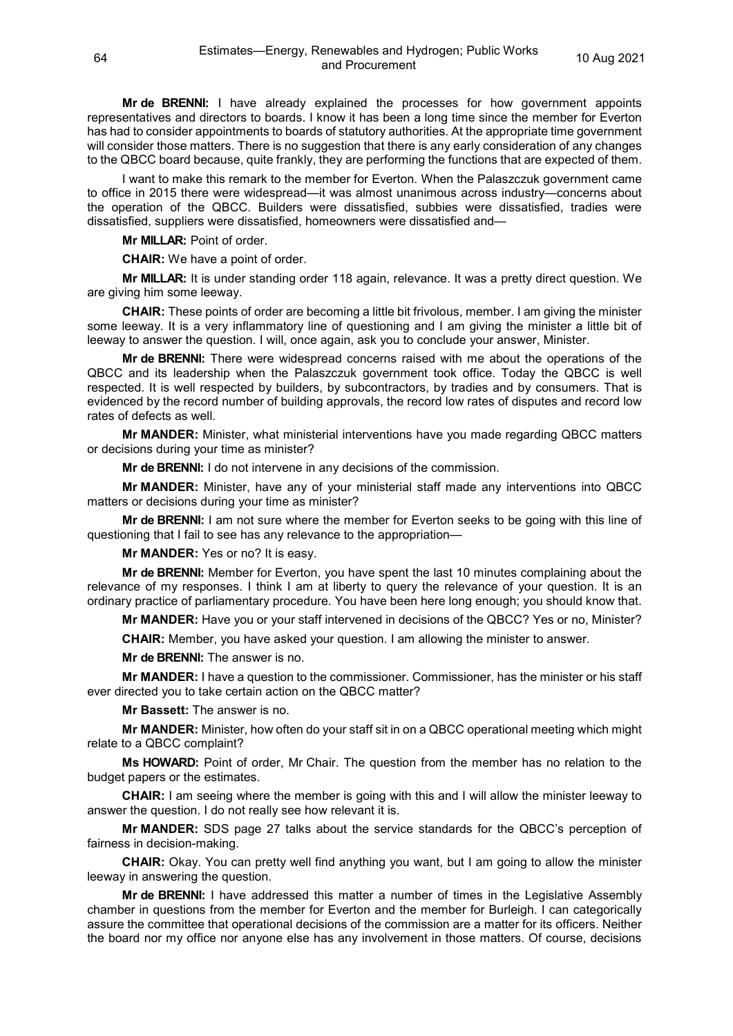**Mr de BRENNI:** I have already explained the processes for how government appoints representatives and directors to boards. I know it has been a long time since the member for Everton has had to consider appointments to boards of statutory authorities. At the appropriate time government will consider those matters. There is no suggestion that there is any early consideration of any changes to the QBCC board because, quite frankly, they are performing the functions that are expected of them.

I want to make this remark to the member for Everton. When the Palaszczuk government came to office in 2015 there were widespread—it was almost unanimous across industry—concerns about the operation of the QBCC. Builders were dissatisfied, subbies were dissatisfied, tradies were dissatisfied, suppliers were dissatisfied, homeowners were dissatisfied and—

**Mr MILLAR:** Point of order.

**CHAIR:** We have a point of order.

**Mr MILLAR:** It is under standing order 118 again, relevance. It was a pretty direct question. We are giving him some leeway.

**CHAIR:** These points of order are becoming a little bit frivolous, member. I am giving the minister some leeway. It is a very inflammatory line of questioning and I am giving the minister a little bit of leeway to answer the question. I will, once again, ask you to conclude your answer, Minister.

**Mr de BRENNI:** There were widespread concerns raised with me about the operations of the QBCC and its leadership when the Palaszczuk government took office. Today the QBCC is well respected. It is well respected by builders, by subcontractors, by tradies and by consumers. That is evidenced by the record number of building approvals, the record low rates of disputes and record low rates of defects as well.

**Mr MANDER:** Minister, what ministerial interventions have you made regarding QBCC matters or decisions during your time as minister?

**Mr de BRENNI:** I do not intervene in any decisions of the commission.

**Mr MANDER:** Minister, have any of your ministerial staff made any interventions into QBCC matters or decisions during your time as minister?

**Mr de BRENNI:** I am not sure where the member for Everton seeks to be going with this line of questioning that I fail to see has any relevance to the appropriation—

**Mr MANDER:** Yes or no? It is easy.

**Mr de BRENNI:** Member for Everton, you have spent the last 10 minutes complaining about the relevance of my responses. I think I am at liberty to query the relevance of your question. It is an ordinary practice of parliamentary procedure. You have been here long enough; you should know that.

**Mr MANDER:** Have you or your staff intervened in decisions of the QBCC? Yes or no, Minister?

**CHAIR:** Member, you have asked your question. I am allowing the minister to answer.

**Mr de BRENNI:** The answer is no.

**Mr MANDER:** I have a question to the commissioner. Commissioner, has the minister or his staff ever directed you to take certain action on the QBCC matter?

**Mr Bassett:** The answer is no.

**Mr MANDER:** Minister, how often do your staff sit in on a QBCC operational meeting which might relate to a QBCC complaint?

**Ms HOWARD:** Point of order, Mr Chair. The question from the member has no relation to the budget papers or the estimates.

**CHAIR:** I am seeing where the member is going with this and I will allow the minister leeway to answer the question. I do not really see how relevant it is.

**Mr MANDER:** SDS page 27 talks about the service standards for the QBCC's perception of fairness in decision-making.

**CHAIR:** Okay. You can pretty well find anything you want, but I am going to allow the minister leeway in answering the question.

**Mr de BRENNI:** I have addressed this matter a number of times in the Legislative Assembly chamber in questions from the member for Everton and the member for Burleigh. I can categorically assure the committee that operational decisions of the commission are a matter for its officers. Neither the board nor my office nor anyone else has any involvement in those matters. Of course, decisions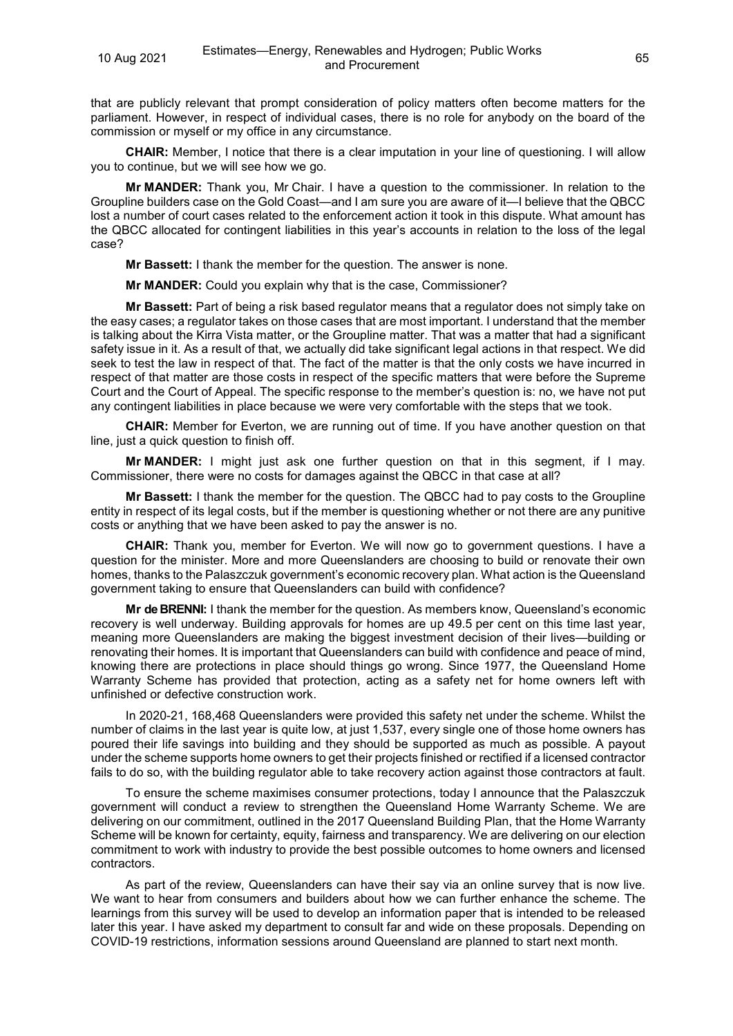that are publicly relevant that prompt consideration of policy matters often become matters for the parliament. However, in respect of individual cases, there is no role for anybody on the board of the commission or myself or my office in any circumstance.

**CHAIR:** Member, I notice that there is a clear imputation in your line of questioning. I will allow you to continue, but we will see how we go.

**Mr MANDER:** Thank you, Mr Chair. I have a question to the commissioner. In relation to the Groupline builders case on the Gold Coast—and I am sure you are aware of it—I believe that the QBCC lost a number of court cases related to the enforcement action it took in this dispute. What amount has the QBCC allocated for contingent liabilities in this year's accounts in relation to the loss of the legal case?

**Mr Bassett:** I thank the member for the question. The answer is none.

**Mr MANDER:** Could you explain why that is the case, Commissioner?

**Mr Bassett:** Part of being a risk based regulator means that a regulator does not simply take on the easy cases; a regulator takes on those cases that are most important. I understand that the member is talking about the Kirra Vista matter, or the Groupline matter. That was a matter that had a significant safety issue in it. As a result of that, we actually did take significant legal actions in that respect. We did seek to test the law in respect of that. The fact of the matter is that the only costs we have incurred in respect of that matter are those costs in respect of the specific matters that were before the Supreme Court and the Court of Appeal. The specific response to the member's question is: no, we have not put any contingent liabilities in place because we were very comfortable with the steps that we took.

**CHAIR:** Member for Everton, we are running out of time. If you have another question on that line, just a quick question to finish off.

**Mr MANDER:** I might just ask one further question on that in this segment, if I may. Commissioner, there were no costs for damages against the QBCC in that case at all?

**Mr Bassett:** I thank the member for the question. The QBCC had to pay costs to the Groupline entity in respect of its legal costs, but if the member is questioning whether or not there are any punitive costs or anything that we have been asked to pay the answer is no.

**CHAIR:** Thank you, member for Everton. We will now go to government questions. I have a question for the minister. More and more Queenslanders are choosing to build or renovate their own homes, thanks to the Palaszczuk government's economic recovery plan. What action is the Queensland government taking to ensure that Queenslanders can build with confidence?

**Mr de BRENNI:** I thank the member for the question. As members know, Queensland's economic recovery is well underway. Building approvals for homes are up 49.5 per cent on this time last year, meaning more Queenslanders are making the biggest investment decision of their lives—building or renovating their homes. It is important that Queenslanders can build with confidence and peace of mind, knowing there are protections in place should things go wrong. Since 1977, the Queensland Home Warranty Scheme has provided that protection, acting as a safety net for home owners left with unfinished or defective construction work.

In 2020-21, 168,468 Queenslanders were provided this safety net under the scheme. Whilst the number of claims in the last year is quite low, at just 1,537, every single one of those home owners has poured their life savings into building and they should be supported as much as possible. A payout under the scheme supports home owners to get their projects finished or rectified if a licensed contractor fails to do so, with the building regulator able to take recovery action against those contractors at fault.

To ensure the scheme maximises consumer protections, today I announce that the Palaszczuk government will conduct a review to strengthen the Queensland Home Warranty Scheme. We are delivering on our commitment, outlined in the 2017 Queensland Building Plan, that the Home Warranty Scheme will be known for certainty, equity, fairness and transparency. We are delivering on our election commitment to work with industry to provide the best possible outcomes to home owners and licensed contractors.

As part of the review, Queenslanders can have their say via an online survey that is now live. We want to hear from consumers and builders about how we can further enhance the scheme. The learnings from this survey will be used to develop an information paper that is intended to be released later this year. I have asked my department to consult far and wide on these proposals. Depending on COVID-19 restrictions, information sessions around Queensland are planned to start next month.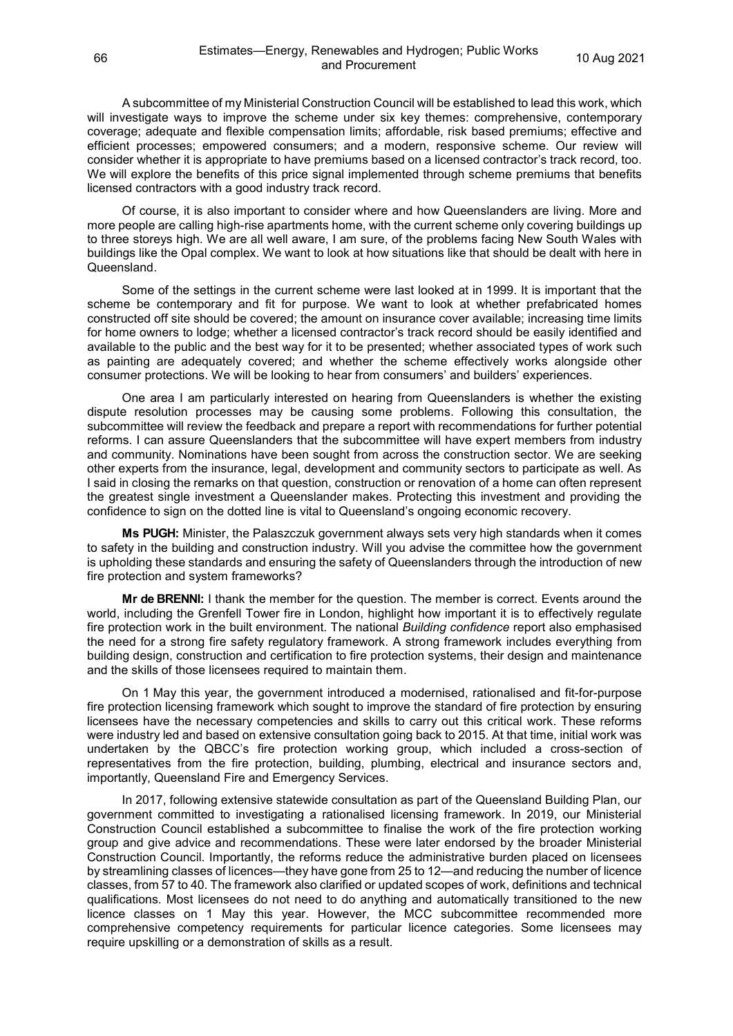A subcommittee of my Ministerial Construction Council will be established to lead this work, which will investigate ways to improve the scheme under six key themes: comprehensive, contemporary coverage; adequate and flexible compensation limits; affordable, risk based premiums; effective and efficient processes; empowered consumers; and a modern, responsive scheme. Our review will consider whether it is appropriate to have premiums based on a licensed contractor's track record, too. We will explore the benefits of this price signal implemented through scheme premiums that benefits licensed contractors with a good industry track record.

Of course, it is also important to consider where and how Queenslanders are living. More and more people are calling high-rise apartments home, with the current scheme only covering buildings up to three storeys high. We are all well aware, I am sure, of the problems facing New South Wales with buildings like the Opal complex. We want to look at how situations like that should be dealt with here in Queensland.

Some of the settings in the current scheme were last looked at in 1999. It is important that the scheme be contemporary and fit for purpose. We want to look at whether prefabricated homes constructed off site should be covered; the amount on insurance cover available; increasing time limits for home owners to lodge; whether a licensed contractor's track record should be easily identified and available to the public and the best way for it to be presented; whether associated types of work such as painting are adequately covered; and whether the scheme effectively works alongside other consumer protections. We will be looking to hear from consumers' and builders' experiences.

One area I am particularly interested on hearing from Queenslanders is whether the existing dispute resolution processes may be causing some problems. Following this consultation, the subcommittee will review the feedback and prepare a report with recommendations for further potential reforms. I can assure Queenslanders that the subcommittee will have expert members from industry and community. Nominations have been sought from across the construction sector. We are seeking other experts from the insurance, legal, development and community sectors to participate as well. As I said in closing the remarks on that question, construction or renovation of a home can often represent the greatest single investment a Queenslander makes. Protecting this investment and providing the confidence to sign on the dotted line is vital to Queensland's ongoing economic recovery.

**Ms PUGH:** Minister, the Palaszczuk government always sets very high standards when it comes to safety in the building and construction industry. Will you advise the committee how the government is upholding these standards and ensuring the safety of Queenslanders through the introduction of new fire protection and system frameworks?

**Mr de BRENNI:** I thank the member for the question. The member is correct. Events around the world, including the Grenfell Tower fire in London, highlight how important it is to effectively regulate fire protection work in the built environment. The national *Building confidence* report also emphasised the need for a strong fire safety regulatory framework. A strong framework includes everything from building design, construction and certification to fire protection systems, their design and maintenance and the skills of those licensees required to maintain them.

On 1 May this year, the government introduced a modernised, rationalised and fit-for-purpose fire protection licensing framework which sought to improve the standard of fire protection by ensuring licensees have the necessary competencies and skills to carry out this critical work. These reforms were industry led and based on extensive consultation going back to 2015. At that time, initial work was undertaken by the QBCC's fire protection working group, which included a cross-section of representatives from the fire protection, building, plumbing, electrical and insurance sectors and, importantly, Queensland Fire and Emergency Services.

In 2017, following extensive statewide consultation as part of the Queensland Building Plan, our government committed to investigating a rationalised licensing framework. In 2019, our Ministerial Construction Council established a subcommittee to finalise the work of the fire protection working group and give advice and recommendations. These were later endorsed by the broader Ministerial Construction Council. Importantly, the reforms reduce the administrative burden placed on licensees by streamlining classes of licences—they have gone from 25 to 12—and reducing the number of licence classes, from 57 to 40. The framework also clarified or updated scopes of work, definitions and technical qualifications. Most licensees do not need to do anything and automatically transitioned to the new licence classes on 1 May this year. However, the MCC subcommittee recommended more comprehensive competency requirements for particular licence categories. Some licensees may require upskilling or a demonstration of skills as a result.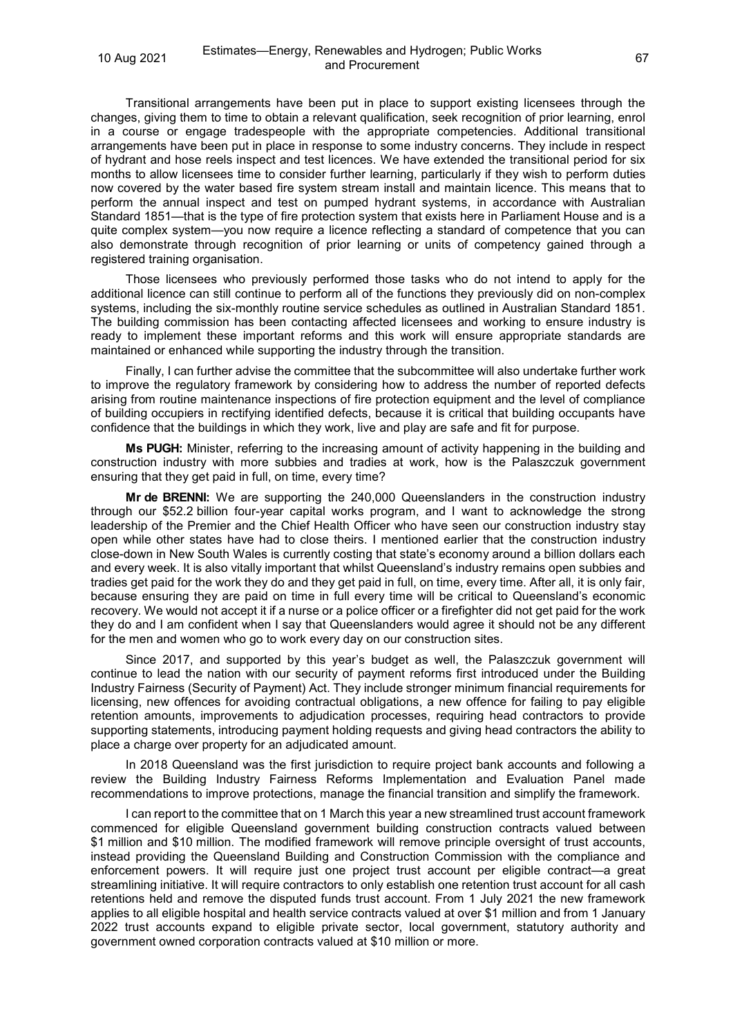Transitional arrangements have been put in place to support existing licensees through the changes, giving them to time to obtain a relevant qualification, seek recognition of prior learning, enrol in a course or engage tradespeople with the appropriate competencies. Additional transitional arrangements have been put in place in response to some industry concerns. They include in respect of hydrant and hose reels inspect and test licences. We have extended the transitional period for six months to allow licensees time to consider further learning, particularly if they wish to perform duties now covered by the water based fire system stream install and maintain licence. This means that to perform the annual inspect and test on pumped hydrant systems, in accordance with Australian Standard 1851—that is the type of fire protection system that exists here in Parliament House and is a quite complex system—you now require a licence reflecting a standard of competence that you can also demonstrate through recognition of prior learning or units of competency gained through a registered training organisation.

Those licensees who previously performed those tasks who do not intend to apply for the additional licence can still continue to perform all of the functions they previously did on non-complex systems, including the six-monthly routine service schedules as outlined in Australian Standard 1851. The building commission has been contacting affected licensees and working to ensure industry is ready to implement these important reforms and this work will ensure appropriate standards are maintained or enhanced while supporting the industry through the transition.

Finally, I can further advise the committee that the subcommittee will also undertake further work to improve the regulatory framework by considering how to address the number of reported defects arising from routine maintenance inspections of fire protection equipment and the level of compliance of building occupiers in rectifying identified defects, because it is critical that building occupants have confidence that the buildings in which they work, live and play are safe and fit for purpose.

**Ms PUGH:** Minister, referring to the increasing amount of activity happening in the building and construction industry with more subbies and tradies at work, how is the Palaszczuk government ensuring that they get paid in full, on time, every time?

**Mr de BRENNI:** We are supporting the 240,000 Queenslanders in the construction industry through our \$52.2 billion four-year capital works program, and I want to acknowledge the strong leadership of the Premier and the Chief Health Officer who have seen our construction industry stay open while other states have had to close theirs. I mentioned earlier that the construction industry close-down in New South Wales is currently costing that state's economy around a billion dollars each and every week. It is also vitally important that whilst Queensland's industry remains open subbies and tradies get paid for the work they do and they get paid in full, on time, every time. After all, it is only fair, because ensuring they are paid on time in full every time will be critical to Queensland's economic recovery. We would not accept it if a nurse or a police officer or a firefighter did not get paid for the work they do and I am confident when I say that Queenslanders would agree it should not be any different for the men and women who go to work every day on our construction sites.

Since 2017, and supported by this year's budget as well, the Palaszczuk government will continue to lead the nation with our security of payment reforms first introduced under the Building Industry Fairness (Security of Payment) Act. They include stronger minimum financial requirements for licensing, new offences for avoiding contractual obligations, a new offence for failing to pay eligible retention amounts, improvements to adjudication processes, requiring head contractors to provide supporting statements, introducing payment holding requests and giving head contractors the ability to place a charge over property for an adjudicated amount.

In 2018 Queensland was the first jurisdiction to require project bank accounts and following a review the Building Industry Fairness Reforms Implementation and Evaluation Panel made recommendations to improve protections, manage the financial transition and simplify the framework.

I can report to the committee that on 1 March this year a new streamlined trust account framework commenced for eligible Queensland government building construction contracts valued between \$1 million and \$10 million. The modified framework will remove principle oversight of trust accounts, instead providing the Queensland Building and Construction Commission with the compliance and enforcement powers. It will require just one project trust account per eligible contract—a great streamlining initiative. It will require contractors to only establish one retention trust account for all cash retentions held and remove the disputed funds trust account. From 1 July 2021 the new framework applies to all eligible hospital and health service contracts valued at over \$1 million and from 1 January 2022 trust accounts expand to eligible private sector, local government, statutory authority and government owned corporation contracts valued at \$10 million or more.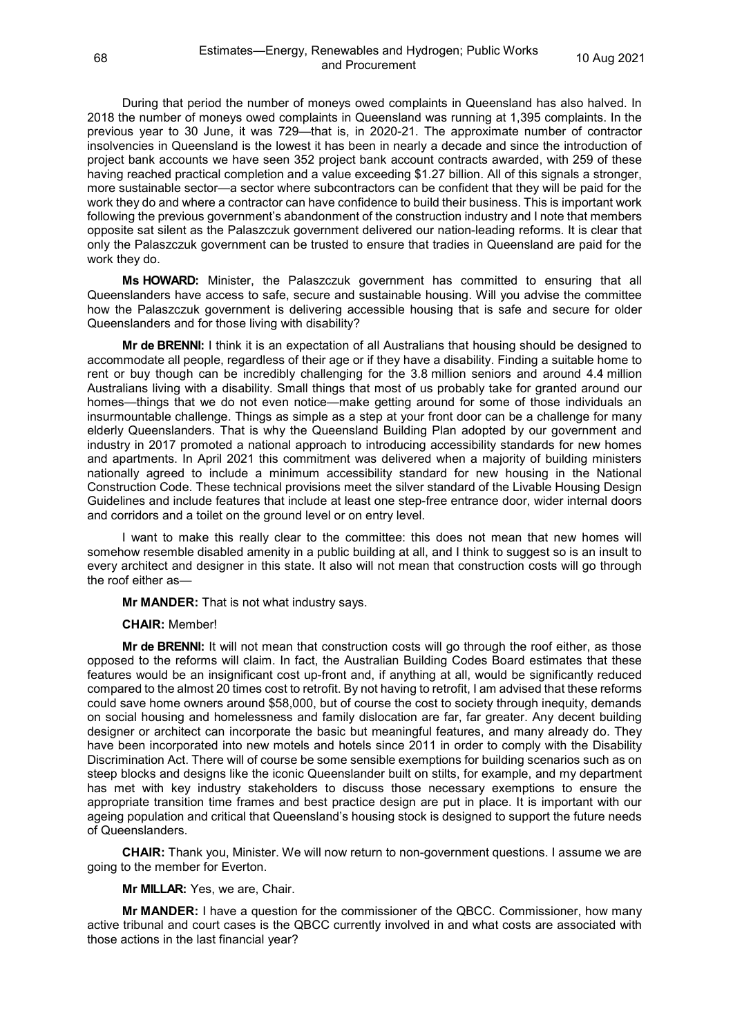During that period the number of moneys owed complaints in Queensland has also halved. In 2018 the number of moneys owed complaints in Queensland was running at 1,395 complaints. In the previous year to 30 June, it was 729—that is, in 2020-21. The approximate number of contractor insolvencies in Queensland is the lowest it has been in nearly a decade and since the introduction of project bank accounts we have seen 352 project bank account contracts awarded, with 259 of these having reached practical completion and a value exceeding \$1.27 billion. All of this signals a stronger, more sustainable sector—a sector where subcontractors can be confident that they will be paid for the work they do and where a contractor can have confidence to build their business. This is important work following the previous government's abandonment of the construction industry and I note that members opposite sat silent as the Palaszczuk government delivered our nation-leading reforms. It is clear that only the Palaszczuk government can be trusted to ensure that tradies in Queensland are paid for the work they do.

**Ms HOWARD:** Minister, the Palaszczuk government has committed to ensuring that all Queenslanders have access to safe, secure and sustainable housing. Will you advise the committee how the Palaszczuk government is delivering accessible housing that is safe and secure for older Queenslanders and for those living with disability?

**Mr de BRENNI:** I think it is an expectation of all Australians that housing should be designed to accommodate all people, regardless of their age or if they have a disability. Finding a suitable home to rent or buy though can be incredibly challenging for the 3.8 million seniors and around 4.4 million Australians living with a disability. Small things that most of us probably take for granted around our homes—things that we do not even notice—make getting around for some of those individuals an insurmountable challenge. Things as simple as a step at your front door can be a challenge for many elderly Queenslanders. That is why the Queensland Building Plan adopted by our government and industry in 2017 promoted a national approach to introducing accessibility standards for new homes and apartments. In April 2021 this commitment was delivered when a majority of building ministers nationally agreed to include a minimum accessibility standard for new housing in the National Construction Code. These technical provisions meet the silver standard of the Livable Housing Design Guidelines and include features that include at least one step-free entrance door, wider internal doors and corridors and a toilet on the ground level or on entry level.

I want to make this really clear to the committee: this does not mean that new homes will somehow resemble disabled amenity in a public building at all, and I think to suggest so is an insult to every architect and designer in this state. It also will not mean that construction costs will go through the roof either as—

**Mr MANDER:** That is not what industry says.

**CHAIR:** Member!

**Mr de BRENNI:** It will not mean that construction costs will go through the roof either, as those opposed to the reforms will claim. In fact, the Australian Building Codes Board estimates that these features would be an insignificant cost up-front and, if anything at all, would be significantly reduced compared to the almost 20 times cost to retrofit. By not having to retrofit, I am advised that these reforms could save home owners around \$58,000, but of course the cost to society through inequity, demands on social housing and homelessness and family dislocation are far, far greater. Any decent building designer or architect can incorporate the basic but meaningful features, and many already do. They have been incorporated into new motels and hotels since 2011 in order to comply with the Disability Discrimination Act. There will of course be some sensible exemptions for building scenarios such as on steep blocks and designs like the iconic Queenslander built on stilts, for example, and my department has met with key industry stakeholders to discuss those necessary exemptions to ensure the appropriate transition time frames and best practice design are put in place. It is important with our ageing population and critical that Queensland's housing stock is designed to support the future needs of Queenslanders.

**CHAIR:** Thank you, Minister. We will now return to non-government questions. I assume we are going to the member for Everton.

#### **Mr MILLAR:** Yes, we are, Chair.

**Mr MANDER:** I have a question for the commissioner of the QBCC. Commissioner, how many active tribunal and court cases is the QBCC currently involved in and what costs are associated with those actions in the last financial year?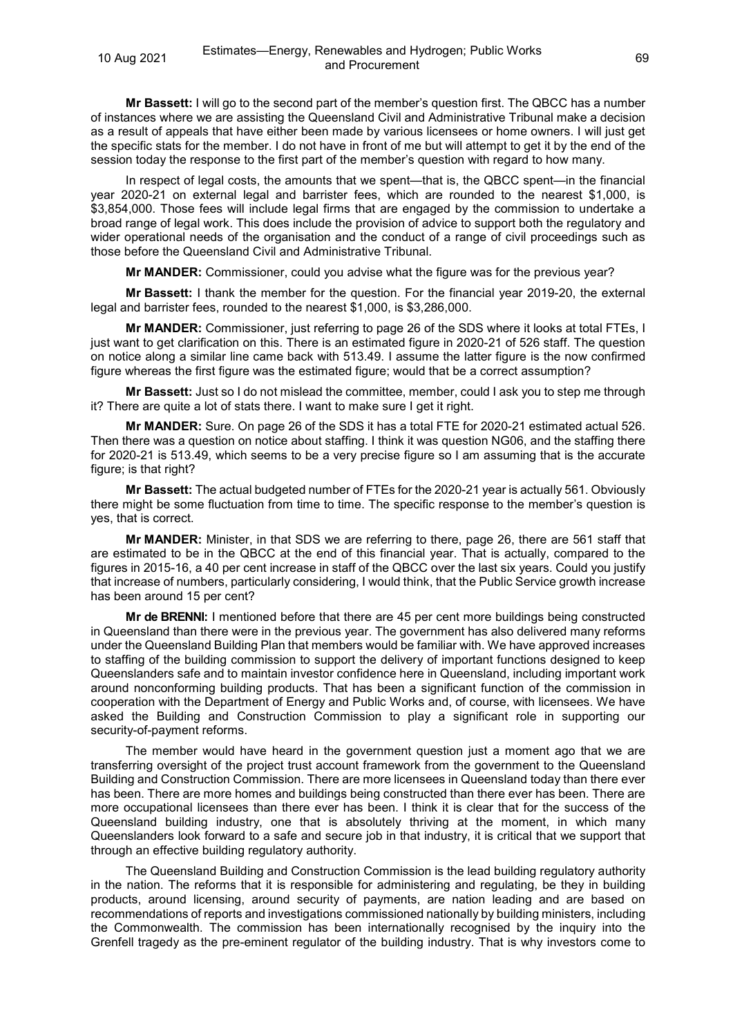**Mr Bassett:** I will go to the second part of the member's question first. The QBCC has a number of instances where we are assisting the Queensland Civil and Administrative Tribunal make a decision as a result of appeals that have either been made by various licensees or home owners. I will just get the specific stats for the member. I do not have in front of me but will attempt to get it by the end of the session today the response to the first part of the member's question with regard to how many.

In respect of legal costs, the amounts that we spent—that is, the QBCC spent—in the financial year 2020-21 on external legal and barrister fees, which are rounded to the nearest \$1,000, is \$3,854,000. Those fees will include legal firms that are engaged by the commission to undertake a broad range of legal work. This does include the provision of advice to support both the regulatory and wider operational needs of the organisation and the conduct of a range of civil proceedings such as those before the Queensland Civil and Administrative Tribunal.

**Mr MANDER:** Commissioner, could you advise what the figure was for the previous year?

**Mr Bassett:** I thank the member for the question. For the financial year 2019-20, the external legal and barrister fees, rounded to the nearest \$1,000, is \$3,286,000.

**Mr MANDER:** Commissioner, just referring to page 26 of the SDS where it looks at total FTEs, I just want to get clarification on this. There is an estimated figure in 2020-21 of 526 staff. The question on notice along a similar line came back with 513.49. I assume the latter figure is the now confirmed figure whereas the first figure was the estimated figure; would that be a correct assumption?

**Mr Bassett:** Just so I do not mislead the committee, member, could I ask you to step me through it? There are quite a lot of stats there. I want to make sure I get it right.

**Mr MANDER:** Sure. On page 26 of the SDS it has a total FTE for 2020-21 estimated actual 526. Then there was a question on notice about staffing. I think it was question NG06, and the staffing there for 2020-21 is 513.49, which seems to be a very precise figure so I am assuming that is the accurate figure; is that right?

**Mr Bassett:** The actual budgeted number of FTEs for the 2020-21 year is actually 561. Obviously there might be some fluctuation from time to time. The specific response to the member's question is yes, that is correct.

**Mr MANDER:** Minister, in that SDS we are referring to there, page 26, there are 561 staff that are estimated to be in the QBCC at the end of this financial year. That is actually, compared to the figures in 2015-16, a 40 per cent increase in staff of the QBCC over the last six years. Could you justify that increase of numbers, particularly considering, I would think, that the Public Service growth increase has been around 15 per cent?

**Mr de BRENNI:** I mentioned before that there are 45 per cent more buildings being constructed in Queensland than there were in the previous year. The government has also delivered many reforms under the Queensland Building Plan that members would be familiar with. We have approved increases to staffing of the building commission to support the delivery of important functions designed to keep Queenslanders safe and to maintain investor confidence here in Queensland, including important work around nonconforming building products. That has been a significant function of the commission in cooperation with the Department of Energy and Public Works and, of course, with licensees. We have asked the Building and Construction Commission to play a significant role in supporting our security-of-payment reforms.

The member would have heard in the government question just a moment ago that we are transferring oversight of the project trust account framework from the government to the Queensland Building and Construction Commission. There are more licensees in Queensland today than there ever has been. There are more homes and buildings being constructed than there ever has been. There are more occupational licensees than there ever has been. I think it is clear that for the success of the Queensland building industry, one that is absolutely thriving at the moment, in which many Queenslanders look forward to a safe and secure job in that industry, it is critical that we support that through an effective building regulatory authority.

The Queensland Building and Construction Commission is the lead building regulatory authority in the nation. The reforms that it is responsible for administering and regulating, be they in building products, around licensing, around security of payments, are nation leading and are based on recommendations of reports and investigations commissioned nationally by building ministers, including the Commonwealth. The commission has been internationally recognised by the inquiry into the Grenfell tragedy as the pre-eminent regulator of the building industry. That is why investors come to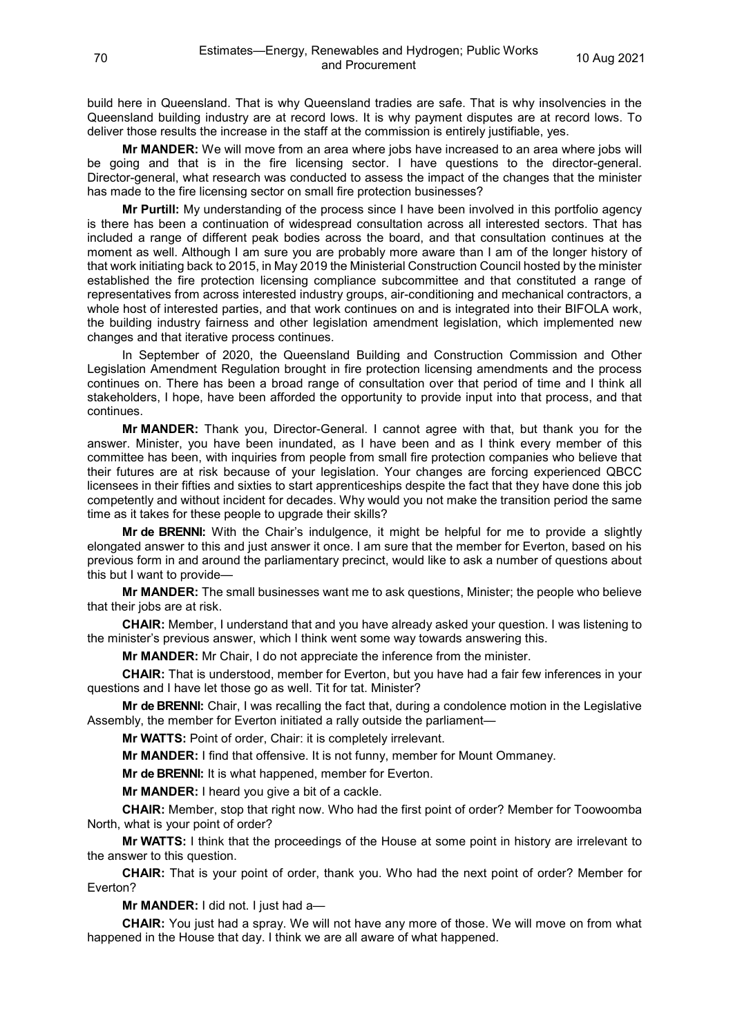build here in Queensland. That is why Queensland tradies are safe. That is why insolvencies in the Queensland building industry are at record lows. It is why payment disputes are at record lows. To deliver those results the increase in the staff at the commission is entirely justifiable, yes.

**Mr MANDER:** We will move from an area where jobs have increased to an area where jobs will be going and that is in the fire licensing sector. I have questions to the director-general. Director-general, what research was conducted to assess the impact of the changes that the minister has made to the fire licensing sector on small fire protection businesses?

**Mr Purtill:** My understanding of the process since I have been involved in this portfolio agency is there has been a continuation of widespread consultation across all interested sectors. That has included a range of different peak bodies across the board, and that consultation continues at the moment as well. Although I am sure you are probably more aware than I am of the longer history of that work initiating back to 2015, in May 2019 the Ministerial Construction Council hosted by the minister established the fire protection licensing compliance subcommittee and that constituted a range of representatives from across interested industry groups, air-conditioning and mechanical contractors, a whole host of interested parties, and that work continues on and is integrated into their BIFOLA work, the building industry fairness and other legislation amendment legislation, which implemented new changes and that iterative process continues.

In September of 2020, the Queensland Building and Construction Commission and Other Legislation Amendment Regulation brought in fire protection licensing amendments and the process continues on. There has been a broad range of consultation over that period of time and I think all stakeholders, I hope, have been afforded the opportunity to provide input into that process, and that continues.

**Mr MANDER:** Thank you, Director-General. I cannot agree with that, but thank you for the answer. Minister, you have been inundated, as I have been and as I think every member of this committee has been, with inquiries from people from small fire protection companies who believe that their futures are at risk because of your legislation. Your changes are forcing experienced QBCC licensees in their fifties and sixties to start apprenticeships despite the fact that they have done this job competently and without incident for decades. Why would you not make the transition period the same time as it takes for these people to upgrade their skills?

**Mr de BRENNI:** With the Chair's indulgence, it might be helpful for me to provide a slightly elongated answer to this and just answer it once. I am sure that the member for Everton, based on his previous form in and around the parliamentary precinct, would like to ask a number of questions about this but I want to provide—

**Mr MANDER:** The small businesses want me to ask questions, Minister; the people who believe that their jobs are at risk.

**CHAIR:** Member, I understand that and you have already asked your question. I was listening to the minister's previous answer, which I think went some way towards answering this.

**Mr MANDER:** Mr Chair, I do not appreciate the inference from the minister.

**CHAIR:** That is understood, member for Everton, but you have had a fair few inferences in your questions and I have let those go as well. Tit for tat. Minister?

**Mr de BRENNI:** Chair, I was recalling the fact that, during a condolence motion in the Legislative Assembly, the member for Everton initiated a rally outside the parliament—

**Mr WATTS:** Point of order, Chair: it is completely irrelevant.

**Mr MANDER:** I find that offensive. It is not funny, member for Mount Ommaney.

**Mr de BRENNI:** It is what happened, member for Everton.

**Mr MANDER:** I heard you give a bit of a cackle.

**CHAIR:** Member, stop that right now. Who had the first point of order? Member for Toowoomba North, what is your point of order?

**Mr WATTS:** I think that the proceedings of the House at some point in history are irrelevant to the answer to this question.

**CHAIR:** That is your point of order, thank you. Who had the next point of order? Member for Everton?

**Mr MANDER:** I did not. I just had a—

**CHAIR:** You just had a spray. We will not have any more of those. We will move on from what happened in the House that day. I think we are all aware of what happened.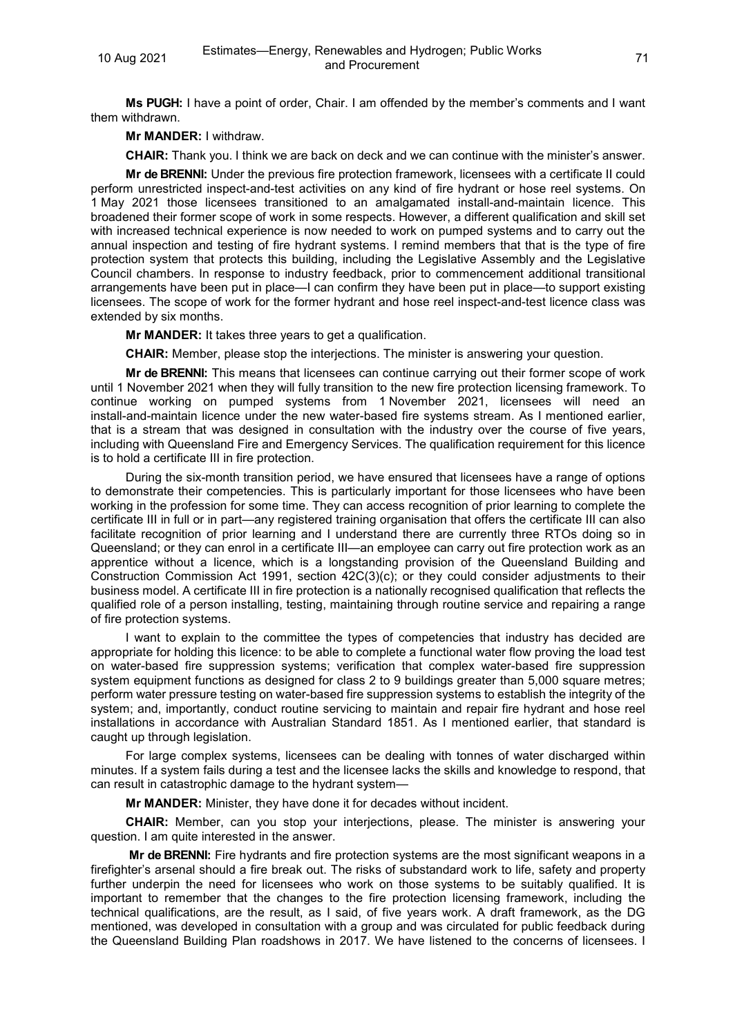**Ms PUGH:** I have a point of order, Chair. I am offended by the member's comments and I want them withdrawn.

### **Mr MANDER:** I withdraw.

**CHAIR:** Thank you. I think we are back on deck and we can continue with the minister's answer.

**Mr de BRENNI:** Under the previous fire protection framework, licensees with a certificate II could perform unrestricted inspect-and-test activities on any kind of fire hydrant or hose reel systems. On 1 May 2021 those licensees transitioned to an amalgamated install-and-maintain licence. This broadened their former scope of work in some respects. However, a different qualification and skill set with increased technical experience is now needed to work on pumped systems and to carry out the annual inspection and testing of fire hydrant systems. I remind members that that is the type of fire protection system that protects this building, including the Legislative Assembly and the Legislative Council chambers. In response to industry feedback, prior to commencement additional transitional arrangements have been put in place—I can confirm they have been put in place—to support existing licensees. The scope of work for the former hydrant and hose reel inspect-and-test licence class was extended by six months.

**Mr MANDER:** It takes three years to get a qualification.

**CHAIR:** Member, please stop the interjections. The minister is answering your question.

**Mr de BRENNI:** This means that licensees can continue carrying out their former scope of work until 1 November 2021 when they will fully transition to the new fire protection licensing framework. To continue working on pumped systems from 1 November 2021, licensees will need an install-and-maintain licence under the new water-based fire systems stream. As I mentioned earlier, that is a stream that was designed in consultation with the industry over the course of five years, including with Queensland Fire and Emergency Services. The qualification requirement for this licence is to hold a certificate III in fire protection.

During the six-month transition period, we have ensured that licensees have a range of options to demonstrate their competencies. This is particularly important for those licensees who have been working in the profession for some time. They can access recognition of prior learning to complete the certificate III in full or in part—any registered training organisation that offers the certificate III can also facilitate recognition of prior learning and I understand there are currently three RTOs doing so in Queensland; or they can enrol in a certificate III—an employee can carry out fire protection work as an apprentice without a licence, which is a longstanding provision of the Queensland Building and Construction Commission Act 1991, section 42C(3)(c); or they could consider adjustments to their business model. A certificate III in fire protection is a nationally recognised qualification that reflects the qualified role of a person installing, testing, maintaining through routine service and repairing a range of fire protection systems.

I want to explain to the committee the types of competencies that industry has decided are appropriate for holding this licence: to be able to complete a functional water flow proving the load test on water-based fire suppression systems; verification that complex water-based fire suppression system equipment functions as designed for class 2 to 9 buildings greater than 5,000 square metres; perform water pressure testing on water-based fire suppression systems to establish the integrity of the system; and, importantly, conduct routine servicing to maintain and repair fire hydrant and hose reel installations in accordance with Australian Standard 1851. As I mentioned earlier, that standard is caught up through legislation.

For large complex systems, licensees can be dealing with tonnes of water discharged within minutes. If a system fails during a test and the licensee lacks the skills and knowledge to respond, that can result in catastrophic damage to the hydrant system—

**Mr MANDER:** Minister, they have done it for decades without incident.

**CHAIR:** Member, can you stop your interjections, please. The minister is answering your question. I am quite interested in the answer.

**Mr de BRENNI:** Fire hydrants and fire protection systems are the most significant weapons in a firefighter's arsenal should a fire break out. The risks of substandard work to life, safety and property further underpin the need for licensees who work on those systems to be suitably qualified. It is important to remember that the changes to the fire protection licensing framework, including the technical qualifications, are the result, as I said, of five years work. A draft framework, as the DG mentioned, was developed in consultation with a group and was circulated for public feedback during the Queensland Building Plan roadshows in 2017. We have listened to the concerns of licensees. I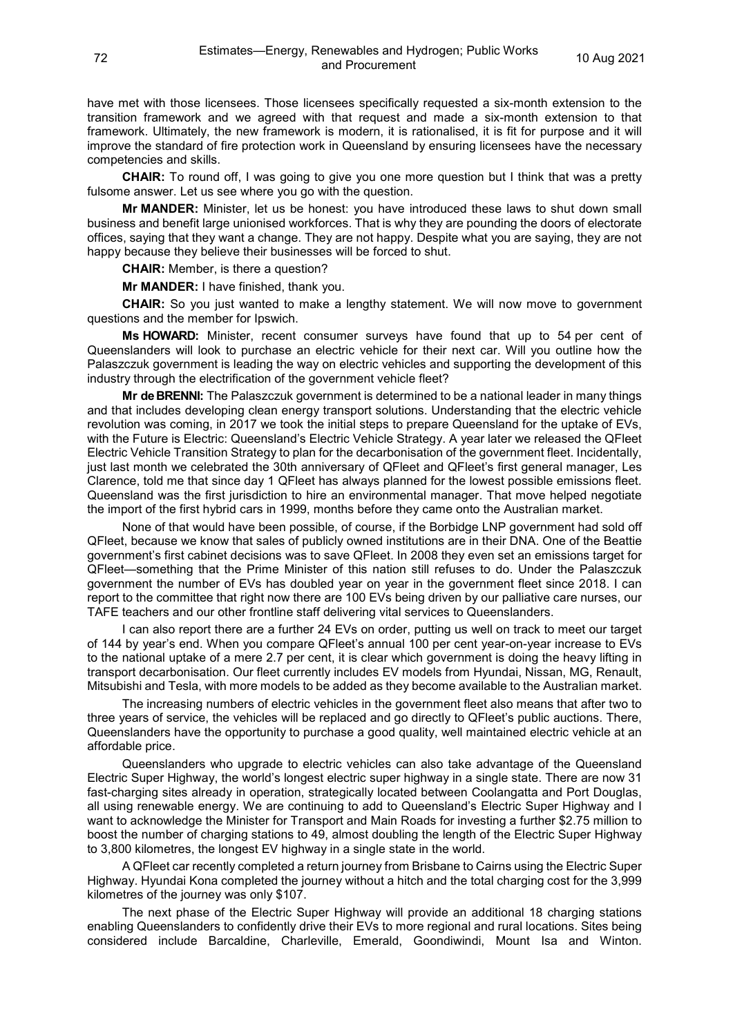have met with those licensees. Those licensees specifically requested a six-month extension to the transition framework and we agreed with that request and made a six-month extension to that framework. Ultimately, the new framework is modern, it is rationalised, it is fit for purpose and it will improve the standard of fire protection work in Queensland by ensuring licensees have the necessary competencies and skills.

**CHAIR:** To round off, I was going to give you one more question but I think that was a pretty fulsome answer. Let us see where you go with the question.

**Mr MANDER:** Minister, let us be honest: you have introduced these laws to shut down small business and benefit large unionised workforces. That is why they are pounding the doors of electorate offices, saying that they want a change. They are not happy. Despite what you are saying, they are not happy because they believe their businesses will be forced to shut.

**CHAIR:** Member, is there a question?

**Mr MANDER:** I have finished, thank you.

**CHAIR:** So you just wanted to make a lengthy statement. We will now move to government questions and the member for Ipswich.

**Ms HOWARD:** Minister, recent consumer surveys have found that up to 54 per cent of Queenslanders will look to purchase an electric vehicle for their next car. Will you outline how the Palaszczuk government is leading the way on electric vehicles and supporting the development of this industry through the electrification of the government vehicle fleet?

**Mr de BRENNI:** The Palaszczuk government is determined to be a national leader in many things and that includes developing clean energy transport solutions. Understanding that the electric vehicle revolution was coming, in 2017 we took the initial steps to prepare Queensland for the uptake of EVs, with the Future is Electric: Queensland's Electric Vehicle Strategy. A year later we released the QFleet Electric Vehicle Transition Strategy to plan for the decarbonisation of the government fleet. Incidentally, just last month we celebrated the 30th anniversary of QFleet and QFleet's first general manager, Les Clarence, told me that since day 1 QFleet has always planned for the lowest possible emissions fleet. Queensland was the first jurisdiction to hire an environmental manager. That move helped negotiate the import of the first hybrid cars in 1999, months before they came onto the Australian market.

None of that would have been possible, of course, if the Borbidge LNP government had sold off QFleet, because we know that sales of publicly owned institutions are in their DNA. One of the Beattie government's first cabinet decisions was to save QFleet. In 2008 they even set an emissions target for QFleet—something that the Prime Minister of this nation still refuses to do. Under the Palaszczuk government the number of EVs has doubled year on year in the government fleet since 2018. I can report to the committee that right now there are 100 EVs being driven by our palliative care nurses, our TAFE teachers and our other frontline staff delivering vital services to Queenslanders.

I can also report there are a further 24 EVs on order, putting us well on track to meet our target of 144 by year's end. When you compare QFleet's annual 100 per cent year-on-year increase to EVs to the national uptake of a mere 2.7 per cent, it is clear which government is doing the heavy lifting in transport decarbonisation. Our fleet currently includes EV models from Hyundai, Nissan, MG, Renault, Mitsubishi and Tesla, with more models to be added as they become available to the Australian market.

The increasing numbers of electric vehicles in the government fleet also means that after two to three years of service, the vehicles will be replaced and go directly to QFleet's public auctions. There, Queenslanders have the opportunity to purchase a good quality, well maintained electric vehicle at an affordable price.

Queenslanders who upgrade to electric vehicles can also take advantage of the Queensland Electric Super Highway, the world's longest electric super highway in a single state. There are now 31 fast-charging sites already in operation, strategically located between Coolangatta and Port Douglas, all using renewable energy. We are continuing to add to Queensland's Electric Super Highway and I want to acknowledge the Minister for Transport and Main Roads for investing a further \$2.75 million to boost the number of charging stations to 49, almost doubling the length of the Electric Super Highway to 3,800 kilometres, the longest EV highway in a single state in the world.

A QFleet car recently completed a return journey from Brisbane to Cairns using the Electric Super Highway. Hyundai Kona completed the journey without a hitch and the total charging cost for the 3,999 kilometres of the journey was only \$107.

The next phase of the Electric Super Highway will provide an additional 18 charging stations enabling Queenslanders to confidently drive their EVs to more regional and rural locations. Sites being considered include Barcaldine, Charleville, Emerald, Goondiwindi, Mount Isa and Winton.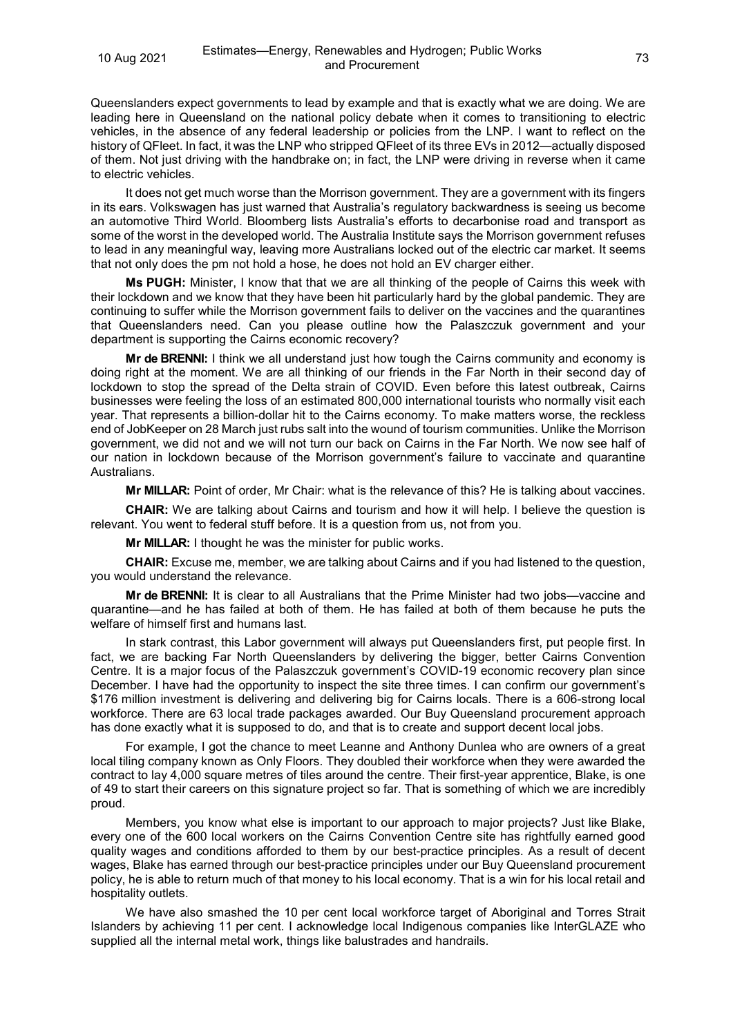Queenslanders expect governments to lead by example and that is exactly what we are doing. We are leading here in Queensland on the national policy debate when it comes to transitioning to electric vehicles, in the absence of any federal leadership or policies from the LNP. I want to reflect on the history of QFleet. In fact, it was the LNP who stripped QFleet of its three EVs in 2012—actually disposed of them. Not just driving with the handbrake on; in fact, the LNP were driving in reverse when it came to electric vehicles.

It does not get much worse than the Morrison government. They are a government with its fingers in its ears. Volkswagen has just warned that Australia's regulatory backwardness is seeing us become an automotive Third World. Bloomberg lists Australia's efforts to decarbonise road and transport as some of the worst in the developed world. The Australia Institute says the Morrison government refuses to lead in any meaningful way, leaving more Australians locked out of the electric car market. It seems that not only does the pm not hold a hose, he does not hold an EV charger either.

**Ms PUGH:** Minister, I know that that we are all thinking of the people of Cairns this week with their lockdown and we know that they have been hit particularly hard by the global pandemic. They are continuing to suffer while the Morrison government fails to deliver on the vaccines and the quarantines that Queenslanders need. Can you please outline how the Palaszczuk government and your department is supporting the Cairns economic recovery?

**Mr de BRENNI:** I think we all understand just how tough the Cairns community and economy is doing right at the moment. We are all thinking of our friends in the Far North in their second day of lockdown to stop the spread of the Delta strain of COVID. Even before this latest outbreak, Cairns businesses were feeling the loss of an estimated 800,000 international tourists who normally visit each year. That represents a billion-dollar hit to the Cairns economy. To make matters worse, the reckless end of JobKeeper on 28 March just rubs salt into the wound of tourism communities. Unlike the Morrison government, we did not and we will not turn our back on Cairns in the Far North. We now see half of our nation in lockdown because of the Morrison government's failure to vaccinate and quarantine Australians.

**Mr MILLAR:** Point of order, Mr Chair: what is the relevance of this? He is talking about vaccines.

**CHAIR:** We are talking about Cairns and tourism and how it will help. I believe the question is relevant. You went to federal stuff before. It is a question from us, not from you.

**Mr MILLAR:** I thought he was the minister for public works.

**CHAIR:** Excuse me, member, we are talking about Cairns and if you had listened to the question, you would understand the relevance.

**Mr de BRENNI:** It is clear to all Australians that the Prime Minister had two jobs—vaccine and quarantine—and he has failed at both of them. He has failed at both of them because he puts the welfare of himself first and humans last.

In stark contrast, this Labor government will always put Queenslanders first, put people first. In fact, we are backing Far North Queenslanders by delivering the bigger, better Cairns Convention Centre. It is a major focus of the Palaszczuk government's COVID-19 economic recovery plan since December. I have had the opportunity to inspect the site three times. I can confirm our government's \$176 million investment is delivering and delivering big for Cairns locals. There is a 606-strong local workforce. There are 63 local trade packages awarded. Our Buy Queensland procurement approach has done exactly what it is supposed to do, and that is to create and support decent local jobs.

For example, I got the chance to meet Leanne and Anthony Dunlea who are owners of a great local tiling company known as Only Floors. They doubled their workforce when they were awarded the contract to lay 4,000 square metres of tiles around the centre. Their first-year apprentice, Blake, is one of 49 to start their careers on this signature project so far. That is something of which we are incredibly proud.

Members, you know what else is important to our approach to major projects? Just like Blake, every one of the 600 local workers on the Cairns Convention Centre site has rightfully earned good quality wages and conditions afforded to them by our best-practice principles. As a result of decent wages, Blake has earned through our best-practice principles under our Buy Queensland procurement policy, he is able to return much of that money to his local economy. That is a win for his local retail and hospitality outlets.

We have also smashed the 10 per cent local workforce target of Aboriginal and Torres Strait Islanders by achieving 11 per cent. I acknowledge local Indigenous companies like InterGLAZE who supplied all the internal metal work, things like balustrades and handrails.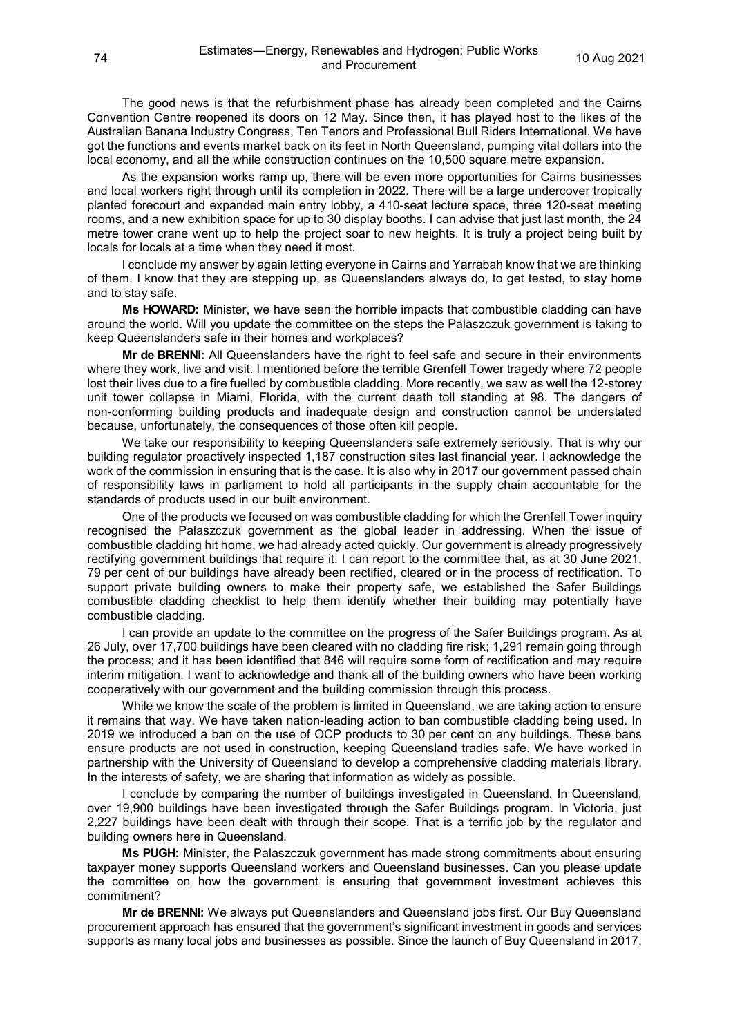The good news is that the refurbishment phase has already been completed and the Cairns Convention Centre reopened its doors on 12 May. Since then, it has played host to the likes of the Australian Banana Industry Congress, Ten Tenors and Professional Bull Riders International. We have got the functions and events market back on its feet in North Queensland, pumping vital dollars into the local economy, and all the while construction continues on the 10,500 square metre expansion.

As the expansion works ramp up, there will be even more opportunities for Cairns businesses and local workers right through until its completion in 2022. There will be a large undercover tropically planted forecourt and expanded main entry lobby, a 410-seat lecture space, three 120-seat meeting rooms, and a new exhibition space for up to 30 display booths. I can advise that just last month, the 24 metre tower crane went up to help the project soar to new heights. It is truly a project being built by locals for locals at a time when they need it most.

I conclude my answer by again letting everyone in Cairns and Yarrabah know that we are thinking of them. I know that they are stepping up, as Queenslanders always do, to get tested, to stay home and to stay safe.

**Ms HOWARD:** Minister, we have seen the horrible impacts that combustible cladding can have around the world. Will you update the committee on the steps the Palaszczuk government is taking to keep Queenslanders safe in their homes and workplaces?

**Mr de BRENNI:** All Queenslanders have the right to feel safe and secure in their environments where they work, live and visit. I mentioned before the terrible Grenfell Tower tragedy where 72 people lost their lives due to a fire fuelled by combustible cladding. More recently, we saw as well the 12-storey unit tower collapse in Miami, Florida, with the current death toll standing at 98. The dangers of non-conforming building products and inadequate design and construction cannot be understated because, unfortunately, the consequences of those often kill people.

We take our responsibility to keeping Queenslanders safe extremely seriously. That is why our building regulator proactively inspected 1,187 construction sites last financial year. I acknowledge the work of the commission in ensuring that is the case. It is also why in 2017 our government passed chain of responsibility laws in parliament to hold all participants in the supply chain accountable for the standards of products used in our built environment.

One of the products we focused on was combustible cladding for which the Grenfell Tower inquiry recognised the Palaszczuk government as the global leader in addressing. When the issue of combustible cladding hit home, we had already acted quickly. Our government is already progressively rectifying government buildings that require it. I can report to the committee that, as at 30 June 2021, 79 per cent of our buildings have already been rectified, cleared or in the process of rectification. To support private building owners to make their property safe, we established the Safer Buildings combustible cladding checklist to help them identify whether their building may potentially have combustible cladding.

I can provide an update to the committee on the progress of the Safer Buildings program. As at 26 July, over 17,700 buildings have been cleared with no cladding fire risk; 1,291 remain going through the process; and it has been identified that 846 will require some form of rectification and may require interim mitigation. I want to acknowledge and thank all of the building owners who have been working cooperatively with our government and the building commission through this process.

While we know the scale of the problem is limited in Queensland, we are taking action to ensure it remains that way. We have taken nation-leading action to ban combustible cladding being used. In 2019 we introduced a ban on the use of OCP products to 30 per cent on any buildings. These bans ensure products are not used in construction, keeping Queensland tradies safe. We have worked in partnership with the University of Queensland to develop a comprehensive cladding materials library. In the interests of safety, we are sharing that information as widely as possible.

I conclude by comparing the number of buildings investigated in Queensland. In Queensland, over 19,900 buildings have been investigated through the Safer Buildings program. In Victoria, just 2,227 buildings have been dealt with through their scope. That is a terrific job by the regulator and building owners here in Queensland.

**Ms PUGH:** Minister, the Palaszczuk government has made strong commitments about ensuring taxpayer money supports Queensland workers and Queensland businesses. Can you please update the committee on how the government is ensuring that government investment achieves this commitment?

**Mr de BRENNI:** We always put Queenslanders and Queensland jobs first. Our Buy Queensland procurement approach has ensured that the government's significant investment in goods and services supports as many local jobs and businesses as possible. Since the launch of Buy Queensland in 2017,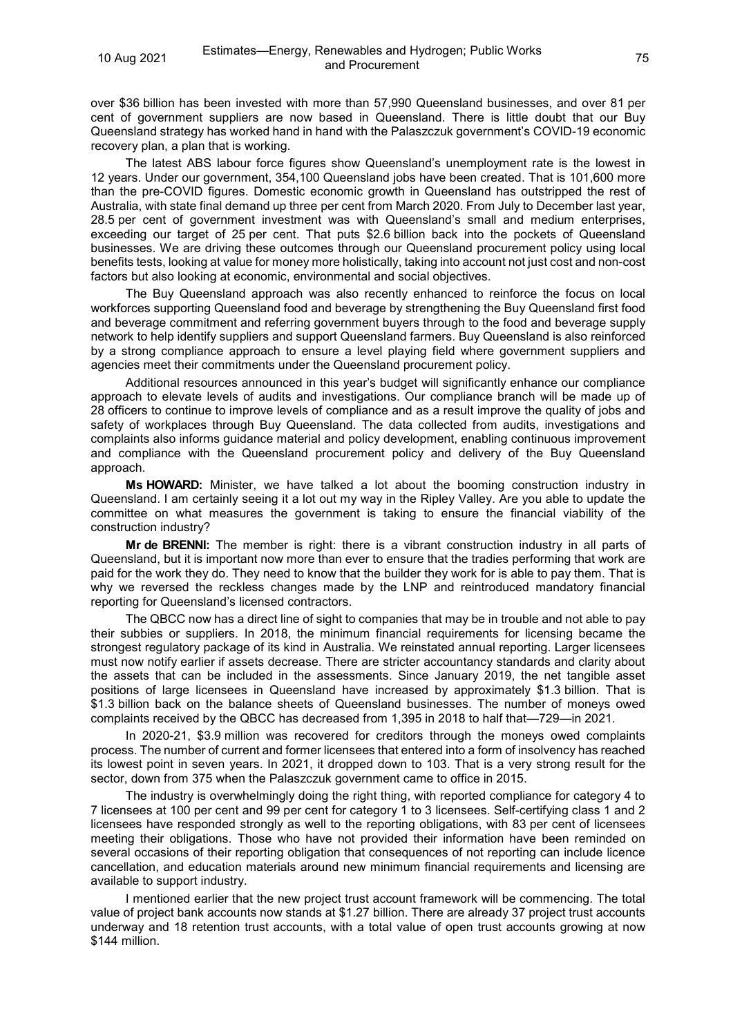over \$36 billion has been invested with more than 57,990 Queensland businesses, and over 81 per cent of government suppliers are now based in Queensland. There is little doubt that our Buy Queensland strategy has worked hand in hand with the Palaszczuk government's COVID-19 economic recovery plan, a plan that is working.

The latest ABS labour force figures show Queensland's unemployment rate is the lowest in 12 years. Under our government, 354,100 Queensland jobs have been created. That is 101,600 more than the pre-COVID figures. Domestic economic growth in Queensland has outstripped the rest of Australia, with state final demand up three per cent from March 2020. From July to December last year, 28.5 per cent of government investment was with Queensland's small and medium enterprises, exceeding our target of 25 per cent. That puts \$2.6 billion back into the pockets of Queensland businesses. We are driving these outcomes through our Queensland procurement policy using local benefits tests, looking at value for money more holistically, taking into account not just cost and non-cost factors but also looking at economic, environmental and social objectives.

The Buy Queensland approach was also recently enhanced to reinforce the focus on local workforces supporting Queensland food and beverage by strengthening the Buy Queensland first food and beverage commitment and referring government buyers through to the food and beverage supply network to help identify suppliers and support Queensland farmers. Buy Queensland is also reinforced by a strong compliance approach to ensure a level playing field where government suppliers and agencies meet their commitments under the Queensland procurement policy.

Additional resources announced in this year's budget will significantly enhance our compliance approach to elevate levels of audits and investigations. Our compliance branch will be made up of 28 officers to continue to improve levels of compliance and as a result improve the quality of jobs and safety of workplaces through Buy Queensland. The data collected from audits, investigations and complaints also informs guidance material and policy development, enabling continuous improvement and compliance with the Queensland procurement policy and delivery of the Buy Queensland approach.

**Ms HOWARD:** Minister, we have talked a lot about the booming construction industry in Queensland. I am certainly seeing it a lot out my way in the Ripley Valley. Are you able to update the committee on what measures the government is taking to ensure the financial viability of the construction industry?

**Mr de BRENNI:** The member is right: there is a vibrant construction industry in all parts of Queensland, but it is important now more than ever to ensure that the tradies performing that work are paid for the work they do. They need to know that the builder they work for is able to pay them. That is why we reversed the reckless changes made by the LNP and reintroduced mandatory financial reporting for Queensland's licensed contractors.

The QBCC now has a direct line of sight to companies that may be in trouble and not able to pay their subbies or suppliers. In 2018, the minimum financial requirements for licensing became the strongest regulatory package of its kind in Australia. We reinstated annual reporting. Larger licensees must now notify earlier if assets decrease. There are stricter accountancy standards and clarity about the assets that can be included in the assessments. Since January 2019, the net tangible asset positions of large licensees in Queensland have increased by approximately \$1.3 billion. That is \$1.3 billion back on the balance sheets of Queensland businesses. The number of moneys owed complaints received by the QBCC has decreased from 1,395 in 2018 to half that—729—in 2021.

In 2020-21, \$3.9 million was recovered for creditors through the moneys owed complaints process. The number of current and former licensees that entered into a form of insolvency has reached its lowest point in seven years. In 2021, it dropped down to 103. That is a very strong result for the sector, down from 375 when the Palaszczuk government came to office in 2015.

The industry is overwhelmingly doing the right thing, with reported compliance for category 4 to 7 licensees at 100 per cent and 99 per cent for category 1 to 3 licensees. Self-certifying class 1 and 2 licensees have responded strongly as well to the reporting obligations, with 83 per cent of licensees meeting their obligations. Those who have not provided their information have been reminded on several occasions of their reporting obligation that consequences of not reporting can include licence cancellation, and education materials around new minimum financial requirements and licensing are available to support industry.

I mentioned earlier that the new project trust account framework will be commencing. The total value of project bank accounts now stands at \$1.27 billion. There are already 37 project trust accounts underway and 18 retention trust accounts, with a total value of open trust accounts growing at now \$144 million.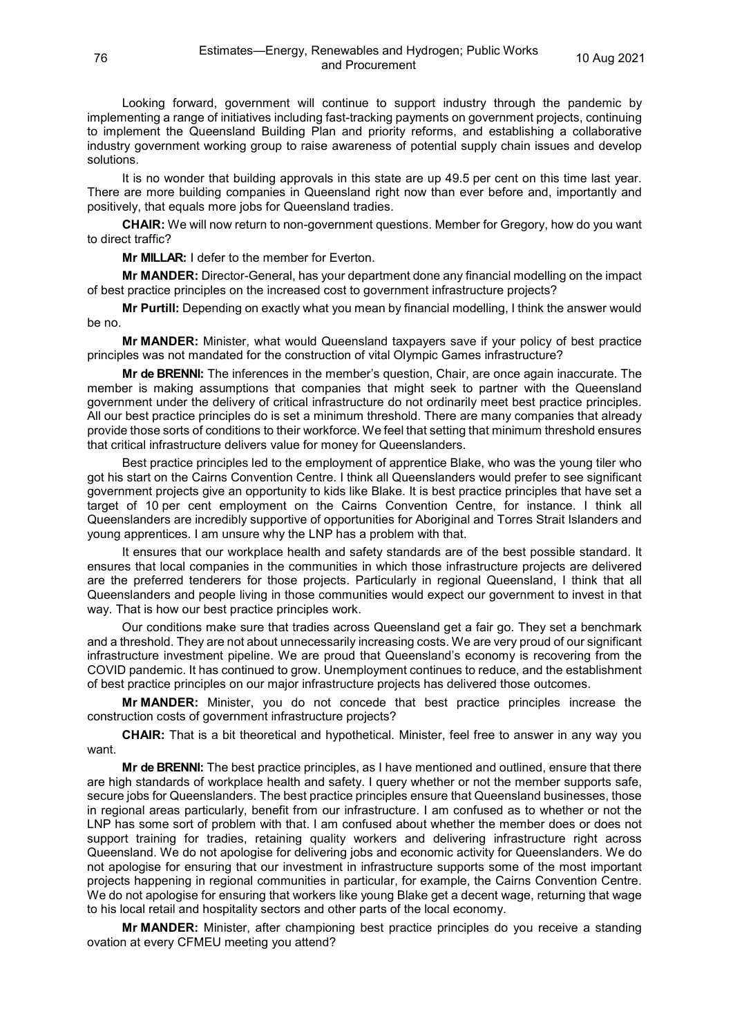Looking forward, government will continue to support industry through the pandemic by implementing a range of initiatives including fast-tracking payments on government projects, continuing to implement the Queensland Building Plan and priority reforms, and establishing a collaborative industry government working group to raise awareness of potential supply chain issues and develop solutions.

It is no wonder that building approvals in this state are up 49.5 per cent on this time last year. There are more building companies in Queensland right now than ever before and, importantly and positively, that equals more jobs for Queensland tradies.

**CHAIR:** We will now return to non-government questions. Member for Gregory, how do you want to direct traffic?

**Mr MILLAR:** I defer to the member for Everton.

**Mr MANDER:** Director-General, has your department done any financial modelling on the impact of best practice principles on the increased cost to government infrastructure projects?

**Mr Purtill:** Depending on exactly what you mean by financial modelling, I think the answer would be no.

**Mr MANDER:** Minister, what would Queensland taxpayers save if your policy of best practice principles was not mandated for the construction of vital Olympic Games infrastructure?

**Mr de BRENNI:** The inferences in the member's question, Chair, are once again inaccurate. The member is making assumptions that companies that might seek to partner with the Queensland government under the delivery of critical infrastructure do not ordinarily meet best practice principles. All our best practice principles do is set a minimum threshold. There are many companies that already provide those sorts of conditions to their workforce. We feel that setting that minimum threshold ensures that critical infrastructure delivers value for money for Queenslanders.

Best practice principles led to the employment of apprentice Blake, who was the young tiler who got his start on the Cairns Convention Centre. I think all Queenslanders would prefer to see significant government projects give an opportunity to kids like Blake. It is best practice principles that have set a target of 10 per cent employment on the Cairns Convention Centre, for instance. I think all Queenslanders are incredibly supportive of opportunities for Aboriginal and Torres Strait Islanders and young apprentices. I am unsure why the LNP has a problem with that.

It ensures that our workplace health and safety standards are of the best possible standard. It ensures that local companies in the communities in which those infrastructure projects are delivered are the preferred tenderers for those projects. Particularly in regional Queensland, I think that all Queenslanders and people living in those communities would expect our government to invest in that way. That is how our best practice principles work.

Our conditions make sure that tradies across Queensland get a fair go. They set a benchmark and a threshold. They are not about unnecessarily increasing costs. We are very proud of our significant infrastructure investment pipeline. We are proud that Queensland's economy is recovering from the COVID pandemic. It has continued to grow. Unemployment continues to reduce, and the establishment of best practice principles on our major infrastructure projects has delivered those outcomes.

**Mr MANDER:** Minister, you do not concede that best practice principles increase the construction costs of government infrastructure projects?

**CHAIR:** That is a bit theoretical and hypothetical. Minister, feel free to answer in any way you want.

**Mr de BRENNI:** The best practice principles, as I have mentioned and outlined, ensure that there are high standards of workplace health and safety. I query whether or not the member supports safe, secure jobs for Queenslanders. The best practice principles ensure that Queensland businesses, those in regional areas particularly, benefit from our infrastructure. I am confused as to whether or not the LNP has some sort of problem with that. I am confused about whether the member does or does not support training for tradies, retaining quality workers and delivering infrastructure right across Queensland. We do not apologise for delivering jobs and economic activity for Queenslanders. We do not apologise for ensuring that our investment in infrastructure supports some of the most important projects happening in regional communities in particular, for example, the Cairns Convention Centre. We do not apologise for ensuring that workers like young Blake get a decent wage, returning that wage to his local retail and hospitality sectors and other parts of the local economy.

**Mr MANDER:** Minister, after championing best practice principles do you receive a standing ovation at every CFMEU meeting you attend?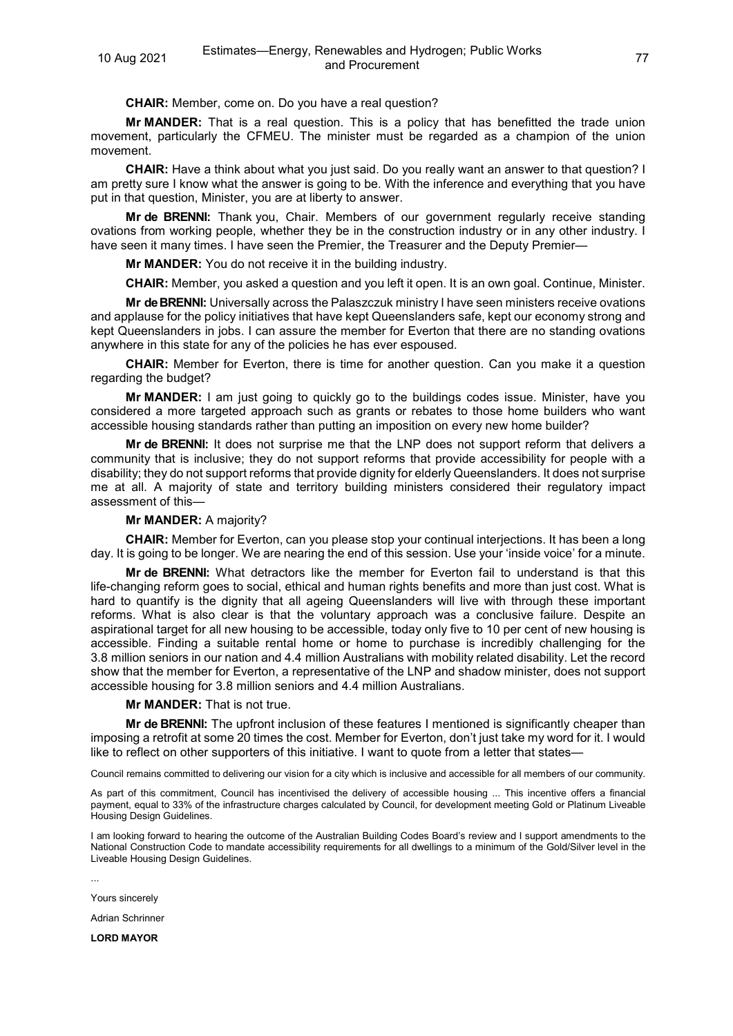**CHAIR:** Member, come on. Do you have a real question?

**Mr MANDER:** That is a real question. This is a policy that has benefitted the trade union movement, particularly the CFMEU. The minister must be regarded as a champion of the union movement.

**CHAIR:** Have a think about what you just said. Do you really want an answer to that question? I am pretty sure I know what the answer is going to be. With the inference and everything that you have put in that question, Minister, you are at liberty to answer.

**Mr de BRENNI:** Thank you, Chair. Members of our government regularly receive standing ovations from working people, whether they be in the construction industry or in any other industry. I have seen it many times. I have seen the Premier, the Treasurer and the Deputy Premier—

**Mr MANDER:** You do not receive it in the building industry.

**CHAIR:** Member, you asked a question and you left it open. It is an own goal. Continue, Minister.

**Mr de BRENNI:** Universally across the Palaszczuk ministry I have seen ministers receive ovations and applause for the policy initiatives that have kept Queenslanders safe, kept our economy strong and kept Queenslanders in jobs. I can assure the member for Everton that there are no standing ovations anywhere in this state for any of the policies he has ever espoused.

**CHAIR:** Member for Everton, there is time for another question. Can you make it a question regarding the budget?

**Mr MANDER:** I am just going to quickly go to the buildings codes issue. Minister, have you considered a more targeted approach such as grants or rebates to those home builders who want accessible housing standards rather than putting an imposition on every new home builder?

**Mr de BRENNI:** It does not surprise me that the LNP does not support reform that delivers a community that is inclusive; they do not support reforms that provide accessibility for people with a disability; they do not support reforms that provide dignity for elderly Queenslanders. It does not surprise me at all. A majority of state and territory building ministers considered their regulatory impact assessment of this—

### **Mr MANDER:** A majority?

**CHAIR:** Member for Everton, can you please stop your continual interjections. It has been a long day. It is going to be longer. We are nearing the end of this session. Use your 'inside voice' for a minute.

**Mr de BRENNI:** What detractors like the member for Everton fail to understand is that this life-changing reform goes to social, ethical and human rights benefits and more than just cost. What is hard to quantify is the dignity that all ageing Queenslanders will live with through these important reforms. What is also clear is that the voluntary approach was a conclusive failure. Despite an aspirational target for all new housing to be accessible, today only five to 10 per cent of new housing is accessible. Finding a suitable rental home or home to purchase is incredibly challenging for the 3.8 million seniors in our nation and 4.4 million Australians with mobility related disability. Let the record show that the member for Everton, a representative of the LNP and shadow minister, does not support accessible housing for 3.8 million seniors and 4.4 million Australians.

### **Mr MANDER:** That is not true.

**Mr de BRENNI:** The upfront inclusion of these features I mentioned is significantly cheaper than imposing a retrofit at some 20 times the cost. Member for Everton, don't just take my word for it. I would like to reflect on other supporters of this initiative. I want to quote from a letter that states—

Council remains committed to delivering our vision for a city which is inclusive and accessible for all members of our community.

As part of this commitment, Council has incentivised the delivery of accessible housing ... This incentive offers a financial payment, equal to 33% of the infrastructure charges calculated by Council, for development meeting Gold or Platinum Liveable Housing Design Guidelines.

I am looking forward to hearing the outcome of the Australian Building Codes Board's review and I support amendments to the National Construction Code to mandate accessibility requirements for all dwellings to a minimum of the Gold/Silver level in the Liveable Housing Design Guidelines.

...

Yours sincerely

Adrian Schrinner

**LORD MAYOR**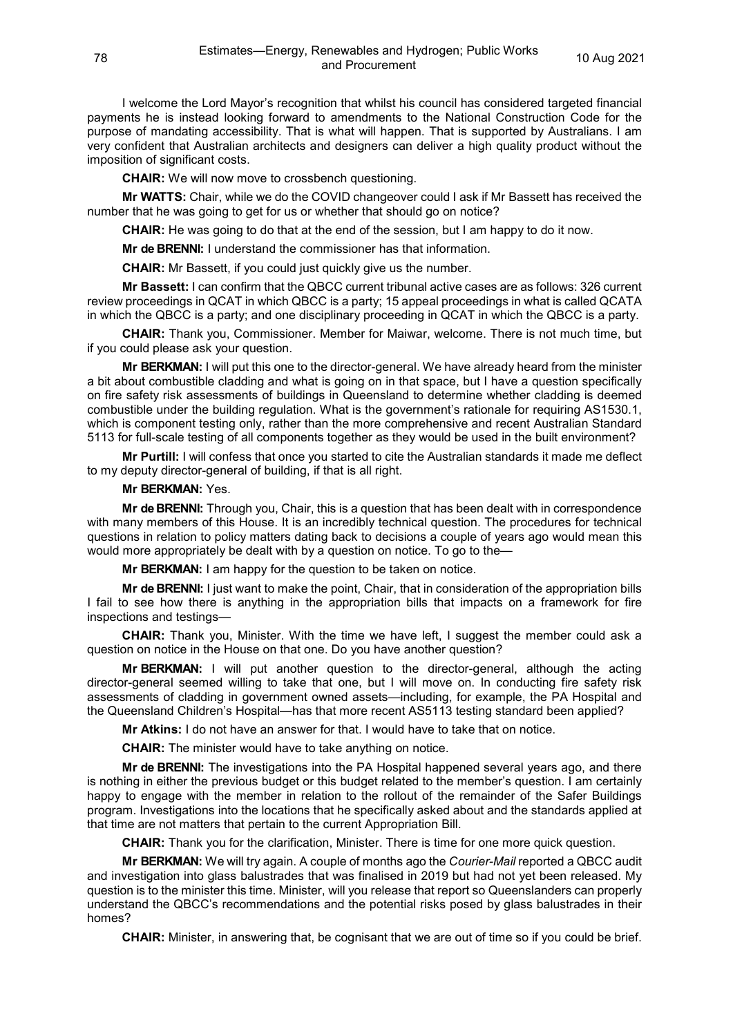I welcome the Lord Mayor's recognition that whilst his council has considered targeted financial payments he is instead looking forward to amendments to the National Construction Code for the purpose of mandating accessibility. That is what will happen. That is supported by Australians. I am very confident that Australian architects and designers can deliver a high quality product without the imposition of significant costs.

**CHAIR:** We will now move to crossbench questioning.

**Mr WATTS:** Chair, while we do the COVID changeover could I ask if Mr Bassett has received the number that he was going to get for us or whether that should go on notice?

**CHAIR:** He was going to do that at the end of the session, but I am happy to do it now.

**Mr de BRENNI:** I understand the commissioner has that information.

**CHAIR:** Mr Bassett, if you could just quickly give us the number.

**Mr Bassett:** I can confirm that the QBCC current tribunal active cases are as follows: 326 current review proceedings in QCAT in which QBCC is a party; 15 appeal proceedings in what is called QCATA in which the QBCC is a party; and one disciplinary proceeding in QCAT in which the QBCC is a party.

**CHAIR:** Thank you, Commissioner. Member for Maiwar, welcome. There is not much time, but if you could please ask your question.

**Mr BERKMAN:** I will put this one to the director-general. We have already heard from the minister a bit about combustible cladding and what is going on in that space, but I have a question specifically on fire safety risk assessments of buildings in Queensland to determine whether cladding is deemed combustible under the building regulation. What is the government's rationale for requiring AS1530.1, which is component testing only, rather than the more comprehensive and recent Australian Standard 5113 for full-scale testing of all components together as they would be used in the built environment?

**Mr Purtill:** I will confess that once you started to cite the Australian standards it made me deflect to my deputy director-general of building, if that is all right.

#### **Mr BERKMAN:** Yes.

**Mr de BRENNI:** Through you, Chair, this is a question that has been dealt with in correspondence with many members of this House. It is an incredibly technical question. The procedures for technical questions in relation to policy matters dating back to decisions a couple of years ago would mean this would more appropriately be dealt with by a question on notice. To go to the—

**Mr BERKMAN:** I am happy for the question to be taken on notice.

**Mr de BRENNI:** I just want to make the point, Chair, that in consideration of the appropriation bills I fail to see how there is anything in the appropriation bills that impacts on a framework for fire inspections and testings—

**CHAIR:** Thank you, Minister. With the time we have left, I suggest the member could ask a question on notice in the House on that one. Do you have another question?

**Mr BERKMAN:** I will put another question to the director-general, although the acting director-general seemed willing to take that one, but I will move on. In conducting fire safety risk assessments of cladding in government owned assets—including, for example, the PA Hospital and the Queensland Children's Hospital—has that more recent AS5113 testing standard been applied?

**Mr Atkins:** I do not have an answer for that. I would have to take that on notice.

**CHAIR:** The minister would have to take anything on notice.

**Mr de BRENNI:** The investigations into the PA Hospital happened several years ago, and there is nothing in either the previous budget or this budget related to the member's question. I am certainly happy to engage with the member in relation to the rollout of the remainder of the Safer Buildings program. Investigations into the locations that he specifically asked about and the standards applied at that time are not matters that pertain to the current Appropriation Bill.

**CHAIR:** Thank you for the clarification, Minister. There is time for one more quick question.

**Mr BERKMAN:** We will try again. A couple of months ago the *Courier-Mail* reported a QBCC audit and investigation into glass balustrades that was finalised in 2019 but had not yet been released. My question is to the minister this time. Minister, will you release that report so Queenslanders can properly understand the QBCC's recommendations and the potential risks posed by glass balustrades in their homes?

**CHAIR:** Minister, in answering that, be cognisant that we are out of time so if you could be brief.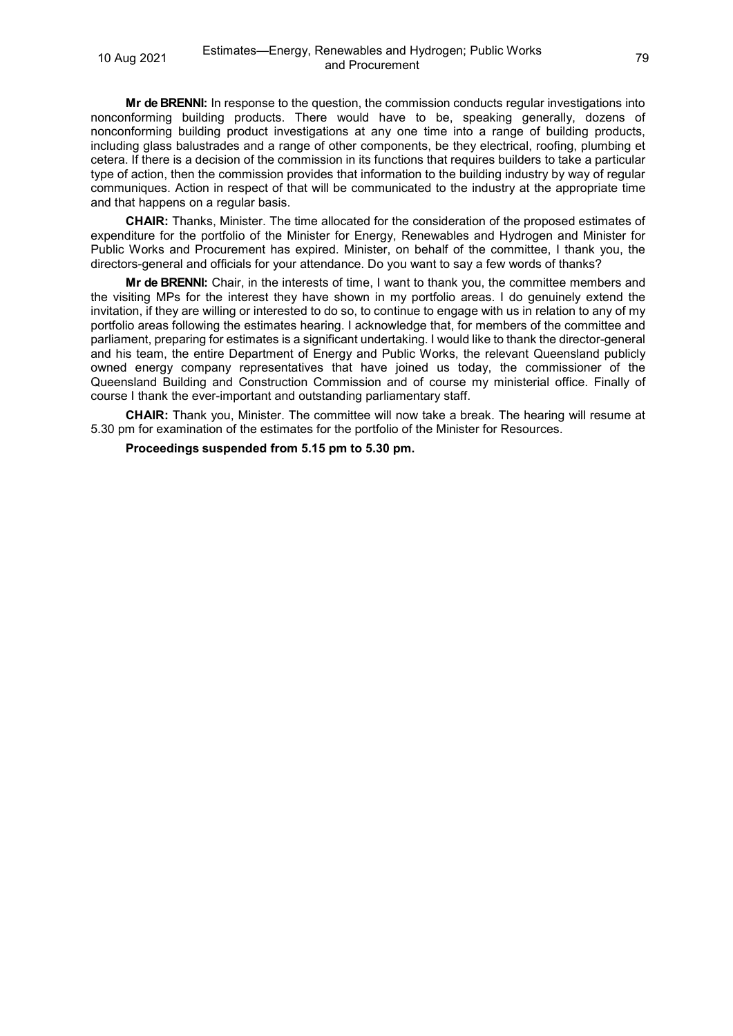**Mr de BRENNI:** In response to the question, the commission conducts regular investigations into nonconforming building products. There would have to be, speaking generally, dozens of nonconforming building product investigations at any one time into a range of building products, including glass balustrades and a range of other components, be they electrical, roofing, plumbing et cetera. If there is a decision of the commission in its functions that requires builders to take a particular type of action, then the commission provides that information to the building industry by way of regular communiques. Action in respect of that will be communicated to the industry at the appropriate time and that happens on a regular basis.

**CHAIR:** Thanks, Minister. The time allocated for the consideration of the proposed estimates of expenditure for the portfolio of the Minister for Energy, Renewables and Hydrogen and Minister for Public Works and Procurement has expired. Minister, on behalf of the committee, I thank you, the directors-general and officials for your attendance. Do you want to say a few words of thanks?

**Mr de BRENNI:** Chair, in the interests of time, I want to thank you, the committee members and the visiting MPs for the interest they have shown in my portfolio areas. I do genuinely extend the invitation, if they are willing or interested to do so, to continue to engage with us in relation to any of my portfolio areas following the estimates hearing. I acknowledge that, for members of the committee and parliament, preparing for estimates is a significant undertaking. I would like to thank the director-general and his team, the entire Department of Energy and Public Works, the relevant Queensland publicly owned energy company representatives that have joined us today, the commissioner of the Queensland Building and Construction Commission and of course my ministerial office. Finally of course I thank the ever-important and outstanding parliamentary staff.

**CHAIR:** Thank you, Minister. The committee will now take a break. The hearing will resume at 5.30 pm for examination of the estimates for the portfolio of the Minister for Resources.

**Proceedings suspended from 5.15 pm to 5.30 pm.**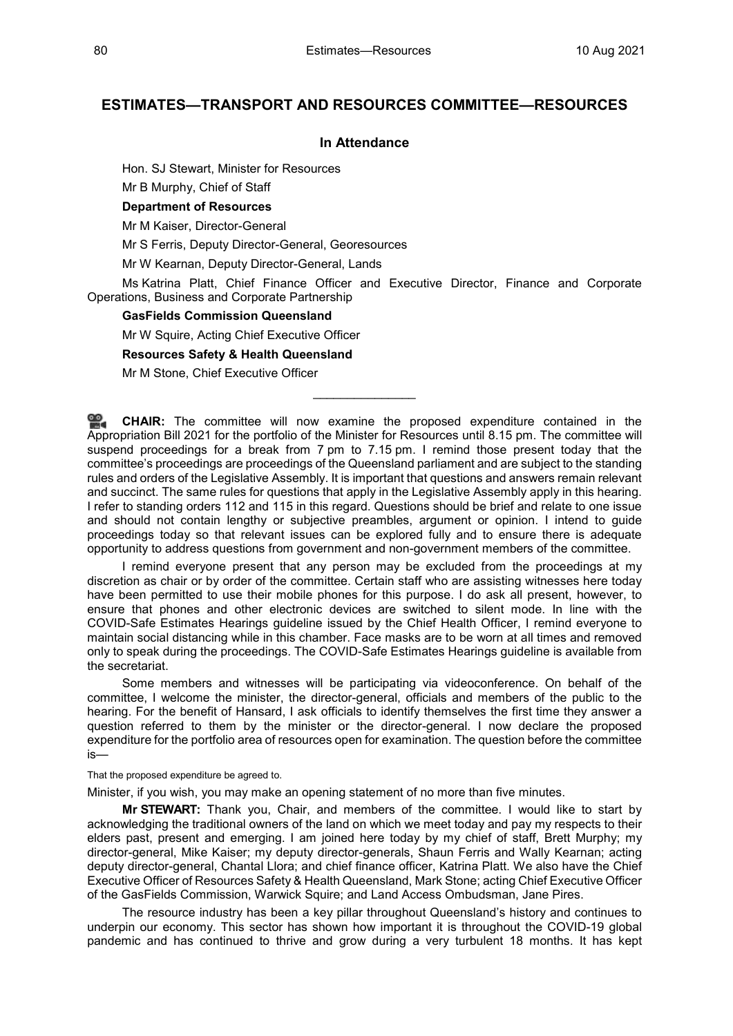# **ESTIMATES—TRANSPORT AND RESOURCES COMMITTEE—RESOURCES**

# **In Attendance**

Hon. SJ Stewart, Minister for Resources

Mr B Murphy, Chief of Staff

**Department of Resources**

Mr M Kaiser, Director-General

Mr S Ferris, Deputy Director-General, Georesources

Mr W Kearnan, Deputy Director-General, Lands

Ms Katrina Platt, Chief Finance Officer and Executive Director, Finance and Corporate Operations, Business and Corporate Partnership

# **GasFields Commission Queensland**

Mr W Squire, Acting Chief Executive Officer

#### **Resources Safety & Health Queensland**

Mr M Stone, Chief Executive Officer

≌. **[CHAIR:](http://www.parliament.qld.gov.au/docs/find.aspx?id=0Mba20210810_173021)** The committee will now examine the proposed expenditure contained in the Appropriation Bill 2021 for the portfolio of the Minister for Resources until 8.15 pm. The committee will suspend proceedings for a break from 7 pm to 7.15 pm. I remind those present today that the committee's proceedings are proceedings of the Queensland parliament and are subject to the standing rules and orders of the Legislative Assembly. It is important that questions and answers remain relevant and succinct. The same rules for questions that apply in the Legislative Assembly apply in this hearing. I refer to standing orders 112 and 115 in this regard. Questions should be brief and relate to one issue and should not contain lengthy or subjective preambles, argument or opinion. I intend to guide proceedings today so that relevant issues can be explored fully and to ensure there is adequate opportunity to address questions from government and non-government members of the committee.

\_\_\_\_\_\_\_\_\_\_\_\_\_\_\_

I remind everyone present that any person may be excluded from the proceedings at my discretion as chair or by order of the committee. Certain staff who are assisting witnesses here today have been permitted to use their mobile phones for this purpose. I do ask all present, however, to ensure that phones and other electronic devices are switched to silent mode. In line with the COVID-Safe Estimates Hearings guideline issued by the Chief Health Officer, I remind everyone to maintain social distancing while in this chamber. Face masks are to be worn at all times and removed only to speak during the proceedings. The COVID-Safe Estimates Hearings guideline is available from the secretariat.

Some members and witnesses will be participating via videoconference. On behalf of the committee, I welcome the minister, the director-general, officials and members of the public to the hearing. For the benefit of Hansard, I ask officials to identify themselves the first time they answer a question referred to them by the minister or the director-general. I now declare the proposed expenditure for the portfolio area of resources open for examination. The question before the committee is—

That the proposed expenditure be agreed to.

Minister, if you wish, you may make an opening statement of no more than five minutes.

**Mr STEWART:** Thank you, Chair, and members of the committee. I would like to start by acknowledging the traditional owners of the land on which we meet today and pay my respects to their elders past, present and emerging. I am joined here today by my chief of staff, Brett Murphy; my director-general, Mike Kaiser; my deputy director-generals, Shaun Ferris and Wally Kearnan; acting deputy director-general, Chantal Llora; and chief finance officer, Katrina Platt. We also have the Chief Executive Officer of Resources Safety & Health Queensland, Mark Stone; acting Chief Executive Officer of the GasFields Commission, Warwick Squire; and Land Access Ombudsman, Jane Pires.

The resource industry has been a key pillar throughout Queensland's history and continues to underpin our economy. This sector has shown how important it is throughout the COVID-19 global pandemic and has continued to thrive and grow during a very turbulent 18 months. It has kept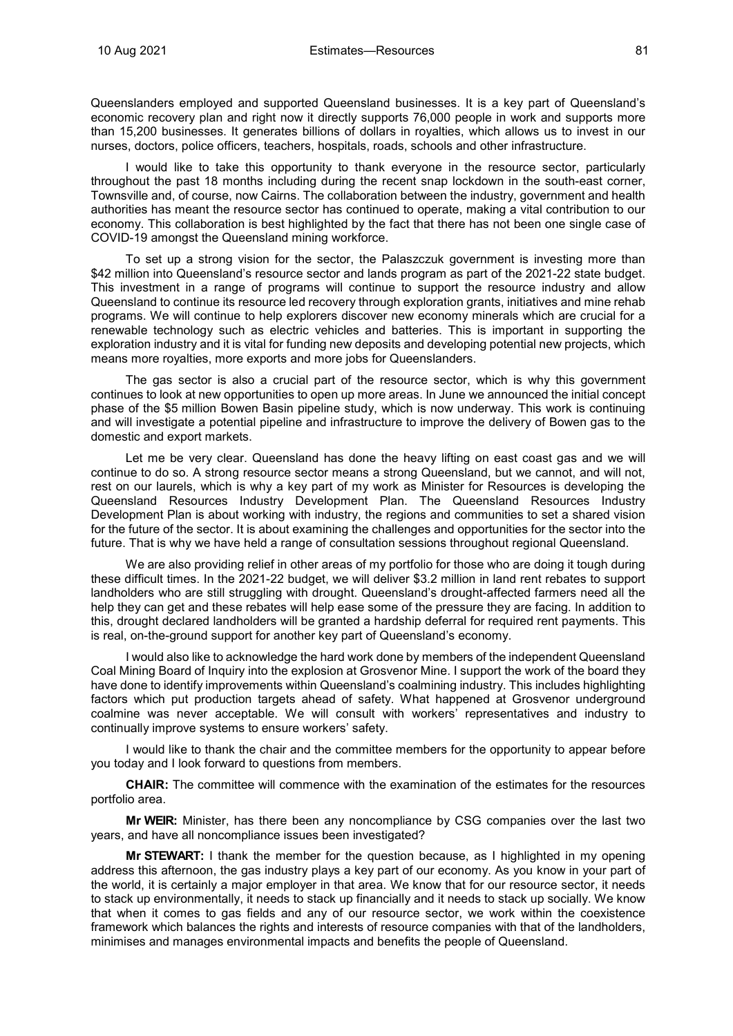Queenslanders employed and supported Queensland businesses. It is a key part of Queensland's economic recovery plan and right now it directly supports 76,000 people in work and supports more than 15,200 businesses. It generates billions of dollars in royalties, which allows us to invest in our nurses, doctors, police officers, teachers, hospitals, roads, schools and other infrastructure.

I would like to take this opportunity to thank everyone in the resource sector, particularly throughout the past 18 months including during the recent snap lockdown in the south-east corner, Townsville and, of course, now Cairns. The collaboration between the industry, government and health authorities has meant the resource sector has continued to operate, making a vital contribution to our economy. This collaboration is best highlighted by the fact that there has not been one single case of COVID-19 amongst the Queensland mining workforce.

To set up a strong vision for the sector, the Palaszczuk government is investing more than \$42 million into Queensland's resource sector and lands program as part of the 2021-22 state budget. This investment in a range of programs will continue to support the resource industry and allow Queensland to continue its resource led recovery through exploration grants, initiatives and mine rehab programs. We will continue to help explorers discover new economy minerals which are crucial for a renewable technology such as electric vehicles and batteries. This is important in supporting the exploration industry and it is vital for funding new deposits and developing potential new projects, which means more royalties, more exports and more jobs for Queenslanders.

The gas sector is also a crucial part of the resource sector, which is why this government continues to look at new opportunities to open up more areas. In June we announced the initial concept phase of the \$5 million Bowen Basin pipeline study, which is now underway. This work is continuing and will investigate a potential pipeline and infrastructure to improve the delivery of Bowen gas to the domestic and export markets.

Let me be very clear. Queensland has done the heavy lifting on east coast gas and we will continue to do so. A strong resource sector means a strong Queensland, but we cannot, and will not, rest on our laurels, which is why a key part of my work as Minister for Resources is developing the Queensland Resources Industry Development Plan. The Queensland Resources Industry Development Plan is about working with industry, the regions and communities to set a shared vision for the future of the sector. It is about examining the challenges and opportunities for the sector into the future. That is why we have held a range of consultation sessions throughout regional Queensland.

We are also providing relief in other areas of my portfolio for those who are doing it tough during these difficult times. In the 2021-22 budget, we will deliver \$3.2 million in land rent rebates to support landholders who are still struggling with drought. Queensland's drought-affected farmers need all the help they can get and these rebates will help ease some of the pressure they are facing. In addition to this, drought declared landholders will be granted a hardship deferral for required rent payments. This is real, on-the-ground support for another key part of Queensland's economy.

I would also like to acknowledge the hard work done by members of the independent Queensland Coal Mining Board of Inquiry into the explosion at Grosvenor Mine. I support the work of the board they have done to identify improvements within Queensland's coalmining industry. This includes highlighting factors which put production targets ahead of safety. What happened at Grosvenor underground coalmine was never acceptable. We will consult with workers' representatives and industry to continually improve systems to ensure workers' safety.

I would like to thank the chair and the committee members for the opportunity to appear before you today and I look forward to questions from members.

**CHAIR:** The committee will commence with the examination of the estimates for the resources portfolio area.

**Mr WEIR:** Minister, has there been any noncompliance by CSG companies over the last two years, and have all noncompliance issues been investigated?

**Mr STEWART:** I thank the member for the question because, as I highlighted in my opening address this afternoon, the gas industry plays a key part of our economy. As you know in your part of the world, it is certainly a major employer in that area. We know that for our resource sector, it needs to stack up environmentally, it needs to stack up financially and it needs to stack up socially. We know that when it comes to gas fields and any of our resource sector, we work within the coexistence framework which balances the rights and interests of resource companies with that of the landholders, minimises and manages environmental impacts and benefits the people of Queensland.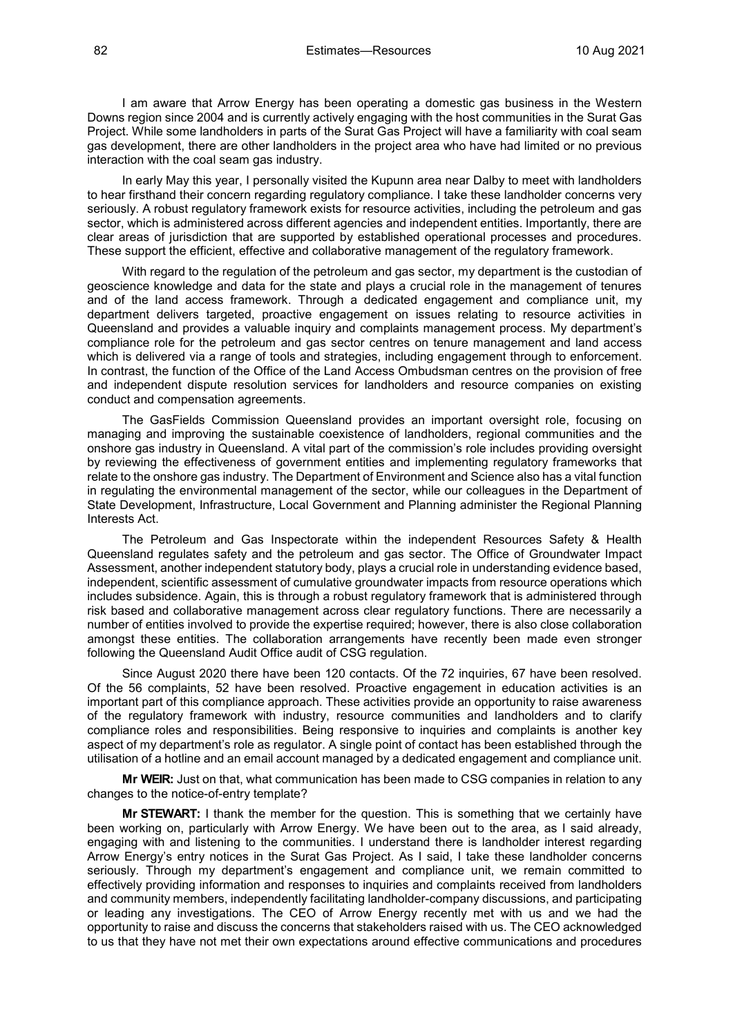I am aware that Arrow Energy has been operating a domestic gas business in the Western Downs region since 2004 and is currently actively engaging with the host communities in the Surat Gas Project. While some landholders in parts of the Surat Gas Project will have a familiarity with coal seam gas development, there are other landholders in the project area who have had limited or no previous interaction with the coal seam gas industry.

In early May this year, I personally visited the Kupunn area near Dalby to meet with landholders to hear firsthand their concern regarding regulatory compliance. I take these landholder concerns very seriously. A robust regulatory framework exists for resource activities, including the petroleum and gas sector, which is administered across different agencies and independent entities. Importantly, there are clear areas of jurisdiction that are supported by established operational processes and procedures. These support the efficient, effective and collaborative management of the regulatory framework.

With regard to the regulation of the petroleum and gas sector, my department is the custodian of geoscience knowledge and data for the state and plays a crucial role in the management of tenures and of the land access framework. Through a dedicated engagement and compliance unit, my department delivers targeted, proactive engagement on issues relating to resource activities in Queensland and provides a valuable inquiry and complaints management process. My department's compliance role for the petroleum and gas sector centres on tenure management and land access which is delivered via a range of tools and strategies, including engagement through to enforcement. In contrast, the function of the Office of the Land Access Ombudsman centres on the provision of free and independent dispute resolution services for landholders and resource companies on existing conduct and compensation agreements.

The GasFields Commission Queensland provides an important oversight role, focusing on managing and improving the sustainable coexistence of landholders, regional communities and the onshore gas industry in Queensland. A vital part of the commission's role includes providing oversight by reviewing the effectiveness of government entities and implementing regulatory frameworks that relate to the onshore gas industry. The Department of Environment and Science also has a vital function in regulating the environmental management of the sector, while our colleagues in the Department of State Development, Infrastructure, Local Government and Planning administer the Regional Planning Interests Act.

The Petroleum and Gas Inspectorate within the independent Resources Safety & Health Queensland regulates safety and the petroleum and gas sector. The Office of Groundwater Impact Assessment, another independent statutory body, plays a crucial role in understanding evidence based, independent, scientific assessment of cumulative groundwater impacts from resource operations which includes subsidence. Again, this is through a robust regulatory framework that is administered through risk based and collaborative management across clear regulatory functions. There are necessarily a number of entities involved to provide the expertise required; however, there is also close collaboration amongst these entities. The collaboration arrangements have recently been made even stronger following the Queensland Audit Office audit of CSG regulation.

Since August 2020 there have been 120 contacts. Of the 72 inquiries, 67 have been resolved. Of the 56 complaints, 52 have been resolved. Proactive engagement in education activities is an important part of this compliance approach. These activities provide an opportunity to raise awareness of the regulatory framework with industry, resource communities and landholders and to clarify compliance roles and responsibilities. Being responsive to inquiries and complaints is another key aspect of my department's role as regulator. A single point of contact has been established through the utilisation of a hotline and an email account managed by a dedicated engagement and compliance unit.

**Mr WEIR:** Just on that, what communication has been made to CSG companies in relation to any changes to the notice-of-entry template?

**Mr STEWART:** I thank the member for the question. This is something that we certainly have been working on, particularly with Arrow Energy. We have been out to the area, as I said already, engaging with and listening to the communities. I understand there is landholder interest regarding Arrow Energy's entry notices in the Surat Gas Project. As I said, I take these landholder concerns seriously. Through my department's engagement and compliance unit, we remain committed to effectively providing information and responses to inquiries and complaints received from landholders and community members, independently facilitating landholder-company discussions, and participating or leading any investigations. The CEO of Arrow Energy recently met with us and we had the opportunity to raise and discuss the concerns that stakeholders raised with us. The CEO acknowledged to us that they have not met their own expectations around effective communications and procedures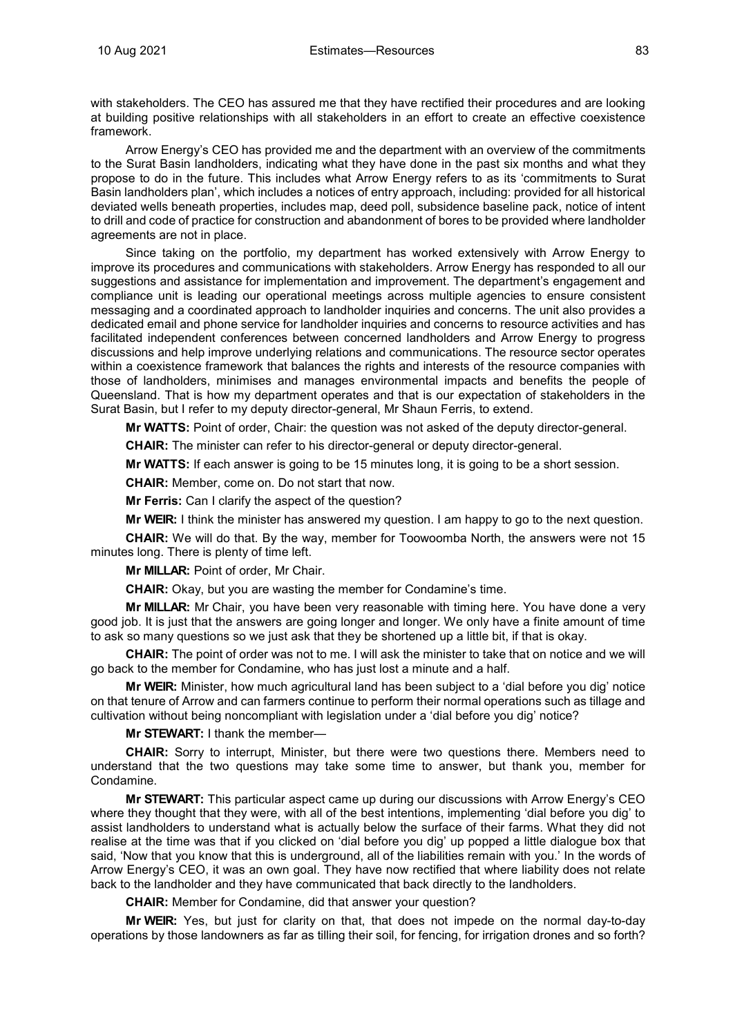with stakeholders. The CEO has assured me that they have rectified their procedures and are looking at building positive relationships with all stakeholders in an effort to create an effective coexistence framework.

Arrow Energy's CEO has provided me and the department with an overview of the commitments to the Surat Basin landholders, indicating what they have done in the past six months and what they propose to do in the future. This includes what Arrow Energy refers to as its 'commitments to Surat Basin landholders plan', which includes a notices of entry approach, including: provided for all historical deviated wells beneath properties, includes map, deed poll, subsidence baseline pack, notice of intent to drill and code of practice for construction and abandonment of bores to be provided where landholder agreements are not in place.

Since taking on the portfolio, my department has worked extensively with Arrow Energy to improve its procedures and communications with stakeholders. Arrow Energy has responded to all our suggestions and assistance for implementation and improvement. The department's engagement and compliance unit is leading our operational meetings across multiple agencies to ensure consistent messaging and a coordinated approach to landholder inquiries and concerns. The unit also provides a dedicated email and phone service for landholder inquiries and concerns to resource activities and has facilitated independent conferences between concerned landholders and Arrow Energy to progress discussions and help improve underlying relations and communications. The resource sector operates within a coexistence framework that balances the rights and interests of the resource companies with those of landholders, minimises and manages environmental impacts and benefits the people of Queensland. That is how my department operates and that is our expectation of stakeholders in the Surat Basin, but I refer to my deputy director-general, Mr Shaun Ferris, to extend.

**Mr WATTS:** Point of order, Chair: the question was not asked of the deputy director-general.

**CHAIR:** The minister can refer to his director-general or deputy director-general.

**Mr WATTS:** If each answer is going to be 15 minutes long, it is going to be a short session.

**CHAIR:** Member, come on. Do not start that now.

**Mr Ferris:** Can I clarify the aspect of the question?

**Mr WEIR:** I think the minister has answered my question. I am happy to go to the next question.

**CHAIR:** We will do that. By the way, member for Toowoomba North, the answers were not 15 minutes long. There is plenty of time left.

**Mr MILLAR:** Point of order, Mr Chair.

**CHAIR:** Okay, but you are wasting the member for Condamine's time.

**Mr MILLAR:** Mr Chair, you have been very reasonable with timing here. You have done a very good job. It is just that the answers are going longer and longer. We only have a finite amount of time to ask so many questions so we just ask that they be shortened up a little bit, if that is okay.

**CHAIR:** The point of order was not to me. I will ask the minister to take that on notice and we will go back to the member for Condamine, who has just lost a minute and a half.

**Mr WEIR:** Minister, how much agricultural land has been subject to a 'dial before you dig' notice on that tenure of Arrow and can farmers continue to perform their normal operations such as tillage and cultivation without being noncompliant with legislation under a 'dial before you dig' notice?

**Mr STEWART:** I thank the member—

**CHAIR:** Sorry to interrupt, Minister, but there were two questions there. Members need to understand that the two questions may take some time to answer, but thank you, member for Condamine.

**Mr STEWART:** This particular aspect came up during our discussions with Arrow Energy's CEO where they thought that they were, with all of the best intentions, implementing 'dial before you dig' to assist landholders to understand what is actually below the surface of their farms. What they did not realise at the time was that if you clicked on 'dial before you dig' up popped a little dialogue box that said, 'Now that you know that this is underground, all of the liabilities remain with you.' In the words of Arrow Energy's CEO, it was an own goal. They have now rectified that where liability does not relate back to the landholder and they have communicated that back directly to the landholders.

**CHAIR:** Member for Condamine, did that answer your question?

**Mr WEIR:** Yes, but just for clarity on that, that does not impede on the normal day-to-day operations by those landowners as far as tilling their soil, for fencing, for irrigation drones and so forth?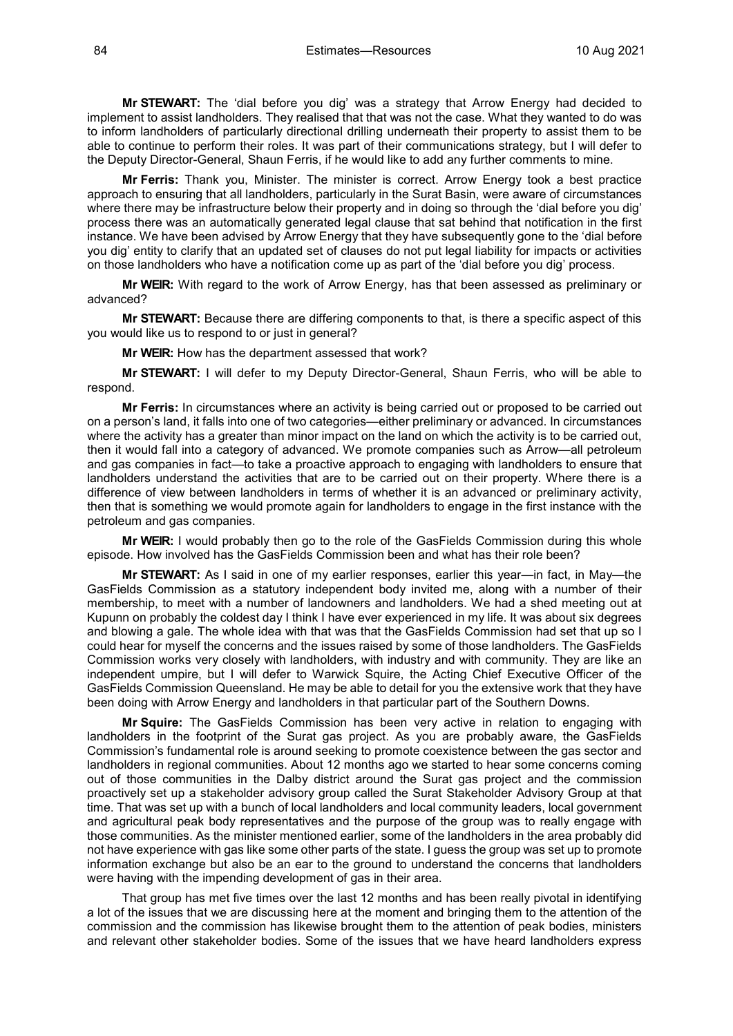**Mr STEWART:** The 'dial before you dig' was a strategy that Arrow Energy had decided to implement to assist landholders. They realised that that was not the case. What they wanted to do was to inform landholders of particularly directional drilling underneath their property to assist them to be able to continue to perform their roles. It was part of their communications strategy, but I will defer to the Deputy Director-General, Shaun Ferris, if he would like to add any further comments to mine.

**Mr Ferris:** Thank you, Minister. The minister is correct. Arrow Energy took a best practice approach to ensuring that all landholders, particularly in the Surat Basin, were aware of circumstances where there may be infrastructure below their property and in doing so through the 'dial before you dig' process there was an automatically generated legal clause that sat behind that notification in the first instance. We have been advised by Arrow Energy that they have subsequently gone to the 'dial before you dig' entity to clarify that an updated set of clauses do not put legal liability for impacts or activities on those landholders who have a notification come up as part of the 'dial before you dig' process.

**Mr WEIR:** With regard to the work of Arrow Energy, has that been assessed as preliminary or advanced?

**Mr STEWART:** Because there are differing components to that, is there a specific aspect of this you would like us to respond to or just in general?

**Mr WEIR:** How has the department assessed that work?

**Mr STEWART:** I will defer to my Deputy Director-General, Shaun Ferris, who will be able to respond.

**Mr Ferris:** In circumstances where an activity is being carried out or proposed to be carried out on a person's land, it falls into one of two categories—either preliminary or advanced. In circumstances where the activity has a greater than minor impact on the land on which the activity is to be carried out, then it would fall into a category of advanced. We promote companies such as Arrow—all petroleum and gas companies in fact—to take a proactive approach to engaging with landholders to ensure that landholders understand the activities that are to be carried out on their property. Where there is a difference of view between landholders in terms of whether it is an advanced or preliminary activity, then that is something we would promote again for landholders to engage in the first instance with the petroleum and gas companies.

**Mr WEIR:** I would probably then go to the role of the GasFields Commission during this whole episode. How involved has the GasFields Commission been and what has their role been?

**Mr STEWART:** As I said in one of my earlier responses, earlier this year—in fact, in May—the GasFields Commission as a statutory independent body invited me, along with a number of their membership, to meet with a number of landowners and landholders. We had a shed meeting out at Kupunn on probably the coldest day I think I have ever experienced in my life. It was about six degrees and blowing a gale. The whole idea with that was that the GasFields Commission had set that up so I could hear for myself the concerns and the issues raised by some of those landholders. The GasFields Commission works very closely with landholders, with industry and with community. They are like an independent umpire, but I will defer to Warwick Squire, the Acting Chief Executive Officer of the GasFields Commission Queensland. He may be able to detail for you the extensive work that they have been doing with Arrow Energy and landholders in that particular part of the Southern Downs.

**Mr Squire:** The GasFields Commission has been very active in relation to engaging with landholders in the footprint of the Surat gas project. As you are probably aware, the GasFields Commission's fundamental role is around seeking to promote coexistence between the gas sector and landholders in regional communities. About 12 months ago we started to hear some concerns coming out of those communities in the Dalby district around the Surat gas project and the commission proactively set up a stakeholder advisory group called the Surat Stakeholder Advisory Group at that time. That was set up with a bunch of local landholders and local community leaders, local government and agricultural peak body representatives and the purpose of the group was to really engage with those communities. As the minister mentioned earlier, some of the landholders in the area probably did not have experience with gas like some other parts of the state. I guess the group was set up to promote information exchange but also be an ear to the ground to understand the concerns that landholders were having with the impending development of gas in their area.

That group has met five times over the last 12 months and has been really pivotal in identifying a lot of the issues that we are discussing here at the moment and bringing them to the attention of the commission and the commission has likewise brought them to the attention of peak bodies, ministers and relevant other stakeholder bodies. Some of the issues that we have heard landholders express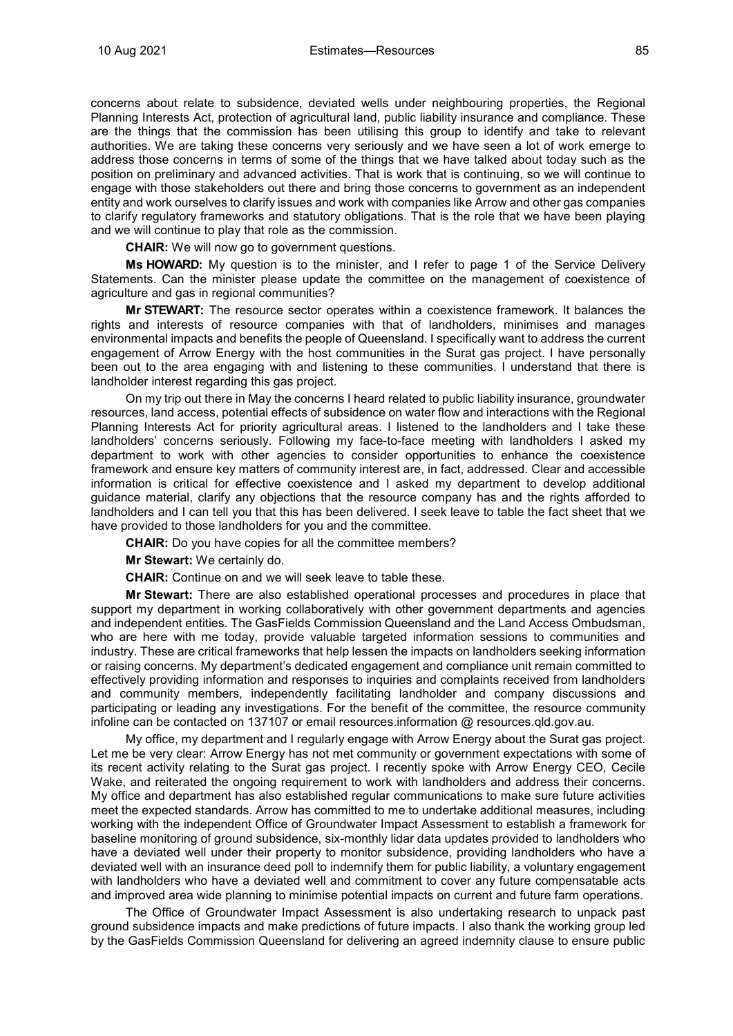concerns about relate to subsidence, deviated wells under neighbouring properties, the Regional Planning Interests Act, protection of agricultural land, public liability insurance and compliance. These are the things that the commission has been utilising this group to identify and take to relevant authorities. We are taking these concerns very seriously and we have seen a lot of work emerge to address those concerns in terms of some of the things that we have talked about today such as the position on preliminary and advanced activities. That is work that is continuing, so we will continue to engage with those stakeholders out there and bring those concerns to government as an independent entity and work ourselves to clarify issues and work with companies like Arrow and other gas companies to clarify regulatory frameworks and statutory obligations. That is the role that we have been playing and we will continue to play that role as the commission.

**CHAIR:** We will now go to government questions.

**Ms HOWARD:** My question is to the minister, and I refer to page 1 of the Service Delivery Statements. Can the minister please update the committee on the management of coexistence of agriculture and gas in regional communities?

**Mr STEWART:** The resource sector operates within a coexistence framework. It balances the rights and interests of resource companies with that of landholders, minimises and manages environmental impacts and benefits the people of Queensland. I specifically want to address the current engagement of Arrow Energy with the host communities in the Surat gas project. I have personally been out to the area engaging with and listening to these communities. I understand that there is landholder interest regarding this gas project.

On my trip out there in May the concerns I heard related to public liability insurance, groundwater resources, land access, potential effects of subsidence on water flow and interactions with the Regional Planning Interests Act for priority agricultural areas. I listened to the landholders and I take these landholders' concerns seriously. Following my face-to-face meeting with landholders I asked my department to work with other agencies to consider opportunities to enhance the coexistence framework and ensure key matters of community interest are, in fact, addressed. Clear and accessible information is critical for effective coexistence and I asked my department to develop additional guidance material, clarify any objections that the resource company has and the rights afforded to landholders and I can tell you that this has been delivered. I seek leave to table the fact sheet that we have provided to those landholders for you and the committee.

**CHAIR:** Do you have copies for all the committee members?

**Mr Stewart:** We certainly do.

**CHAIR:** Continue on and we will seek leave to table these.

**Mr Stewart:** There are also established operational processes and procedures in place that support my department in working collaboratively with other government departments and agencies and independent entities. The GasFields Commission Queensland and the Land Access Ombudsman, who are here with me today, provide valuable targeted information sessions to communities and industry. These are critical frameworks that help lessen the impacts on landholders seeking information or raising concerns. My department's dedicated engagement and compliance unit remain committed to effectively providing information and responses to inquiries and complaints received from landholders and community members, independently facilitating landholder and company discussions and participating or leading any investigations. For the benefit of the committee, the resource community infoline can be contacted on 137107 or email resources.information @ resources.qld.gov.au.

My office, my department and I regularly engage with Arrow Energy about the Surat gas project. Let me be very clear: Arrow Energy has not met community or government expectations with some of its recent activity relating to the Surat gas project. I recently spoke with Arrow Energy CEO, Cecile Wake, and reiterated the ongoing requirement to work with landholders and address their concerns. My office and department has also established regular communications to make sure future activities meet the expected standards. Arrow has committed to me to undertake additional measures, including working with the independent Office of Groundwater Impact Assessment to establish a framework for baseline monitoring of ground subsidence, six-monthly lidar data updates provided to landholders who have a deviated well under their property to monitor subsidence, providing landholders who have a deviated well with an insurance deed poll to indemnify them for public liability, a voluntary engagement with landholders who have a deviated well and commitment to cover any future compensatable acts and improved area wide planning to minimise potential impacts on current and future farm operations.

The Office of Groundwater Impact Assessment is also undertaking research to unpack past ground subsidence impacts and make predictions of future impacts. I also thank the working group led by the GasFields Commission Queensland for delivering an agreed indemnity clause to ensure public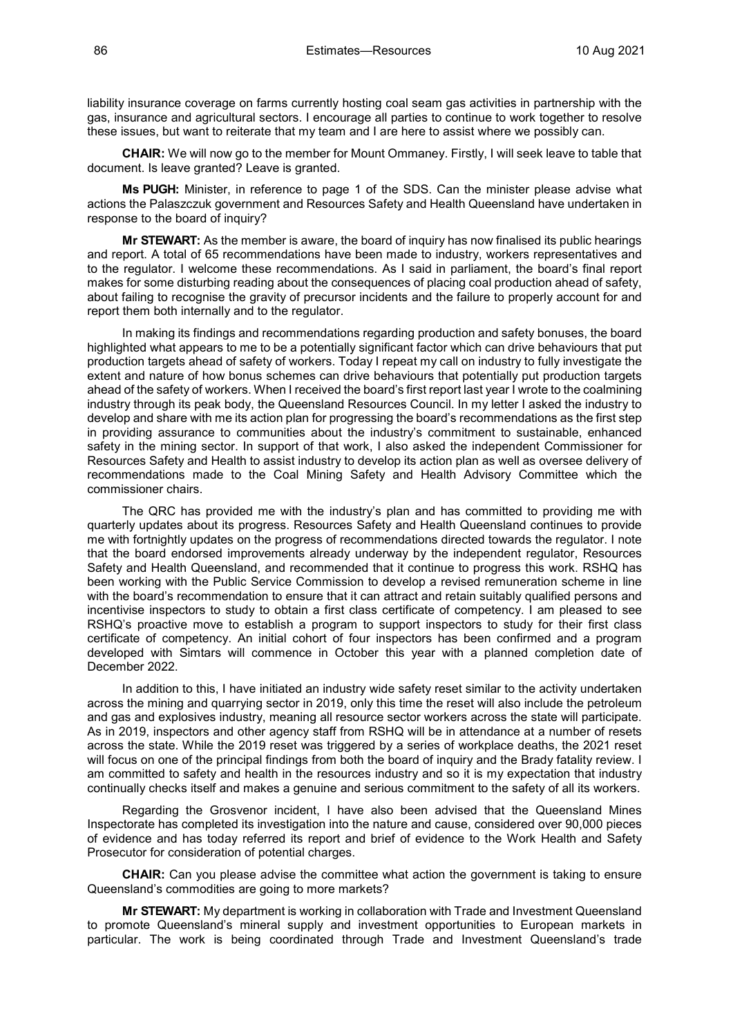liability insurance coverage on farms currently hosting coal seam gas activities in partnership with the gas, insurance and agricultural sectors. I encourage all parties to continue to work together to resolve these issues, but want to reiterate that my team and I are here to assist where we possibly can.

**CHAIR:** We will now go to the member for Mount Ommaney. Firstly, I will seek leave to table that document. Is leave granted? Leave is granted.

**Ms PUGH:** Minister, in reference to page 1 of the SDS. Can the minister please advise what actions the Palaszczuk government and Resources Safety and Health Queensland have undertaken in response to the board of inquiry?

**Mr STEWART:** As the member is aware, the board of inquiry has now finalised its public hearings and report. A total of 65 recommendations have been made to industry, workers representatives and to the regulator. I welcome these recommendations. As I said in parliament, the board's final report makes for some disturbing reading about the consequences of placing coal production ahead of safety, about failing to recognise the gravity of precursor incidents and the failure to properly account for and report them both internally and to the regulator.

In making its findings and recommendations regarding production and safety bonuses, the board highlighted what appears to me to be a potentially significant factor which can drive behaviours that put production targets ahead of safety of workers. Today I repeat my call on industry to fully investigate the extent and nature of how bonus schemes can drive behaviours that potentially put production targets ahead of the safety of workers. When I received the board's first report last year I wrote to the coalmining industry through its peak body, the Queensland Resources Council. In my letter I asked the industry to develop and share with me its action plan for progressing the board's recommendations as the first step in providing assurance to communities about the industry's commitment to sustainable, enhanced safety in the mining sector. In support of that work, I also asked the independent Commissioner for Resources Safety and Health to assist industry to develop its action plan as well as oversee delivery of recommendations made to the Coal Mining Safety and Health Advisory Committee which the commissioner chairs.

The QRC has provided me with the industry's plan and has committed to providing me with quarterly updates about its progress. Resources Safety and Health Queensland continues to provide me with fortnightly updates on the progress of recommendations directed towards the regulator. I note that the board endorsed improvements already underway by the independent regulator, Resources Safety and Health Queensland, and recommended that it continue to progress this work. RSHQ has been working with the Public Service Commission to develop a revised remuneration scheme in line with the board's recommendation to ensure that it can attract and retain suitably qualified persons and incentivise inspectors to study to obtain a first class certificate of competency. I am pleased to see RSHQ's proactive move to establish a program to support inspectors to study for their first class certificate of competency. An initial cohort of four inspectors has been confirmed and a program developed with Simtars will commence in October this year with a planned completion date of December 2022.

In addition to this, I have initiated an industry wide safety reset similar to the activity undertaken across the mining and quarrying sector in 2019, only this time the reset will also include the petroleum and gas and explosives industry, meaning all resource sector workers across the state will participate. As in 2019, inspectors and other agency staff from RSHQ will be in attendance at a number of resets across the state. While the 2019 reset was triggered by a series of workplace deaths, the 2021 reset will focus on one of the principal findings from both the board of inquiry and the Brady fatality review. I am committed to safety and health in the resources industry and so it is my expectation that industry continually checks itself and makes a genuine and serious commitment to the safety of all its workers.

Regarding the Grosvenor incident, I have also been advised that the Queensland Mines Inspectorate has completed its investigation into the nature and cause, considered over 90,000 pieces of evidence and has today referred its report and brief of evidence to the Work Health and Safety Prosecutor for consideration of potential charges.

**CHAIR:** Can you please advise the committee what action the government is taking to ensure Queensland's commodities are going to more markets?

**Mr STEWART:** My department is working in collaboration with Trade and Investment Queensland to promote Queensland's mineral supply and investment opportunities to European markets in particular. The work is being coordinated through Trade and Investment Queensland's trade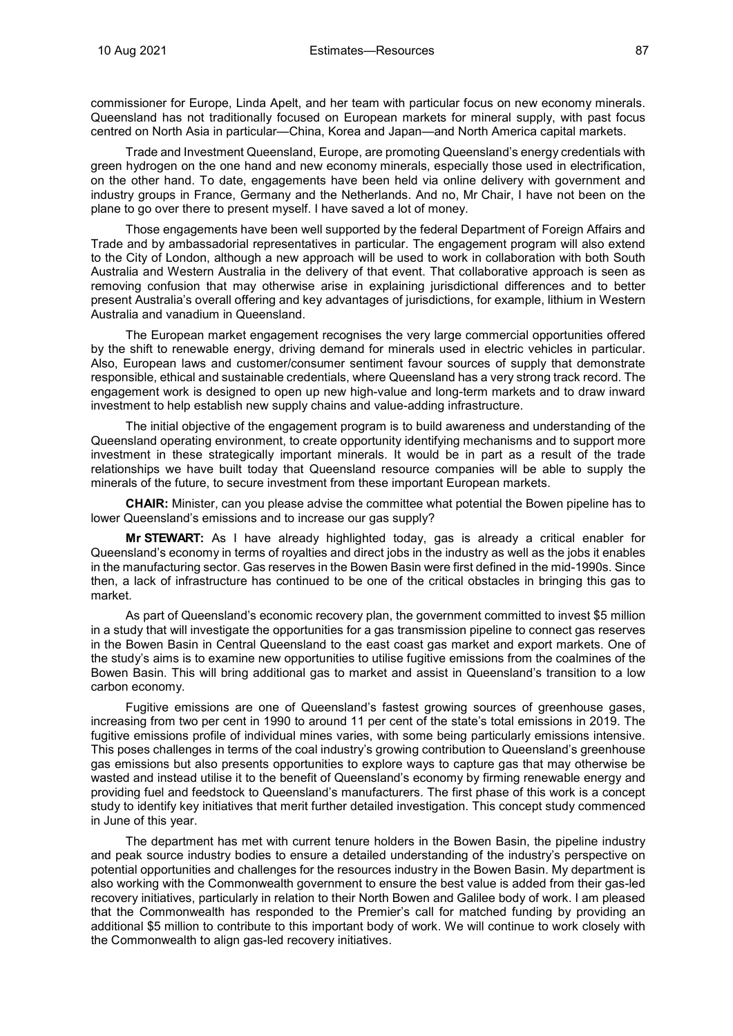commissioner for Europe, Linda Apelt, and her team with particular focus on new economy minerals. Queensland has not traditionally focused on European markets for mineral supply, with past focus centred on North Asia in particular—China, Korea and Japan—and North America capital markets.

Trade and Investment Queensland, Europe, are promoting Queensland's energy credentials with green hydrogen on the one hand and new economy minerals, especially those used in electrification, on the other hand. To date, engagements have been held via online delivery with government and industry groups in France, Germany and the Netherlands. And no, Mr Chair, I have not been on the plane to go over there to present myself. I have saved a lot of money.

Those engagements have been well supported by the federal Department of Foreign Affairs and Trade and by ambassadorial representatives in particular. The engagement program will also extend to the City of London, although a new approach will be used to work in collaboration with both South Australia and Western Australia in the delivery of that event. That collaborative approach is seen as removing confusion that may otherwise arise in explaining jurisdictional differences and to better present Australia's overall offering and key advantages of jurisdictions, for example, lithium in Western Australia and vanadium in Queensland.

The European market engagement recognises the very large commercial opportunities offered by the shift to renewable energy, driving demand for minerals used in electric vehicles in particular. Also, European laws and customer/consumer sentiment favour sources of supply that demonstrate responsible, ethical and sustainable credentials, where Queensland has a very strong track record. The engagement work is designed to open up new high-value and long-term markets and to draw inward investment to help establish new supply chains and value-adding infrastructure.

The initial objective of the engagement program is to build awareness and understanding of the Queensland operating environment, to create opportunity identifying mechanisms and to support more investment in these strategically important minerals. It would be in part as a result of the trade relationships we have built today that Queensland resource companies will be able to supply the minerals of the future, to secure investment from these important European markets.

**CHAIR:** Minister, can you please advise the committee what potential the Bowen pipeline has to lower Queensland's emissions and to increase our gas supply?

**Mr STEWART:** As I have already highlighted today, gas is already a critical enabler for Queensland's economy in terms of royalties and direct jobs in the industry as well as the jobs it enables in the manufacturing sector. Gas reserves in the Bowen Basin were first defined in the mid-1990s. Since then, a lack of infrastructure has continued to be one of the critical obstacles in bringing this gas to market.

As part of Queensland's economic recovery plan, the government committed to invest \$5 million in a study that will investigate the opportunities for a gas transmission pipeline to connect gas reserves in the Bowen Basin in Central Queensland to the east coast gas market and export markets. One of the study's aims is to examine new opportunities to utilise fugitive emissions from the coalmines of the Bowen Basin. This will bring additional gas to market and assist in Queensland's transition to a low carbon economy.

Fugitive emissions are one of Queensland's fastest growing sources of greenhouse gases, increasing from two per cent in 1990 to around 11 per cent of the state's total emissions in 2019. The fugitive emissions profile of individual mines varies, with some being particularly emissions intensive. This poses challenges in terms of the coal industry's growing contribution to Queensland's greenhouse gas emissions but also presents opportunities to explore ways to capture gas that may otherwise be wasted and instead utilise it to the benefit of Queensland's economy by firming renewable energy and providing fuel and feedstock to Queensland's manufacturers. The first phase of this work is a concept study to identify key initiatives that merit further detailed investigation. This concept study commenced in June of this year.

The department has met with current tenure holders in the Bowen Basin, the pipeline industry and peak source industry bodies to ensure a detailed understanding of the industry's perspective on potential opportunities and challenges for the resources industry in the Bowen Basin. My department is also working with the Commonwealth government to ensure the best value is added from their gas-led recovery initiatives, particularly in relation to their North Bowen and Galilee body of work. I am pleased that the Commonwealth has responded to the Premier's call for matched funding by providing an additional \$5 million to contribute to this important body of work. We will continue to work closely with the Commonwealth to align gas-led recovery initiatives.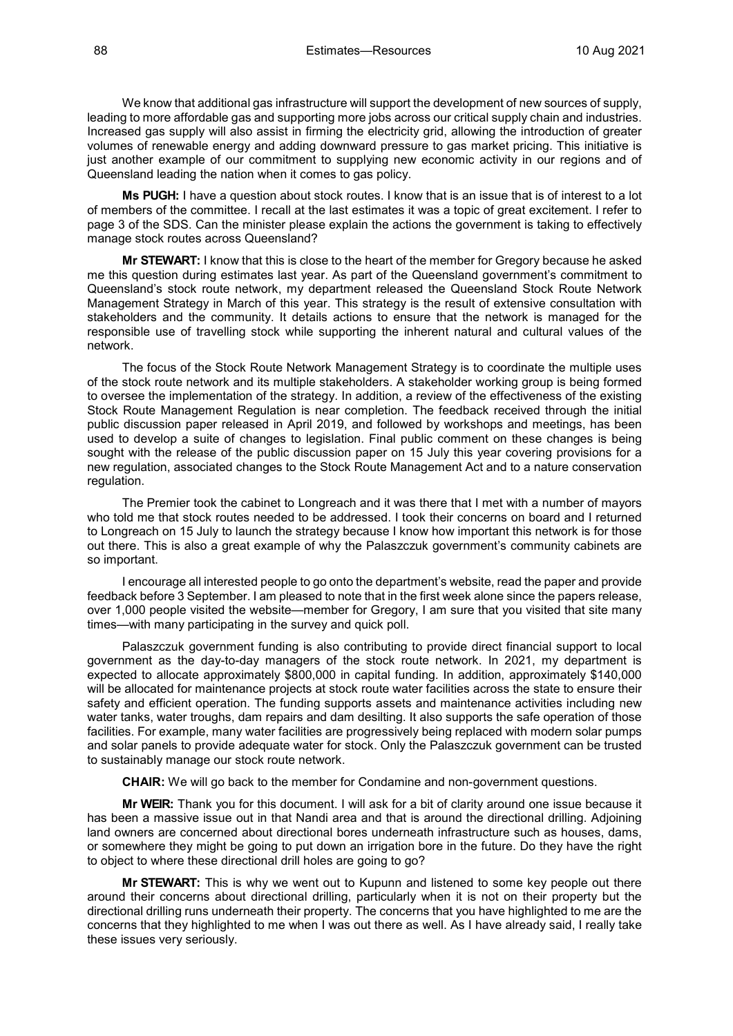We know that additional gas infrastructure will support the development of new sources of supply, leading to more affordable gas and supporting more jobs across our critical supply chain and industries. Increased gas supply will also assist in firming the electricity grid, allowing the introduction of greater volumes of renewable energy and adding downward pressure to gas market pricing. This initiative is just another example of our commitment to supplying new economic activity in our regions and of Queensland leading the nation when it comes to gas policy.

**Ms PUGH:** I have a question about stock routes. I know that is an issue that is of interest to a lot of members of the committee. I recall at the last estimates it was a topic of great excitement. I refer to page 3 of the SDS. Can the minister please explain the actions the government is taking to effectively manage stock routes across Queensland?

**Mr STEWART:** I know that this is close to the heart of the member for Gregory because he asked me this question during estimates last year. As part of the Queensland government's commitment to Queensland's stock route network, my department released the Queensland Stock Route Network Management Strategy in March of this year. This strategy is the result of extensive consultation with stakeholders and the community. It details actions to ensure that the network is managed for the responsible use of travelling stock while supporting the inherent natural and cultural values of the network.

The focus of the Stock Route Network Management Strategy is to coordinate the multiple uses of the stock route network and its multiple stakeholders. A stakeholder working group is being formed to oversee the implementation of the strategy. In addition, a review of the effectiveness of the existing Stock Route Management Regulation is near completion. The feedback received through the initial public discussion paper released in April 2019, and followed by workshops and meetings, has been used to develop a suite of changes to legislation. Final public comment on these changes is being sought with the release of the public discussion paper on 15 July this year covering provisions for a new regulation, associated changes to the Stock Route Management Act and to a nature conservation regulation.

The Premier took the cabinet to Longreach and it was there that I met with a number of mayors who told me that stock routes needed to be addressed. I took their concerns on board and I returned to Longreach on 15 July to launch the strategy because I know how important this network is for those out there. This is also a great example of why the Palaszczuk government's community cabinets are so important.

I encourage all interested people to go onto the department's website, read the paper and provide feedback before 3 September. I am pleased to note that in the first week alone since the papers release, over 1,000 people visited the website—member for Gregory, I am sure that you visited that site many times—with many participating in the survey and quick poll.

Palaszczuk government funding is also contributing to provide direct financial support to local government as the day-to-day managers of the stock route network. In 2021, my department is expected to allocate approximately \$800,000 in capital funding. In addition, approximately \$140,000 will be allocated for maintenance projects at stock route water facilities across the state to ensure their safety and efficient operation. The funding supports assets and maintenance activities including new water tanks, water troughs, dam repairs and dam desilting. It also supports the safe operation of those facilities. For example, many water facilities are progressively being replaced with modern solar pumps and solar panels to provide adequate water for stock. Only the Palaszczuk government can be trusted to sustainably manage our stock route network.

**CHAIR:** We will go back to the member for Condamine and non-government questions.

**Mr WEIR:** Thank you for this document. I will ask for a bit of clarity around one issue because it has been a massive issue out in that Nandi area and that is around the directional drilling. Adjoining land owners are concerned about directional bores underneath infrastructure such as houses, dams, or somewhere they might be going to put down an irrigation bore in the future. Do they have the right to object to where these directional drill holes are going to go?

**Mr STEWART:** This is why we went out to Kupunn and listened to some key people out there around their concerns about directional drilling, particularly when it is not on their property but the directional drilling runs underneath their property. The concerns that you have highlighted to me are the concerns that they highlighted to me when I was out there as well. As I have already said, I really take these issues very seriously.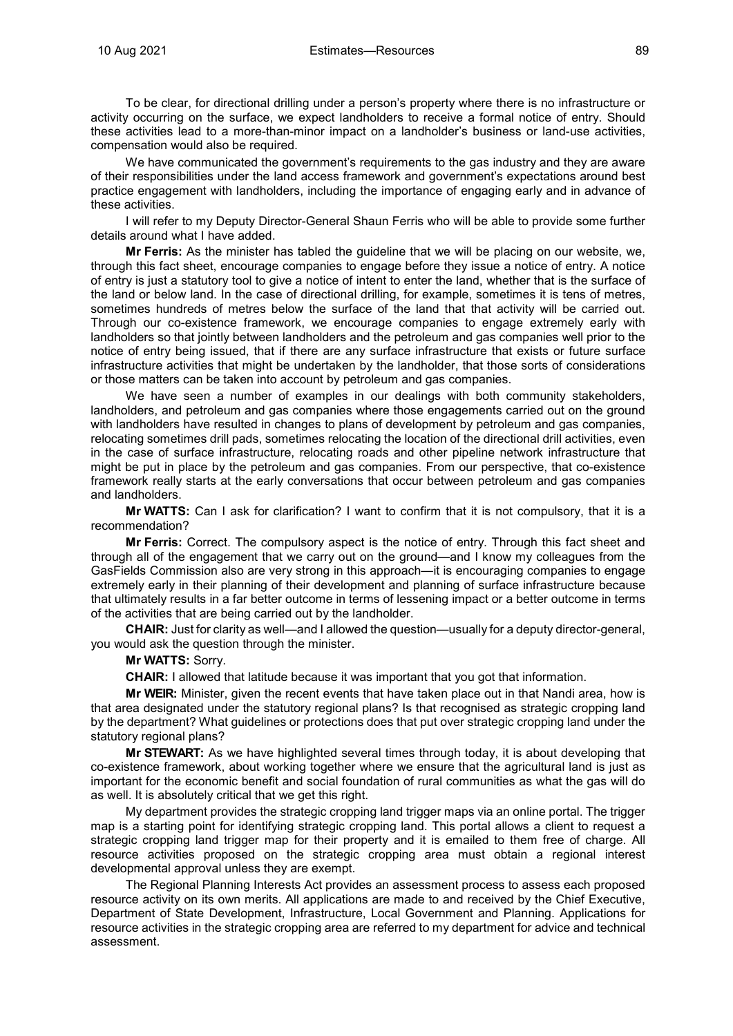To be clear, for directional drilling under a person's property where there is no infrastructure or activity occurring on the surface, we expect landholders to receive a formal notice of entry. Should these activities lead to a more-than-minor impact on a landholder's business or land-use activities, compensation would also be required.

We have communicated the government's requirements to the gas industry and they are aware of their responsibilities under the land access framework and government's expectations around best practice engagement with landholders, including the importance of engaging early and in advance of these activities.

I will refer to my Deputy Director-General Shaun Ferris who will be able to provide some further details around what I have added.

**Mr Ferris:** As the minister has tabled the guideline that we will be placing on our website, we, through this fact sheet, encourage companies to engage before they issue a notice of entry. A notice of entry is just a statutory tool to give a notice of intent to enter the land, whether that is the surface of the land or below land. In the case of directional drilling, for example, sometimes it is tens of metres, sometimes hundreds of metres below the surface of the land that that activity will be carried out. Through our co-existence framework, we encourage companies to engage extremely early with landholders so that jointly between landholders and the petroleum and gas companies well prior to the notice of entry being issued, that if there are any surface infrastructure that exists or future surface infrastructure activities that might be undertaken by the landholder, that those sorts of considerations or those matters can be taken into account by petroleum and gas companies.

We have seen a number of examples in our dealings with both community stakeholders, landholders, and petroleum and gas companies where those engagements carried out on the ground with landholders have resulted in changes to plans of development by petroleum and gas companies, relocating sometimes drill pads, sometimes relocating the location of the directional drill activities, even in the case of surface infrastructure, relocating roads and other pipeline network infrastructure that might be put in place by the petroleum and gas companies. From our perspective, that co-existence framework really starts at the early conversations that occur between petroleum and gas companies and landholders.

**Mr WATTS:** Can I ask for clarification? I want to confirm that it is not compulsory, that it is a recommendation?

**Mr Ferris:** Correct. The compulsory aspect is the notice of entry. Through this fact sheet and through all of the engagement that we carry out on the ground—and I know my colleagues from the GasFields Commission also are very strong in this approach—it is encouraging companies to engage extremely early in their planning of their development and planning of surface infrastructure because that ultimately results in a far better outcome in terms of lessening impact or a better outcome in terms of the activities that are being carried out by the landholder.

**CHAIR:** Just for clarity as well—and I allowed the question—usually for a deputy director-general, you would ask the question through the minister.

**Mr WATTS:** Sorry.

**CHAIR:** I allowed that latitude because it was important that you got that information.

**Mr WEIR:** Minister, given the recent events that have taken place out in that Nandi area, how is that area designated under the statutory regional plans? Is that recognised as strategic cropping land by the department? What guidelines or protections does that put over strategic cropping land under the statutory regional plans?

**Mr STEWART:** As we have highlighted several times through today, it is about developing that co-existence framework, about working together where we ensure that the agricultural land is just as important for the economic benefit and social foundation of rural communities as what the gas will do as well. It is absolutely critical that we get this right.

My department provides the strategic cropping land trigger maps via an online portal. The trigger map is a starting point for identifying strategic cropping land. This portal allows a client to request a strategic cropping land trigger map for their property and it is emailed to them free of charge. All resource activities proposed on the strategic cropping area must obtain a regional interest developmental approval unless they are exempt.

The Regional Planning Interests Act provides an assessment process to assess each proposed resource activity on its own merits. All applications are made to and received by the Chief Executive, Department of State Development, Infrastructure, Local Government and Planning. Applications for resource activities in the strategic cropping area are referred to my department for advice and technical assessment.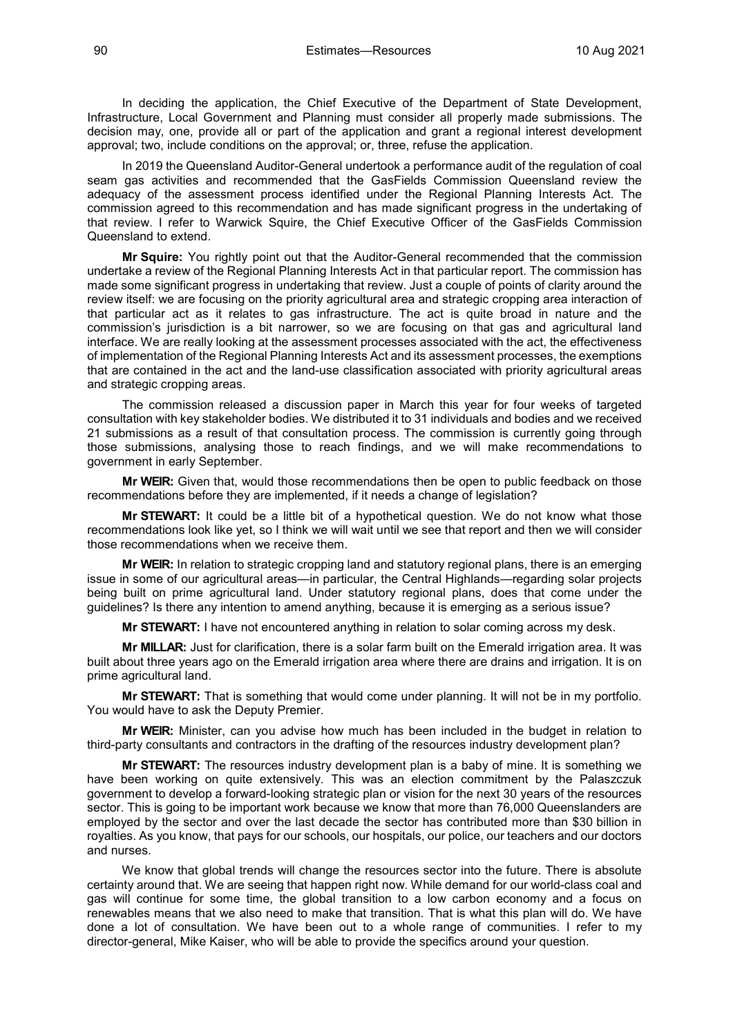In deciding the application, the Chief Executive of the Department of State Development, Infrastructure, Local Government and Planning must consider all properly made submissions. The decision may, one, provide all or part of the application and grant a regional interest development approval; two, include conditions on the approval; or, three, refuse the application.

In 2019 the Queensland Auditor-General undertook a performance audit of the regulation of coal seam gas activities and recommended that the GasFields Commission Queensland review the adequacy of the assessment process identified under the Regional Planning Interests Act. The commission agreed to this recommendation and has made significant progress in the undertaking of that review. I refer to Warwick Squire, the Chief Executive Officer of the GasFields Commission Queensland to extend.

**Mr Squire:** You rightly point out that the Auditor-General recommended that the commission undertake a review of the Regional Planning Interests Act in that particular report. The commission has made some significant progress in undertaking that review. Just a couple of points of clarity around the review itself: we are focusing on the priority agricultural area and strategic cropping area interaction of that particular act as it relates to gas infrastructure. The act is quite broad in nature and the commission's jurisdiction is a bit narrower, so we are focusing on that gas and agricultural land interface. We are really looking at the assessment processes associated with the act, the effectiveness of implementation of the Regional Planning Interests Act and its assessment processes, the exemptions that are contained in the act and the land-use classification associated with priority agricultural areas and strategic cropping areas.

The commission released a discussion paper in March this year for four weeks of targeted consultation with key stakeholder bodies. We distributed it to 31 individuals and bodies and we received 21 submissions as a result of that consultation process. The commission is currently going through those submissions, analysing those to reach findings, and we will make recommendations to government in early September.

**Mr WEIR:** Given that, would those recommendations then be open to public feedback on those recommendations before they are implemented, if it needs a change of legislation?

**Mr STEWART:** It could be a little bit of a hypothetical question. We do not know what those recommendations look like yet, so I think we will wait until we see that report and then we will consider those recommendations when we receive them.

**Mr WEIR:** In relation to strategic cropping land and statutory regional plans, there is an emerging issue in some of our agricultural areas—in particular, the Central Highlands—regarding solar projects being built on prime agricultural land. Under statutory regional plans, does that come under the guidelines? Is there any intention to amend anything, because it is emerging as a serious issue?

**Mr STEWART:** I have not encountered anything in relation to solar coming across my desk.

**Mr MILLAR:** Just for clarification, there is a solar farm built on the Emerald irrigation area. It was built about three years ago on the Emerald irrigation area where there are drains and irrigation. It is on prime agricultural land.

**Mr STEWART:** That is something that would come under planning. It will not be in my portfolio. You would have to ask the Deputy Premier.

**Mr WEIR:** Minister, can you advise how much has been included in the budget in relation to third-party consultants and contractors in the drafting of the resources industry development plan?

**Mr STEWART:** The resources industry development plan is a baby of mine. It is something we have been working on quite extensively. This was an election commitment by the Palaszczuk government to develop a forward-looking strategic plan or vision for the next 30 years of the resources sector. This is going to be important work because we know that more than 76,000 Queenslanders are employed by the sector and over the last decade the sector has contributed more than \$30 billion in royalties. As you know, that pays for our schools, our hospitals, our police, our teachers and our doctors and nurses.

We know that global trends will change the resources sector into the future. There is absolute certainty around that. We are seeing that happen right now. While demand for our world-class coal and gas will continue for some time, the global transition to a low carbon economy and a focus on renewables means that we also need to make that transition. That is what this plan will do. We have done a lot of consultation. We have been out to a whole range of communities. I refer to my director-general, Mike Kaiser, who will be able to provide the specifics around your question.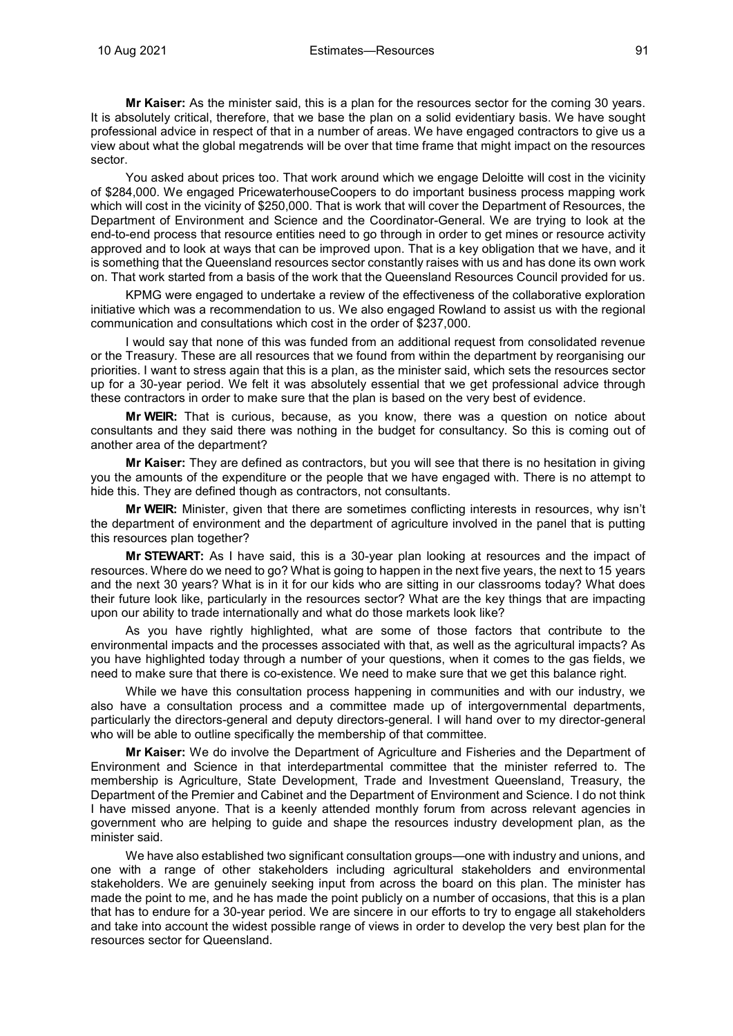**Mr Kaiser:** As the minister said, this is a plan for the resources sector for the coming 30 years. It is absolutely critical, therefore, that we base the plan on a solid evidentiary basis. We have sought professional advice in respect of that in a number of areas. We have engaged contractors to give us a view about what the global megatrends will be over that time frame that might impact on the resources sector.

You asked about prices too. That work around which we engage Deloitte will cost in the vicinity of \$284,000. We engaged PricewaterhouseCoopers to do important business process mapping work which will cost in the vicinity of \$250,000. That is work that will cover the Department of Resources, the Department of Environment and Science and the Coordinator-General. We are trying to look at the end-to-end process that resource entities need to go through in order to get mines or resource activity approved and to look at ways that can be improved upon. That is a key obligation that we have, and it is something that the Queensland resources sector constantly raises with us and has done its own work on. That work started from a basis of the work that the Queensland Resources Council provided for us.

KPMG were engaged to undertake a review of the effectiveness of the collaborative exploration initiative which was a recommendation to us. We also engaged Rowland to assist us with the regional communication and consultations which cost in the order of \$237,000.

I would say that none of this was funded from an additional request from consolidated revenue or the Treasury. These are all resources that we found from within the department by reorganising our priorities. I want to stress again that this is a plan, as the minister said, which sets the resources sector up for a 30-year period. We felt it was absolutely essential that we get professional advice through these contractors in order to make sure that the plan is based on the very best of evidence.

**Mr WEIR:** That is curious, because, as you know, there was a question on notice about consultants and they said there was nothing in the budget for consultancy. So this is coming out of another area of the department?

**Mr Kaiser:** They are defined as contractors, but you will see that there is no hesitation in giving you the amounts of the expenditure or the people that we have engaged with. There is no attempt to hide this. They are defined though as contractors, not consultants.

**Mr WEIR:** Minister, given that there are sometimes conflicting interests in resources, why isn't the department of environment and the department of agriculture involved in the panel that is putting this resources plan together?

**Mr STEWART:** As I have said, this is a 30-year plan looking at resources and the impact of resources. Where do we need to go? What is going to happen in the next five years, the next to 15 years and the next 30 years? What is in it for our kids who are sitting in our classrooms today? What does their future look like, particularly in the resources sector? What are the key things that are impacting upon our ability to trade internationally and what do those markets look like?

As you have rightly highlighted, what are some of those factors that contribute to the environmental impacts and the processes associated with that, as well as the agricultural impacts? As you have highlighted today through a number of your questions, when it comes to the gas fields, we need to make sure that there is co-existence. We need to make sure that we get this balance right.

While we have this consultation process happening in communities and with our industry, we also have a consultation process and a committee made up of intergovernmental departments, particularly the directors-general and deputy directors-general. I will hand over to my director-general who will be able to outline specifically the membership of that committee.

**Mr Kaiser:** We do involve the Department of Agriculture and Fisheries and the Department of Environment and Science in that interdepartmental committee that the minister referred to. The membership is Agriculture, State Development, Trade and Investment Queensland, Treasury, the Department of the Premier and Cabinet and the Department of Environment and Science. I do not think I have missed anyone. That is a keenly attended monthly forum from across relevant agencies in government who are helping to guide and shape the resources industry development plan, as the minister said.

We have also established two significant consultation groups—one with industry and unions, and one with a range of other stakeholders including agricultural stakeholders and environmental stakeholders. We are genuinely seeking input from across the board on this plan. The minister has made the point to me, and he has made the point publicly on a number of occasions, that this is a plan that has to endure for a 30-year period. We are sincere in our efforts to try to engage all stakeholders and take into account the widest possible range of views in order to develop the very best plan for the resources sector for Queensland.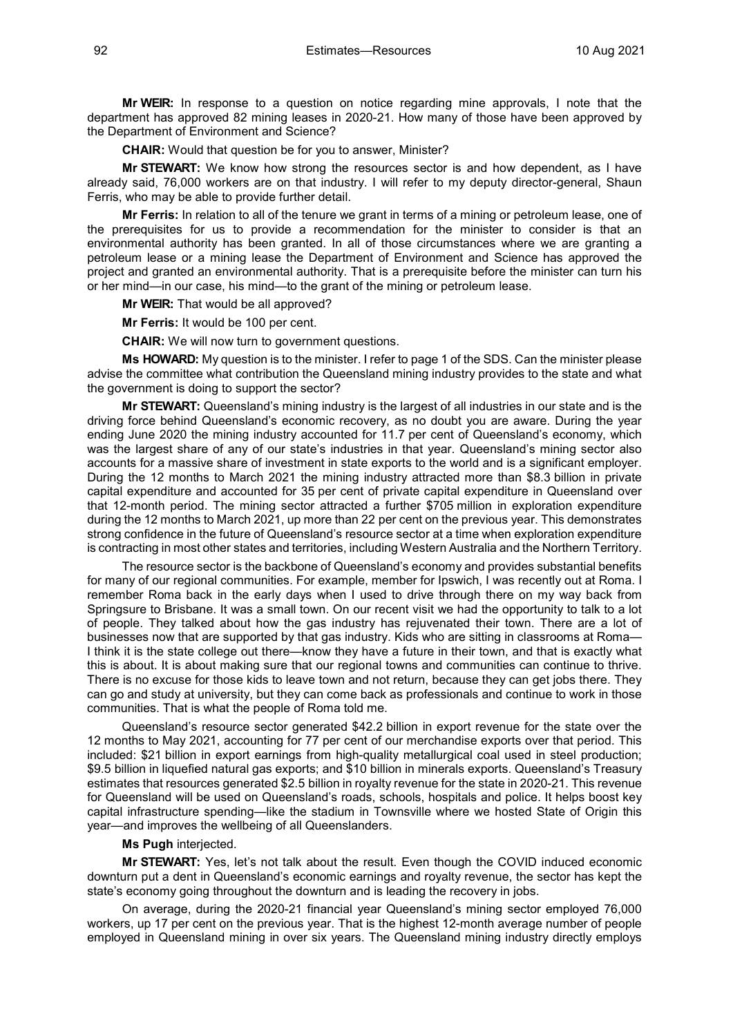**Mr WEIR:** In response to a question on notice regarding mine approvals, I note that the department has approved 82 mining leases in 2020-21. How many of those have been approved by the Department of Environment and Science?

**CHAIR:** Would that question be for you to answer, Minister?

**Mr STEWART:** We know how strong the resources sector is and how dependent, as I have already said, 76,000 workers are on that industry. I will refer to my deputy director-general, Shaun Ferris, who may be able to provide further detail.

**Mr Ferris:** In relation to all of the tenure we grant in terms of a mining or petroleum lease, one of the prerequisites for us to provide a recommendation for the minister to consider is that an environmental authority has been granted. In all of those circumstances where we are granting a petroleum lease or a mining lease the Department of Environment and Science has approved the project and granted an environmental authority. That is a prerequisite before the minister can turn his or her mind—in our case, his mind—to the grant of the mining or petroleum lease.

**Mr WEIR:** That would be all approved?

**Mr Ferris:** It would be 100 per cent.

**CHAIR:** We will now turn to government questions.

**Ms HOWARD:** My question is to the minister. I refer to page 1 of the SDS. Can the minister please advise the committee what contribution the Queensland mining industry provides to the state and what the government is doing to support the sector?

**Mr STEWART:** Queensland's mining industry is the largest of all industries in our state and is the driving force behind Queensland's economic recovery, as no doubt you are aware. During the year ending June 2020 the mining industry accounted for 11.7 per cent of Queensland's economy, which was the largest share of any of our state's industries in that year. Queensland's mining sector also accounts for a massive share of investment in state exports to the world and is a significant employer. During the 12 months to March 2021 the mining industry attracted more than \$8.3 billion in private capital expenditure and accounted for 35 per cent of private capital expenditure in Queensland over that 12-month period. The mining sector attracted a further \$705 million in exploration expenditure during the 12 months to March 2021, up more than 22 per cent on the previous year. This demonstrates strong confidence in the future of Queensland's resource sector at a time when exploration expenditure is contracting in most other states and territories, including Western Australia and the Northern Territory.

The resource sector is the backbone of Queensland's economy and provides substantial benefits for many of our regional communities. For example, member for Ipswich, I was recently out at Roma. I remember Roma back in the early days when I used to drive through there on my way back from Springsure to Brisbane. It was a small town. On our recent visit we had the opportunity to talk to a lot of people. They talked about how the gas industry has rejuvenated their town. There are a lot of businesses now that are supported by that gas industry. Kids who are sitting in classrooms at Roma— I think it is the state college out there—know they have a future in their town, and that is exactly what this is about. It is about making sure that our regional towns and communities can continue to thrive. There is no excuse for those kids to leave town and not return, because they can get jobs there. They can go and study at university, but they can come back as professionals and continue to work in those communities. That is what the people of Roma told me.

Queensland's resource sector generated \$42.2 billion in export revenue for the state over the 12 months to May 2021, accounting for 77 per cent of our merchandise exports over that period. This included: \$21 billion in export earnings from high-quality metallurgical coal used in steel production; \$9.5 billion in liquefied natural gas exports; and \$10 billion in minerals exports. Queensland's Treasury estimates that resources generated \$2.5 billion in royalty revenue for the state in 2020-21. This revenue for Queensland will be used on Queensland's roads, schools, hospitals and police. It helps boost key capital infrastructure spending—like the stadium in Townsville where we hosted State of Origin this year—and improves the wellbeing of all Queenslanders.

#### **Ms Pugh** interjected.

**Mr STEWART:** Yes, let's not talk about the result. Even though the COVID induced economic downturn put a dent in Queensland's economic earnings and royalty revenue, the sector has kept the state's economy going throughout the downturn and is leading the recovery in jobs.

On average, during the 2020-21 financial year Queensland's mining sector employed 76,000 workers, up 17 per cent on the previous year. That is the highest 12-month average number of people employed in Queensland mining in over six years. The Queensland mining industry directly employs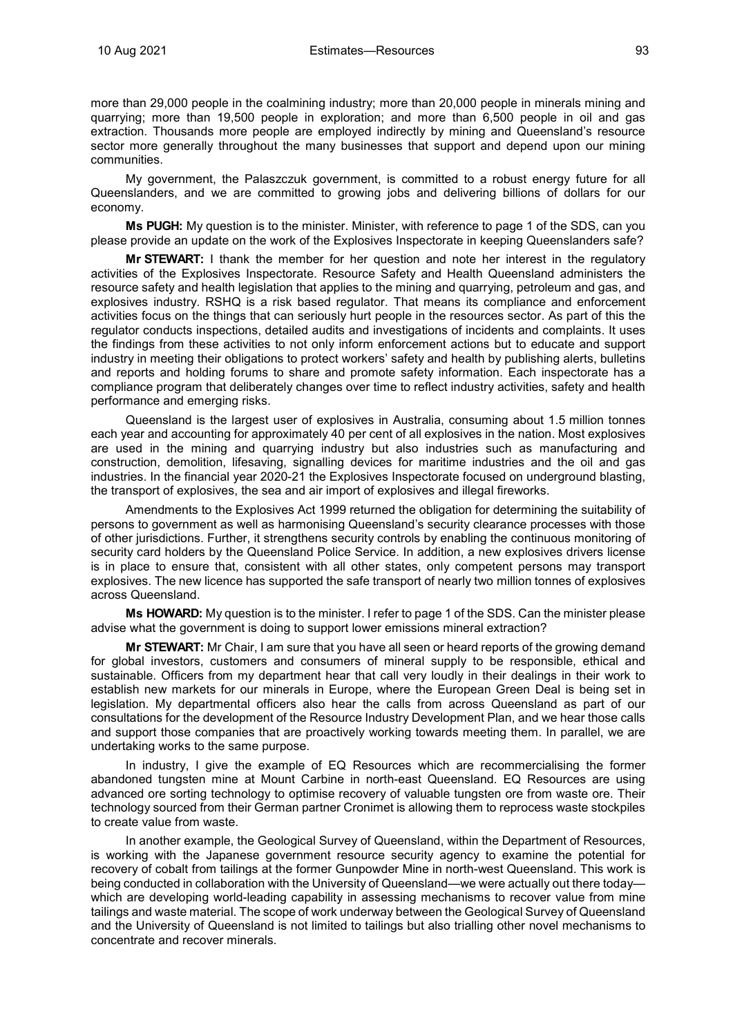more than 29,000 people in the coalmining industry; more than 20,000 people in minerals mining and quarrying; more than 19,500 people in exploration; and more than 6,500 people in oil and gas extraction. Thousands more people are employed indirectly by mining and Queensland's resource sector more generally throughout the many businesses that support and depend upon our mining communities.

My government, the Palaszczuk government, is committed to a robust energy future for all Queenslanders, and we are committed to growing jobs and delivering billions of dollars for our economy.

**Ms PUGH:** My question is to the minister. Minister, with reference to page 1 of the SDS, can you please provide an update on the work of the Explosives Inspectorate in keeping Queenslanders safe?

**Mr STEWART:** I thank the member for her question and note her interest in the regulatory activities of the Explosives Inspectorate. Resource Safety and Health Queensland administers the resource safety and health legislation that applies to the mining and quarrying, petroleum and gas, and explosives industry. RSHQ is a risk based regulator. That means its compliance and enforcement activities focus on the things that can seriously hurt people in the resources sector. As part of this the regulator conducts inspections, detailed audits and investigations of incidents and complaints. It uses the findings from these activities to not only inform enforcement actions but to educate and support industry in meeting their obligations to protect workers' safety and health by publishing alerts, bulletins and reports and holding forums to share and promote safety information. Each inspectorate has a compliance program that deliberately changes over time to reflect industry activities, safety and health performance and emerging risks.

Queensland is the largest user of explosives in Australia, consuming about 1.5 million tonnes each year and accounting for approximately 40 per cent of all explosives in the nation. Most explosives are used in the mining and quarrying industry but also industries such as manufacturing and construction, demolition, lifesaving, signalling devices for maritime industries and the oil and gas industries. In the financial year 2020-21 the Explosives Inspectorate focused on underground blasting, the transport of explosives, the sea and air import of explosives and illegal fireworks.

Amendments to the Explosives Act 1999 returned the obligation for determining the suitability of persons to government as well as harmonising Queensland's security clearance processes with those of other jurisdictions. Further, it strengthens security controls by enabling the continuous monitoring of security card holders by the Queensland Police Service. In addition, a new explosives drivers license is in place to ensure that, consistent with all other states, only competent persons may transport explosives. The new licence has supported the safe transport of nearly two million tonnes of explosives across Queensland.

**Ms HOWARD:** My question is to the minister. I refer to page 1 of the SDS. Can the minister please advise what the government is doing to support lower emissions mineral extraction?

**Mr STEWART:** Mr Chair, I am sure that you have all seen or heard reports of the growing demand for global investors, customers and consumers of mineral supply to be responsible, ethical and sustainable. Officers from my department hear that call very loudly in their dealings in their work to establish new markets for our minerals in Europe, where the European Green Deal is being set in legislation. My departmental officers also hear the calls from across Queensland as part of our consultations for the development of the Resource Industry Development Plan, and we hear those calls and support those companies that are proactively working towards meeting them. In parallel, we are undertaking works to the same purpose.

In industry, I give the example of EQ Resources which are recommercialising the former abandoned tungsten mine at Mount Carbine in north-east Queensland. EQ Resources are using advanced ore sorting technology to optimise recovery of valuable tungsten ore from waste ore. Their technology sourced from their German partner Cronimet is allowing them to reprocess waste stockpiles to create value from waste.

In another example, the Geological Survey of Queensland, within the Department of Resources, is working with the Japanese government resource security agency to examine the potential for recovery of cobalt from tailings at the former Gunpowder Mine in north-west Queensland. This work is being conducted in collaboration with the University of Queensland—we were actually out there today which are developing world-leading capability in assessing mechanisms to recover value from mine tailings and waste material. The scope of work underway between the Geological Survey of Queensland and the University of Queensland is not limited to tailings but also trialling other novel mechanisms to concentrate and recover minerals.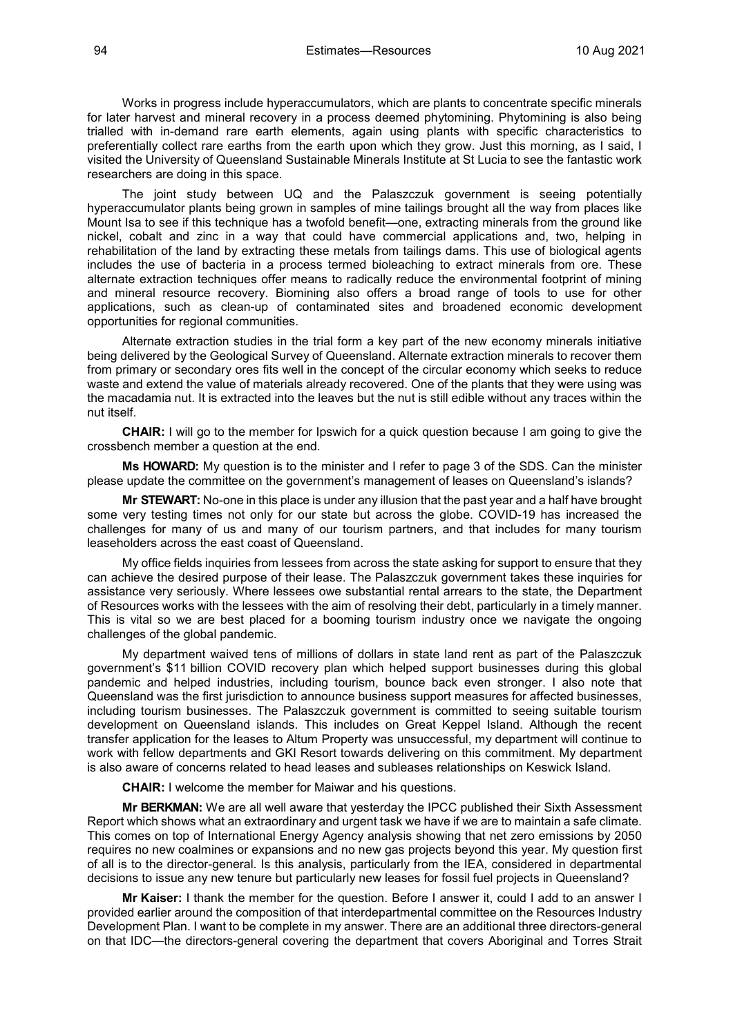Works in progress include hyperaccumulators, which are plants to concentrate specific minerals for later harvest and mineral recovery in a process deemed phytomining. Phytomining is also being trialled with in-demand rare earth elements, again using plants with specific characteristics to preferentially collect rare earths from the earth upon which they grow. Just this morning, as I said, I visited the University of Queensland Sustainable Minerals Institute at St Lucia to see the fantastic work researchers are doing in this space.

The joint study between UQ and the Palaszczuk government is seeing potentially hyperaccumulator plants being grown in samples of mine tailings brought all the way from places like Mount Isa to see if this technique has a twofold benefit—one, extracting minerals from the ground like nickel, cobalt and zinc in a way that could have commercial applications and, two, helping in rehabilitation of the land by extracting these metals from tailings dams. This use of biological agents includes the use of bacteria in a process termed bioleaching to extract minerals from ore. These alternate extraction techniques offer means to radically reduce the environmental footprint of mining and mineral resource recovery. Biomining also offers a broad range of tools to use for other applications, such as clean-up of contaminated sites and broadened economic development opportunities for regional communities.

Alternate extraction studies in the trial form a key part of the new economy minerals initiative being delivered by the Geological Survey of Queensland. Alternate extraction minerals to recover them from primary or secondary ores fits well in the concept of the circular economy which seeks to reduce waste and extend the value of materials already recovered. One of the plants that they were using was the macadamia nut. It is extracted into the leaves but the nut is still edible without any traces within the nut itself.

**CHAIR:** I will go to the member for Ipswich for a quick question because I am going to give the crossbench member a question at the end.

**Ms HOWARD:** My question is to the minister and I refer to page 3 of the SDS. Can the minister please update the committee on the government's management of leases on Queensland's islands?

**Mr STEWART:** No-one in this place is under any illusion that the past year and a half have brought some very testing times not only for our state but across the globe. COVID-19 has increased the challenges for many of us and many of our tourism partners, and that includes for many tourism leaseholders across the east coast of Queensland.

My office fields inquiries from lessees from across the state asking for support to ensure that they can achieve the desired purpose of their lease. The Palaszczuk government takes these inquiries for assistance very seriously. Where lessees owe substantial rental arrears to the state, the Department of Resources works with the lessees with the aim of resolving their debt, particularly in a timely manner. This is vital so we are best placed for a booming tourism industry once we navigate the ongoing challenges of the global pandemic.

My department waived tens of millions of dollars in state land rent as part of the Palaszczuk government's \$11 billion COVID recovery plan which helped support businesses during this global pandemic and helped industries, including tourism, bounce back even stronger. I also note that Queensland was the first jurisdiction to announce business support measures for affected businesses, including tourism businesses. The Palaszczuk government is committed to seeing suitable tourism development on Queensland islands. This includes on Great Keppel Island. Although the recent transfer application for the leases to Altum Property was unsuccessful, my department will continue to work with fellow departments and GKI Resort towards delivering on this commitment. My department is also aware of concerns related to head leases and subleases relationships on Keswick Island.

**CHAIR:** I welcome the member for Maiwar and his questions.

**Mr BERKMAN:** We are all well aware that yesterday the IPCC published their Sixth Assessment Report which shows what an extraordinary and urgent task we have if we are to maintain a safe climate. This comes on top of International Energy Agency analysis showing that net zero emissions by 2050 requires no new coalmines or expansions and no new gas projects beyond this year. My question first of all is to the director-general. Is this analysis, particularly from the IEA, considered in departmental decisions to issue any new tenure but particularly new leases for fossil fuel projects in Queensland?

**Mr Kaiser:** I thank the member for the question. Before I answer it, could I add to an answer I provided earlier around the composition of that interdepartmental committee on the Resources Industry Development Plan. I want to be complete in my answer. There are an additional three directors-general on that IDC—the directors-general covering the department that covers Aboriginal and Torres Strait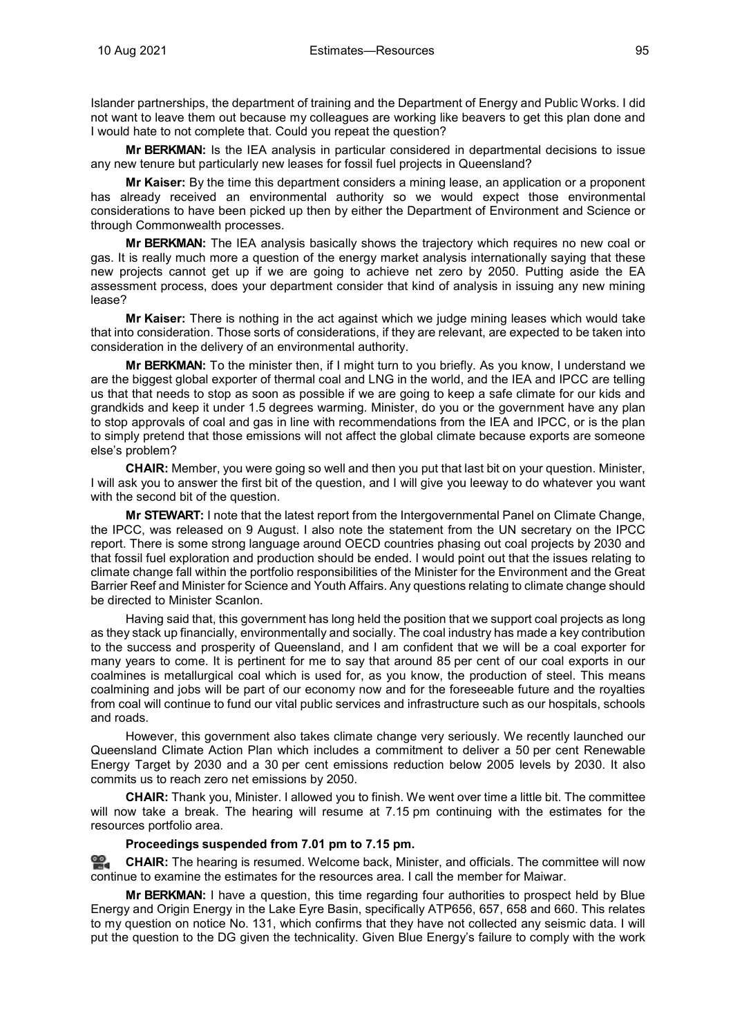Islander partnerships, the department of training and the Department of Energy and Public Works. I did not want to leave them out because my colleagues are working like beavers to get this plan done and I would hate to not complete that. Could you repeat the question?

**Mr BERKMAN:** Is the IEA analysis in particular considered in departmental decisions to issue any new tenure but particularly new leases for fossil fuel projects in Queensland?

**Mr Kaiser:** By the time this department considers a mining lease, an application or a proponent has already received an environmental authority so we would expect those environmental considerations to have been picked up then by either the Department of Environment and Science or through Commonwealth processes.

**Mr BERKMAN:** The IEA analysis basically shows the trajectory which requires no new coal or gas. It is really much more a question of the energy market analysis internationally saying that these new projects cannot get up if we are going to achieve net zero by 2050. Putting aside the EA assessment process, does your department consider that kind of analysis in issuing any new mining lease?

**Mr Kaiser:** There is nothing in the act against which we judge mining leases which would take that into consideration. Those sorts of considerations, if they are relevant, are expected to be taken into consideration in the delivery of an environmental authority.

**Mr BERKMAN:** To the minister then, if I might turn to you briefly. As you know, I understand we are the biggest global exporter of thermal coal and LNG in the world, and the IEA and IPCC are telling us that that needs to stop as soon as possible if we are going to keep a safe climate for our kids and grandkids and keep it under 1.5 degrees warming. Minister, do you or the government have any plan to stop approvals of coal and gas in line with recommendations from the IEA and IPCC, or is the plan to simply pretend that those emissions will not affect the global climate because exports are someone else's problem?

**CHAIR:** Member, you were going so well and then you put that last bit on your question. Minister, I will ask you to answer the first bit of the question, and I will give you leeway to do whatever you want with the second bit of the question.

**Mr STEWART:** I note that the latest report from the Intergovernmental Panel on Climate Change, the IPCC, was released on 9 August. I also note the statement from the UN secretary on the IPCC report. There is some strong language around OECD countries phasing out coal projects by 2030 and that fossil fuel exploration and production should be ended. I would point out that the issues relating to climate change fall within the portfolio responsibilities of the Minister for the Environment and the Great Barrier Reef and Minister for Science and Youth Affairs. Any questions relating to climate change should be directed to Minister Scanlon.

Having said that, this government has long held the position that we support coal projects as long as they stack up financially, environmentally and socially. The coal industry has made a key contribution to the success and prosperity of Queensland, and I am confident that we will be a coal exporter for many years to come. It is pertinent for me to say that around 85 per cent of our coal exports in our coalmines is metallurgical coal which is used for, as you know, the production of steel. This means coalmining and jobs will be part of our economy now and for the foreseeable future and the royalties from coal will continue to fund our vital public services and infrastructure such as our hospitals, schools and roads.

However, this government also takes climate change very seriously. We recently launched our Queensland Climate Action Plan which includes a commitment to deliver a 50 per cent Renewable Energy Target by 2030 and a 30 per cent emissions reduction below 2005 levels by 2030. It also commits us to reach zero net emissions by 2050.

**CHAIR:** Thank you, Minister. I allowed you to finish. We went over time a little bit. The committee will now take a break. The hearing will resume at 7.15 pm continuing with the estimates for the resources portfolio area.

### **Proceedings suspended from 7.01 pm to 7.15 pm.**

**[CHAIR:](http://www.parliament.qld.gov.au/docs/find.aspx?id=0Mba20210810_191534)** The hearing is resumed. Welcome back, Minister, and officials. The committee will now continue to examine the estimates for the resources area. I call the member for Maiwar.

**Mr BERKMAN:** I have a question, this time regarding four authorities to prospect held by Blue Energy and Origin Energy in the Lake Eyre Basin, specifically ATP656, 657, 658 and 660. This relates to my question on notice No. 131, which confirms that they have not collected any seismic data. I will put the question to the DG given the technicality. Given Blue Energy's failure to comply with the work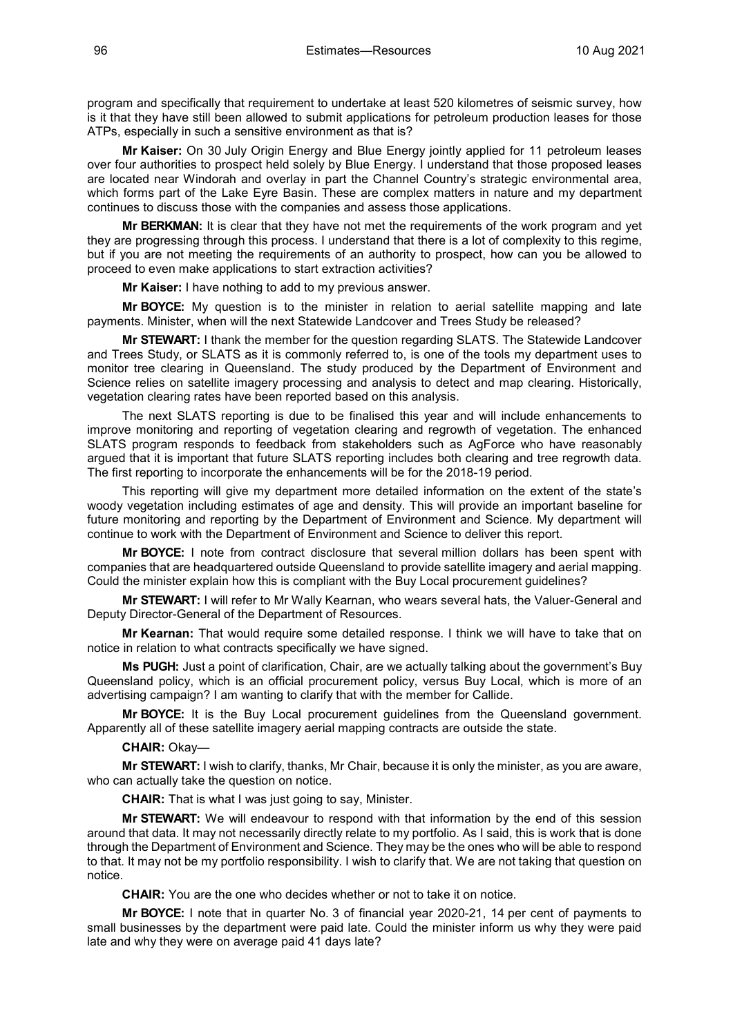program and specifically that requirement to undertake at least 520 kilometres of seismic survey, how is it that they have still been allowed to submit applications for petroleum production leases for those ATPs, especially in such a sensitive environment as that is?

**Mr Kaiser:** On 30 July Origin Energy and Blue Energy jointly applied for 11 petroleum leases over four authorities to prospect held solely by Blue Energy. I understand that those proposed leases are located near Windorah and overlay in part the Channel Country's strategic environmental area, which forms part of the Lake Eyre Basin. These are complex matters in nature and my department continues to discuss those with the companies and assess those applications.

**Mr BERKMAN:** It is clear that they have not met the requirements of the work program and yet they are progressing through this process. I understand that there is a lot of complexity to this regime, but if you are not meeting the requirements of an authority to prospect, how can you be allowed to proceed to even make applications to start extraction activities?

**Mr Kaiser:** I have nothing to add to my previous answer.

**Mr BOYCE:** My question is to the minister in relation to aerial satellite mapping and late payments. Minister, when will the next Statewide Landcover and Trees Study be released?

**Mr STEWART:** I thank the member for the question regarding SLATS. The Statewide Landcover and Trees Study, or SLATS as it is commonly referred to, is one of the tools my department uses to monitor tree clearing in Queensland. The study produced by the Department of Environment and Science relies on satellite imagery processing and analysis to detect and map clearing. Historically, vegetation clearing rates have been reported based on this analysis.

The next SLATS reporting is due to be finalised this year and will include enhancements to improve monitoring and reporting of vegetation clearing and regrowth of vegetation. The enhanced SLATS program responds to feedback from stakeholders such as AgForce who have reasonably argued that it is important that future SLATS reporting includes both clearing and tree regrowth data. The first reporting to incorporate the enhancements will be for the 2018-19 period.

This reporting will give my department more detailed information on the extent of the state's woody vegetation including estimates of age and density. This will provide an important baseline for future monitoring and reporting by the Department of Environment and Science. My department will continue to work with the Department of Environment and Science to deliver this report.

**Mr BOYCE:** I note from contract disclosure that several million dollars has been spent with companies that are headquartered outside Queensland to provide satellite imagery and aerial mapping. Could the minister explain how this is compliant with the Buy Local procurement guidelines?

**Mr STEWART:** I will refer to Mr Wally Kearnan, who wears several hats, the Valuer-General and Deputy Director-General of the Department of Resources.

**Mr Kearnan:** That would require some detailed response. I think we will have to take that on notice in relation to what contracts specifically we have signed.

**Ms PUGH:** Just a point of clarification, Chair, are we actually talking about the government's Buy Queensland policy, which is an official procurement policy, versus Buy Local, which is more of an advertising campaign? I am wanting to clarify that with the member for Callide.

**Mr BOYCE:** It is the Buy Local procurement guidelines from the Queensland government. Apparently all of these satellite imagery aerial mapping contracts are outside the state.

**CHAIR:** Okay—

**Mr STEWART:** I wish to clarify, thanks, Mr Chair, because it is only the minister, as you are aware, who can actually take the question on notice.

**CHAIR:** That is what I was just going to say, Minister.

**Mr STEWART:** We will endeavour to respond with that information by the end of this session around that data. It may not necessarily directly relate to my portfolio. As I said, this is work that is done through the Department of Environment and Science. They may be the ones who will be able to respond to that. It may not be my portfolio responsibility. I wish to clarify that. We are not taking that question on notice.

**CHAIR:** You are the one who decides whether or not to take it on notice.

**Mr BOYCE:** I note that in quarter No. 3 of financial year 2020-21, 14 per cent of payments to small businesses by the department were paid late. Could the minister inform us why they were paid late and why they were on average paid 41 days late?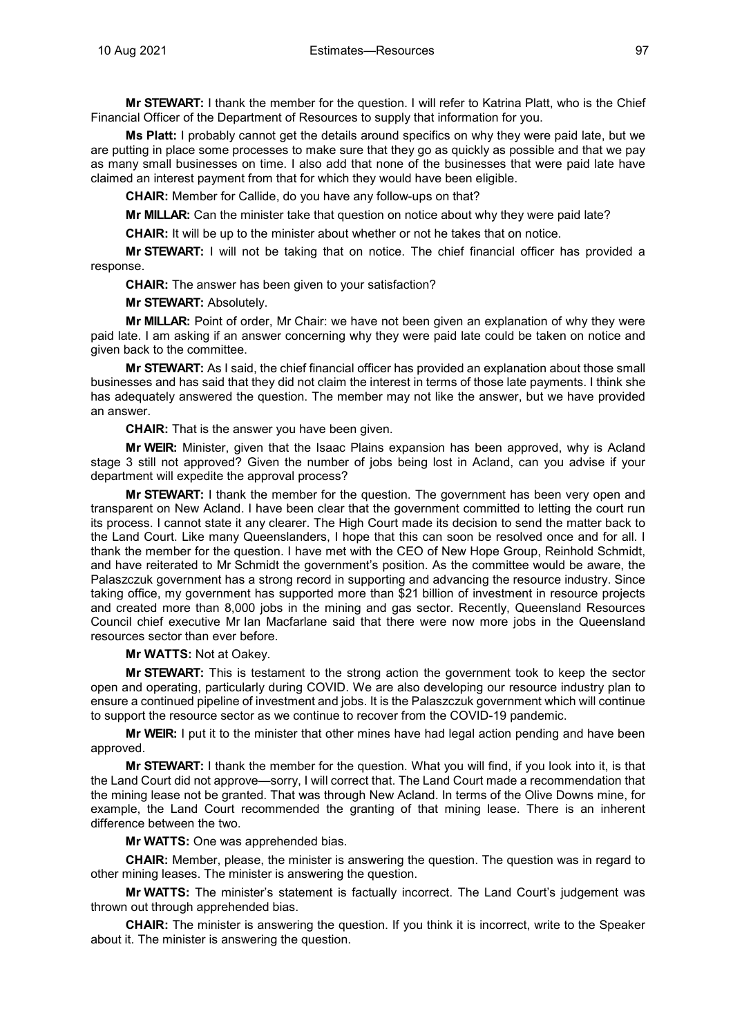**Mr STEWART:** I thank the member for the question. I will refer to Katrina Platt, who is the Chief Financial Officer of the Department of Resources to supply that information for you.

**Ms Platt:** I probably cannot get the details around specifics on why they were paid late, but we are putting in place some processes to make sure that they go as quickly as possible and that we pay as many small businesses on time. I also add that none of the businesses that were paid late have claimed an interest payment from that for which they would have been eligible.

**CHAIR:** Member for Callide, do you have any follow-ups on that?

**Mr MILLAR:** Can the minister take that question on notice about why they were paid late?

**CHAIR:** It will be up to the minister about whether or not he takes that on notice.

**Mr STEWART:** I will not be taking that on notice. The chief financial officer has provided a response.

**CHAIR:** The answer has been given to your satisfaction?

**Mr STEWART:** Absolutely.

**Mr MILLAR:** Point of order, Mr Chair: we have not been given an explanation of why they were paid late. I am asking if an answer concerning why they were paid late could be taken on notice and given back to the committee.

**Mr STEWART:** As I said, the chief financial officer has provided an explanation about those small businesses and has said that they did not claim the interest in terms of those late payments. I think she has adequately answered the question. The member may not like the answer, but we have provided an answer.

**CHAIR:** That is the answer you have been given.

**Mr WEIR:** Minister, given that the Isaac Plains expansion has been approved, why is Acland stage 3 still not approved? Given the number of jobs being lost in Acland, can you advise if your department will expedite the approval process?

**Mr STEWART:** I thank the member for the question. The government has been very open and transparent on New Acland. I have been clear that the government committed to letting the court run its process. I cannot state it any clearer. The High Court made its decision to send the matter back to the Land Court. Like many Queenslanders, I hope that this can soon be resolved once and for all. I thank the member for the question. I have met with the CEO of New Hope Group, Reinhold Schmidt, and have reiterated to Mr Schmidt the government's position. As the committee would be aware, the Palaszczuk government has a strong record in supporting and advancing the resource industry. Since taking office, my government has supported more than \$21 billion of investment in resource projects and created more than 8,000 jobs in the mining and gas sector. Recently, Queensland Resources Council chief executive Mr Ian Macfarlane said that there were now more jobs in the Queensland resources sector than ever before.

**Mr WATTS:** Not at Oakey.

**Mr STEWART:** This is testament to the strong action the government took to keep the sector open and operating, particularly during COVID. We are also developing our resource industry plan to ensure a continued pipeline of investment and jobs. It is the Palaszczuk government which will continue to support the resource sector as we continue to recover from the COVID-19 pandemic.

**Mr WEIR:** I put it to the minister that other mines have had legal action pending and have been approved.

**Mr STEWART:** I thank the member for the question. What you will find, if you look into it, is that the Land Court did not approve—sorry, I will correct that. The Land Court made a recommendation that the mining lease not be granted. That was through New Acland. In terms of the Olive Downs mine, for example, the Land Court recommended the granting of that mining lease. There is an inherent difference between the two.

**Mr WATTS:** One was apprehended bias.

**CHAIR:** Member, please, the minister is answering the question. The question was in regard to other mining leases. The minister is answering the question.

**Mr WATTS:** The minister's statement is factually incorrect. The Land Court's judgement was thrown out through apprehended bias.

**CHAIR:** The minister is answering the question. If you think it is incorrect, write to the Speaker about it. The minister is answering the question.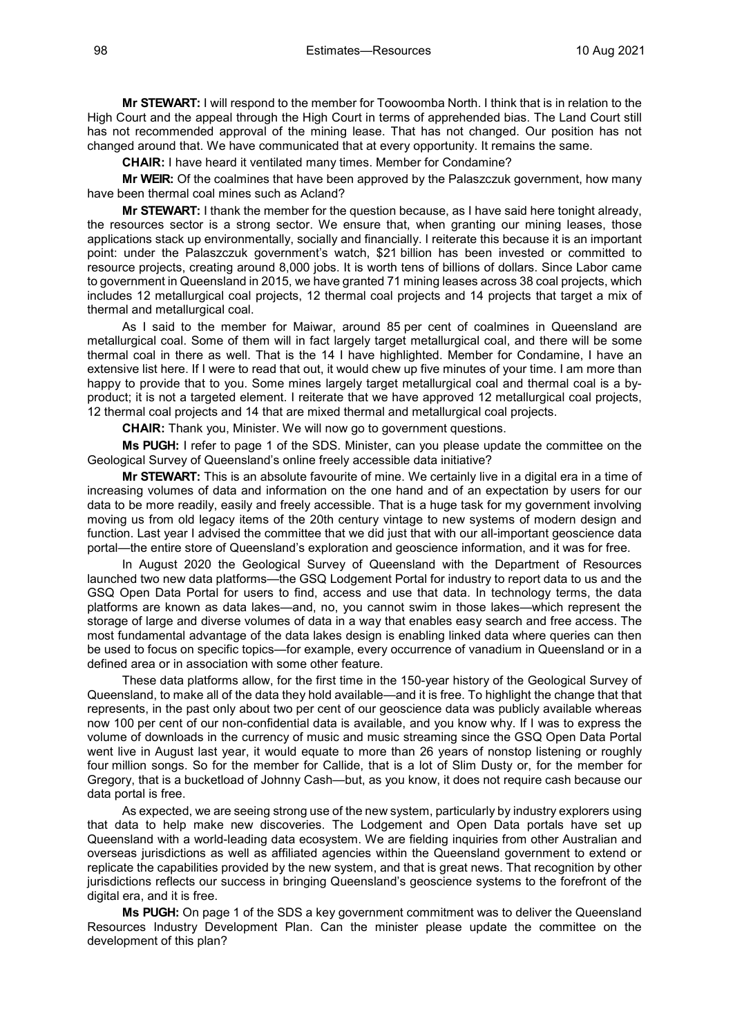98 Estimates—Resources 10 Aug 2021

**Mr STEWART:** I will respond to the member for Toowoomba North. I think that is in relation to the High Court and the appeal through the High Court in terms of apprehended bias. The Land Court still has not recommended approval of the mining lease. That has not changed. Our position has not changed around that. We have communicated that at every opportunity. It remains the same.

**CHAIR:** I have heard it ventilated many times. Member for Condamine?

**Mr WEIR:** Of the coalmines that have been approved by the Palaszczuk government, how many have been thermal coal mines such as Acland?

**Mr STEWART:** I thank the member for the question because, as I have said here tonight already, the resources sector is a strong sector. We ensure that, when granting our mining leases, those applications stack up environmentally, socially and financially. I reiterate this because it is an important point: under the Palaszczuk government's watch, \$21 billion has been invested or committed to resource projects, creating around 8,000 jobs. It is worth tens of billions of dollars. Since Labor came to government in Queensland in 2015, we have granted 71 mining leases across 38 coal projects, which includes 12 metallurgical coal projects, 12 thermal coal projects and 14 projects that target a mix of thermal and metallurgical coal.

As I said to the member for Maiwar, around 85 per cent of coalmines in Queensland are metallurgical coal. Some of them will in fact largely target metallurgical coal, and there will be some thermal coal in there as well. That is the 14 I have highlighted. Member for Condamine, I have an extensive list here. If I were to read that out, it would chew up five minutes of your time. I am more than happy to provide that to you. Some mines largely target metallurgical coal and thermal coal is a byproduct; it is not a targeted element. I reiterate that we have approved 12 metallurgical coal projects, 12 thermal coal projects and 14 that are mixed thermal and metallurgical coal projects.

**CHAIR:** Thank you, Minister. We will now go to government questions.

**Ms PUGH:** I refer to page 1 of the SDS. Minister, can you please update the committee on the Geological Survey of Queensland's online freely accessible data initiative?

**Mr STEWART:** This is an absolute favourite of mine. We certainly live in a digital era in a time of increasing volumes of data and information on the one hand and of an expectation by users for our data to be more readily, easily and freely accessible. That is a huge task for my government involving moving us from old legacy items of the 20th century vintage to new systems of modern design and function. Last year I advised the committee that we did just that with our all-important geoscience data portal—the entire store of Queensland's exploration and geoscience information, and it was for free.

In August 2020 the Geological Survey of Queensland with the Department of Resources launched two new data platforms—the GSQ Lodgement Portal for industry to report data to us and the GSQ Open Data Portal for users to find, access and use that data. In technology terms, the data platforms are known as data lakes—and, no, you cannot swim in those lakes—which represent the storage of large and diverse volumes of data in a way that enables easy search and free access. The most fundamental advantage of the data lakes design is enabling linked data where queries can then be used to focus on specific topics—for example, every occurrence of vanadium in Queensland or in a defined area or in association with some other feature.

These data platforms allow, for the first time in the 150-year history of the Geological Survey of Queensland, to make all of the data they hold available—and it is free. To highlight the change that that represents, in the past only about two per cent of our geoscience data was publicly available whereas now 100 per cent of our non-confidential data is available, and you know why. If I was to express the volume of downloads in the currency of music and music streaming since the GSQ Open Data Portal went live in August last year, it would equate to more than 26 years of nonstop listening or roughly four million songs. So for the member for Callide, that is a lot of Slim Dusty or, for the member for Gregory, that is a bucketload of Johnny Cash—but, as you know, it does not require cash because our data portal is free.

As expected, we are seeing strong use of the new system, particularly by industry explorers using that data to help make new discoveries. The Lodgement and Open Data portals have set up Queensland with a world-leading data ecosystem. We are fielding inquiries from other Australian and overseas jurisdictions as well as affiliated agencies within the Queensland government to extend or replicate the capabilities provided by the new system, and that is great news. That recognition by other jurisdictions reflects our success in bringing Queensland's geoscience systems to the forefront of the digital era, and it is free.

**Ms PUGH:** On page 1 of the SDS a key government commitment was to deliver the Queensland Resources Industry Development Plan. Can the minister please update the committee on the development of this plan?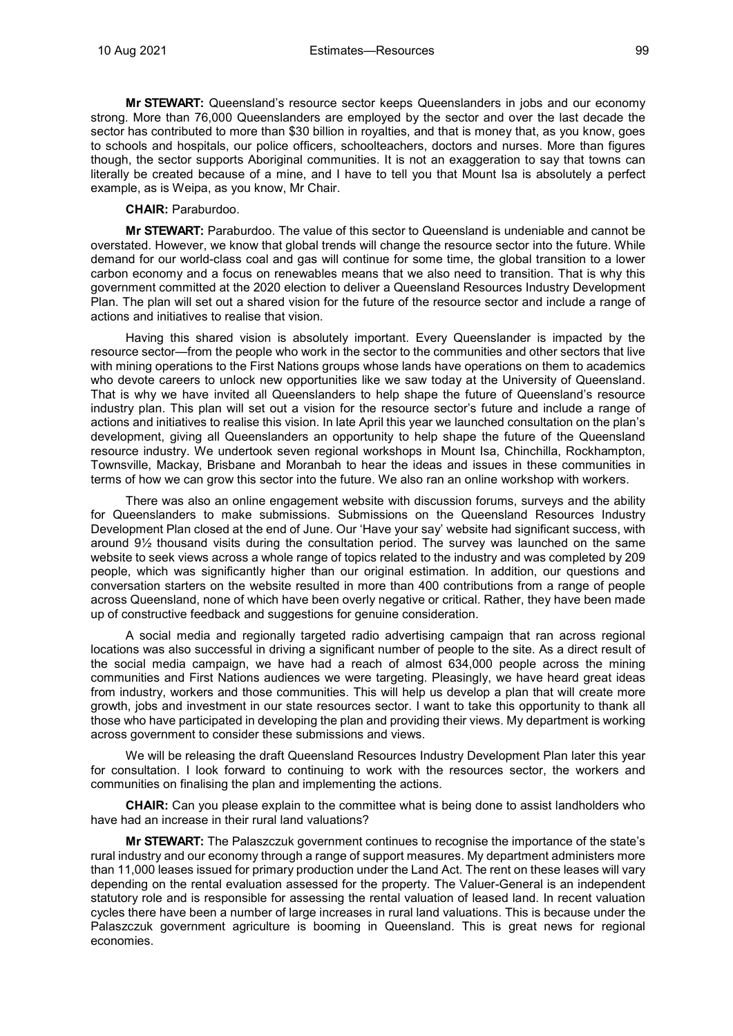**Mr STEWART:** Queensland's resource sector keeps Queenslanders in jobs and our economy strong. More than 76,000 Queenslanders are employed by the sector and over the last decade the sector has contributed to more than \$30 billion in royalties, and that is money that, as you know, goes to schools and hospitals, our police officers, schoolteachers, doctors and nurses. More than figures though, the sector supports Aboriginal communities. It is not an exaggeration to say that towns can literally be created because of a mine, and I have to tell you that Mount Isa is absolutely a perfect example, as is Weipa, as you know, Mr Chair.

### **CHAIR:** Paraburdoo.

**Mr STEWART:** Paraburdoo. The value of this sector to Queensland is undeniable and cannot be overstated. However, we know that global trends will change the resource sector into the future. While demand for our world-class coal and gas will continue for some time, the global transition to a lower carbon economy and a focus on renewables means that we also need to transition. That is why this government committed at the 2020 election to deliver a Queensland Resources Industry Development Plan. The plan will set out a shared vision for the future of the resource sector and include a range of actions and initiatives to realise that vision.

Having this shared vision is absolutely important. Every Queenslander is impacted by the resource sector—from the people who work in the sector to the communities and other sectors that live with mining operations to the First Nations groups whose lands have operations on them to academics who devote careers to unlock new opportunities like we saw today at the University of Queensland. That is why we have invited all Queenslanders to help shape the future of Queensland's resource industry plan. This plan will set out a vision for the resource sector's future and include a range of actions and initiatives to realise this vision. In late April this year we launched consultation on the plan's development, giving all Queenslanders an opportunity to help shape the future of the Queensland resource industry. We undertook seven regional workshops in Mount Isa, Chinchilla, Rockhampton, Townsville, Mackay, Brisbane and Moranbah to hear the ideas and issues in these communities in terms of how we can grow this sector into the future. We also ran an online workshop with workers.

There was also an online engagement website with discussion forums, surveys and the ability for Queenslanders to make submissions. Submissions on the Queensland Resources Industry Development Plan closed at the end of June. Our 'Have your say' website had significant success, with around 9½ thousand visits during the consultation period. The survey was launched on the same website to seek views across a whole range of topics related to the industry and was completed by 209 people, which was significantly higher than our original estimation. In addition, our questions and conversation starters on the website resulted in more than 400 contributions from a range of people across Queensland, none of which have been overly negative or critical. Rather, they have been made up of constructive feedback and suggestions for genuine consideration.

A social media and regionally targeted radio advertising campaign that ran across regional locations was also successful in driving a significant number of people to the site. As a direct result of the social media campaign, we have had a reach of almost 634,000 people across the mining communities and First Nations audiences we were targeting. Pleasingly, we have heard great ideas from industry, workers and those communities. This will help us develop a plan that will create more growth, jobs and investment in our state resources sector. I want to take this opportunity to thank all those who have participated in developing the plan and providing their views. My department is working across government to consider these submissions and views.

We will be releasing the draft Queensland Resources Industry Development Plan later this year for consultation. I look forward to continuing to work with the resources sector, the workers and communities on finalising the plan and implementing the actions.

**CHAIR:** Can you please explain to the committee what is being done to assist landholders who have had an increase in their rural land valuations?

**Mr STEWART:** The Palaszczuk government continues to recognise the importance of the state's rural industry and our economy through a range of support measures. My department administers more than 11,000 leases issued for primary production under the Land Act. The rent on these leases will vary depending on the rental evaluation assessed for the property. The Valuer-General is an independent statutory role and is responsible for assessing the rental valuation of leased land. In recent valuation cycles there have been a number of large increases in rural land valuations. This is because under the Palaszczuk government agriculture is booming in Queensland. This is great news for regional economies.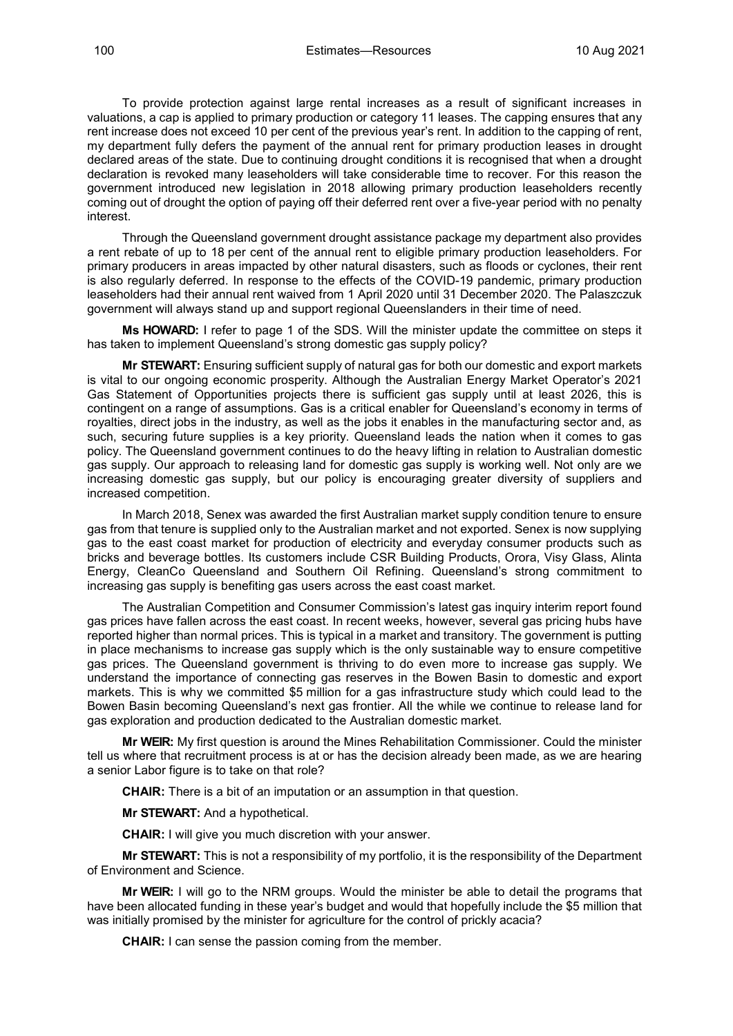To provide protection against large rental increases as a result of significant increases in valuations, a cap is applied to primary production or category 11 leases. The capping ensures that any rent increase does not exceed 10 per cent of the previous year's rent. In addition to the capping of rent, my department fully defers the payment of the annual rent for primary production leases in drought declared areas of the state. Due to continuing drought conditions it is recognised that when a drought declaration is revoked many leaseholders will take considerable time to recover. For this reason the government introduced new legislation in 2018 allowing primary production leaseholders recently coming out of drought the option of paying off their deferred rent over a five-year period with no penalty interest.

Through the Queensland government drought assistance package my department also provides a rent rebate of up to 18 per cent of the annual rent to eligible primary production leaseholders. For primary producers in areas impacted by other natural disasters, such as floods or cyclones, their rent is also regularly deferred. In response to the effects of the COVID-19 pandemic, primary production leaseholders had their annual rent waived from 1 April 2020 until 31 December 2020. The Palaszczuk government will always stand up and support regional Queenslanders in their time of need.

**Ms HOWARD:** I refer to page 1 of the SDS. Will the minister update the committee on steps it has taken to implement Queensland's strong domestic gas supply policy?

**Mr STEWART:** Ensuring sufficient supply of natural gas for both our domestic and export markets is vital to our ongoing economic prosperity. Although the Australian Energy Market Operator's 2021 Gas Statement of Opportunities projects there is sufficient gas supply until at least 2026, this is contingent on a range of assumptions. Gas is a critical enabler for Queensland's economy in terms of royalties, direct jobs in the industry, as well as the jobs it enables in the manufacturing sector and, as such, securing future supplies is a key priority. Queensland leads the nation when it comes to gas policy. The Queensland government continues to do the heavy lifting in relation to Australian domestic gas supply. Our approach to releasing land for domestic gas supply is working well. Not only are we increasing domestic gas supply, but our policy is encouraging greater diversity of suppliers and increased competition.

In March 2018, Senex was awarded the first Australian market supply condition tenure to ensure gas from that tenure is supplied only to the Australian market and not exported. Senex is now supplying gas to the east coast market for production of electricity and everyday consumer products such as bricks and beverage bottles. Its customers include CSR Building Products, Orora, Visy Glass, Alinta Energy, CleanCo Queensland and Southern Oil Refining. Queensland's strong commitment to increasing gas supply is benefiting gas users across the east coast market.

The Australian Competition and Consumer Commission's latest gas inquiry interim report found gas prices have fallen across the east coast. In recent weeks, however, several gas pricing hubs have reported higher than normal prices. This is typical in a market and transitory. The government is putting in place mechanisms to increase gas supply which is the only sustainable way to ensure competitive gas prices. The Queensland government is thriving to do even more to increase gas supply. We understand the importance of connecting gas reserves in the Bowen Basin to domestic and export markets. This is why we committed \$5 million for a gas infrastructure study which could lead to the Bowen Basin becoming Queensland's next gas frontier. All the while we continue to release land for gas exploration and production dedicated to the Australian domestic market.

**Mr WEIR:** My first question is around the Mines Rehabilitation Commissioner. Could the minister tell us where that recruitment process is at or has the decision already been made, as we are hearing a senior Labor figure is to take on that role?

**CHAIR:** There is a bit of an imputation or an assumption in that question.

**Mr STEWART:** And a hypothetical.

**CHAIR:** I will give you much discretion with your answer.

**Mr STEWART:** This is not a responsibility of my portfolio, it is the responsibility of the Department of Environment and Science.

**Mr WEIR:** I will go to the NRM groups. Would the minister be able to detail the programs that have been allocated funding in these year's budget and would that hopefully include the \$5 million that was initially promised by the minister for agriculture for the control of prickly acacia?

**CHAIR:** I can sense the passion coming from the member.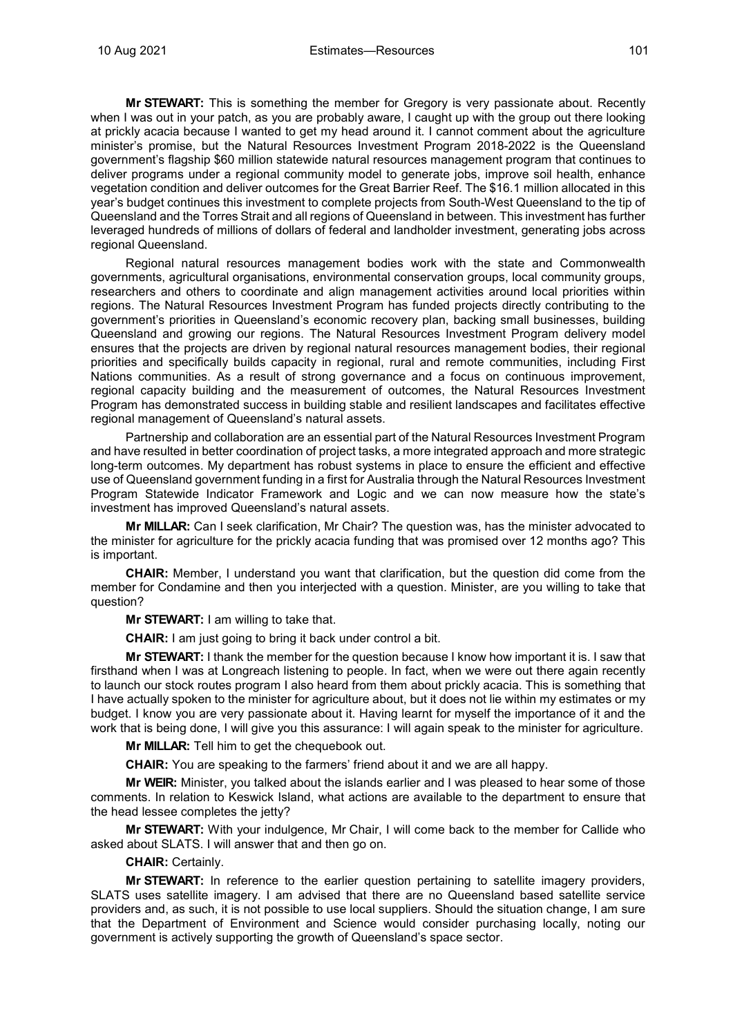**Mr STEWART:** This is something the member for Gregory is very passionate about. Recently when I was out in your patch, as you are probably aware, I caught up with the group out there looking at prickly acacia because I wanted to get my head around it. I cannot comment about the agriculture minister's promise, but the Natural Resources Investment Program 2018-2022 is the Queensland government's flagship \$60 million statewide natural resources management program that continues to deliver programs under a regional community model to generate jobs, improve soil health, enhance vegetation condition and deliver outcomes for the Great Barrier Reef. The \$16.1 million allocated in this year's budget continues this investment to complete projects from South-West Queensland to the tip of Queensland and the Torres Strait and all regions of Queensland in between. This investment has further leveraged hundreds of millions of dollars of federal and landholder investment, generating jobs across regional Queensland.

Regional natural resources management bodies work with the state and Commonwealth governments, agricultural organisations, environmental conservation groups, local community groups, researchers and others to coordinate and align management activities around local priorities within regions. The Natural Resources Investment Program has funded projects directly contributing to the government's priorities in Queensland's economic recovery plan, backing small businesses, building Queensland and growing our regions. The Natural Resources Investment Program delivery model ensures that the projects are driven by regional natural resources management bodies, their regional priorities and specifically builds capacity in regional, rural and remote communities, including First Nations communities. As a result of strong governance and a focus on continuous improvement, regional capacity building and the measurement of outcomes, the Natural Resources Investment Program has demonstrated success in building stable and resilient landscapes and facilitates effective regional management of Queensland's natural assets.

Partnership and collaboration are an essential part of the Natural Resources Investment Program and have resulted in better coordination of project tasks, a more integrated approach and more strategic long-term outcomes. My department has robust systems in place to ensure the efficient and effective use of Queensland government funding in a first for Australia through the Natural Resources Investment Program Statewide Indicator Framework and Logic and we can now measure how the state's investment has improved Queensland's natural assets.

**Mr MILLAR:** Can I seek clarification, Mr Chair? The question was, has the minister advocated to the minister for agriculture for the prickly acacia funding that was promised over 12 months ago? This is important.

**CHAIR:** Member, I understand you want that clarification, but the question did come from the member for Condamine and then you interjected with a question. Minister, are you willing to take that question?

**Mr STEWART:** I am willing to take that.

**CHAIR:** I am just going to bring it back under control a bit.

**Mr STEWART:** I thank the member for the question because I know how important it is. I saw that firsthand when I was at Longreach listening to people. In fact, when we were out there again recently to launch our stock routes program I also heard from them about prickly acacia. This is something that I have actually spoken to the minister for agriculture about, but it does not lie within my estimates or my budget. I know you are very passionate about it. Having learnt for myself the importance of it and the work that is being done, I will give you this assurance: I will again speak to the minister for agriculture.

**Mr MILLAR:** Tell him to get the chequebook out.

**CHAIR:** You are speaking to the farmers' friend about it and we are all happy.

**Mr WEIR:** Minister, you talked about the islands earlier and I was pleased to hear some of those comments. In relation to Keswick Island, what actions are available to the department to ensure that the head lessee completes the jetty?

**Mr STEWART:** With your indulgence, Mr Chair, I will come back to the member for Callide who asked about SLATS. I will answer that and then go on.

# **CHAIR:** Certainly.

**Mr STEWART:** In reference to the earlier question pertaining to satellite imagery providers, SLATS uses satellite imagery. I am advised that there are no Queensland based satellite service providers and, as such, it is not possible to use local suppliers. Should the situation change, I am sure that the Department of Environment and Science would consider purchasing locally, noting our government is actively supporting the growth of Queensland's space sector.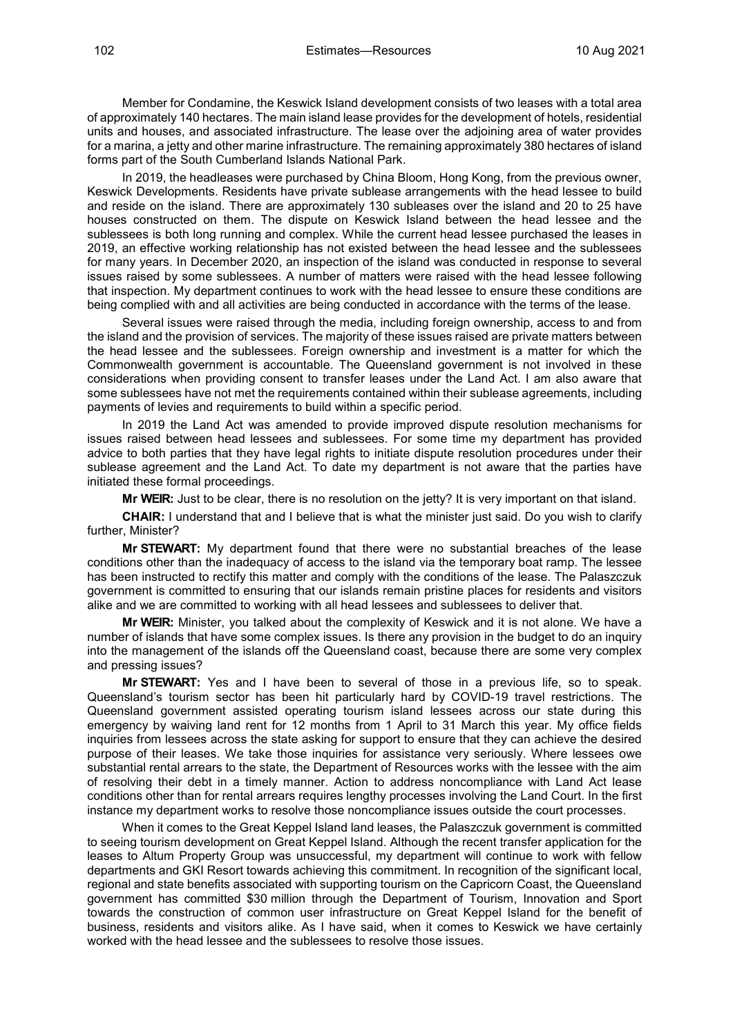Member for Condamine, the Keswick Island development consists of two leases with a total area of approximately 140 hectares. The main island lease provides for the development of hotels, residential units and houses, and associated infrastructure. The lease over the adjoining area of water provides for a marina, a jetty and other marine infrastructure. The remaining approximately 380 hectares of island forms part of the South Cumberland Islands National Park.

In 2019, the headleases were purchased by China Bloom, Hong Kong, from the previous owner, Keswick Developments. Residents have private sublease arrangements with the head lessee to build and reside on the island. There are approximately 130 subleases over the island and 20 to 25 have houses constructed on them. The dispute on Keswick Island between the head lessee and the sublessees is both long running and complex. While the current head lessee purchased the leases in 2019, an effective working relationship has not existed between the head lessee and the sublessees for many years. In December 2020, an inspection of the island was conducted in response to several issues raised by some sublessees. A number of matters were raised with the head lessee following that inspection. My department continues to work with the head lessee to ensure these conditions are being complied with and all activities are being conducted in accordance with the terms of the lease.

Several issues were raised through the media, including foreign ownership, access to and from the island and the provision of services. The majority of these issues raised are private matters between the head lessee and the sublessees. Foreign ownership and investment is a matter for which the Commonwealth government is accountable. The Queensland government is not involved in these considerations when providing consent to transfer leases under the Land Act. I am also aware that some sublessees have not met the requirements contained within their sublease agreements, including payments of levies and requirements to build within a specific period.

In 2019 the Land Act was amended to provide improved dispute resolution mechanisms for issues raised between head lessees and sublessees. For some time my department has provided advice to both parties that they have legal rights to initiate dispute resolution procedures under their sublease agreement and the Land Act. To date my department is not aware that the parties have initiated these formal proceedings.

**Mr WEIR:** Just to be clear, there is no resolution on the jetty? It is very important on that island.

**CHAIR:** I understand that and I believe that is what the minister just said. Do you wish to clarify further, Minister?

**Mr STEWART:** My department found that there were no substantial breaches of the lease conditions other than the inadequacy of access to the island via the temporary boat ramp. The lessee has been instructed to rectify this matter and comply with the conditions of the lease. The Palaszczuk government is committed to ensuring that our islands remain pristine places for residents and visitors alike and we are committed to working with all head lessees and sublessees to deliver that.

**Mr WEIR:** Minister, you talked about the complexity of Keswick and it is not alone. We have a number of islands that have some complex issues. Is there any provision in the budget to do an inquiry into the management of the islands off the Queensland coast, because there are some very complex and pressing issues?

**Mr STEWART:** Yes and I have been to several of those in a previous life, so to speak. Queensland's tourism sector has been hit particularly hard by COVID-19 travel restrictions. The Queensland government assisted operating tourism island lessees across our state during this emergency by waiving land rent for 12 months from 1 April to 31 March this year. My office fields inquiries from lessees across the state asking for support to ensure that they can achieve the desired purpose of their leases. We take those inquiries for assistance very seriously. Where lessees owe substantial rental arrears to the state, the Department of Resources works with the lessee with the aim of resolving their debt in a timely manner. Action to address noncompliance with Land Act lease conditions other than for rental arrears requires lengthy processes involving the Land Court. In the first instance my department works to resolve those noncompliance issues outside the court processes.

When it comes to the Great Keppel Island land leases, the Palaszczuk government is committed to seeing tourism development on Great Keppel Island. Although the recent transfer application for the leases to Altum Property Group was unsuccessful, my department will continue to work with fellow departments and GKI Resort towards achieving this commitment. In recognition of the significant local, regional and state benefits associated with supporting tourism on the Capricorn Coast, the Queensland government has committed \$30 million through the Department of Tourism, Innovation and Sport towards the construction of common user infrastructure on Great Keppel Island for the benefit of business, residents and visitors alike. As I have said, when it comes to Keswick we have certainly worked with the head lessee and the sublessees to resolve those issues.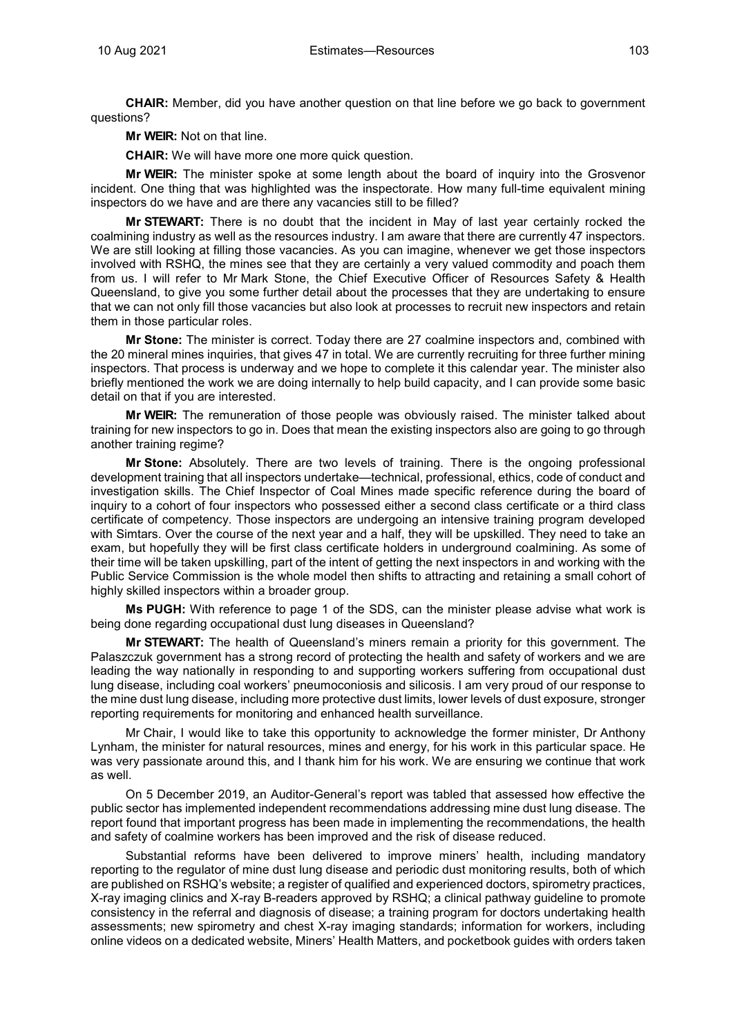**CHAIR:** Member, did you have another question on that line before we go back to government questions?

**Mr WEIR:** Not on that line.

**CHAIR:** We will have more one more quick question.

**Mr WEIR:** The minister spoke at some length about the board of inquiry into the Grosvenor incident. One thing that was highlighted was the inspectorate. How many full-time equivalent mining inspectors do we have and are there any vacancies still to be filled?

**Mr STEWART:** There is no doubt that the incident in May of last year certainly rocked the coalmining industry as well as the resources industry. I am aware that there are currently 47 inspectors. We are still looking at filling those vacancies. As you can imagine, whenever we get those inspectors involved with RSHQ, the mines see that they are certainly a very valued commodity and poach them from us. I will refer to Mr Mark Stone, the Chief Executive Officer of Resources Safety & Health Queensland, to give you some further detail about the processes that they are undertaking to ensure that we can not only fill those vacancies but also look at processes to recruit new inspectors and retain them in those particular roles.

**Mr Stone:** The minister is correct. Today there are 27 coalmine inspectors and, combined with the 20 mineral mines inquiries, that gives 47 in total. We are currently recruiting for three further mining inspectors. That process is underway and we hope to complete it this calendar year. The minister also briefly mentioned the work we are doing internally to help build capacity, and I can provide some basic detail on that if you are interested.

**Mr WEIR:** The remuneration of those people was obviously raised. The minister talked about training for new inspectors to go in. Does that mean the existing inspectors also are going to go through another training regime?

**Mr Stone:** Absolutely. There are two levels of training. There is the ongoing professional development training that all inspectors undertake—technical, professional, ethics, code of conduct and investigation skills. The Chief Inspector of Coal Mines made specific reference during the board of inquiry to a cohort of four inspectors who possessed either a second class certificate or a third class certificate of competency. Those inspectors are undergoing an intensive training program developed with Simtars. Over the course of the next year and a half, they will be upskilled. They need to take an exam, but hopefully they will be first class certificate holders in underground coalmining. As some of their time will be taken upskilling, part of the intent of getting the next inspectors in and working with the Public Service Commission is the whole model then shifts to attracting and retaining a small cohort of highly skilled inspectors within a broader group.

**Ms PUGH:** With reference to page 1 of the SDS, can the minister please advise what work is being done regarding occupational dust lung diseases in Queensland?

**Mr STEWART:** The health of Queensland's miners remain a priority for this government. The Palaszczuk government has a strong record of protecting the health and safety of workers and we are leading the way nationally in responding to and supporting workers suffering from occupational dust lung disease, including coal workers' pneumoconiosis and silicosis. I am very proud of our response to the mine dust lung disease, including more protective dust limits, lower levels of dust exposure, stronger reporting requirements for monitoring and enhanced health surveillance.

Mr Chair, I would like to take this opportunity to acknowledge the former minister, Dr Anthony Lynham, the minister for natural resources, mines and energy, for his work in this particular space. He was very passionate around this, and I thank him for his work. We are ensuring we continue that work as well.

On 5 December 2019, an Auditor-General's report was tabled that assessed how effective the public sector has implemented independent recommendations addressing mine dust lung disease. The report found that important progress has been made in implementing the recommendations, the health and safety of coalmine workers has been improved and the risk of disease reduced.

Substantial reforms have been delivered to improve miners' health, including mandatory reporting to the regulator of mine dust lung disease and periodic dust monitoring results, both of which are published on RSHQ's website; a register of qualified and experienced doctors, spirometry practices, X-ray imaging clinics and X-ray B-readers approved by RSHQ; a clinical pathway guideline to promote consistency in the referral and diagnosis of disease; a training program for doctors undertaking health assessments; new spirometry and chest X-ray imaging standards; information for workers, including online videos on a dedicated website, Miners' Health Matters, and pocketbook guides with orders taken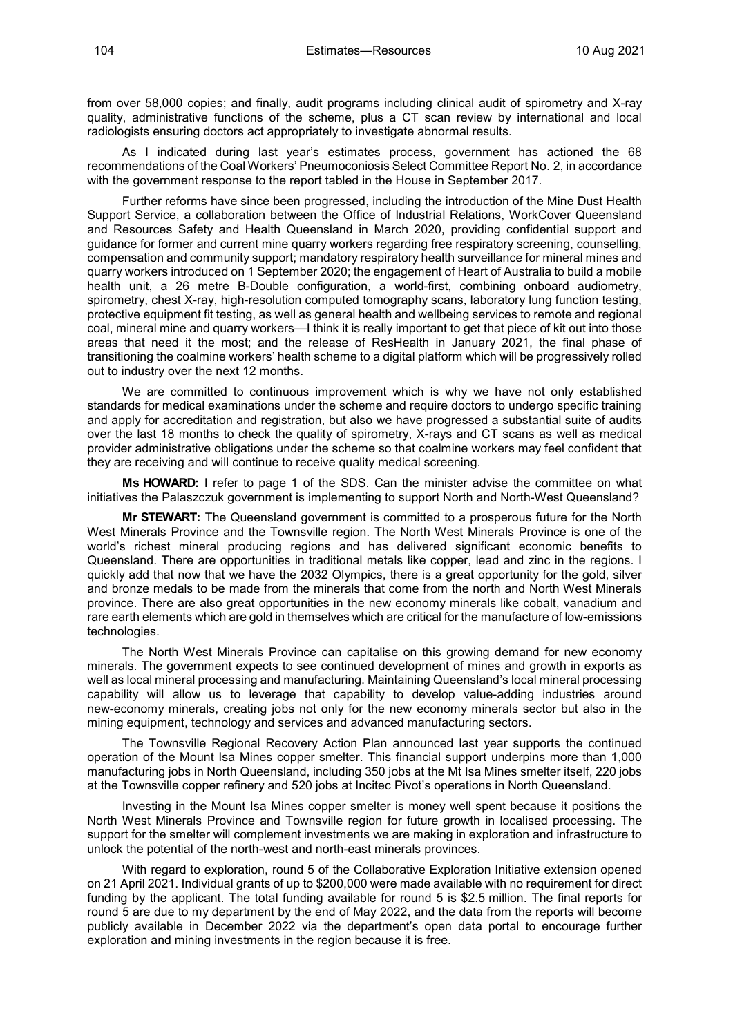from over 58,000 copies; and finally, audit programs including clinical audit of spirometry and X-ray quality, administrative functions of the scheme, plus a CT scan review by international and local radiologists ensuring doctors act appropriately to investigate abnormal results.

As I indicated during last year's estimates process, government has actioned the 68 recommendations of the Coal Workers' Pneumoconiosis Select Committee Report No. 2, in accordance with the government response to the report tabled in the House in September 2017.

Further reforms have since been progressed, including the introduction of the Mine Dust Health Support Service, a collaboration between the Office of Industrial Relations, WorkCover Queensland and Resources Safety and Health Queensland in March 2020, providing confidential support and guidance for former and current mine quarry workers regarding free respiratory screening, counselling, compensation and community support; mandatory respiratory health surveillance for mineral mines and quarry workers introduced on 1 September 2020; the engagement of Heart of Australia to build a mobile health unit, a 26 metre B-Double configuration, a world-first, combining onboard audiometry, spirometry, chest X-ray, high-resolution computed tomography scans, laboratory lung function testing, protective equipment fit testing, as well as general health and wellbeing services to remote and regional coal, mineral mine and quarry workers—I think it is really important to get that piece of kit out into those areas that need it the most; and the release of ResHealth in January 2021, the final phase of transitioning the coalmine workers' health scheme to a digital platform which will be progressively rolled out to industry over the next 12 months.

We are committed to continuous improvement which is why we have not only established standards for medical examinations under the scheme and require doctors to undergo specific training and apply for accreditation and registration, but also we have progressed a substantial suite of audits over the last 18 months to check the quality of spirometry, X-rays and CT scans as well as medical provider administrative obligations under the scheme so that coalmine workers may feel confident that they are receiving and will continue to receive quality medical screening.

**Ms HOWARD:** I refer to page 1 of the SDS. Can the minister advise the committee on what initiatives the Palaszczuk government is implementing to support North and North-West Queensland?

**Mr STEWART:** The Queensland government is committed to a prosperous future for the North West Minerals Province and the Townsville region. The North West Minerals Province is one of the world's richest mineral producing regions and has delivered significant economic benefits to Queensland. There are opportunities in traditional metals like copper, lead and zinc in the regions. I quickly add that now that we have the 2032 Olympics, there is a great opportunity for the gold, silver and bronze medals to be made from the minerals that come from the north and North West Minerals province. There are also great opportunities in the new economy minerals like cobalt, vanadium and rare earth elements which are gold in themselves which are critical for the manufacture of low-emissions technologies.

The North West Minerals Province can capitalise on this growing demand for new economy minerals. The government expects to see continued development of mines and growth in exports as well as local mineral processing and manufacturing. Maintaining Queensland's local mineral processing capability will allow us to leverage that capability to develop value-adding industries around new-economy minerals, creating jobs not only for the new economy minerals sector but also in the mining equipment, technology and services and advanced manufacturing sectors.

The Townsville Regional Recovery Action Plan announced last year supports the continued operation of the Mount Isa Mines copper smelter. This financial support underpins more than 1,000 manufacturing jobs in North Queensland, including 350 jobs at the Mt Isa Mines smelter itself, 220 jobs at the Townsville copper refinery and 520 jobs at Incitec Pivot's operations in North Queensland.

Investing in the Mount Isa Mines copper smelter is money well spent because it positions the North West Minerals Province and Townsville region for future growth in localised processing. The support for the smelter will complement investments we are making in exploration and infrastructure to unlock the potential of the north-west and north-east minerals provinces.

With regard to exploration, round 5 of the Collaborative Exploration Initiative extension opened on 21 April 2021. Individual grants of up to \$200,000 were made available with no requirement for direct funding by the applicant. The total funding available for round 5 is \$2.5 million. The final reports for round 5 are due to my department by the end of May 2022, and the data from the reports will become publicly available in December 2022 via the department's open data portal to encourage further exploration and mining investments in the region because it is free.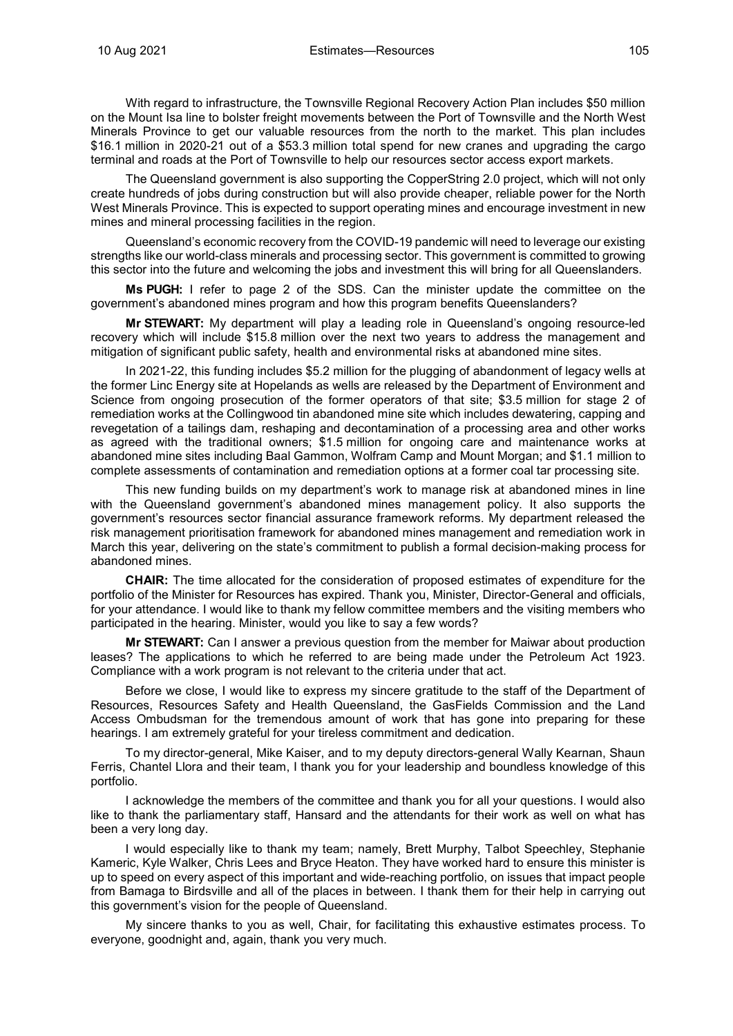With regard to infrastructure, the Townsville Regional Recovery Action Plan includes \$50 million on the Mount Isa line to bolster freight movements between the Port of Townsville and the North West Minerals Province to get our valuable resources from the north to the market. This plan includes \$16.1 million in 2020-21 out of a \$53.3 million total spend for new cranes and upgrading the cargo terminal and roads at the Port of Townsville to help our resources sector access export markets.

The Queensland government is also supporting the CopperString 2.0 project, which will not only create hundreds of jobs during construction but will also provide cheaper, reliable power for the North West Minerals Province. This is expected to support operating mines and encourage investment in new mines and mineral processing facilities in the region.

Queensland's economic recovery from the COVID-19 pandemic will need to leverage our existing strengths like our world-class minerals and processing sector. This government is committed to growing this sector into the future and welcoming the jobs and investment this will bring for all Queenslanders.

**Ms PUGH:** I refer to page 2 of the SDS. Can the minister update the committee on the government's abandoned mines program and how this program benefits Queenslanders?

**Mr STEWART:** My department will play a leading role in Queensland's ongoing resource-led recovery which will include \$15.8 million over the next two years to address the management and mitigation of significant public safety, health and environmental risks at abandoned mine sites.

In 2021-22, this funding includes \$5.2 million for the plugging of abandonment of legacy wells at the former Linc Energy site at Hopelands as wells are released by the Department of Environment and Science from ongoing prosecution of the former operators of that site; \$3.5 million for stage 2 of remediation works at the Collingwood tin abandoned mine site which includes dewatering, capping and revegetation of a tailings dam, reshaping and decontamination of a processing area and other works as agreed with the traditional owners; \$1.5 million for ongoing care and maintenance works at abandoned mine sites including Baal Gammon, Wolfram Camp and Mount Morgan; and \$1.1 million to complete assessments of contamination and remediation options at a former coal tar processing site.

This new funding builds on my department's work to manage risk at abandoned mines in line with the Queensland government's abandoned mines management policy. It also supports the government's resources sector financial assurance framework reforms. My department released the risk management prioritisation framework for abandoned mines management and remediation work in March this year, delivering on the state's commitment to publish a formal decision-making process for abandoned mines.

**CHAIR:** The time allocated for the consideration of proposed estimates of expenditure for the portfolio of the Minister for Resources has expired. Thank you, Minister, Director-General and officials, for your attendance. I would like to thank my fellow committee members and the visiting members who participated in the hearing. Minister, would you like to say a few words?

**Mr STEWART:** Can I answer a previous question from the member for Maiwar about production leases? The applications to which he referred to are being made under the Petroleum Act 1923. Compliance with a work program is not relevant to the criteria under that act.

Before we close, I would like to express my sincere gratitude to the staff of the Department of Resources, Resources Safety and Health Queensland, the GasFields Commission and the Land Access Ombudsman for the tremendous amount of work that has gone into preparing for these hearings. I am extremely grateful for your tireless commitment and dedication.

To my director-general, Mike Kaiser, and to my deputy directors-general Wally Kearnan, Shaun Ferris, Chantel Llora and their team, I thank you for your leadership and boundless knowledge of this portfolio.

I acknowledge the members of the committee and thank you for all your questions. I would also like to thank the parliamentary staff, Hansard and the attendants for their work as well on what has been a very long day.

I would especially like to thank my team; namely, Brett Murphy, Talbot Speechley, Stephanie Kameric, Kyle Walker, Chris Lees and Bryce Heaton. They have worked hard to ensure this minister is up to speed on every aspect of this important and wide-reaching portfolio, on issues that impact people from Bamaga to Birdsville and all of the places in between. I thank them for their help in carrying out this government's vision for the people of Queensland.

My sincere thanks to you as well, Chair, for facilitating this exhaustive estimates process. To everyone, goodnight and, again, thank you very much.